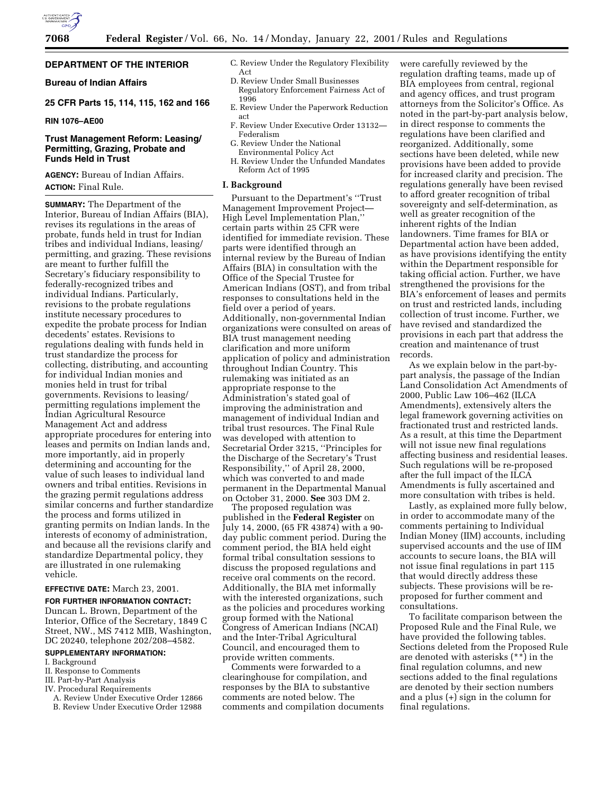

# **DEPARTMENT OF THE INTERIOR**

# **Bureau of Indian Affairs**

# **25 CFR Parts 15, 114, 115, 162 and 166**

# **RIN 1076–AE00**

# **Trust Management Reform: Leasing/ Permitting, Grazing, Probate and Funds Held in Trust**

**AGENCY:** Bureau of Indian Affairs. **ACTION:** Final Rule.

**SUMMARY:** The Department of the Interior, Bureau of Indian Affairs (BIA), revises its regulations in the areas of probate, funds held in trust for Indian tribes and individual Indians, leasing/ permitting, and grazing. These revisions are meant to further fulfill the Secretary's fiduciary responsibility to federally-recognized tribes and individual Indians. Particularly, revisions to the probate regulations institute necessary procedures to expedite the probate process for Indian decedents' estates. Revisions to regulations dealing with funds held in trust standardize the process for collecting, distributing, and accounting for individual Indian monies and monies held in trust for tribal governments. Revisions to leasing/ permitting regulations implement the Indian Agricultural Resource Management Act and address appropriate procedures for entering into leases and permits on Indian lands and, more importantly, aid in properly determining and accounting for the value of such leases to individual land owners and tribal entities. Revisions in the grazing permit regulations address similar concerns and further standardize the process and forms utilized in granting permits on Indian lands. In the interests of economy of administration, and because all the revisions clarify and standardize Departmental policy, they are illustrated in one rulemaking vehicle.

# **EFFECTIVE DATE:** March 23, 2001.

**FOR FURTHER INFORMATION CONTACT:** Duncan L. Brown, Department of the Interior, Office of the Secretary, 1849 C Street, NW., MS 7412 MIB, Washington, DC 20240, telephone 202/208–4582.

# **SUPPLEMENTARY INFORMATION:**

- I. Background
- II. Response to Comments
- III. Part-by-Part Analysis
- IV. Procedural Requirements
- A. Review Under Executive Order 12866
- B. Review Under Executive Order 12988
- C. Review Under the Regulatory Flexibility Act
- D. Review Under Small Businesses Regulatory Enforcement Fairness Act of 1996
- E. Review Under the Paperwork Reduction act
- F. Review Under Executive Order 13132— Federalism
- G. Review Under the National
- Environmental Policy Act H. Review Under the Unfunded Mandates Reform Act of 1995

### **I. Background**

Pursuant to the Department's ''Trust Management Improvement Project— High Level Implementation Plan,'' certain parts within 25 CFR were identified for immediate revision. These parts were identified through an internal review by the Bureau of Indian Affairs (BIA) in consultation with the Office of the Special Trustee for American Indians (OST), and from tribal responses to consultations held in the field over a period of years. Additionally, non-governmental Indian organizations were consulted on areas of BIA trust management needing clarification and more uniform application of policy and administration throughout Indian Country. This rulemaking was initiated as an appropriate response to the Administration's stated goal of improving the administration and management of individual Indian and tribal trust resources. The Final Rule was developed with attention to Secretarial Order 3215, ''Principles for the Discharge of the Secretary's Trust Responsibility,'' of April 28, 2000, which was converted to and made permanent in the Departmental Manual on October 31, 2000. **See** 303 DM 2.

The proposed regulation was published in the **Federal Register** on July 14, 2000, (65 FR 43874) with a 90 day public comment period. During the comment period, the BIA held eight formal tribal consultation sessions to discuss the proposed regulations and receive oral comments on the record. Additionally, the BIA met informally with the interested organizations, such as the policies and procedures working group formed with the National Congress of American Indians (NCAI) and the Inter-Tribal Agricultural Council, and encouraged them to provide written comments.

Comments were forwarded to a clearinghouse for compilation, and responses by the BIA to substantive comments are noted below. The comments and compilation documents

were carefully reviewed by the regulation drafting teams, made up of BIA employees from central, regional and agency offices, and trust program attorneys from the Solicitor's Office. As noted in the part-by-part analysis below, in direct response to comments the regulations have been clarified and reorganized. Additionally, some sections have been deleted, while new provisions have been added to provide for increased clarity and precision. The regulations generally have been revised to afford greater recognition of tribal sovereignty and self-determination, as well as greater recognition of the inherent rights of the Indian landowners. Time frames for BIA or Departmental action have been added, as have provisions identifying the entity within the Department responsible for taking official action. Further, we have strengthened the provisions for the BIA's enforcement of leases and permits on trust and restricted lands, including collection of trust income. Further, we have revised and standardized the provisions in each part that address the creation and maintenance of trust records.

As we explain below in the part-bypart analysis, the passage of the Indian Land Consolidation Act Amendments of 2000, Public Law 106–462 (ILCA Amendments), extensively alters the legal framework governing activities on fractionated trust and restricted lands. As a result, at this time the Department will not issue new final regulations affecting business and residential leases. Such regulations will be re-proposed after the full impact of the ILCA Amendments is fully ascertained and more consultation with tribes is held.

Lastly, as explained more fully below, in order to accommodate many of the comments pertaining to Individual Indian Money (IIM) accounts, including supervised accounts and the use of IIM accounts to secure loans, the BIA will not issue final regulations in part 115 that would directly address these subjects. These provisions will be reproposed for further comment and consultations.

To facilitate comparison between the Proposed Rule and the Final Rule, we have provided the following tables. Sections deleted from the Proposed Rule are denoted with asterisks (\*\*) in the final regulation columns, and new sections added to the final regulations are denoted by their section numbers and a plus (+) sign in the column for final regulations.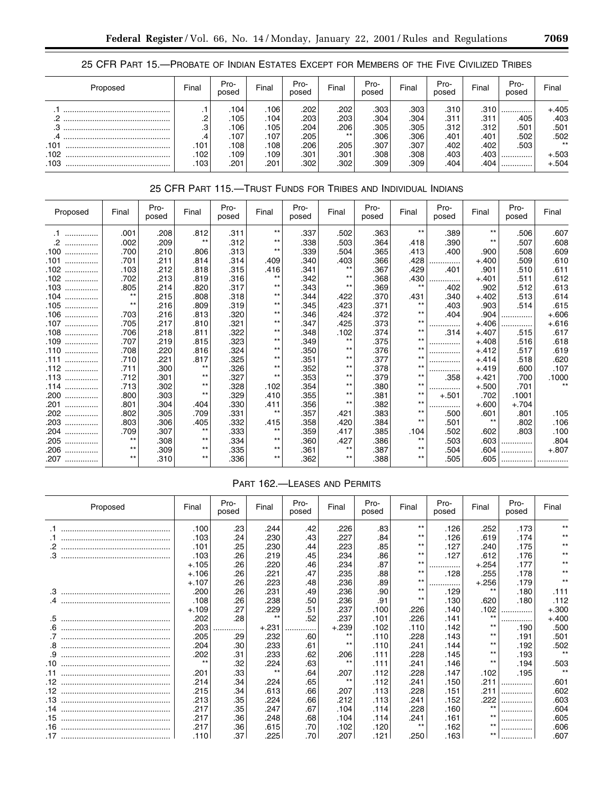# 25 CFR PART 15.—PROBATE OF INDIAN ESTATES EXCEPT FOR MEMBERS OF THE FIVE CIVILIZED TRIBES

| Proposed | Final   | Pro-<br>posed | Final             | Pro-<br>posed | Final | Pro-<br>posed | Final | Pro-<br>posed | Final | Pro-<br>posed | Final   |
|----------|---------|---------------|-------------------|---------------|-------|---------------|-------|---------------|-------|---------------|---------|
|          |         | $.104+$       | .106 <sup>1</sup> | .202          | .202  | .303          | .303  | .310          | .310  |               | $+.405$ |
|          | ∩<br>ے. | .105          | .104              | ' 203.        | .203  | .304          | .304  | .311          | .311  | .405          | .403    |
| ◠        | .3      | .106          | .105              | .204          | .206  | .305'         | .305  | .312          | .312  | .501          | .501    |
|          | .4      | .107          | .107              | .205          | $***$ | .306          | .306  | .401          | .401  | .502          | .502    |
| .101     | .101    | .108          | .108              | .206          | .205  | .307          | .307  | .402          | .402  | .503          | $***$   |
| .102     | .102    | .109'         | .109'             | .301          | .301  | .308          | .308  | .403'         | .403  |               | $+.503$ |
| .103     | .103    | .201          | .201              | .302          | .302  | .309          | .309  | :404.         | .404' |               | $+.504$ |

# 25 CFR PART 115.—TRUST FUNDS FOR TRIBES AND INDIVIDUAL INDIANS

| Proposed      | Final | Pro-<br>posed | Final | Pro-<br>posed | Final | Pro-<br>posed | Final | Pro-<br>posed | Final | Pro-<br>posed | Final   | Pro-<br>posed | Final   |
|---------------|-------|---------------|-------|---------------|-------|---------------|-------|---------------|-------|---------------|---------|---------------|---------|
| $\cdot$ 1<br> | .001  | .208          | .812  | .311          | $***$ | .337          | .502  | .363          | $***$ | .389          | $***$   | .506          | .607    |
| .2<br>        | .002  | .209          | $***$ | .312          | $***$ | .338          | .503  | .364          | .418  | .390          | $***$   | .507          | .608    |
| .100<br>      | .700  | .210          | .806  | .313          | $***$ | .339          | .504  | .365          | .413  | .400          | .900    | .508          | .609    |
| .101<br>.     | .701  | .211          | .814  | .314          | .409  | .340          | .403  | .366          | .428  |               | $+.400$ | .509          | .610    |
| .102<br>      | .103  | .212          | .818  | .315          | .416  | .341          | $***$ | .367          | .429  | .401          | .901    | .510          | .611    |
| 102<br>       | .702  | .213          | .819  | .316          | $***$ | .342          | $***$ | .368          | .430  | .             | $+.401$ | .511          | .612    |
| .103<br>      | .805  | .214          | .820  | .317          | $***$ | .343          | $***$ | .369          | $***$ | .402          | .902    | .512          | .613    |
| 104<br>.      | $***$ | .215          | .808  | .318          | $***$ | .344          | .422  | .370          | .431  | .340          | $+.402$ | .513          | .614    |
| .105<br>.     | $***$ | .216          | .809  | .319          | $***$ | .345          | .423  | .371          | $***$ | .403          | .903    | .514          | .615    |
| .106<br>      | .703  | .216          | .813  | .320          | $***$ | .346          | .424  | .372          | $***$ | .404          | .904    | .             | $+.606$ |
| .107<br>.     | .705  | .217          | .810  | .321          | $***$ | .347          | .425  | .373          | $***$ |               | $+.406$ | .             | $+.616$ |
| .108<br>      | .706  | .218          | .811  | .322          | $***$ | .348          | .102  | .374          | $***$ | .314          | $+.407$ | .515          | .617    |
| .109<br>.     | .707  | .219          | .815  | .323          | $***$ | .349          | $***$ | .375          | $***$ | .             | $+.408$ | .516          | .618    |
| .110<br>      | .708  | .220          | .816  | .324          | $***$ | .350          | $***$ | .376          | $***$ | .             | $+.412$ | .517          | .619    |
| .111<br>.     | .710  | .221          | .817  | .325          | $***$ | .351          | $***$ | .377          | $***$ | .             | $+.414$ | .518          | .620    |
| .112<br>      | .711  | .300          | $***$ | .326          | $***$ | .352          | $***$ | .378          | $***$ |               | $+.419$ | .600          | .107    |
| .113<br>.     | .712  | .301          | $***$ | .327          | $***$ | .353          | $***$ | .379          | $***$ | .358          | $+.421$ | .700          | .1000   |
| .114<br>      | .713  | .302          | $***$ | .328          | .102  | .354          | $***$ | .380          | $***$ | .             | $+.500$ | .701          | $**$    |
| .200<br>.     | .800  | .303          | $***$ | .329          | .410  | .355          | $***$ | .381          | $***$ | $+.501$       | .702    | .1001         |         |
| .201<br>.     | .801  | .304          | .404  | .330          | .411  | .356          | $***$ | .382          | $***$ |               | $+.600$ | $+.704$       |         |
| 202<br>       | .802  | .305          | .709  | .331          | $***$ | .357          | .421  | .383          | $***$ | .500          | .601    | .801          | .105    |
| .203<br>      | .803  | .306          | .405  | .332          | .415  | .358          | .420  | .384          | $***$ | .501          | $***$   | .802          | .106    |
| .204<br>      | .709  | .307          | $***$ | .333          | $***$ | .359          | .417  | .385          | .104  | .502          | .602    | .803          | .100    |
| .205<br>.     | $***$ | .308          | $***$ | .334          | $***$ | .360          | .427  | .386          | $***$ | .503          | .603    | .             | .804    |
| .206<br>.     | $***$ | .309          | $***$ | .335          | $***$ | .361          | $***$ | .387          | $***$ | .504          | .604    | .             | $+.807$ |
| .207<br>      | $***$ | .310          | $***$ | .336          | $***$ | .362          | $***$ | .388          | $***$ | .505          | .605    |               |         |

# PART 162.—LEASES AND PERMITS

|     | Proposed | Final   | Pro-<br>posed | Final   | Pro-<br>posed | Final   | Pro-<br>posed | Final | Pro-<br>posed | Final   | Pro-<br>posed | Final   |
|-----|----------|---------|---------------|---------|---------------|---------|---------------|-------|---------------|---------|---------------|---------|
|     |          | .100    | .23           | .244    | .42           | .226    | .83           | $***$ | .126          | .252    | .173          | **      |
|     |          | .103    | .24           | .230    | .43           | .227    | .84           | $***$ | .126          | .619    | .174          | $***$   |
|     |          | .101    | .25           | .230    | .44           | .223    | .85           | $***$ | .127          | .240    | .175          | $***$   |
| .3  |          | .103    | .26           | .219    | .45           | .234    | .86           | $***$ | .127          | .612    | .176          |         |
|     |          | $+.105$ | .26           | .220    | .46           | .234    | .87           | $***$ |               | $+.254$ | .177          | $***$   |
|     |          | $+.106$ | .26           | .221    | .47           | .235    | .88           | $***$ | .128          | .255    | .178          | $***$   |
|     |          | $+.107$ | .26           | .223    | .48           | .236    | .89           | $***$ |               | $+.256$ | .179          | $***$   |
| .3  |          | .200    | .26           | .231    | .49           | .236    | .90           | $***$ | .129          | $***$   | .180          | .111    |
|     |          | .108    | .26           | .238    | .50           | .236    | .91           | $***$ | .130          | .620    | .180          | .112    |
|     |          | $+.109$ | .27           | .229    | .51           | .237    | .100          | .226  | .140          | .102    |               | $+.300$ |
| .5  |          | .202    | .28           | $***$   | .52           | .237    | .101          | .226  | .141          | $***$   |               | $+.400$ |
| .6  |          | .203    |               | $+.231$ | .             | $+.239$ | .102          | .110  | .142          | $***$   | .190          | .500    |
|     |          | .205    | .29           | .232    | .60           | $***$   | .110          | .228  | .143          | $***$   | .191          | .501    |
| .8  |          | .204    | .30           | .233    | .61           | $***$   | .110          | .241  | .144          | $***$   | .192          | .502    |
| .9  |          | .202    | .31           | .233    | .62           | .206    | .111          | .228  | .145          | $***$   | .193          | $***$   |
| .10 |          | $***$   | .32           | .224    | .63           | $**$    | .111          | .241  | .146          | $***$   | .194          | .503    |
| .11 |          | .201    | .33           | $***$   | .64           | .207    | .112          | .228  | .147          | .102    | .195          | $***$   |
| .12 |          | .214    | .34           | .224    | .65           | $***$   | .112          | .241  | .150          | .211    |               | .601    |
| .12 |          | .215    | .34           | .613    | .66           | .207    | .113          | .228  | .151          | .211    |               | .602    |
| .13 |          | .213    | .35           | .224    | .66           | .212    | .113          | .241  | .152          | .222    |               | .603    |
| .14 |          | .217    | .35           | .247    | .67           | .104    | .114          | .228  | .160          | $**$    |               | .604    |
| .15 |          | .217    | .36           | .248    | .68           | .104    | .114          | .241  | .161          | $*$     |               | .605    |
| .16 |          | .217    | .36           | .615    | .70           | .102    | .120          | $***$ | .162          | $***$   |               | .606    |
| .17 |          | .110    | .37           | .225    | .70           | .207    | .121          | .250  | .163          | $***$   |               | .607    |

۰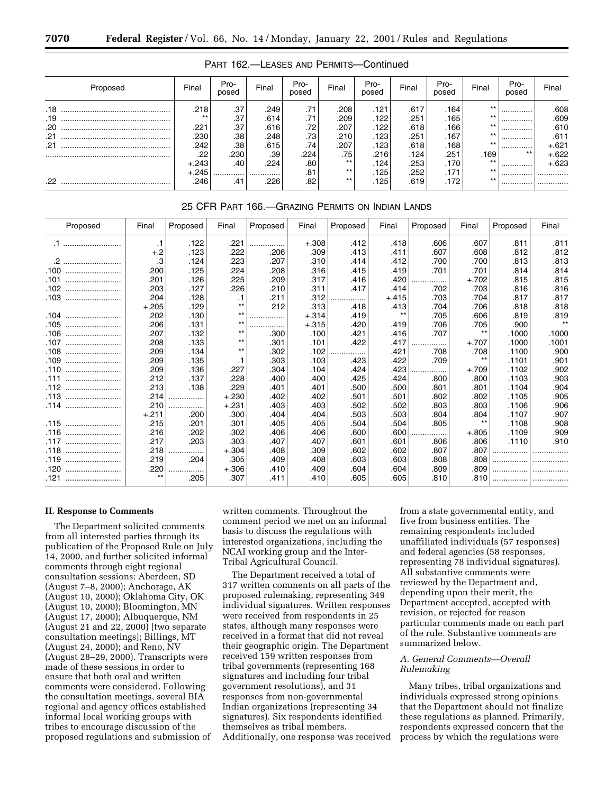| Proposed   | Final           | Pro-<br>posed | Final        | Pro-<br>posed | Final                  | Pro-<br>posed | Final        | Pro-<br>posed | Final       | Pro-<br>posed | Final              |
|------------|-----------------|---------------|--------------|---------------|------------------------|---------------|--------------|---------------|-------------|---------------|--------------------|
| .18<br>.19 | ا 218.<br>$***$ | .37<br>.37    | .249<br>.614 | .71<br>.71    | .208<br>.209           | .121<br>.122  | .617<br>.251 | .164<br>.165  | $***$<br>** |               | .608<br>.609       |
| .20        | .221            | .37           | .616         | .72           | .207                   | .122          | .618         | $.166+$       | **<br>**    | <br>          | .610               |
| .21<br>.21 | .230<br>242     | .38<br>.38    | .248<br>.615 | .73<br>.74    | .210<br>.207           | .123<br>.123  | .251<br>.618 | .167<br>.168  | **          | <br>          | .611<br>+.621      |
|            | .22<br>$+.243$  | .230<br>.40   | .39<br>.224  | .224<br>.80   | $.75^{\circ}$<br>$***$ | .216<br>.124' | .124<br>.253 | .251<br>.170  | .169<br>**  | $***$<br>     | $+.622$<br>$+.623$ |
| .22        | $+.245$<br>.246 | <br>.41       | <br>226″.    | .81<br>.82    | $***$<br>$***$         | .125<br>.125  | .252<br>.619 | .171<br>.172  | $***$<br>** |               |                    |
|            |                 |               |              |               |                        |               |              |               |             |               |                    |

# PART 162.—LEASES AND PERMITS—Continued

# 25 CFR PART 166.—GRAZING PERMITS ON INDIAN LANDS

| Proposed | Final   | Proposed | Final   | Proposed | Final   | Proposed | Final   | Proposed | Final   | Proposed | Final |
|----------|---------|----------|---------|----------|---------|----------|---------|----------|---------|----------|-------|
|          | .1      | .122     | .221    | .        | $+.308$ | .412     | .418    | .606     | .607    | .811     | .811  |
|          | $+.2$   | .123     | .222    | .206     | .309    | .413     | .411    | .607     | .608    | .812     | .812  |
|          | .3      | .124     | .223    | .207     | .310    | .414     | .412    | .700     | .700    | .813     | .813  |
| .100     | .200    | .125     | .224    | .208     | .316    | .415     | .419    | .701     | .701    | .814     | .814  |
| .101     | .201    | .126     | .225    | .209     | .317    | .416     | .420    | .        | $+.702$ | .815     | .815  |
| .102     | .203    | .127     | .226    | .210     | .311    | .417     | .414    | .702     | .703    | .816     | .816  |
| .103<br> | .204    | .128     | .1      | .211     | .312    |          | $+.415$ | .703     | .704    | .817     | .817  |
|          | $+.205$ | .129     | $***$   | 212      | .313    | .418     | .413    | .704     | .706    | .818     | .818  |
| .104     | .202    | .130     | $***$   | .        | $+.314$ | .419     | $***$   | .705     | .606    | .819     | .819  |
| .105     | .206    | .131     | $***$   | .        | $+.315$ | .420     | .419    | .706     | .705    | .900     | $***$ |
| .106     | .207    | .132     | $***$   | .300     | .100    | .421     | .416    | .707     | $***$   | .1000    | .1000 |
| .107     | .208    | .133     | $***$   | .301     | .101    | .422     | .417    | .        | $+.707$ | .1000    | .1001 |
| .108     | .209    | .134     | $***$   | .302     | .102    |          | .421    | .708     | .708    | .1100    | .900  |
| .109<br> | .209    | .135     | .1      | .303     | .103    | .423     | .422    | .709     | $***$   | .1101    | .901  |
| .110<br> | .209    | .136     | .227    | .304     | .104    | .424     | .423    |          | $+.709$ | .1102    | .902  |
| .111     | .212    | .137     | .228    | .400     | .400    | .425     | .424    | .800     | .800    | .1103    | .903  |
| .112<br> | .213    | .138     | .229    | .401     | .401    | .500     | .500    | .801     | .801    | .1104    | .904  |
| .113<br> | .214    | .        | $+.230$ | .402     | .402    | .501     | .501    | .802     | .802    | .1105    | .905  |
| .114     | .210    | .        | $+.231$ | .403     | .403    | .502     | .502    | .803     | .803    | .1106    | .906  |
|          | $+.211$ | .200     | .300    | .404     | .404    | .503     | .503    | .804     | .804    | .1107    | .907  |
| .115     | .215    | .201     | .301    | .405     | .405    | .504     | .504    | .805     | $***$   | .1108    | .908  |
| .116     | .216    | .202     | .302    | .406     | .406    | .600     | .600    | .        | $+.805$ | .1109    | .909  |
| .117     | .217    | .203     | .303    | .407     | .407    | .601     | .601    | .806     | .806    | .1110    | .910  |
| .118     | .218    | .        | $+.304$ | .408     | .309    | .602     | .602    | .807     | .807    | .        |       |
| .119     | .219    | .204     | .305    | .409     | .408    | .603     | .603    | .808     | .808    |          |       |
| .120     | .220    |          | $+.306$ | .410     | .409    | .604     | .604    | .809     | .809    |          |       |
| .121<br> | $***$   | .205     | .307    | .411     | .410    | .605     | .605    | .810     | .810    | .        |       |
|          |         |          |         |          |         |          |         |          |         |          |       |

# **II. Response to Comments**

The Department solicited comments from all interested parties through its publication of the Proposed Rule on July 14, 2000, and further solicited informal comments through eight regional consultation sessions: Aberdeen, SD (August 7–8, 2000); Anchorage, AK (August 10, 2000); Oklahoma City, OK (August 10, 2000); Bloomington, MN (August 17, 2000); Albuquerque, NM (August 21 and 22, 2000) [two separate consultation meetings]; Billings, MT (August 24, 2000); and Reno, NV (August 28–29, 2000). Transcripts were made of these sessions in order to ensure that both oral and written comments were considered. Following the consultation meetings, several BIA regional and agency offices established informal local working groups with tribes to encourage discussion of the proposed regulations and submission of

written comments. Throughout the comment period we met on an informal basis to discuss the regulations with interested organizations, including the NCAI working group and the Inter-Tribal Agricultural Council.

The Department received a total of 317 written comments on all parts of the proposed rulemaking, representing 349 individual signatures. Written responses were received from respondents in 25 states, although many responses were received in a format that did not reveal their geographic origin. The Department received 159 written responses from tribal governments (representing 168 signatures and including four tribal government resolutions), and 31 responses from non-governmental Indian organizations (representing 34 signatures). Six respondents identified themselves as tribal members. Additionally, one response was received

from a state governmental entity, and five from business entities. The remaining respondents included unaffiliated individuals (57 responses) and federal agencies (58 responses, representing 78 individual signatures). All substantive comments were reviewed by the Department and, depending upon their merit, the Department accepted, accepted with revision, or rejected for reason particular comments made on each part of the rule. Substantive comments are summarized below.

# *A. General Comments—Overall Rulemaking*

Many tribes, tribal organizations and individuals expressed strong opinions that the Department should not finalize these regulations as planned. Primarily, respondents expressed concern that the process by which the regulations were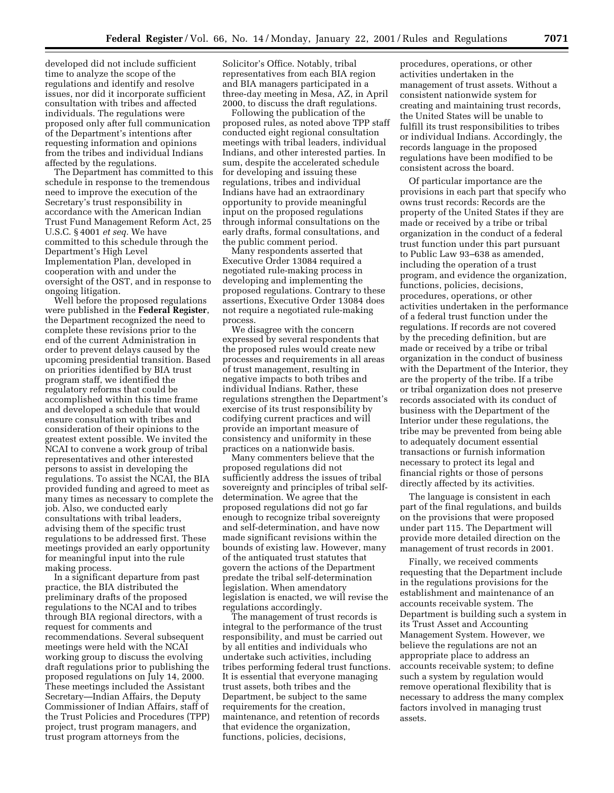developed did not include sufficient time to analyze the scope of the regulations and identify and resolve issues, nor did it incorporate sufficient consultation with tribes and affected individuals. The regulations were proposed only after full communication of the Department's intentions after requesting information and opinions from the tribes and individual Indians affected by the regulations.

The Department has committed to this schedule in response to the tremendous need to improve the execution of the Secretary's trust responsibility in accordance with the American Indian Trust Fund Management Reform Act, 25 U.S.C. § 4001 *et seq.* We have committed to this schedule through the Department's High Level Implementation Plan, developed in cooperation with and under the oversight of the OST, and in response to ongoing litigation.

Well before the proposed regulations were published in the **Federal Register**, the Department recognized the need to complete these revisions prior to the end of the current Administration in order to prevent delays caused by the upcoming presidential transition. Based on priorities identified by BIA trust program staff, we identified the regulatory reforms that could be accomplished within this time frame and developed a schedule that would ensure consultation with tribes and consideration of their opinions to the greatest extent possible. We invited the NCAI to convene a work group of tribal representatives and other interested persons to assist in developing the regulations. To assist the NCAI, the BIA provided funding and agreed to meet as many times as necessary to complete the job. Also, we conducted early consultations with tribal leaders, advising them of the specific trust regulations to be addressed first. These meetings provided an early opportunity for meaningful input into the rule making process.

In a significant departure from past practice, the BIA distributed the preliminary drafts of the proposed regulations to the NCAI and to tribes through BIA regional directors, with a request for comments and recommendations. Several subsequent meetings were held with the NCAI working group to discuss the evolving draft regulations prior to publishing the proposed regulations on July 14, 2000. These meetings included the Assistant Secretary—Indian Affairs, the Deputy Commissioner of Indian Affairs, staff of the Trust Policies and Procedures (TPP) project, trust program managers, and trust program attorneys from the

Solicitor's Office. Notably, tribal representatives from each BIA region and BIA managers participated in a three-day meeting in Mesa, AZ, in April 2000, to discuss the draft regulations.

Following the publication of the proposed rules, as noted above TPP staff conducted eight regional consultation meetings with tribal leaders, individual Indians, and other interested parties. In sum, despite the accelerated schedule for developing and issuing these regulations, tribes and individual Indians have had an extraordinary opportunity to provide meaningful input on the proposed regulations through informal consultations on the early drafts, formal consultations, and the public comment period.

Many respondents asserted that Executive Order 13084 required a negotiated rule-making process in developing and implementing the proposed regulations. Contrary to these assertions, Executive Order 13084 does not require a negotiated rule-making process.

We disagree with the concern expressed by several respondents that the proposed rules would create new processes and requirements in all areas of trust management, resulting in negative impacts to both tribes and individual Indians. Rather, these regulations strengthen the Department's exercise of its trust responsibility by codifying current practices and will provide an important measure of consistency and uniformity in these practices on a nationwide basis.

Many commenters believe that the proposed regulations did not sufficiently address the issues of tribal sovereignty and principles of tribal selfdetermination. We agree that the proposed regulations did not go far enough to recognize tribal sovereignty and self-determination, and have now made significant revisions within the bounds of existing law. However, many of the antiquated trust statutes that govern the actions of the Department predate the tribal self-determination legislation. When amendatory legislation is enacted, we will revise the regulations accordingly.

The management of trust records is integral to the performance of the trust responsibility, and must be carried out by all entities and individuals who undertake such activities, including tribes performing federal trust functions. It is essential that everyone managing trust assets, both tribes and the Department, be subject to the same requirements for the creation, maintenance, and retention of records that evidence the organization, functions, policies, decisions,

procedures, operations, or other activities undertaken in the management of trust assets. Without a consistent nationwide system for creating and maintaining trust records, the United States will be unable to fulfill its trust responsibilities to tribes or individual Indians. Accordingly, the records language in the proposed regulations have been modified to be consistent across the board.

Of particular importance are the provisions in each part that specify who owns trust records: Records are the property of the United States if they are made or received by a tribe or tribal organization in the conduct of a federal trust function under this part pursuant to Public Law 93–638 as amended, including the operation of a trust program, and evidence the organization, functions, policies, decisions, procedures, operations, or other activities undertaken in the performance of a federal trust function under the regulations. If records are not covered by the preceding definition, but are made or received by a tribe or tribal organization in the conduct of business with the Department of the Interior, they are the property of the tribe. If a tribe or tribal organization does not preserve records associated with its conduct of business with the Department of the Interior under these regulations, the tribe may be prevented from being able to adequately document essential transactions or furnish information necessary to protect its legal and financial rights or those of persons directly affected by its activities.

The language is consistent in each part of the final regulations, and builds on the provisions that were proposed under part 115. The Department will provide more detailed direction on the management of trust records in 2001.

Finally, we received comments requesting that the Department include in the regulations provisions for the establishment and maintenance of an accounts receivable system. The Department is building such a system in its Trust Asset and Accounting Management System. However, we believe the regulations are not an appropriate place to address an accounts receivable system; to define such a system by regulation would remove operational flexibility that is necessary to address the many complex factors involved in managing trust assets.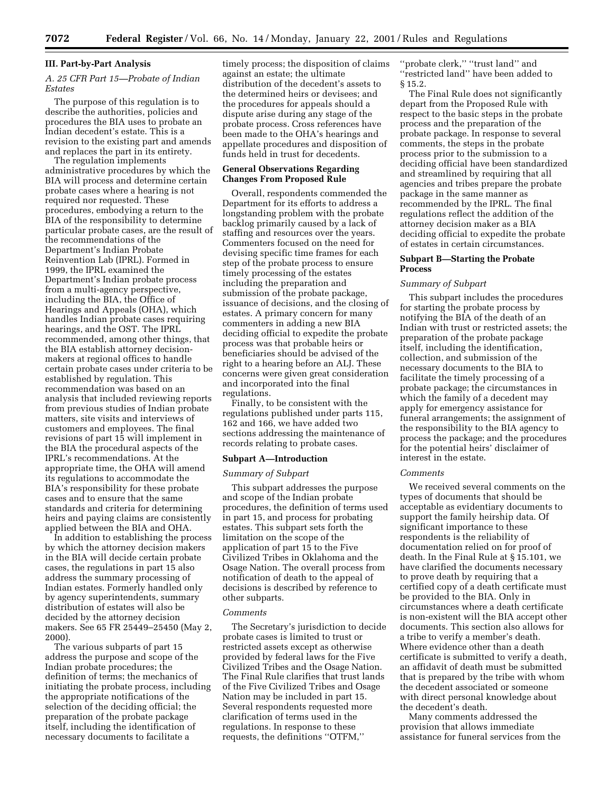### **III. Part-by-Part Analysis**

# *A. 25 CFR Part 15—Probate of Indian Estates*

The purpose of this regulation is to describe the authorities, policies and procedures the BIA uses to probate an Indian decedent's estate. This is a revision to the existing part and amends and replaces the part in its entirety.

The regulation implements administrative procedures by which the BIA will process and determine certain probate cases where a hearing is not required nor requested. These procedures, embodying a return to the BIA of the responsibility to determine particular probate cases, are the result of the recommendations of the Department's Indian Probate Reinvention Lab (IPRL). Formed in 1999, the IPRL examined the Department's Indian probate process from a multi-agency perspective, including the BIA, the Office of Hearings and Appeals (OHA), which handles Indian probate cases requiring hearings, and the OST. The IPRL recommended, among other things, that the BIA establish attorney decisionmakers at regional offices to handle certain probate cases under criteria to be established by regulation. This recommendation was based on an analysis that included reviewing reports from previous studies of Indian probate matters, site visits and interviews of customers and employees. The final revisions of part 15 will implement in the BIA the procedural aspects of the IPRL's recommendations. At the appropriate time, the OHA will amend its regulations to accommodate the BIA's responsibility for these probate cases and to ensure that the same standards and criteria for determining heirs and paying claims are consistently applied between the BIA and OHA.

In addition to establishing the process by which the attorney decision makers in the BIA will decide certain probate cases, the regulations in part 15 also address the summary processing of Indian estates. Formerly handled only by agency superintendents, summary distribution of estates will also be decided by the attorney decision makers. See 65 FR 25449–25450 (May 2, 2000).

The various subparts of part 15 address the purpose and scope of the Indian probate procedures; the definition of terms; the mechanics of initiating the probate process, including the appropriate notifications of the selection of the deciding official; the preparation of the probate package itself, including the identification of necessary documents to facilitate a

timely process; the disposition of claims against an estate; the ultimate distribution of the decedent's assets to the determined heirs or devisees; and the procedures for appeals should a dispute arise during any stage of the probate process. Cross references have been made to the OHA's hearings and appellate procedures and disposition of funds held in trust for decedents.

# **General Observations Regarding Changes From Proposed Rule**

Overall, respondents commended the Department for its efforts to address a longstanding problem with the probate backlog primarily caused by a lack of staffing and resources over the years. Commenters focused on the need for devising specific time frames for each step of the probate process to ensure timely processing of the estates including the preparation and submission of the probate package, issuance of decisions, and the closing of estates. A primary concern for many commenters in adding a new BIA deciding official to expedite the probate process was that probable heirs or beneficiaries should be advised of the right to a hearing before an ALJ. These concerns were given great consideration and incorporated into the final regulations.

Finally, to be consistent with the regulations published under parts 115, 162 and 166, we have added two sections addressing the maintenance of records relating to probate cases.

#### **Subpart A—Introduction**

### *Summary of Subpart*

This subpart addresses the purpose and scope of the Indian probate procedures, the definition of terms used in part 15, and process for probating estates. This subpart sets forth the limitation on the scope of the application of part 15 to the Five Civilized Tribes in Oklahoma and the Osage Nation. The overall process from notification of death to the appeal of decisions is described by reference to other subparts.

#### *Comments*

The Secretary's jurisdiction to decide probate cases is limited to trust or restricted assets except as otherwise provided by federal laws for the Five Civilized Tribes and the Osage Nation. The Final Rule clarifies that trust lands of the Five Civilized Tribes and Osage Nation may be included in part 15. Several respondents requested more clarification of terms used in the regulations. In response to these requests, the definitions ''OTFM,''

''probate clerk,'' ''trust land'' and 'restricted land" have been added to § 15.2.

The Final Rule does not significantly depart from the Proposed Rule with respect to the basic steps in the probate process and the preparation of the probate package. In response to several comments, the steps in the probate process prior to the submission to a deciding official have been standardized and streamlined by requiring that all agencies and tribes prepare the probate package in the same manner as recommended by the IPRL. The final regulations reflect the addition of the attorney decision maker as a BIA deciding official to expedite the probate of estates in certain circumstances.

# **Subpart B—Starting the Probate Process**

# *Summary of Subpart*

This subpart includes the procedures for starting the probate process by notifying the BIA of the death of an Indian with trust or restricted assets; the preparation of the probate package itself, including the identification, collection, and submission of the necessary documents to the BIA to facilitate the timely processing of a probate package; the circumstances in which the family of a decedent may apply for emergency assistance for funeral arrangements; the assignment of the responsibility to the BIA agency to process the package; and the procedures for the potential heirs' disclaimer of interest in the estate.

# *Comments*

We received several comments on the types of documents that should be acceptable as evidentiary documents to support the family heirship data. Of significant importance to these respondents is the reliability of documentation relied on for proof of death. In the Final Rule at § 15.101, we have clarified the documents necessary to prove death by requiring that a certified copy of a death certificate must be provided to the BIA. Only in circumstances where a death certificate is non-existent will the BIA accept other documents. This section also allows for a tribe to verify a member's death. Where evidence other than a death certificate is submitted to verify a death, an affidavit of death must be submitted that is prepared by the tribe with whom the decedent associated or someone with direct personal knowledge about the decedent's death.

Many comments addressed the provision that allows immediate assistance for funeral services from the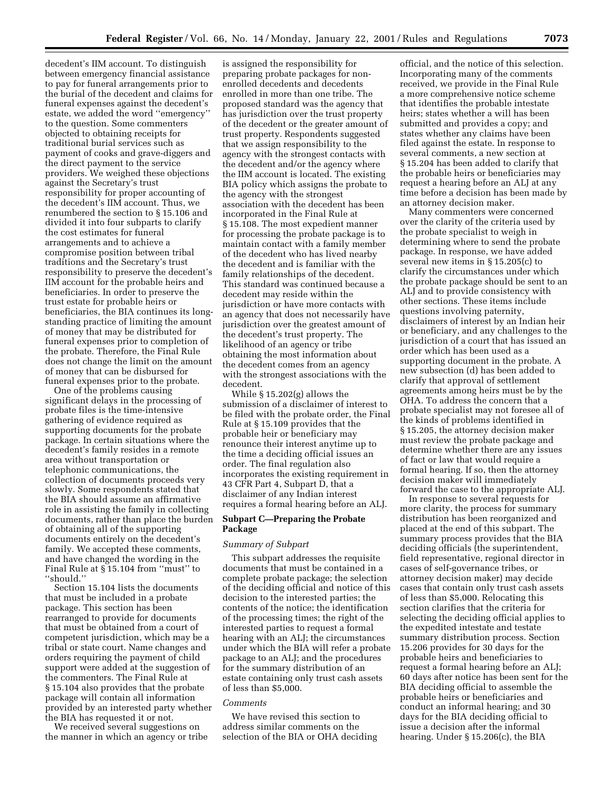decedent's IIM account. To distinguish between emergency financial assistance to pay for funeral arrangements prior to the burial of the decedent and claims for funeral expenses against the decedent's estate, we added the word ''emergency'' to the question. Some commenters objected to obtaining receipts for traditional burial services such as payment of cooks and grave-diggers and the direct payment to the service providers. We weighed these objections against the Secretary's trust responsibility for proper accounting of the decedent's IIM account. Thus, we renumbered the section to § 15.106 and divided it into four subparts to clarify the cost estimates for funeral arrangements and to achieve a compromise position between tribal traditions and the Secretary's trust responsibility to preserve the decedent's IIM account for the probable heirs and beneficiaries. In order to preserve the trust estate for probable heirs or beneficiaries, the BIA continues its longstanding practice of limiting the amount of money that may be distributed for funeral expenses prior to completion of the probate. Therefore, the Final Rule does not change the limit on the amount of money that can be disbursed for funeral expenses prior to the probate.

One of the problems causing significant delays in the processing of probate files is the time-intensive gathering of evidence required as supporting documents for the probate package. In certain situations where the decedent's family resides in a remote area without transportation or telephonic communications, the collection of documents proceeds very slowly. Some respondents stated that the BIA should assume an affirmative role in assisting the family in collecting documents, rather than place the burden of obtaining all of the supporting documents entirely on the decedent's family. We accepted these comments, and have changed the wording in the Final Rule at § 15.104 from ''must'' to ''should.''

Section 15.104 lists the documents that must be included in a probate package. This section has been rearranged to provide for documents that must be obtained from a court of competent jurisdiction, which may be a tribal or state court. Name changes and orders requiring the payment of child support were added at the suggestion of the commenters. The Final Rule at § 15.104 also provides that the probate package will contain all information provided by an interested party whether the BIA has requested it or not.

We received several suggestions on the manner in which an agency or tribe

is assigned the responsibility for preparing probate packages for nonenrolled decedents and decedents enrolled in more than one tribe. The proposed standard was the agency that has jurisdiction over the trust property of the decedent or the greater amount of trust property. Respondents suggested that we assign responsibility to the agency with the strongest contacts with the decedent and/or the agency where the IIM account is located. The existing BIA policy which assigns the probate to the agency with the strongest association with the decedent has been incorporated in the Final Rule at § 15.108. The most expedient manner for processing the probate package is to maintain contact with a family member of the decedent who has lived nearby the decedent and is familiar with the family relationships of the decedent. This standard was continued because a decedent may reside within the jurisdiction or have more contacts with an agency that does not necessarily have jurisdiction over the greatest amount of the decedent's trust property. The likelihood of an agency or tribe obtaining the most information about the decedent comes from an agency with the strongest associations with the decedent.

While § 15.202(g) allows the submission of a disclaimer of interest to be filed with the probate order, the Final Rule at § 15.109 provides that the probable heir or beneficiary may renounce their interest anytime up to the time a deciding official issues an order. The final regulation also incorporates the existing requirement in 43 CFR Part 4, Subpart D, that a disclaimer of any Indian interest requires a formal hearing before an ALJ.

# **Subpart C—Preparing the Probate Package**

# *Summary of Subpart*

This subpart addresses the requisite documents that must be contained in a complete probate package; the selection of the deciding official and notice of this decision to the interested parties; the contents of the notice; the identification of the processing times; the right of the interested parties to request a formal hearing with an ALJ; the circumstances under which the BIA will refer a probate package to an ALJ; and the procedures for the summary distribution of an estate containing only trust cash assets of less than \$5,000.

# *Comments*

We have revised this section to address similar comments on the selection of the BIA or OHA deciding

official, and the notice of this selection. Incorporating many of the comments received, we provide in the Final Rule a more comprehensive notice scheme that identifies the probable intestate heirs; states whether a will has been submitted and provides a copy; and states whether any claims have been filed against the estate. In response to several comments, a new section at § 15.204 has been added to clarify that the probable heirs or beneficiaries may request a hearing before an ALJ at any time before a decision has been made by an attorney decision maker.

Many commenters were concerned over the clarity of the criteria used by the probate specialist to weigh in determining where to send the probate package. In response, we have added several new items in § 15.205(c) to clarify the circumstances under which the probate package should be sent to an ALJ and to provide consistency with other sections. These items include questions involving paternity, disclaimers of interest by an Indian heir or beneficiary, and any challenges to the jurisdiction of a court that has issued an order which has been used as a supporting document in the probate. A new subsection (d) has been added to clarify that approval of settlement agreements among heirs must be by the OHA. To address the concern that a probate specialist may not foresee all of the kinds of problems identified in § 15.205, the attorney decision maker must review the probate package and determine whether there are any issues of fact or law that would require a formal hearing. If so, then the attorney decision maker will immediately forward the case to the appropriate ALJ.

In response to several requests for more clarity, the process for summary distribution has been reorganized and placed at the end of this subpart. The summary process provides that the BIA deciding officials (the superintendent, field representative, regional director in cases of self-governance tribes, or attorney decision maker) may decide cases that contain only trust cash assets of less than \$5,000. Relocating this section clarifies that the criteria for selecting the deciding official applies to the expedited intestate and testate summary distribution process. Section 15.206 provides for 30 days for the probable heirs and beneficiaries to request a formal hearing before an ALJ; 60 days after notice has been sent for the BIA deciding official to assemble the probable heirs or beneficiaries and conduct an informal hearing; and 30 days for the BIA deciding official to issue a decision after the informal hearing. Under § 15.206(c), the BIA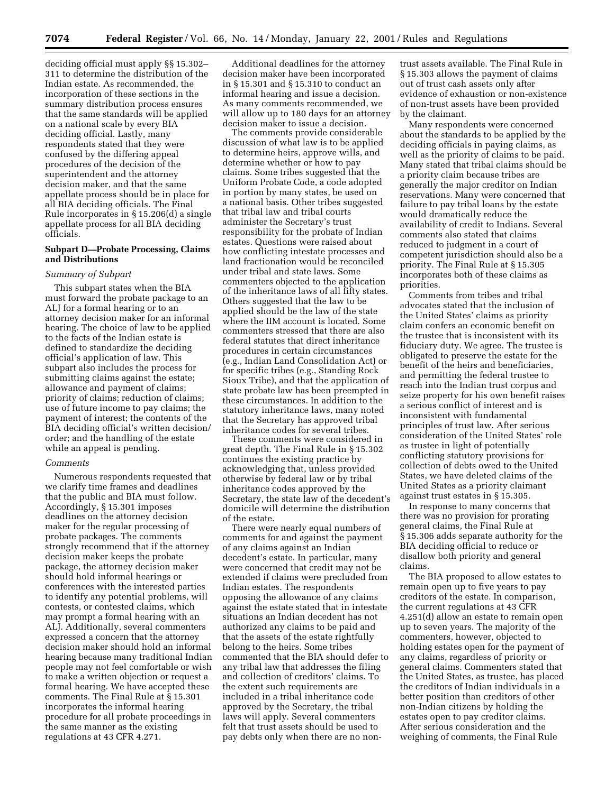deciding official must apply §§ 15.302– 311 to determine the distribution of the Indian estate. As recommended, the incorporation of these sections in the summary distribution process ensures that the same standards will be applied on a national scale by every BIA deciding official. Lastly, many respondents stated that they were confused by the differing appeal procedures of the decision of the superintendent and the attorney decision maker, and that the same appellate process should be in place for all BIA deciding officials. The Final Rule incorporates in § 15.206(d) a single appellate process for all BIA deciding officials.

### **Subpart D—Probate Processing, Claims and Distributions**

# *Summary of Subpart*

This subpart states when the BIA must forward the probate package to an ALJ for a formal hearing or to an attorney decision maker for an informal hearing. The choice of law to be applied to the facts of the Indian estate is defined to standardize the deciding official's application of law. This subpart also includes the process for submitting claims against the estate; allowance and payment of claims; priority of claims; reduction of claims; use of future income to pay claims; the payment of interest; the contents of the BIA deciding official's written decision/ order; and the handling of the estate while an appeal is pending.

#### *Comments*

Numerous respondents requested that we clarify time frames and deadlines that the public and BIA must follow. Accordingly, § 15.301 imposes deadlines on the attorney decision maker for the regular processing of probate packages. The comments strongly recommend that if the attorney decision maker keeps the probate package, the attorney decision maker should hold informal hearings or conferences with the interested parties to identify any potential problems, will contests, or contested claims, which may prompt a formal hearing with an ALJ. Additionally, several commenters expressed a concern that the attorney decision maker should hold an informal hearing because many traditional Indian people may not feel comfortable or wish to make a written objection or request a formal hearing. We have accepted these comments. The Final Rule at § 15.301 incorporates the informal hearing procedure for all probate proceedings in the same manner as the existing regulations at 43 CFR 4.271.

Additional deadlines for the attorney decision maker have been incorporated in § 15.301 and § 15.310 to conduct an informal hearing and issue a decision. As many comments recommended, we will allow up to 180 days for an attorney decision maker to issue a decision.

The comments provide considerable discussion of what law is to be applied to determine heirs, approve wills, and determine whether or how to pay claims. Some tribes suggested that the Uniform Probate Code, a code adopted in portion by many states, be used on a national basis. Other tribes suggested that tribal law and tribal courts administer the Secretary's trust responsibility for the probate of Indian estates. Questions were raised about how conflicting intestate processes and land fractionation would be reconciled under tribal and state laws. Some commenters objected to the application of the inheritance laws of all fifty states. Others suggested that the law to be applied should be the law of the state where the IIM account is located. Some commenters stressed that there are also federal statutes that direct inheritance procedures in certain circumstances (e.g., Indian Land Consolidation Act) or for specific tribes (e.g., Standing Rock Sioux Tribe), and that the application of state probate law has been preempted in these circumstances. In addition to the statutory inheritance laws, many noted that the Secretary has approved tribal inheritance codes for several tribes.

These comments were considered in great depth. The Final Rule in § 15.302 continues the existing practice by acknowledging that, unless provided otherwise by federal law or by tribal inheritance codes approved by the Secretary, the state law of the decedent's domicile will determine the distribution of the estate.

There were nearly equal numbers of comments for and against the payment of any claims against an Indian decedent's estate. In particular, many were concerned that credit may not be extended if claims were precluded from Indian estates. The respondents opposing the allowance of any claims against the estate stated that in intestate situations an Indian decedent has not authorized any claims to be paid and that the assets of the estate rightfully belong to the heirs. Some tribes commented that the BIA should defer to any tribal law that addresses the filing and collection of creditors' claims. To the extent such requirements are included in a tribal inheritance code approved by the Secretary, the tribal laws will apply. Several commenters felt that trust assets should be used to pay debts only when there are no non-

trust assets available. The Final Rule in § 15.303 allows the payment of claims out of trust cash assets only after evidence of exhaustion or non-existence of non-trust assets have been provided by the claimant.

Many respondents were concerned about the standards to be applied by the deciding officials in paying claims, as well as the priority of claims to be paid. Many stated that tribal claims should be a priority claim because tribes are generally the major creditor on Indian reservations. Many were concerned that failure to pay tribal loans by the estate would dramatically reduce the availability of credit to Indians. Several comments also stated that claims reduced to judgment in a court of competent jurisdiction should also be a priority. The Final Rule at § 15.305 incorporates both of these claims as priorities.

Comments from tribes and tribal advocates stated that the inclusion of the United States' claims as priority claim confers an economic benefit on the trustee that is inconsistent with its fiduciary duty. We agree. The trustee is obligated to preserve the estate for the benefit of the heirs and beneficiaries, and permitting the federal trustee to reach into the Indian trust corpus and seize property for his own benefit raises a serious conflict of interest and is inconsistent with fundamental principles of trust law. After serious consideration of the United States' role as trustee in light of potentially conflicting statutory provisions for collection of debts owed to the United States, we have deleted claims of the United States as a priority claimant against trust estates in § 15.305.

In response to many concerns that there was no provision for prorating general claims, the Final Rule at § 15.306 adds separate authority for the BIA deciding official to reduce or disallow both priority and general claims.

The BIA proposed to allow estates to remain open up to five years to pay creditors of the estate. In comparison, the current regulations at 43 CFR 4.251(d) allow an estate to remain open up to seven years. The majority of the commenters, however, objected to holding estates open for the payment of any claims, regardless of priority or general claims. Commenters stated that the United States, as trustee, has placed the creditors of Indian individuals in a better position than creditors of other non-Indian citizens by holding the estates open to pay creditor claims. After serious consideration and the weighing of comments, the Final Rule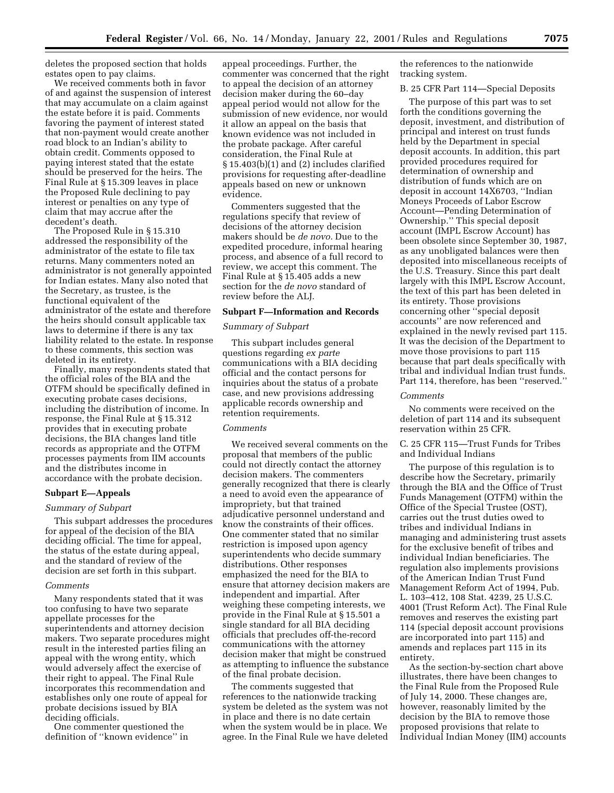deletes the proposed section that holds estates open to pay claims.

We received comments both in favor of and against the suspension of interest that may accumulate on a claim against the estate before it is paid. Comments favoring the payment of interest stated that non-payment would create another road block to an Indian's ability to obtain credit. Comments opposed to paying interest stated that the estate should be preserved for the heirs. The Final Rule at § 15.309 leaves in place the Proposed Rule declining to pay interest or penalties on any type of claim that may accrue after the decedent's death.

The Proposed Rule in § 15.310 addressed the responsibility of the administrator of the estate to file tax returns. Many commenters noted an administrator is not generally appointed for Indian estates. Many also noted that the Secretary, as trustee, is the functional equivalent of the administrator of the estate and therefore the heirs should consult applicable tax laws to determine if there is any tax liability related to the estate. In response to these comments, this section was deleted in its entirety.

Finally, many respondents stated that the official roles of the BIA and the OTFM should be specifically defined in executing probate cases decisions, including the distribution of income. In response, the Final Rule at § 15.312 provides that in executing probate decisions, the BIA changes land title records as appropriate and the OTFM processes payments from IIM accounts and the distributes income in accordance with the probate decision.

### **Subpart E—Appeals**

# *Summary of Subpart*

This subpart addresses the procedures for appeal of the decision of the BIA deciding official. The time for appeal, the status of the estate during appeal, and the standard of review of the decision are set forth in this subpart.

#### *Comments*

Many respondents stated that it was too confusing to have two separate appellate processes for the superintendents and attorney decision makers. Two separate procedures might result in the interested parties filing an appeal with the wrong entity, which would adversely affect the exercise of their right to appeal. The Final Rule incorporates this recommendation and establishes only one route of appeal for probate decisions issued by BIA deciding officials.

One commenter questioned the definition of ''known evidence'' in appeal proceedings. Further, the commenter was concerned that the right to appeal the decision of an attorney decision maker during the 60–day appeal period would not allow for the submission of new evidence, nor would it allow an appeal on the basis that known evidence was not included in the probate package. After careful consideration, the Final Rule at § 15.403(b)(1) and (2) includes clarified provisions for requesting after-deadline appeals based on new or unknown evidence.

Commenters suggested that the regulations specify that review of decisions of the attorney decision makers should be *de novo.* Due to the expedited procedure, informal hearing process, and absence of a full record to review, we accept this comment. The Final Rule at § 15.405 adds a new section for the *de novo* standard of review before the ALJ.

# **Subpart F—Information and Records**

# *Summary of Subpart*

This subpart includes general questions regarding *ex parte* communications with a BIA deciding official and the contact persons for inquiries about the status of a probate case, and new provisions addressing applicable records ownership and retention requirements.

### *Comments*

We received several comments on the proposal that members of the public could not directly contact the attorney decision makers. The commenters generally recognized that there is clearly a need to avoid even the appearance of impropriety, but that trained adjudicative personnel understand and know the constraints of their offices. One commenter stated that no similar restriction is imposed upon agency superintendents who decide summary distributions. Other responses emphasized the need for the BIA to ensure that attorney decision makers are independent and impartial. After weighing these competing interests, we provide in the Final Rule at § 15.501 a single standard for all BIA deciding officials that precludes off-the-record communications with the attorney decision maker that might be construed as attempting to influence the substance of the final probate decision.

The comments suggested that references to the nationwide tracking system be deleted as the system was not in place and there is no date certain when the system would be in place. We agree. In the Final Rule we have deleted

the references to the nationwide tracking system.

# B. 25 CFR Part 114—Special Deposits

The purpose of this part was to set forth the conditions governing the deposit, investment, and distribution of principal and interest on trust funds held by the Department in special deposit accounts. In addition, this part provided procedures required for determination of ownership and distribution of funds which are on deposit in account 14X6703, ''Indian Moneys Proceeds of Labor Escrow Account—Pending Determination of Ownership.'' This special deposit account (IMPL Escrow Account) has been obsolete since September 30, 1987, as any unobligated balances were then deposited into miscellaneous receipts of the U.S. Treasury. Since this part dealt largely with this IMPL Escrow Account, the text of this part has been deleted in its entirety. Those provisions concerning other ''special deposit accounts'' are now referenced and explained in the newly revised part 115. It was the decision of the Department to move those provisions to part 115 because that part deals specifically with tribal and individual Indian trust funds. Part 114, therefore, has been ''reserved.''

#### *Comments*

No comments were received on the deletion of part 114 and its subsequent reservation within 25 CFR.

# C. 25 CFR 115—Trust Funds for Tribes and Individual Indians

The purpose of this regulation is to describe how the Secretary, primarily through the BIA and the Office of Trust Funds Management (OTFM) within the Office of the Special Trustee (OST), carries out the trust duties owed to tribes and individual Indians in managing and administering trust assets for the exclusive benefit of tribes and individual Indian beneficiaries. The regulation also implements provisions of the American Indian Trust Fund Management Reform Act of 1994, Pub. L. 103–412, 108 Stat. 4239, 25 U.S.C. 4001 (Trust Reform Act). The Final Rule removes and reserves the existing part 114 (special deposit account provisions are incorporated into part 115) and amends and replaces part 115 in its entirety.

As the section-by-section chart above illustrates, there have been changes to the Final Rule from the Proposed Rule of July 14, 2000. These changes are, however, reasonably limited by the decision by the BIA to remove those proposed provisions that relate to Individual Indian Money (IIM) accounts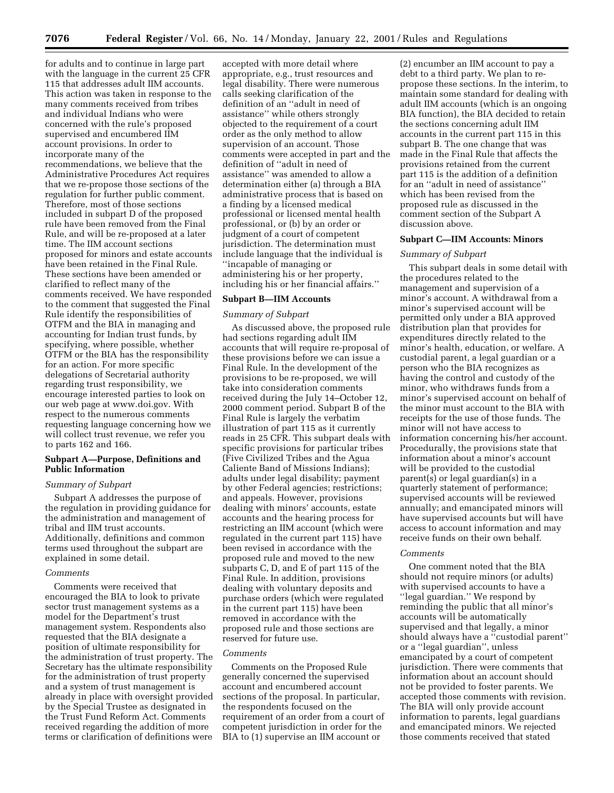for adults and to continue in large part with the language in the current 25 CFR 115 that addresses adult IIM accounts. This action was taken in response to the many comments received from tribes and individual Indians who were concerned with the rule's proposed supervised and encumbered IIM account provisions. In order to incorporate many of the recommendations, we believe that the Administrative Procedures Act requires that we re-propose those sections of the regulation for further public comment. Therefore, most of those sections included in subpart D of the proposed rule have been removed from the Final Rule, and will be re-proposed at a later time. The IIM account sections proposed for minors and estate accounts have been retained in the Final Rule. These sections have been amended or clarified to reflect many of the comments received. We have responded to the comment that suggested the Final Rule identify the responsibilities of OTFM and the BIA in managing and accounting for Indian trust funds, by specifying, where possible, whether OTFM or the BIA has the responsibility for an action. For more specific delegations of Secretarial authority regarding trust responsibility, we encourage interested parties to look on our web page at www.doi.gov. With respect to the numerous comments requesting language concerning how we will collect trust revenue, we refer you to parts 162 and 166.

# **Subpart A—Purpose, Definitions and Public Information**

# *Summary of Subpart*

Subpart A addresses the purpose of the regulation in providing guidance for the administration and management of tribal and IIM trust accounts. Additionally, definitions and common terms used throughout the subpart are explained in some detail.

### *Comments*

Comments were received that encouraged the BIA to look to private sector trust management systems as a model for the Department's trust management system. Respondents also requested that the BIA designate a position of ultimate responsibility for the administration of trust property. The Secretary has the ultimate responsibility for the administration of trust property and a system of trust management is already in place with oversight provided by the Special Trustee as designated in the Trust Fund Reform Act. Comments received regarding the addition of more terms or clarification of definitions were

accepted with more detail where appropriate, e.g., trust resources and legal disability. There were numerous calls seeking clarification of the definition of an ''adult in need of assistance'' while others strongly objected to the requirement of a court order as the only method to allow supervision of an account. Those comments were accepted in part and the definition of ''adult in need of assistance'' was amended to allow a determination either (a) through a BIA administrative process that is based on a finding by a licensed medical professional or licensed mental health professional, or (b) by an order or judgment of a court of competent jurisdiction. The determination must include language that the individual is ''incapable of managing or administering his or her property, including his or her financial affairs.''

### **Subpart B—IIM Accounts**

# *Summary of Subpart*

As discussed above, the proposed rule had sections regarding adult IIM accounts that will require re-proposal of these provisions before we can issue a Final Rule. In the development of the provisions to be re-proposed, we will take into consideration comments received during the July 14–October 12, 2000 comment period. Subpart B of the Final Rule is largely the verbatim illustration of part 115 as it currently reads in 25 CFR. This subpart deals with specific provisions for particular tribes (Five Civilized Tribes and the Agua Caliente Band of Missions Indians); adults under legal disability; payment by other Federal agencies; restrictions; and appeals. However, provisions dealing with minors' accounts, estate accounts and the hearing process for restricting an IIM account (which were regulated in the current part 115) have been revised in accordance with the proposed rule and moved to the new subparts C, D, and E of part 115 of the Final Rule. In addition, provisions dealing with voluntary deposits and purchase orders (which were regulated in the current part 115) have been removed in accordance with the proposed rule and those sections are reserved for future use.

# *Comments*

Comments on the Proposed Rule generally concerned the supervised account and encumbered account sections of the proposal. In particular, the respondents focused on the requirement of an order from a court of competent jurisdiction in order for the BIA to (1) supervise an IIM account or

(2) encumber an IIM account to pay a debt to a third party. We plan to repropose these sections. In the interim, to maintain some standard for dealing with adult IIM accounts (which is an ongoing BIA function), the BIA decided to retain the sections concerning adult IIM accounts in the current part 115 in this subpart B. The one change that was made in the Final Rule that affects the provisions retained from the current part 115 is the addition of a definition for an ''adult in need of assistance'' which has been revised from the proposed rule as discussed in the comment section of the Subpart A discussion above.

#### **Subpart C—IIM Accounts: Minors**

### *Summary of Subpart*

This subpart deals in some detail with the procedures related to the management and supervision of a minor's account. A withdrawal from a minor's supervised account will be permitted only under a BIA approved distribution plan that provides for expenditures directly related to the minor's health, education, or welfare. A custodial parent, a legal guardian or a person who the BIA recognizes as having the control and custody of the minor, who withdraws funds from a minor's supervised account on behalf of the minor must account to the BIA with receipts for the use of those funds. The minor will not have access to information concerning his/her account. Procedurally, the provisions state that information about a minor's account will be provided to the custodial parent(s) or legal guardian(s) in a quarterly statement of performance; supervised accounts will be reviewed annually; and emancipated minors will have supervised accounts but will have access to account information and may receive funds on their own behalf.

#### *Comments*

One comment noted that the BIA should not require minors (or adults) with supervised accounts to have a ''legal guardian.'' We respond by reminding the public that all minor's accounts will be automatically supervised and that legally, a minor should always have a ''custodial parent'' or a ''legal guardian'', unless emancipated by a court of competent jurisdiction. There were comments that information about an account should not be provided to foster parents. We accepted those comments with revision. The BIA will only provide account information to parents, legal guardians and emancipated minors. We rejected those comments received that stated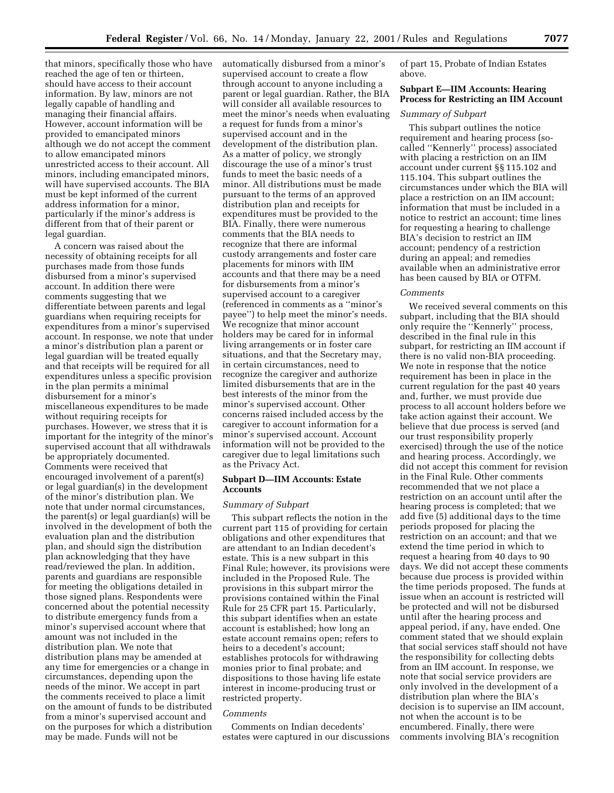that minors, specifically those who have reached the age of ten or thirteen, should have access to their account information. By law, minors are not legally capable of handling and managing their financial affairs. However, account information will be provided to emancipated minors although we do not accept the comment to allow emancipated minors unrestricted access to their account. All minors, including emancipated minors, will have supervised accounts. The BIA must be kept informed of the current address information for a minor, particularly if the minor's address is different from that of their parent or legal guardian.

A concern was raised about the necessity of obtaining receipts for all purchases made from those funds disbursed from a minor's supervised account. In addition there were comments suggesting that we differentiate between parents and legal guardians when requiring receipts for expenditures from a minor's supervised account. In response, we note that under a minor's distribution plan a parent or legal guardian will be treated equally and that receipts will be required for all expenditures unless a specific provision in the plan permits a minimal disbursement for a minor's miscellaneous expenditures to be made without requiring receipts for purchases. However, we stress that it is important for the integrity of the minor's supervised account that all withdrawals be appropriately documented. Comments were received that encouraged involvement of a parent(s) or legal guardian(s) in the development of the minor's distribution plan. We note that under normal circumstances, the parent(s) or legal guardian(s) will be involved in the development of both the evaluation plan and the distribution plan, and should sign the distribution plan acknowledging that they have read/reviewed the plan. In addition, parents and guardians are responsible for meeting the obligations detailed in those signed plans. Respondents were concerned about the potential necessity to distribute emergency funds from a minor's supervised account where that amount was not included in the distribution plan. We note that distribution plans may be amended at any time for emergencies or a change in circumstances, depending upon the needs of the minor. We accept in part the comments received to place a limit on the amount of funds to be distributed from a minor's supervised account and on the purposes for which a distribution may be made. Funds will not be

automatically disbursed from a minor's supervised account to create a flow through account to anyone including a parent or legal guardian. Rather, the BIA will consider all available resources to meet the minor's needs when evaluating a request for funds from a minor's supervised account and in the development of the distribution plan. As a matter of policy, we strongly discourage the use of a minor's trust funds to meet the basic needs of a minor. All distributions must be made pursuant to the terms of an approved distribution plan and receipts for expenditures must be provided to the BIA. Finally, there were numerous comments that the BIA needs to recognize that there are informal custody arrangements and foster care placements for minors with IIM accounts and that there may be a need for disbursements from a minor's supervised account to a caregiver (referenced in comments as a ''minor's payee'') to help meet the minor's needs. We recognize that minor account holders may be cared for in informal living arrangements or in foster care situations, and that the Secretary may, in certain circumstances, need to recognize the caregiver and authorize limited disbursements that are in the best interests of the minor from the minor's supervised account. Other concerns raised included access by the caregiver to account information for a minor's supervised account. Account information will not be provided to the caregiver due to legal limitations such as the Privacy Act.

# **Subpart D—IIM Accounts: Estate Accounts**

# *Summary of Subpart*

This subpart reflects the notion in the current part 115 of providing for certain obligations and other expenditures that are attendant to an Indian decedent's estate. This is a new subpart in this Final Rule; however, its provisions were included in the Proposed Rule. The provisions in this subpart mirror the provisions contained within the Final Rule for 25 CFR part 15. Particularly, this subpart identifies when an estate account is established; how long an estate account remains open; refers to heirs to a decedent's account; establishes protocols for withdrawing monies prior to final probate; and dispositions to those having life estate interest in income-producing trust or restricted property.

### *Comments*

Comments on Indian decedents' estates were captured in our discussions of part 15, Probate of Indian Estates above.

# **Subpart E—IIM Accounts: Hearing Process for Restricting an IIM Account**

# *Summary of Subpart*

This subpart outlines the notice requirement and hearing process (socalled ''Kennerly'' process) associated with placing a restriction on an IIM account under current §§ 115.102 and 115.104. This subpart outlines the circumstances under which the BIA will place a restriction on an IIM account; information that must be included in a notice to restrict an account; time lines for requesting a hearing to challenge BIA's decision to restrict an IIM account; pendency of a restriction during an appeal; and remedies available when an administrative error has been caused by BIA or OTFM.

#### *Comments*

We received several comments on this subpart, including that the BIA should only require the ''Kennerly'' process, described in the final rule in this subpart, for restricting an IIM account if there is no valid non-BIA proceeding. We note in response that the notice requirement has been in place in the current regulation for the past 40 years and, further, we must provide due process to all account holders before we take action against their account. We believe that due process is served (and our trust responsibility properly exercised) through the use of the notice and hearing process. Accordingly, we did not accept this comment for revision in the Final Rule. Other comments recommended that we not place a restriction on an account until after the hearing process is completed; that we add five (5) additional days to the time periods proposed for placing the restriction on an account; and that we extend the time period in which to request a hearing from 40 days to 90 days. We did not accept these comments because due process is provided within the time periods proposed. The funds at issue when an account is restricted will be protected and will not be disbursed until after the hearing process and appeal period, if any, have ended. One comment stated that we should explain that social services staff should not have the responsibility for collecting debts from an IIM account. In response, we note that social service providers are only involved in the development of a distribution plan where the BIA's decision is to supervise an IIM account, not when the account is to be encumbered. Finally, there were comments involving BIA's recognition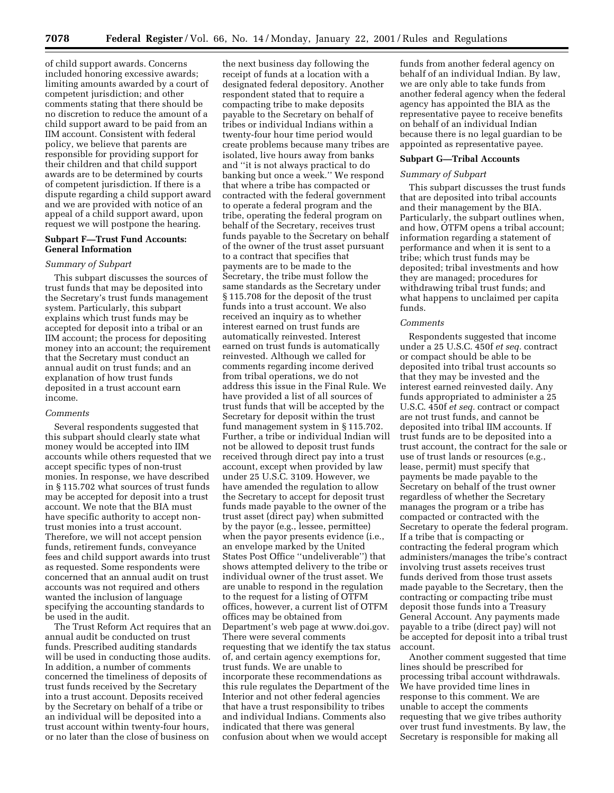**7078 Federal Register** / Vol. 66, No. 14 / Monday, January 22, 2001 / Rules and Regulations

of child support awards. Concerns included honoring excessive awards; limiting amounts awarded by a court of competent jurisdiction; and other comments stating that there should be no discretion to reduce the amount of a child support award to be paid from an IIM account. Consistent with federal policy, we believe that parents are responsible for providing support for their children and that child support awards are to be determined by courts of competent jurisdiction. If there is a dispute regarding a child support award and we are provided with notice of an appeal of a child support award, upon request we will postpone the hearing.

### **Subpart F—Trust Fund Accounts: General Information**

# *Summary of Subpart*

This subpart discusses the sources of trust funds that may be deposited into the Secretary's trust funds management system. Particularly, this subpart explains which trust funds may be accepted for deposit into a tribal or an IIM account; the process for depositing money into an account; the requirement that the Secretary must conduct an annual audit on trust funds; and an explanation of how trust funds deposited in a trust account earn income.

# *Comments*

Several respondents suggested that this subpart should clearly state what money would be accepted into IIM accounts while others requested that we accept specific types of non-trust monies. In response, we have described in § 115.702 what sources of trust funds may be accepted for deposit into a trust account. We note that the BIA must have specific authority to accept nontrust monies into a trust account. Therefore, we will not accept pension funds, retirement funds, conveyance fees and child support awards into trust as requested. Some respondents were concerned that an annual audit on trust accounts was not required and others wanted the inclusion of language specifying the accounting standards to be used in the audit.

The Trust Reform Act requires that an annual audit be conducted on trust funds. Prescribed auditing standards will be used in conducting those audits. In addition, a number of comments concerned the timeliness of deposits of trust funds received by the Secretary into a trust account. Deposits received by the Secretary on behalf of a tribe or an individual will be deposited into a trust account within twenty-four hours, or no later than the close of business on

the next business day following the receipt of funds at a location with a designated federal depository. Another respondent stated that to require a compacting tribe to make deposits payable to the Secretary on behalf of tribes or individual Indians within a twenty-four hour time period would create problems because many tribes are isolated, live hours away from banks and ''it is not always practical to do banking but once a week.'' We respond that where a tribe has compacted or contracted with the federal government to operate a federal program and the tribe, operating the federal program on behalf of the Secretary, receives trust funds payable to the Secretary on behalf of the owner of the trust asset pursuant to a contract that specifies that payments are to be made to the Secretary, the tribe must follow the same standards as the Secretary under § 115.708 for the deposit of the trust funds into a trust account. We also received an inquiry as to whether interest earned on trust funds are automatically reinvested. Interest earned on trust funds is automatically reinvested. Although we called for comments regarding income derived from tribal operations, we do not address this issue in the Final Rule. We have provided a list of all sources of trust funds that will be accepted by the Secretary for deposit within the trust fund management system in § 115.702. Further, a tribe or individual Indian will not be allowed to deposit trust funds received through direct pay into a trust account, except when provided by law under 25 U.S.C. 3109. However, we have amended the regulation to allow the Secretary to accept for deposit trust funds made payable to the owner of the trust asset (direct pay) when submitted by the payor (e.g., lessee, permittee) when the payor presents evidence (i.e., an envelope marked by the United States Post Office ''undeliverable'') that shows attempted delivery to the tribe or individual owner of the trust asset. We are unable to respond in the regulation to the request for a listing of OTFM offices, however, a current list of OTFM offices may be obtained from Department's web page at www.doi.gov. There were several comments requesting that we identify the tax status of, and certain agency exemptions for, trust funds. We are unable to incorporate these recommendations as this rule regulates the Department of the Interior and not other federal agencies that have a trust responsibility to tribes and individual Indians. Comments also indicated that there was general confusion about when we would accept

funds from another federal agency on behalf of an individual Indian. By law, we are only able to take funds from another federal agency when the federal agency has appointed the BIA as the representative payee to receive benefits on behalf of an individual Indian because there is no legal guardian to be appointed as representative payee.

### **Subpart G—Tribal Accounts**

# *Summary of Subpart*

This subpart discusses the trust funds that are deposited into tribal accounts and their management by the BIA. Particularly, the subpart outlines when, and how, OTFM opens a tribal account; information regarding a statement of performance and when it is sent to a tribe; which trust funds may be deposited; tribal investments and how they are managed; procedures for withdrawing tribal trust funds; and what happens to unclaimed per capita funds.

# *Comments*

Respondents suggested that income under a 25 U.S.C. 450f *et seq.* contract or compact should be able to be deposited into tribal trust accounts so that they may be invested and the interest earned reinvested daily. Any funds appropriated to administer a 25 U.S.C. 450f *et seq.* contract or compact are not trust funds, and cannot be deposited into tribal IIM accounts. If trust funds are to be deposited into a trust account, the contract for the sale or use of trust lands or resources (e.g., lease, permit) must specify that payments be made payable to the Secretary on behalf of the trust owner regardless of whether the Secretary manages the program or a tribe has compacted or contracted with the Secretary to operate the federal program. If a tribe that is compacting or contracting the federal program which administers/manages the tribe's contract involving trust assets receives trust funds derived from those trust assets made payable to the Secretary, then the contracting or compacting tribe must deposit those funds into a Treasury General Account. Any payments made payable to a tribe (direct pay) will not be accepted for deposit into a tribal trust account.

Another comment suggested that time lines should be prescribed for processing tribal account withdrawals. We have provided time lines in response to this comment. We are unable to accept the comments requesting that we give tribes authority over trust fund investments. By law, the Secretary is responsible for making all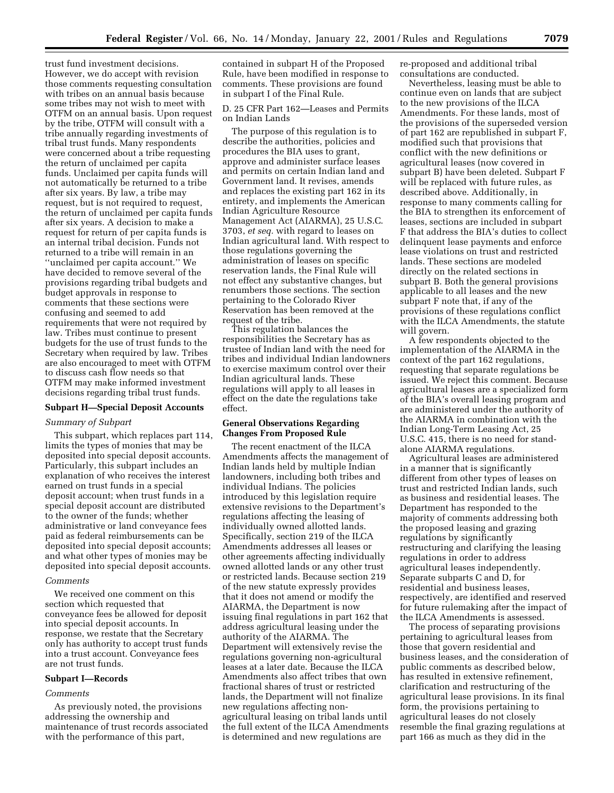trust fund investment decisions. However, we do accept with revision those comments requesting consultation with tribes on an annual basis because some tribes may not wish to meet with OTFM on an annual basis. Upon request by the tribe, OTFM will consult with a tribe annually regarding investments of tribal trust funds. Many respondents were concerned about a tribe requesting the return of unclaimed per capita funds. Unclaimed per capita funds will not automatically be returned to a tribe after six years. By law, a tribe may request, but is not required to request, the return of unclaimed per capita funds after six years. A decision to make a request for return of per capita funds is an internal tribal decision. Funds not returned to a tribe will remain in an ''unclaimed per capita account.'' We have decided to remove several of the provisions regarding tribal budgets and budget approvals in response to comments that these sections were confusing and seemed to add requirements that were not required by law. Tribes must continue to present budgets for the use of trust funds to the Secretary when required by law. Tribes are also encouraged to meet with OTFM to discuss cash flow needs so that OTFM may make informed investment decisions regarding tribal trust funds.

# **Subpart H—Special Deposit Accounts**

# *Summary of Subpart*

This subpart, which replaces part 114, limits the types of monies that may be deposited into special deposit accounts. Particularly, this subpart includes an explanation of who receives the interest earned on trust funds in a special deposit account; when trust funds in a special deposit account are distributed to the owner of the funds; whether administrative or land conveyance fees paid as federal reimbursements can be deposited into special deposit accounts; and what other types of monies may be deposited into special deposit accounts.

#### *Comments*

We received one comment on this section which requested that conveyance fees be allowed for deposit into special deposit accounts. In response, we restate that the Secretary only has authority to accept trust funds into a trust account. Conveyance fees are not trust funds.

# **Subpart I—Records**

#### *Comments*

As previously noted, the provisions addressing the ownership and maintenance of trust records associated with the performance of this part,

contained in subpart H of the Proposed Rule, have been modified in response to comments. These provisions are found in subpart I of the Final Rule.

# D. 25 CFR Part 162—Leases and Permits on Indian Lands

The purpose of this regulation is to describe the authorities, policies and procedures the BIA uses to grant, approve and administer surface leases and permits on certain Indian land and Government land. It revises, amends and replaces the existing part 162 in its entirety, and implements the American Indian Agriculture Resource Management Act (AIARMA), 25 U.S.C. 3703, *et seq.* with regard to leases on Indian agricultural land. With respect to those regulations governing the administration of leases on specific reservation lands, the Final Rule will not effect any substantive changes, but renumbers those sections. The section pertaining to the Colorado River Reservation has been removed at the request of the tribe.

This regulation balances the responsibilities the Secretary has as trustee of Indian land with the need for tribes and individual Indian landowners to exercise maximum control over their Indian agricultural lands. These regulations will apply to all leases in effect on the date the regulations take effect.

# **General Observations Regarding Changes From Proposed Rule**

The recent enactment of the ILCA Amendments affects the management of Indian lands held by multiple Indian landowners, including both tribes and individual Indians. The policies introduced by this legislation require extensive revisions to the Department's regulations affecting the leasing of individually owned allotted lands. Specifically, section 219 of the ILCA Amendments addresses all leases or other agreements affecting individually owned allotted lands or any other trust or restricted lands. Because section 219 of the new statute expressly provides that it does not amend or modify the AIARMA, the Department is now issuing final regulations in part 162 that address agricultural leasing under the authority of the AIARMA. The Department will extensively revise the regulations governing non-agricultural leases at a later date. Because the ILCA Amendments also affect tribes that own fractional shares of trust or restricted lands, the Department will not finalize new regulations affecting nonagricultural leasing on tribal lands until the full extent of the ILCA Amendments is determined and new regulations are

re-proposed and additional tribal consultations are conducted.

Nevertheless, leasing must be able to continue even on lands that are subject to the new provisions of the ILCA Amendments. For these lands, most of the provisions of the superseded version of part 162 are republished in subpart F, modified such that provisions that conflict with the new definitions or agricultural leases (now covered in subpart B) have been deleted. Subpart F will be replaced with future rules, as described above. Additionally, in response to many comments calling for the BIA to strengthen its enforcement of leases, sections are included in subpart F that address the BIA's duties to collect delinquent lease payments and enforce lease violations on trust and restricted lands. These sections are modeled directly on the related sections in subpart B. Both the general provisions applicable to all leases and the new subpart F note that, if any of the provisions of these regulations conflict with the ILCA Amendments, the statute will govern.

A few respondents objected to the implementation of the AIARMA in the context of the part 162 regulations, requesting that separate regulations be issued. We reject this comment. Because agricultural leases are a specialized form of the BIA's overall leasing program and are administered under the authority of the AIARMA in combination with the Indian Long-Term Leasing Act, 25 U.S.C. 415, there is no need for standalone AIARMA regulations.

Agricultural leases are administered in a manner that is significantly different from other types of leases on trust and restricted Indian lands, such as business and residential leases. The Department has responded to the majority of comments addressing both the proposed leasing and grazing regulations by significantly restructuring and clarifying the leasing regulations in order to address agricultural leases independently. Separate subparts C and D, for residential and business leases, respectively, are identified and reserved for future rulemaking after the impact of the ILCA Amendments is assessed.

The process of separating provisions pertaining to agricultural leases from those that govern residential and business leases, and the consideration of public comments as described below, has resulted in extensive refinement, clarification and restructuring of the agricultural lease provisions. In its final form, the provisions pertaining to agricultural leases do not closely resemble the final grazing regulations at part 166 as much as they did in the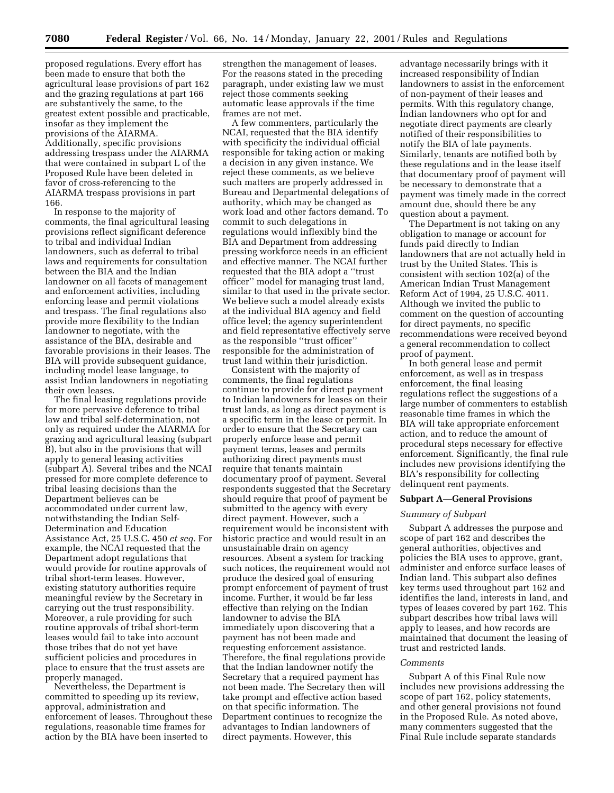proposed regulations. Every effort has been made to ensure that both the agricultural lease provisions of part 162 and the grazing regulations at part 166 are substantively the same, to the greatest extent possible and practicable, insofar as they implement the provisions of the AIARMA. Additionally, specific provisions addressing trespass under the AIARMA that were contained in subpart L of the Proposed Rule have been deleted in favor of cross-referencing to the AIARMA trespass provisions in part 166.

In response to the majority of comments, the final agricultural leasing provisions reflect significant deference to tribal and individual Indian landowners, such as deferral to tribal laws and requirements for consultation between the BIA and the Indian landowner on all facets of management and enforcement activities, including enforcing lease and permit violations and trespass. The final regulations also provide more flexibility to the Indian landowner to negotiate, with the assistance of the BIA, desirable and favorable provisions in their leases. The BIA will provide subsequent guidance, including model lease language, to assist Indian landowners in negotiating their own leases.

The final leasing regulations provide for more pervasive deference to tribal law and tribal self-determination, not only as required under the AIARMA for grazing and agricultural leasing (subpart B), but also in the provisions that will apply to general leasing activities (subpart A). Several tribes and the NCAI pressed for more complete deference to tribal leasing decisions than the Department believes can be accommodated under current law, notwithstanding the Indian Self-Determination and Education Assistance Act, 25 U.S.C. 450 *et seq.* For example, the NCAI requested that the Department adopt regulations that would provide for routine approvals of tribal short-term leases. However, existing statutory authorities require meaningful review by the Secretary in carrying out the trust responsibility. Moreover, a rule providing for such routine approvals of tribal short-term leases would fail to take into account those tribes that do not yet have sufficient policies and procedures in place to ensure that the trust assets are properly managed.

Nevertheless, the Department is committed to speeding up its review, approval, administration and enforcement of leases. Throughout these regulations, reasonable time frames for action by the BIA have been inserted to

strengthen the management of leases. For the reasons stated in the preceding paragraph, under existing law we must reject those comments seeking automatic lease approvals if the time frames are not met.

A few commenters, particularly the NCAI, requested that the BIA identify with specificity the individual official responsible for taking action or making a decision in any given instance. We reject these comments, as we believe such matters are properly addressed in Bureau and Departmental delegations of authority, which may be changed as work load and other factors demand. To commit to such delegations in regulations would inflexibly bind the BIA and Department from addressing pressing workforce needs in an efficient and effective manner. The NCAI further requested that the BIA adopt a ''trust officer'' model for managing trust land, similar to that used in the private sector. We believe such a model already exists at the individual BIA agency and field office level; the agency superintendent and field representative effectively serve as the responsible ''trust officer'' responsible for the administration of trust land within their jurisdiction.

Consistent with the majority of comments, the final regulations continue to provide for direct payment to Indian landowners for leases on their trust lands, as long as direct payment is a specific term in the lease or permit. In order to ensure that the Secretary can properly enforce lease and permit payment terms, leases and permits authorizing direct payments must require that tenants maintain documentary proof of payment. Several respondents suggested that the Secretary should require that proof of payment be submitted to the agency with every direct payment. However, such a requirement would be inconsistent with historic practice and would result in an unsustainable drain on agency resources. Absent a system for tracking such notices, the requirement would not produce the desired goal of ensuring prompt enforcement of payment of trust income. Further, it would be far less effective than relying on the Indian landowner to advise the BIA immediately upon discovering that a payment has not been made and requesting enforcement assistance. Therefore, the final regulations provide that the Indian landowner notify the Secretary that a required payment has not been made. The Secretary then will take prompt and effective action based on that specific information. The Department continues to recognize the advantages to Indian landowners of direct payments. However, this

advantage necessarily brings with it increased responsibility of Indian landowners to assist in the enforcement of non-payment of their leases and permits. With this regulatory change, Indian landowners who opt for and negotiate direct payments are clearly notified of their responsibilities to notify the BIA of late payments. Similarly, tenants are notified both by these regulations and in the lease itself that documentary proof of payment will be necessary to demonstrate that a payment was timely made in the correct amount due, should there be any question about a payment.

The Department is not taking on any obligation to manage or account for funds paid directly to Indian landowners that are not actually held in trust by the United States. This is consistent with section 102(a) of the American Indian Trust Management Reform Act of 1994, 25 U.S.C. 4011. Although we invited the public to comment on the question of accounting for direct payments, no specific recommendations were received beyond a general recommendation to collect proof of payment.

In both general lease and permit enforcement, as well as in trespass enforcement, the final leasing regulations reflect the suggestions of a large number of commenters to establish reasonable time frames in which the BIA will take appropriate enforcement action, and to reduce the amount of procedural steps necessary for effective enforcement. Significantly, the final rule includes new provisions identifying the BIA's responsibility for collecting delinquent rent payments.

## **Subpart A—General Provisions**

#### *Summary of Subpart*

Subpart A addresses the purpose and scope of part 162 and describes the general authorities, objectives and policies the BIA uses to approve, grant, administer and enforce surface leases of Indian land. This subpart also defines key terms used throughout part 162 and identifies the land, interests in land, and types of leases covered by part 162. This subpart describes how tribal laws will apply to leases, and how records are maintained that document the leasing of trust and restricted lands.

# *Comments*

Subpart A of this Final Rule now includes new provisions addressing the scope of part 162, policy statements, and other general provisions not found in the Proposed Rule. As noted above, many commenters suggested that the Final Rule include separate standards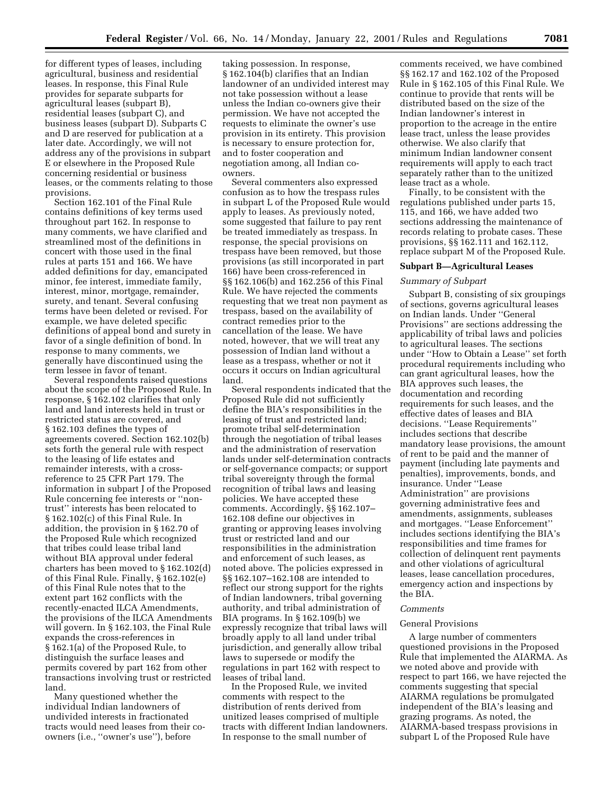for different types of leases, including agricultural, business and residential leases. In response, this Final Rule provides for separate subparts for agricultural leases (subpart B), residential leases (subpart C), and business leases (subpart D). Subparts C and D are reserved for publication at a later date. Accordingly, we will not address any of the provisions in subpart E or elsewhere in the Proposed Rule concerning residential or business leases, or the comments relating to those provisions.

Section 162.101 of the Final Rule contains definitions of key terms used throughout part 162. In response to many comments, we have clarified and streamlined most of the definitions in concert with those used in the final rules at parts 151 and 166. We have added definitions for day, emancipated minor, fee interest, immediate family, interest, minor, mortgage, remainder, surety, and tenant. Several confusing terms have been deleted or revised. For example, we have deleted specific definitions of appeal bond and surety in favor of a single definition of bond. In response to many comments, we generally have discontinued using the term lessee in favor of tenant.

Several respondents raised questions about the scope of the Proposed Rule. In response, § 162.102 clarifies that only land and land interests held in trust or restricted status are covered, and § 162.103 defines the types of agreements covered. Section 162.102(b) sets forth the general rule with respect to the leasing of life estates and remainder interests, with a crossreference to 25 CFR Part 179. The information in subpart J of the Proposed Rule concerning fee interests or ''nontrust'' interests has been relocated to § 162.102(c) of this Final Rule. In addition, the provision in § 162.70 of the Proposed Rule which recognized that tribes could lease tribal land without BIA approval under federal charters has been moved to § 162.102(d) of this Final Rule. Finally, § 162.102(e) of this Final Rule notes that to the extent part 162 conflicts with the recently-enacted ILCA Amendments, the provisions of the ILCA Amendments will govern. In § 162.103, the Final Rule expands the cross-references in § 162.1(a) of the Proposed Rule, to distinguish the surface leases and permits covered by part 162 from other transactions involving trust or restricted land.

Many questioned whether the individual Indian landowners of undivided interests in fractionated tracts would need leases from their coowners (i.e., ''owner's use''), before

taking possession. In response, § 162.104(b) clarifies that an Indian landowner of an undivided interest may not take possession without a lease unless the Indian co-owners give their permission. We have not accepted the requests to eliminate the owner's use provision in its entirety. This provision is necessary to ensure protection for, and to foster cooperation and negotiation among, all Indian coowners.

Several commenters also expressed confusion as to how the trespass rules in subpart L of the Proposed Rule would apply to leases. As previously noted, some suggested that failure to pay rent be treated immediately as trespass. In response, the special provisions on trespass have been removed, but those provisions (as still incorporated in part 166) have been cross-referenced in §§ 162.106(b) and 162.256 of this Final Rule. We have rejected the comments requesting that we treat non payment as trespass, based on the availability of contract remedies prior to the cancellation of the lease. We have noted, however, that we will treat any possession of Indian land without a lease as a trespass, whether or not it occurs it occurs on Indian agricultural land.

Several respondents indicated that the Proposed Rule did not sufficiently define the BIA's responsibilities in the leasing of trust and restricted land; promote tribal self-determination through the negotiation of tribal leases and the administration of reservation lands under self-determination contracts or self-governance compacts; or support tribal sovereignty through the formal recognition of tribal laws and leasing policies. We have accepted these comments. Accordingly, §§ 162.107– 162.108 define our objectives in granting or approving leases involving trust or restricted land and our responsibilities in the administration and enforcement of such leases, as noted above. The policies expressed in §§ 162.107–162.108 are intended to reflect our strong support for the rights of Indian landowners, tribal governing authority, and tribal administration of BIA programs. In § 162.109(b) we expressly recognize that tribal laws will broadly apply to all land under tribal jurisdiction, and generally allow tribal laws to supersede or modify the regulations in part 162 with respect to leases of tribal land.

In the Proposed Rule, we invited comments with respect to the distribution of rents derived from unitized leases comprised of multiple tracts with different Indian landowners. In response to the small number of

comments received, we have combined §§ 162.17 and 162.102 of the Proposed Rule in § 162.105 of this Final Rule. We continue to provide that rents will be distributed based on the size of the Indian landowner's interest in proportion to the acreage in the entire lease tract, unless the lease provides otherwise. We also clarify that minimum Indian landowner consent requirements will apply to each tract separately rather than to the unitized lease tract as a whole.

Finally, to be consistent with the regulations published under parts 15, 115, and 166, we have added two sections addressing the maintenance of records relating to probate cases. These provisions, §§ 162.111 and 162.112, replace subpart M of the Proposed Rule.

#### **Subpart B—Agricultural Leases**

#### *Summary of Subpart*

Subpart B, consisting of six groupings of sections, governs agricultural leases on Indian lands. Under ''General Provisions'' are sections addressing the applicability of tribal laws and policies to agricultural leases. The sections under ''How to Obtain a Lease'' set forth procedural requirements including who can grant agricultural leases, how the BIA approves such leases, the documentation and recording requirements for such leases, and the effective dates of leases and BIA decisions. ''Lease Requirements'' includes sections that describe mandatory lease provisions, the amount of rent to be paid and the manner of payment (including late payments and penalties), improvements, bonds, and insurance. Under ''Lease Administration'' are provisions governing administrative fees and amendments, assignments, subleases and mortgages. ''Lease Enforcement'' includes sections identifying the BIA's responsibilities and time frames for collection of delinquent rent payments and other violations of agricultural leases, lease cancellation procedures, emergency action and inspections by the BIA.

# *Comments*

#### General Provisions

A large number of commenters questioned provisions in the Proposed Rule that implemented the AIARMA. As we noted above and provide with respect to part 166, we have rejected the comments suggesting that special AIARMA regulations be promulgated independent of the BIA's leasing and grazing programs. As noted, the AIARMA-based trespass provisions in subpart L of the Proposed Rule have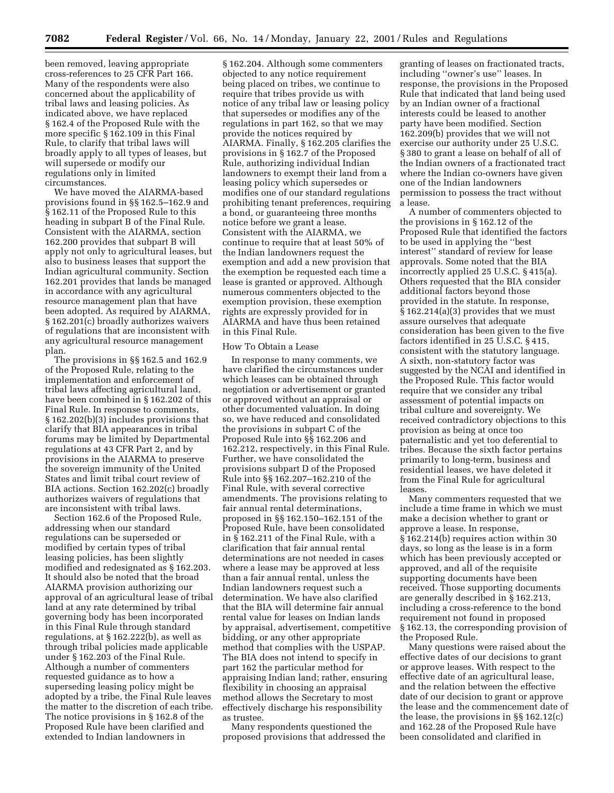been removed, leaving appropriate cross-references to 25 CFR Part 166. Many of the respondents were also concerned about the applicability of tribal laws and leasing policies. As indicated above, we have replaced § 162.4 of the Proposed Rule with the more specific § 162.109 in this Final Rule, to clarify that tribal laws will broadly apply to all types of leases, but will supersede or modify our regulations only in limited circumstances.

We have moved the AIARMA-based provisions found in §§ 162.5–162.9 and § 162.11 of the Proposed Rule to this heading in subpart B of the Final Rule. Consistent with the AIARMA, section 162.200 provides that subpart B will apply not only to agricultural leases, but also to business leases that support the Indian agricultural community. Section 162.201 provides that lands be managed in accordance with any agricultural resource management plan that have been adopted. As required by AIARMA, § 162.201(c) broadly authorizes waivers of regulations that are inconsistent with any agricultural resource management plan.

The provisions in §§ 162.5 and 162.9 of the Proposed Rule, relating to the implementation and enforcement of tribal laws affecting agricultural land, have been combined in § 162.202 of this Final Rule. In response to comments, § 162.202(b)(3) includes provisions that clarify that BIA appearances in tribal forums may be limited by Departmental regulations at 43 CFR Part 2, and by provisions in the AIARMA to preserve the sovereign immunity of the United States and limit tribal court review of BIA actions. Section 162.202(c) broadly authorizes waivers of regulations that are inconsistent with tribal laws.

Section 162.6 of the Proposed Rule, addressing when our standard regulations can be superseded or modified by certain types of tribal leasing policies, has been slightly modified and redesignated as § 162.203. It should also be noted that the broad AIARMA provision authorizing our approval of an agricultural lease of tribal land at any rate determined by tribal governing body has been incorporated in this Final Rule through standard regulations, at § 162.222(b), as well as through tribal policies made applicable under § 162.203 of the Final Rule. Although a number of commenters requested guidance as to how a superseding leasing policy might be adopted by a tribe, the Final Rule leaves the matter to the discretion of each tribe. The notice provisions in § 162.8 of the Proposed Rule have been clarified and extended to Indian landowners in

§ 162.204. Although some commenters objected to any notice requirement being placed on tribes, we continue to require that tribes provide us with notice of any tribal law or leasing policy that supersedes or modifies any of the regulations in part 162, so that we may provide the notices required by AIARMA. Finally, § 162.205 clarifies the provisions in § 162.7 of the Proposed Rule, authorizing individual Indian landowners to exempt their land from a leasing policy which supersedes or modifies one of our standard regulations prohibiting tenant preferences, requiring a bond, or guaranteeing three months notice before we grant a lease. Consistent with the AIARMA, we continue to require that at least 50% of the Indian landowners request the exemption and add a new provision that the exemption be requested each time a lease is granted or approved. Although numerous commenters objected to the exemption provision, these exemption rights are expressly provided for in AIARMA and have thus been retained in this Final Rule.

# How To Obtain a Lease

In response to many comments, we have clarified the circumstances under which leases can be obtained through negotiation or advertisement or granted or approved without an appraisal or other documented valuation. In doing so, we have reduced and consolidated the provisions in subpart C of the Proposed Rule into §§ 162.206 and 162.212, respectively, in this Final Rule. Further, we have consolidated the provisions subpart D of the Proposed Rule into §§ 162.207–162.210 of the Final Rule, with several corrective amendments. The provisions relating to fair annual rental determinations, proposed in §§ 162.150–162.151 of the Proposed Rule, have been consolidated in § 162.211 of the Final Rule, with a clarification that fair annual rental determinations are not needed in cases where a lease may be approved at less than a fair annual rental, unless the Indian landowners request such a determination. We have also clarified that the BIA will determine fair annual rental value for leases on Indian lands by appraisal, advertisement, competitive bidding, or any other appropriate method that complies with the USPAP. The BIA does not intend to specify in part 162 the particular method for appraising Indian land; rather, ensuring flexibility in choosing an appraisal method allows the Secretary to most effectively discharge his responsibility as trustee.

Many respondents questioned the proposed provisions that addressed the

granting of leases on fractionated tracts, including ''owner's use'' leases. In response, the provisions in the Proposed Rule that indicated that land being used by an Indian owner of a fractional interests could be leased to another party have been modified. Section 162.209(b) provides that we will not exercise our authority under 25 U.S.C. § 380 to grant a lease on behalf of all of the Indian owners of a fractionated tract where the Indian co-owners have given one of the Indian landowners permission to possess the tract without a lease.

A number of commenters objected to the provisions in § 162.12 of the Proposed Rule that identified the factors to be used in applying the ''best interest'' standard of review for lease approvals. Some noted that the BIA incorrectly applied 25 U.S.C. § 415(a). Others requested that the BIA consider additional factors beyond those provided in the statute. In response, § 162.214(a)(3) provides that we must assure ourselves that adequate consideration has been given to the five factors identified in 25 U.S.C. § 415, consistent with the statutory language. A sixth, non-statutory factor was suggested by the NCAI and identified in the Proposed Rule. This factor would require that we consider any tribal assessment of potential impacts on tribal culture and sovereignty. We received contradictory objections to this provision as being at once too paternalistic and yet too deferential to tribes. Because the sixth factor pertains primarily to long-term, business and residential leases, we have deleted it from the Final Rule for agricultural leases.

Many commenters requested that we include a time frame in which we must make a decision whether to grant or approve a lease. In response, § 162.214(b) requires action within 30 days, so long as the lease is in a form which has been previously accepted or approved, and all of the requisite supporting documents have been received. Those supporting documents are generally described in § 162.213, including a cross-reference to the bond requirement not found in proposed § 162.13, the corresponding provision of the Proposed Rule.

Many questions were raised about the effective dates of our decisions to grant or approve leases. With respect to the effective date of an agricultural lease, and the relation between the effective date of our decision to grant or approve the lease and the commencement date of the lease, the provisions in §§ 162.12(c) and 162.28 of the Proposed Rule have been consolidated and clarified in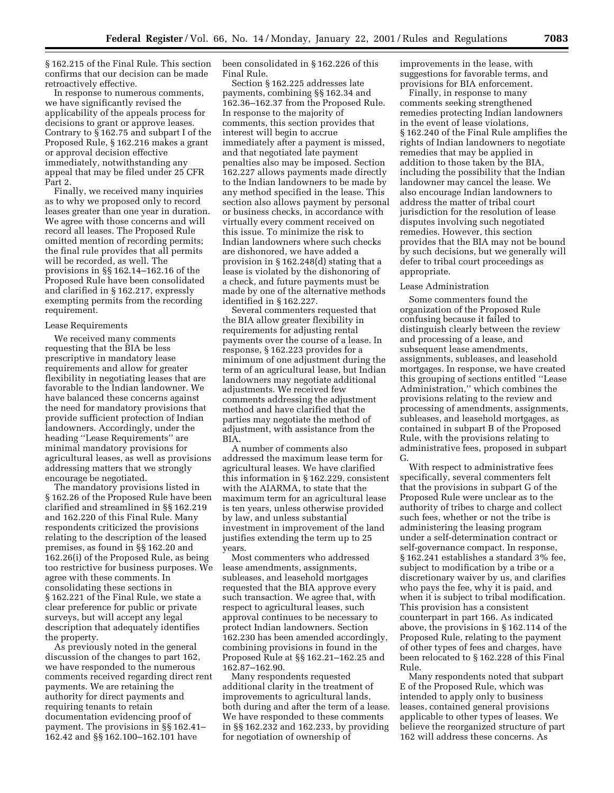§ 162.215 of the Final Rule. This section confirms that our decision can be made retroactively effective.

In response to numerous comments, we have significantly revised the applicability of the appeals process for decisions to grant or approve leases. Contrary to § 162.75 and subpart I of the Proposed Rule, § 162.216 makes a grant or approval decision effective immediately, notwithstanding any appeal that may be filed under 25 CFR Part 2.

Finally, we received many inquiries as to why we proposed only to record leases greater than one year in duration. We agree with those concerns and will record all leases. The Proposed Rule omitted mention of recording permits; the final rule provides that all permits will be recorded, as well. The provisions in §§ 162.14–162.16 of the Proposed Rule have been consolidated and clarified in § 162.217, expressly exempting permits from the recording requirement.

# Lease Requirements

We received many comments requesting that the BIA be less prescriptive in mandatory lease requirements and allow for greater flexibility in negotiating leases that are favorable to the Indian landowner. We have balanced these concerns against the need for mandatory provisions that provide sufficient protection of Indian landowners. Accordingly, under the heading ''Lease Requirements'' are minimal mandatory provisions for agricultural leases, as well as provisions addressing matters that we strongly encourage be negotiated.

The mandatory provisions listed in § 162.26 of the Proposed Rule have been clarified and streamlined in §§ 162.219 and 162.220 of this Final Rule. Many respondents criticized the provisions relating to the description of the leased premises, as found in §§ 162.20 and 162.26(i) of the Proposed Rule, as being too restrictive for business purposes. We agree with these comments. In consolidating these sections in § 162.221 of the Final Rule, we state a clear preference for public or private surveys, but will accept any legal description that adequately identifies the property.

As previously noted in the general discussion of the changes to part 162, we have responded to the numerous comments received regarding direct rent payments. We are retaining the authority for direct payments and requiring tenants to retain documentation evidencing proof of payment. The provisions in §§ 162.41– 162.42 and §§ 162.100–162.101 have

been consolidated in § 162.226 of this Final Rule.

Section § 162.225 addresses late payments, combining §§ 162.34 and 162.36–162.37 from the Proposed Rule. In response to the majority of comments, this section provides that interest will begin to accrue immediately after a payment is missed, and that negotiated late payment penalties also may be imposed. Section 162.227 allows payments made directly to the Indian landowners to be made by any method specified in the lease. This section also allows payment by personal or business checks, in accordance with virtually every comment received on this issue. To minimize the risk to Indian landowners where such checks are dishonored, we have added a provision in § 162.248(d) stating that a lease is violated by the dishonoring of a check, and future payments must be made by one of the alternative methods identified in § 162.227.

Several commenters requested that the BIA allow greater flexibility in requirements for adjusting rental payments over the course of a lease. In response, § 162.223 provides for a minimum of one adjustment during the term of an agricultural lease, but Indian landowners may negotiate additional adjustments. We received few comments addressing the adjustment method and have clarified that the parties may negotiate the method of adjustment, with assistance from the BIA.

A number of comments also addressed the maximum lease term for agricultural leases. We have clarified this information in § 162.229, consistent with the AIARMA, to state that the maximum term for an agricultural lease is ten years, unless otherwise provided by law, and unless substantial investment in improvement of the land justifies extending the term up to 25 years.

Most commenters who addressed lease amendments, assignments, subleases, and leasehold mortgages requested that the BIA approve every such transaction. We agree that, with respect to agricultural leases, such approval continues to be necessary to protect Indian landowners. Section 162.230 has been amended accordingly, combining provisions in found in the Proposed Rule at §§ 162.21–162.25 and 162.87–162.90.

Many respondents requested additional clarity in the treatment of improvements to agricultural lands, both during and after the term of a lease. We have responded to these comments in §§ 162.232 and 162.233, by providing for negotiation of ownership of

improvements in the lease, with suggestions for favorable terms, and provisions for BIA enforcement.

Finally, in response to many comments seeking strengthened remedies protecting Indian landowners in the event of lease violations, § 162.240 of the Final Rule amplifies the rights of Indian landowners to negotiate remedies that may be applied in addition to those taken by the BIA, including the possibility that the Indian landowner may cancel the lease. We also encourage Indian landowners to address the matter of tribal court jurisdiction for the resolution of lease disputes involving such negotiated remedies. However, this section provides that the BIA may not be bound by such decisions, but we generally will defer to tribal court proceedings as appropriate.

#### Lease Administration

Some commenters found the organization of the Proposed Rule confusing because it failed to distinguish clearly between the review and processing of a lease, and subsequent lease amendments, assignments, subleases, and leasehold mortgages. In response, we have created this grouping of sections entitled ''Lease Administration,'' which combines the provisions relating to the review and processing of amendments, assignments, subleases, and leasehold mortgages, as contained in subpart B of the Proposed Rule, with the provisions relating to administrative fees, proposed in subpart G.

With respect to administrative fees specifically, several commenters felt that the provisions in subpart G of the Proposed Rule were unclear as to the authority of tribes to charge and collect such fees, whether or not the tribe is administering the leasing program under a self-determination contract or self-governance compact. In response, § 162.241 establishes a standard 3% fee, subject to modification by a tribe or a discretionary waiver by us, and clarifies who pays the fee, why it is paid, and when it is subject to tribal modification. This provision has a consistent counterpart in part 166. As indicated above, the provisions in § 162.114 of the Proposed Rule, relating to the payment of other types of fees and charges, have been relocated to § 162.228 of this Final Rule.

Many respondents noted that subpart E of the Proposed Rule, which was intended to apply only to business leases, contained general provisions applicable to other types of leases. We believe the reorganized structure of part 162 will address these concerns. As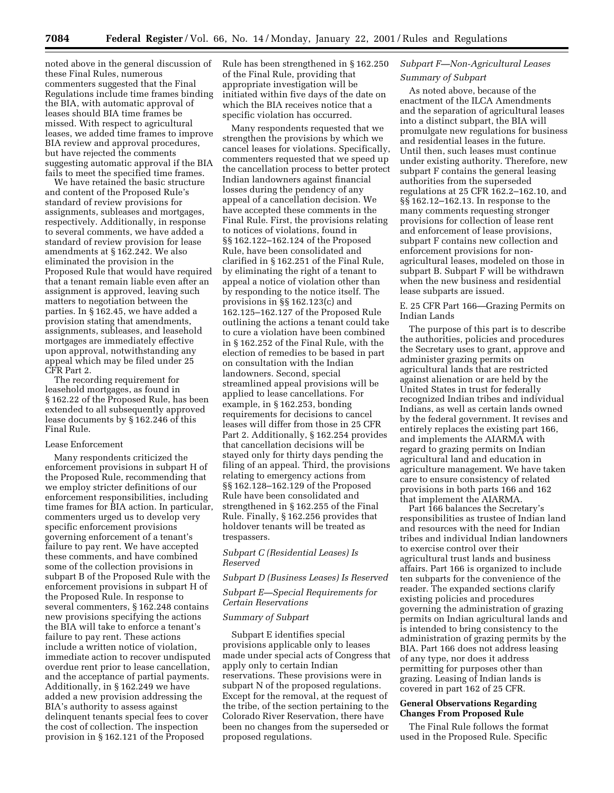noted above in the general discussion of these Final Rules, numerous commenters suggested that the Final Regulations include time frames binding the BIA, with automatic approval of leases should BIA time frames be missed. With respect to agricultural leases, we added time frames to improve BIA review and approval procedures, but have rejected the comments suggesting automatic approval if the BIA fails to meet the specified time frames.

We have retained the basic structure and content of the Proposed Rule's standard of review provisions for assignments, subleases and mortgages, respectively. Additionally, in response to several comments, we have added a standard of review provision for lease amendments at § 162.242. We also eliminated the provision in the Proposed Rule that would have required that a tenant remain liable even after an assignment is approved, leaving such matters to negotiation between the parties. In § 162.45, we have added a provision stating that amendments, assignments, subleases, and leasehold mortgages are immediately effective upon approval, notwithstanding any appeal which may be filed under 25 CFR Part 2.

The recording requirement for leasehold mortgages, as found in § 162.22 of the Proposed Rule, has been extended to all subsequently approved lease documents by § 162.246 of this Final Rule.

# Lease Enforcement

Many respondents criticized the enforcement provisions in subpart H of the Proposed Rule, recommending that we employ stricter definitions of our enforcement responsibilities, including time frames for BIA action. In particular, commenters urged us to develop very specific enforcement provisions governing enforcement of a tenant's failure to pay rent. We have accepted these comments, and have combined some of the collection provisions in subpart B of the Proposed Rule with the enforcement provisions in subpart H of the Proposed Rule. In response to several commenters, § 162.248 contains new provisions specifying the actions the BIA will take to enforce a tenant's failure to pay rent. These actions include a written notice of violation, immediate action to recover undisputed overdue rent prior to lease cancellation, and the acceptance of partial payments. Additionally, in § 162.249 we have added a new provision addressing the BIA's authority to assess against delinquent tenants special fees to cover the cost of collection. The inspection provision in § 162.121 of the Proposed

Rule has been strengthened in § 162.250 of the Final Rule, providing that appropriate investigation will be initiated within five days of the date on which the BIA receives notice that a specific violation has occurred.

Many respondents requested that we strengthen the provisions by which we cancel leases for violations. Specifically, commenters requested that we speed up the cancellation process to better protect Indian landowners against financial losses during the pendency of any appeal of a cancellation decision. We have accepted these comments in the Final Rule. First, the provisions relating to notices of violations, found in §§ 162.122–162.124 of the Proposed Rule, have been consolidated and clarified in § 162.251 of the Final Rule, by eliminating the right of a tenant to appeal a notice of violation other than by responding to the notice itself. The provisions in §§ 162.123(c) and 162.125–162.127 of the Proposed Rule outlining the actions a tenant could take to cure a violation have been combined in § 162.252 of the Final Rule, with the election of remedies to be based in part on consultation with the Indian landowners. Second, special streamlined appeal provisions will be applied to lease cancellations. For example, in § 162.253, bonding requirements for decisions to cancel leases will differ from those in 25 CFR Part 2. Additionally, § 162.254 provides that cancellation decisions will be stayed only for thirty days pending the filing of an appeal. Third, the provisions relating to emergency actions from §§ 162.128–162.129 of the Proposed Rule have been consolidated and strengthened in § 162.255 of the Final Rule. Finally, § 162.256 provides that holdover tenants will be treated as trespassers.

# *Subpart C (Residential Leases) Is Reserved*

*Subpart D (Business Leases) Is Reserved*

# *Subpart E—Special Requirements for Certain Reservations*

# *Summary of Subpart*

Subpart E identifies special provisions applicable only to leases made under special acts of Congress that apply only to certain Indian reservations. These provisions were in subpart N of the proposed regulations. Except for the removal, at the request of the tribe, of the section pertaining to the Colorado River Reservation, there have been no changes from the superseded or proposed regulations.

# *Subpart F—Non-Agricultural Leases Summary of Subpart*

As noted above, because of the enactment of the ILCA Amendments and the separation of agricultural leases into a distinct subpart, the BIA will promulgate new regulations for business and residential leases in the future. Until then, such leases must continue under existing authority. Therefore, new subpart F contains the general leasing authorities from the superseded regulations at 25 CFR 162.2–162.10, and §§ 162.12–162.13. In response to the many comments requesting stronger provisions for collection of lease rent and enforcement of lease provisions, subpart F contains new collection and enforcement provisions for nonagricultural leases, modeled on those in subpart B. Subpart F will be withdrawn when the new business and residential lease subparts are issued.

E. 25 CFR Part 166—Grazing Permits on Indian Lands

The purpose of this part is to describe the authorities, policies and procedures the Secretary uses to grant, approve and administer grazing permits on agricultural lands that are restricted against alienation or are held by the United States in trust for federally recognized Indian tribes and individual Indians, as well as certain lands owned by the federal government. It revises and entirely replaces the existing part 166, and implements the AIARMA with regard to grazing permits on Indian agricultural land and education in agriculture management. We have taken care to ensure consistency of related provisions in both parts 166 and 162 that implement the AIARMA.

Part 166 balances the Secretary's responsibilities as trustee of Indian land and resources with the need for Indian tribes and individual Indian landowners to exercise control over their agricultural trust lands and business affairs. Part 166 is organized to include ten subparts for the convenience of the reader. The expanded sections clarify existing policies and procedures governing the administration of grazing permits on Indian agricultural lands and is intended to bring consistency to the administration of grazing permits by the BIA. Part 166 does not address leasing of any type, nor does it address permitting for purposes other than grazing. Leasing of Indian lands is covered in part 162 of 25 CFR.

# **General Observations Regarding Changes From Proposed Rule**

The Final Rule follows the format used in the Proposed Rule. Specific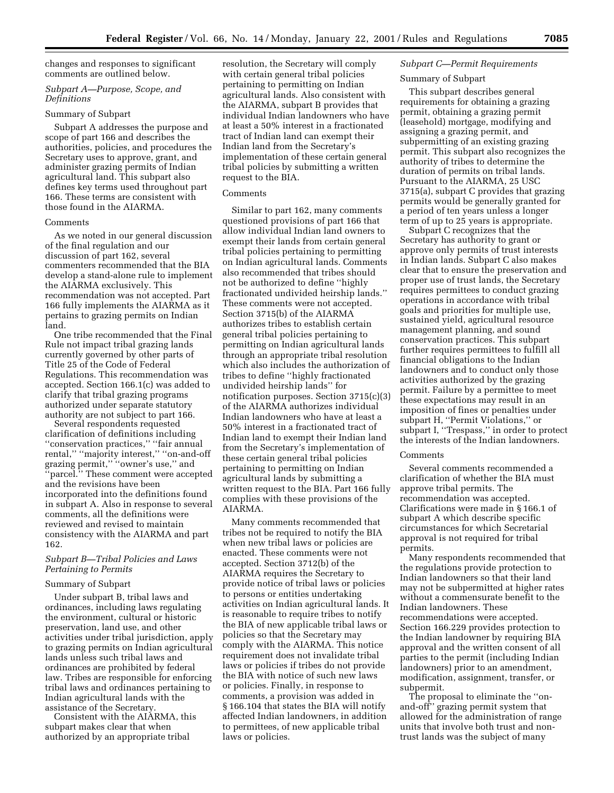changes and responses to significant comments are outlined below.

# *Subpart A—Purpose, Scope, and Definitions*

# Summary of Subpart

Subpart A addresses the purpose and scope of part 166 and describes the authorities, policies, and procedures the Secretary uses to approve, grant, and administer grazing permits of Indian agricultural land. This subpart also defines key terms used throughout part 166. These terms are consistent with those found in the AIARMA.

#### **Comments**

As we noted in our general discussion of the final regulation and our discussion of part 162, several commenters recommended that the BIA develop a stand-alone rule to implement the AIARMA exclusively. This recommendation was not accepted. Part 166 fully implements the AIARMA as it pertains to grazing permits on Indian land.

One tribe recommended that the Final Rule not impact tribal grazing lands currently governed by other parts of Title 25 of the Code of Federal Regulations. This recommendation was accepted. Section 166.1(c) was added to clarify that tribal grazing programs authorized under separate statutory authority are not subject to part 166.

Several respondents requested clarification of definitions including ''conservation practices,'' ''fair annual rental,'' ''majority interest,'' ''on-and-off grazing permit,'' ''owner's use,'' and "parcel." These comment were accepted and the revisions have been incorporated into the definitions found in subpart A. Also in response to several comments, all the definitions were reviewed and revised to maintain consistency with the AIARMA and part 162.

# *Subpart B—Tribal Policies and Laws Pertaining to Permits*

### Summary of Subpart

Under subpart B, tribal laws and ordinances, including laws regulating the environment, cultural or historic preservation, land use, and other activities under tribal jurisdiction, apply to grazing permits on Indian agricultural lands unless such tribal laws and ordinances are prohibited by federal law. Tribes are responsible for enforcing tribal laws and ordinances pertaining to Indian agricultural lands with the assistance of the Secretary.

Consistent with the AIARMA, this subpart makes clear that when authorized by an appropriate tribal

resolution, the Secretary will comply with certain general tribal policies pertaining to permitting on Indian agricultural lands. Also consistent with the AIARMA, subpart B provides that individual Indian landowners who have at least a 50% interest in a fractionated tract of Indian land can exempt their Indian land from the Secretary's implementation of these certain general tribal policies by submitting a written request to the BIA.

# **Comments**

Similar to part 162, many comments questioned provisions of part 166 that allow individual Indian land owners to exempt their lands from certain general tribal policies pertaining to permitting on Indian agricultural lands. Comments also recommended that tribes should not be authorized to define ''highly fractionated undivided heirship lands.'' These comments were not accepted. Section 3715(b) of the AIARMA authorizes tribes to establish certain general tribal policies pertaining to permitting on Indian agricultural lands through an appropriate tribal resolution which also includes the authorization of tribes to define ''highly fractionated undivided heirship lands'' for notification purposes. Section 3715(c)(3) of the AIARMA authorizes individual Indian landowners who have at least a 50% interest in a fractionated tract of Indian land to exempt their Indian land from the Secretary's implementation of these certain general tribal policies pertaining to permitting on Indian agricultural lands by submitting a written request to the BIA. Part 166 fully complies with these provisions of the AIARMA.

Many comments recommended that tribes not be required to notify the BIA when new tribal laws or policies are enacted. These comments were not accepted. Section 3712(b) of the AIARMA requires the Secretary to provide notice of tribal laws or policies to persons or entities undertaking activities on Indian agricultural lands. It is reasonable to require tribes to notify the BIA of new applicable tribal laws or policies so that the Secretary may comply with the AIARMA. This notice requirement does not invalidate tribal laws or policies if tribes do not provide the BIA with notice of such new laws or policies. Finally, in response to comments, a provision was added in § 166.104 that states the BIA will notify affected Indian landowners, in addition to permittees, of new applicable tribal laws or policies.

# *Subpart C—Permit Requirements*

# Summary of Subpart

This subpart describes general requirements for obtaining a grazing permit, obtaining a grazing permit (leasehold) mortgage, modifying and assigning a grazing permit, and subpermitting of an existing grazing permit. This subpart also recognizes the authority of tribes to determine the duration of permits on tribal lands. Pursuant to the AIARMA, 25 USC 3715(a), subpart C provides that grazing permits would be generally granted for a period of ten years unless a longer term of up to 25 years is appropriate.

Subpart C recognizes that the Secretary has authority to grant or approve only permits of trust interests in Indian lands. Subpart C also makes clear that to ensure the preservation and proper use of trust lands, the Secretary requires permittees to conduct grazing operations in accordance with tribal goals and priorities for multiple use, sustained yield, agricultural resource management planning, and sound conservation practices. This subpart further requires permittees to fulfill all financial obligations to the Indian landowners and to conduct only those activities authorized by the grazing permit. Failure by a permittee to meet these expectations may result in an imposition of fines or penalties under subpart H, ''Permit Violations,'' or subpart I, ''Trespass,'' in order to protect the interests of the Indian landowners.

# Comments

Several comments recommended a clarification of whether the BIA must approve tribal permits. The recommendation was accepted. Clarifications were made in § 166.1 of subpart A which describe specific circumstances for which Secretarial approval is not required for tribal permits.

Many respondents recommended that the regulations provide protection to Indian landowners so that their land may not be subpermitted at higher rates without a commensurate benefit to the Indian landowners. These recommendations were accepted. Section 166.229 provides protection to the Indian landowner by requiring BIA approval and the written consent of all parties to the permit (including Indian landowners) prior to an amendment, modification, assignment, transfer, or subpermit.

The proposal to eliminate the ''onand-off'' grazing permit system that allowed for the administration of range units that involve both trust and nontrust lands was the subject of many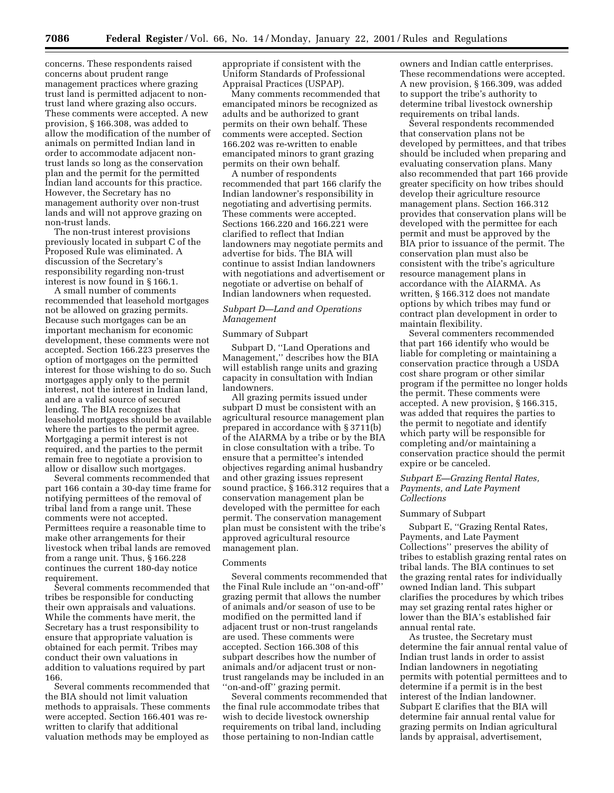concerns. These respondents raised concerns about prudent range management practices where grazing trust land is permitted adjacent to nontrust land where grazing also occurs. These comments were accepted. A new provision, § 166.308, was added to allow the modification of the number of animals on permitted Indian land in order to accommodate adjacent nontrust lands so long as the conservation plan and the permit for the permitted Indian land accounts for this practice. However, the Secretary has no management authority over non-trust lands and will not approve grazing on non-trust lands.

The non-trust interest provisions previously located in subpart C of the Proposed Rule was eliminated. A discussion of the Secretary's responsibility regarding non-trust interest is now found in § 166.1.

A small number of comments recommended that leasehold mortgages not be allowed on grazing permits. Because such mortgages can be an important mechanism for economic development, these comments were not accepted. Section 166.223 preserves the option of mortgages on the permitted interest for those wishing to do so. Such mortgages apply only to the permit interest, not the interest in Indian land, and are a valid source of secured lending. The BIA recognizes that leasehold mortgages should be available where the parties to the permit agree. Mortgaging a permit interest is not required, and the parties to the permit remain free to negotiate a provision to allow or disallow such mortgages.

Several comments recommended that part 166 contain a 30-day time frame for notifying permittees of the removal of tribal land from a range unit. These comments were not accepted. Permittees require a reasonable time to make other arrangements for their livestock when tribal lands are removed from a range unit. Thus, § 166.228 continues the current 180-day notice requirement.

Several comments recommended that tribes be responsible for conducting their own appraisals and valuations. While the comments have merit, the Secretary has a trust responsibility to ensure that appropriate valuation is obtained for each permit. Tribes may conduct their own valuations in addition to valuations required by part 166.

Several comments recommended that the BIA should not limit valuation methods to appraisals. These comments were accepted. Section 166.401 was rewritten to clarify that additional valuation methods may be employed as

appropriate if consistent with the Uniform Standards of Professional Appraisal Practices (USPAP).

Many comments recommended that emancipated minors be recognized as adults and be authorized to grant permits on their own behalf. These comments were accepted. Section 166.202 was re-written to enable emancipated minors to grant grazing permits on their own behalf.

A number of respondents recommended that part 166 clarify the Indian landowner's responsibility in negotiating and advertising permits. These comments were accepted. Sections 166.220 and 166.221 were clarified to reflect that Indian landowners may negotiate permits and advertise for bids. The BIA will continue to assist Indian landowners with negotiations and advertisement or negotiate or advertise on behalf of Indian landowners when requested.

# *Subpart D—Land and Operations Management*

# Summary of Subpart

Subpart D, ''Land Operations and Management,'' describes how the BIA will establish range units and grazing capacity in consultation with Indian landowners.

All grazing permits issued under subpart D must be consistent with an agricultural resource management plan prepared in accordance with § 3711(b) of the AIARMA by a tribe or by the BIA in close consultation with a tribe. To ensure that a permittee's intended objectives regarding animal husbandry and other grazing issues represent sound practice, § 166.312 requires that a conservation management plan be developed with the permittee for each permit. The conservation management plan must be consistent with the tribe's approved agricultural resource management plan.

# Comments

Several comments recommended that the Final Rule include an ''on-and-off'' grazing permit that allows the number of animals and/or season of use to be modified on the permitted land if adjacent trust or non-trust rangelands are used. These comments were accepted. Section 166.308 of this subpart describes how the number of animals and/or adjacent trust or nontrust rangelands may be included in an ''on-and-off'' grazing permit.

Several comments recommended that the final rule accommodate tribes that wish to decide livestock ownership requirements on tribal land, including those pertaining to non-Indian cattle

owners and Indian cattle enterprises. These recommendations were accepted. A new provision, § 166.309, was added to support the tribe's authority to determine tribal livestock ownership requirements on tribal lands.

Several respondents recommended that conservation plans not be developed by permittees, and that tribes should be included when preparing and evaluating conservation plans. Many also recommended that part 166 provide greater specificity on how tribes should develop their agriculture resource management plans. Section 166.312 provides that conservation plans will be developed with the permittee for each permit and must be approved by the BIA prior to issuance of the permit. The conservation plan must also be consistent with the tribe's agriculture resource management plans in accordance with the AIARMA. As written, § 166.312 does not mandate options by which tribes may fund or contract plan development in order to maintain flexibility.

Several commenters recommended that part 166 identify who would be liable for completing or maintaining a conservation practice through a USDA cost share program or other similar program if the permittee no longer holds the permit. These comments were accepted. A new provision, § 166.315, was added that requires the parties to the permit to negotiate and identify which party will be responsible for completing and/or maintaining a conservation practice should the permit expire or be canceled.

# *Subpart E—Grazing Rental Rates, Payments, and Late Payment Collections*

#### Summary of Subpart

Subpart E, ''Grazing Rental Rates, Payments, and Late Payment Collections'' preserves the ability of tribes to establish grazing rental rates on tribal lands. The BIA continues to set the grazing rental rates for individually owned Indian land. This subpart clarifies the procedures by which tribes may set grazing rental rates higher or lower than the BIA's established fair annual rental rate.

As trustee, the Secretary must determine the fair annual rental value of Indian trust lands in order to assist Indian landowners in negotiating permits with potential permittees and to determine if a permit is in the best interest of the Indian landowner. Subpart E clarifies that the BIA will determine fair annual rental value for grazing permits on Indian agricultural lands by appraisal, advertisement,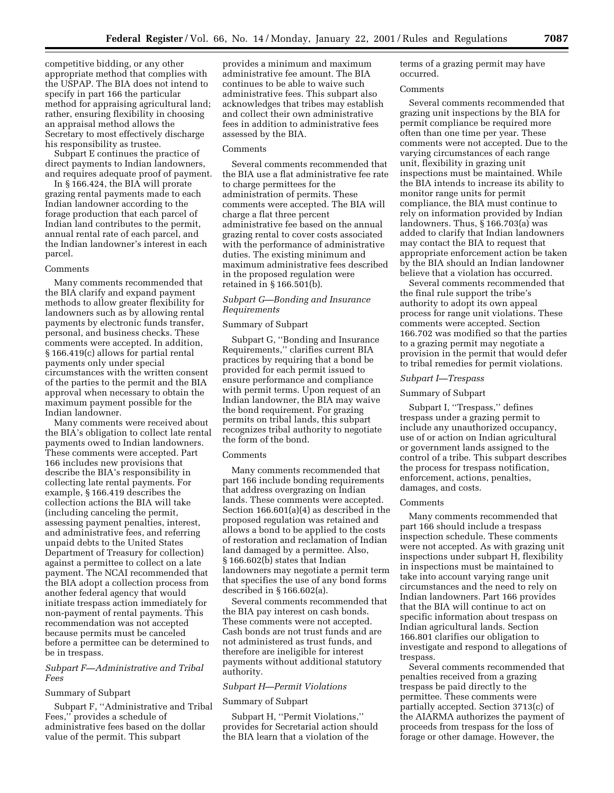competitive bidding, or any other appropriate method that complies with the USPAP. The BIA does not intend to specify in part 166 the particular method for appraising agricultural land; rather, ensuring flexibility in choosing an appraisal method allows the Secretary to most effectively discharge his responsibility as trustee.

Subpart E continues the practice of direct payments to Indian landowners, and requires adequate proof of payment.

In § 166.424, the BIA will prorate grazing rental payments made to each Indian landowner according to the forage production that each parcel of Indian land contributes to the permit, annual rental rate of each parcel, and the Indian landowner's interest in each parcel.

#### Comments

Many comments recommended that the BIA clarify and expand payment methods to allow greater flexibility for landowners such as by allowing rental payments by electronic funds transfer, personal, and business checks. These comments were accepted. In addition, § 166.419(c) allows for partial rental payments only under special circumstances with the written consent of the parties to the permit and the BIA approval when necessary to obtain the maximum payment possible for the Indian landowner.

Many comments were received about the BIA's obligation to collect late rental payments owed to Indian landowners. These comments were accepted. Part 166 includes new provisions that describe the BIA's responsibility in collecting late rental payments. For example, § 166.419 describes the collection actions the BIA will take (including canceling the permit, assessing payment penalties, interest, and administrative fees, and referring unpaid debts to the United States Department of Treasury for collection) against a permittee to collect on a late payment. The NCAI recommended that the BIA adopt a collection process from another federal agency that would initiate trespass action immediately for non-payment of rental payments. This recommendation was not accepted because permits must be canceled before a permittee can be determined to be in trespass.

# *Subpart F—Administrative and Tribal Fees*

### Summary of Subpart

Subpart F, ''Administrative and Tribal Fees,'' provides a schedule of administrative fees based on the dollar value of the permit. This subpart

provides a minimum and maximum administrative fee amount. The BIA continues to be able to waive such administrative fees. This subpart also acknowledges that tribes may establish and collect their own administrative fees in addition to administrative fees assessed by the BIA.

#### Comments

Several comments recommended that the BIA use a flat administrative fee rate to charge permittees for the administration of permits. These comments were accepted. The BIA will charge a flat three percent administrative fee based on the annual grazing rental to cover costs associated with the performance of administrative duties. The existing minimum and maximum administrative fees described in the proposed regulation were retained in § 166.501(b).

# *Subpart G—Bonding and Insurance Requirements*

# Summary of Subpart

Subpart G, ''Bonding and Insurance Requirements,'' clarifies current BIA practices by requiring that a bond be provided for each permit issued to ensure performance and compliance with permit terms. Upon request of an Indian landowner, the BIA may waive the bond requirement. For grazing permits on tribal lands, this subpart recognizes tribal authority to negotiate the form of the bond.

### Comments

Many comments recommended that part 166 include bonding requirements that address overgrazing on Indian lands. These comments were accepted. Section 166.601(a)(4) as described in the proposed regulation was retained and allows a bond to be applied to the costs of restoration and reclamation of Indian land damaged by a permittee. Also, § 166.602(b) states that Indian landowners may negotiate a permit term that specifies the use of any bond forms described in § 166.602(a).

Several comments recommended that the BIA pay interest on cash bonds. These comments were not accepted. Cash bonds are not trust funds and are not administered as trust funds, and therefore are ineligible for interest payments without additional statutory authority.

# *Subpart H—Permit Violations*

#### Summary of Subpart

Subpart H, ''Permit Violations,'' provides for Secretarial action should the BIA learn that a violation of the

terms of a grazing permit may have occurred.

# Comments

Several comments recommended that grazing unit inspections by the BIA for permit compliance be required more often than one time per year. These comments were not accepted. Due to the varying circumstances of each range unit, flexibility in grazing unit inspections must be maintained. While the BIA intends to increase its ability to monitor range units for permit compliance, the BIA must continue to rely on information provided by Indian landowners. Thus, § 166.703(a) was added to clarify that Indian landowners may contact the BIA to request that appropriate enforcement action be taken by the BIA should an Indian landowner believe that a violation has occurred.

Several comments recommended that the final rule support the tribe's authority to adopt its own appeal process for range unit violations. These comments were accepted. Section 166.702 was modified so that the parties to a grazing permit may negotiate a provision in the permit that would defer to tribal remedies for permit violations.

### *Subpart I—Trespass*

### Summary of Subpart

Subpart I, ''Trespass,'' defines trespass under a grazing permit to include any unauthorized occupancy, use of or action on Indian agricultural or government lands assigned to the control of a tribe. This subpart describes the process for trespass notification, enforcement, actions, penalties, damages, and costs.

#### Comments

Many comments recommended that part 166 should include a trespass inspection schedule. These comments were not accepted. As with grazing unit inspections under subpart H, flexibility in inspections must be maintained to take into account varying range unit circumstances and the need to rely on Indian landowners. Part 166 provides that the BIA will continue to act on specific information about trespass on Indian agricultural lands. Section 166.801 clarifies our obligation to investigate and respond to allegations of trespass.

Several comments recommended that penalties received from a grazing trespass be paid directly to the permittee. These comments were partially accepted. Section 3713(c) of the AIARMA authorizes the payment of proceeds from trespass for the loss of forage or other damage. However, the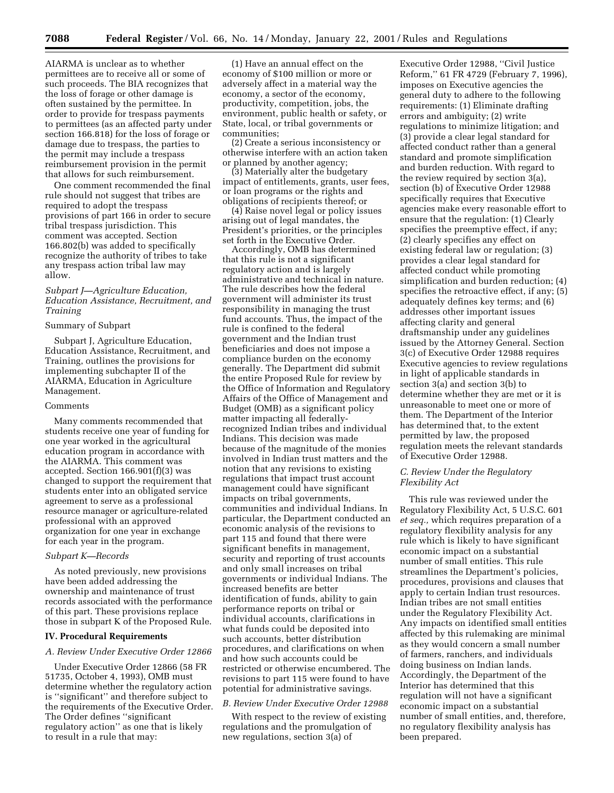AIARMA is unclear as to whether permittees are to receive all or some of such proceeds. The BIA recognizes that the loss of forage or other damage is often sustained by the permittee. In order to provide for trespass payments to permittees (as an affected party under section 166.818) for the loss of forage or damage due to trespass, the parties to the permit may include a trespass reimbursement provision in the permit that allows for such reimbursement.

One comment recommended the final rule should not suggest that tribes are required to adopt the trespass provisions of part 166 in order to secure tribal trespass jurisdiction. This comment was accepted. Section 166.802(b) was added to specifically recognize the authority of tribes to take any trespass action tribal law may allow.

# *Subpart J—Agriculture Education, Education Assistance, Recruitment, and Training*

### Summary of Subpart

Subpart J, Agriculture Education, Education Assistance, Recruitment, and Training, outlines the provisions for implementing subchapter II of the AIARMA, Education in Agriculture Management.

### Comments

Many comments recommended that students receive one year of funding for one year worked in the agricultural education program in accordance with the AIARMA. This comment was accepted. Section 166.901(f)(3) was changed to support the requirement that students enter into an obligated service agreement to serve as a professional resource manager or agriculture-related professional with an approved organization for one year in exchange for each year in the program.

# *Subpart K—Records*

As noted previously, new provisions have been added addressing the ownership and maintenance of trust records associated with the performance of this part. These provisions replace those in subpart K of the Proposed Rule.

# **IV. Procedural Requirements**

### *A. Review Under Executive Order 12866*

Under Executive Order 12866 (58 FR 51735, October 4, 1993), OMB must determine whether the regulatory action is ''significant'' and therefore subject to the requirements of the Executive Order. The Order defines ''significant regulatory action'' as one that is likely to result in a rule that may:

(1) Have an annual effect on the economy of \$100 million or more or adversely affect in a material way the economy, a sector of the economy, productivity, competition, jobs, the environment, public health or safety, or State, local, or tribal governments or communities;

(2) Create a serious inconsistency or otherwise interfere with an action taken or planned by another agency;

(3) Materially alter the budgetary impact of entitlements, grants, user fees, or loan programs or the rights and obligations of recipients thereof; or

(4) Raise novel legal or policy issues arising out of legal mandates, the President's priorities, or the principles set forth in the Executive Order.

Accordingly, OMB has determined that this rule is not a significant regulatory action and is largely administrative and technical in nature. The rule describes how the federal government will administer its trust responsibility in managing the trust fund accounts. Thus, the impact of the rule is confined to the federal government and the Indian trust beneficiaries and does not impose a compliance burden on the economy generally. The Department did submit the entire Proposed Rule for review by the Office of Information and Regulatory Affairs of the Office of Management and Budget (OMB) as a significant policy matter impacting all federallyrecognized Indian tribes and individual Indians. This decision was made because of the magnitude of the monies involved in Indian trust matters and the notion that any revisions to existing regulations that impact trust account management could have significant impacts on tribal governments, communities and individual Indians. In particular, the Department conducted an economic analysis of the revisions to part 115 and found that there were significant benefits in management, security and reporting of trust accounts and only small increases on tribal governments or individual Indians. The increased benefits are better identification of funds, ability to gain performance reports on tribal or individual accounts, clarifications in what funds could be deposited into such accounts, better distribution procedures, and clarifications on when and how such accounts could be restricted or otherwise encumbered. The revisions to part 115 were found to have potential for administrative savings.

# *B. Review Under Executive Order 12988*

With respect to the review of existing regulations and the promulgation of new regulations, section 3(a) of

Executive Order 12988, ''Civil Justice Reform,'' 61 FR 4729 (February 7, 1996), imposes on Executive agencies the general duty to adhere to the following requirements: (1) Eliminate drafting errors and ambiguity; (2) write regulations to minimize litigation; and (3) provide a clear legal standard for affected conduct rather than a general standard and promote simplification and burden reduction. With regard to the review required by section 3(a), section (b) of Executive Order 12988 specifically requires that Executive agencies make every reasonable effort to ensure that the regulation: (1) Clearly specifies the preemptive effect, if any; (2) clearly specifies any effect on existing federal law or regulation; (3) provides a clear legal standard for affected conduct while promoting simplification and burden reduction; (4) specifies the retroactive effect, if any; (5) adequately defines key terms; and (6) addresses other important issues affecting clarity and general draftsmanship under any guidelines issued by the Attorney General. Section 3(c) of Executive Order 12988 requires Executive agencies to review regulations in light of applicable standards in section 3(a) and section 3(b) to determine whether they are met or it is unreasonable to meet one or more of them. The Department of the Interior has determined that, to the extent permitted by law, the proposed regulation meets the relevant standards of Executive Order 12988.

# *C. Review Under the Regulatory Flexibility Act*

This rule was reviewed under the Regulatory Flexibility Act, 5 U.S.C. 601 *et seq.,* which requires preparation of a regulatory flexibility analysis for any rule which is likely to have significant economic impact on a substantial number of small entities. This rule streamlines the Department's policies, procedures, provisions and clauses that apply to certain Indian trust resources. Indian tribes are not small entities under the Regulatory Flexibility Act. Any impacts on identified small entities affected by this rulemaking are minimal as they would concern a small number of farmers, ranchers, and individuals doing business on Indian lands. Accordingly, the Department of the Interior has determined that this regulation will not have a significant economic impact on a substantial number of small entities, and, therefore, no regulatory flexibility analysis has been prepared.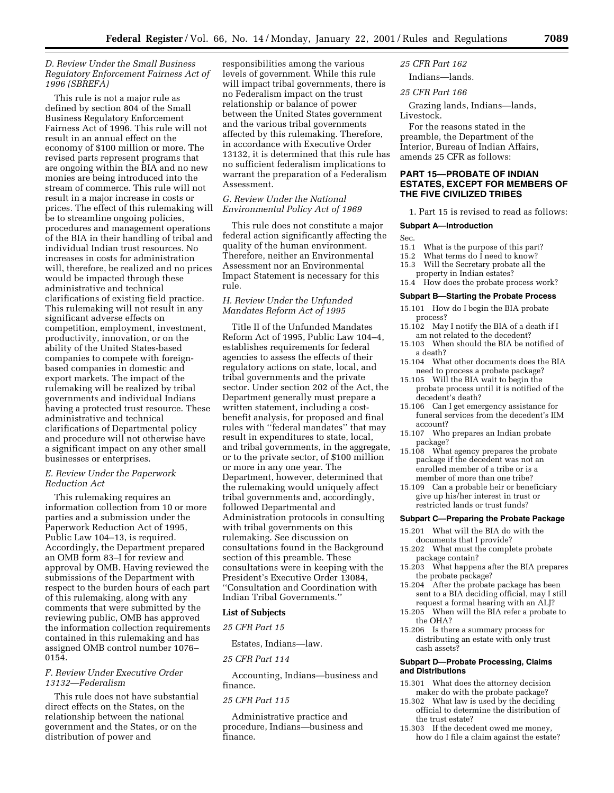# *D. Review Under the Small Business Regulatory Enforcement Fairness Act of 1996 (SBREFA)*

This rule is not a major rule as defined by section 804 of the Small Business Regulatory Enforcement Fairness Act of 1996. This rule will not result in an annual effect on the economy of \$100 million or more. The revised parts represent programs that are ongoing within the BIA and no new monies are being introduced into the stream of commerce. This rule will not result in a major increase in costs or prices. The effect of this rulemaking will be to streamline ongoing policies, procedures and management operations of the BIA in their handling of tribal and individual Indian trust resources. No increases in costs for administration will, therefore, be realized and no prices would be impacted through these administrative and technical clarifications of existing field practice. This rulemaking will not result in any significant adverse effects on competition, employment, investment, productivity, innovation, or on the ability of the United States-based companies to compete with foreignbased companies in domestic and export markets. The impact of the rulemaking will be realized by tribal governments and individual Indians having a protected trust resource. These administrative and technical clarifications of Departmental policy and procedure will not otherwise have a significant impact on any other small businesses or enterprises.

# *E. Review Under the Paperwork Reduction Act*

This rulemaking requires an information collection from 10 or more parties and a submission under the Paperwork Reduction Act of 1995, Public Law 104–13, is required. Accordingly, the Department prepared an OMB form 83–I for review and approval by OMB. Having reviewed the submissions of the Department with respect to the burden hours of each part of this rulemaking, along with any comments that were submitted by the reviewing public, OMB has approved the information collection requirements contained in this rulemaking and has assigned OMB control number 1076– 0154.

# *F. Review Under Executive Order 13132—Federalism*

This rule does not have substantial direct effects on the States, on the relationship between the national government and the States, or on the distribution of power and

responsibilities among the various levels of government. While this rule will impact tribal governments, there is no Federalism impact on the trust relationship or balance of power between the United States government and the various tribal governments affected by this rulemaking. Therefore, in accordance with Executive Order 13132, it is determined that this rule has no sufficient federalism implications to warrant the preparation of a Federalism Assessment.

# *G. Review Under the National Environmental Policy Act of 1969*

This rule does not constitute a major federal action significantly affecting the quality of the human environment. Therefore, neither an Environmental Assessment nor an Environmental Impact Statement is necessary for this rule.

# *H. Review Under the Unfunded Mandates Reform Act of 1995*

Title II of the Unfunded Mandates Reform Act of 1995, Public Law 104–4, establishes requirements for federal agencies to assess the effects of their regulatory actions on state, local, and tribal governments and the private sector. Under section 202 of the Act, the Department generally must prepare a written statement, including a costbenefit analysis, for proposed and final rules with ''federal mandates'' that may result in expenditures to state, local, and tribal governments, in the aggregate, or to the private sector, of \$100 million or more in any one year. The Department, however, determined that the rulemaking would uniquely affect tribal governments and, accordingly, followed Departmental and Administration protocols in consulting with tribal governments on this rulemaking. See discussion on consultations found in the Background section of this preamble. These consultations were in keeping with the President's Executive Order 13084, ''Consultation and Coordination with Indian Tribal Governments.''

#### **List of Subjects**

# *25 CFR Part 15*

Estates, Indians—law.

### *25 CFR Part 114*

Accounting, Indians—business and finance.

### *25 CFR Part 115*

Administrative practice and procedure, Indians—business and finance.

# *25 CFR Part 162*

Indians—lands.

# *25 CFR Part 166*

Grazing lands, Indians—lands, Livestock.

For the reasons stated in the preamble, the Department of the Interior, Bureau of Indian Affairs, amends 25 CFR as follows:

# **PART 15—PROBATE OF INDIAN ESTATES, EXCEPT FOR MEMBERS OF THE FIVE CIVILIZED TRIBES**

1. Part 15 is revised to read as follows:

#### **Subpart A—Introduction**

# Sec.<br>15.1

- What is the purpose of this part?
- 15.2 What terms do I need to know?
- 15.3 Will the Secretary probate all the property in Indian estates?
- 15.4 How does the probate process work?

### **Subpart B—Starting the Probate Process**

- 15.101 How do I begin the BIA probate process?
- 15.102 May I notify the BIA of a death if I am not related to the decedent?
- 15.103 When should the BIA be notified of a death?
- 15.104 What other documents does the BIA need to process a probate package?
- 15.105 Will the BIA wait to begin the probate process until it is notified of the decedent's death?
- 15.106 Can I get emergency assistance for funeral services from the decedent's IIM account?<br>15.107 Who
- Who prepares an Indian probate package?
- 15.108 What agency prepares the probate package if the decedent was not an enrolled member of a tribe or is a member of more than one tribe?
- 15.109 Can a probable heir or beneficiary give up his/her interest in trust or restricted lands or trust funds?

#### **Subpart C—Preparing the Probate Package**

- 15.201 What will the BIA do with the documents that I provide?
- 15.202 What must the complete probate package contain?
- 15.203 What happens after the BIA prepares the probate package?
- 15.204 After the probate package has been sent to a BIA deciding official, may I still request a formal hearing with an ALJ?
- 15.205 When will the BIA refer a probate to the OHA?
- 15.206 Is there a summary process for distributing an estate with only trust cash assets?

### **Subpart D—Probate Processing, Claims and Distributions**

- 15.301 What does the attorney decision maker do with the probate package?
- 15.302 What law is used by the deciding official to determine the distribution of the trust estate?
- 15.303 If the decedent owed me money, how do I file a claim against the estate?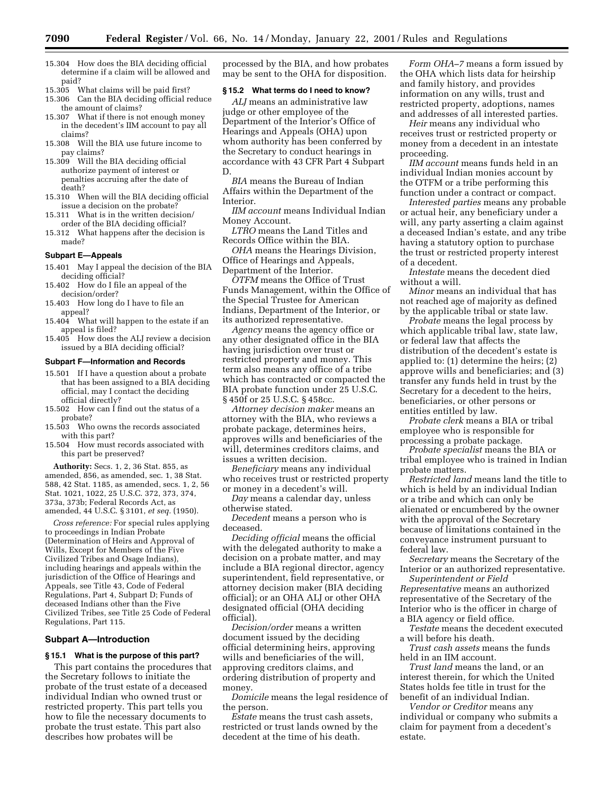- 15.304 How does the BIA deciding official determine if a claim will be allowed and paid?
- 15.305 What claims will be paid first?
- 15.306 Can the BIA deciding official reduce the amount of claims?
- 15.307 What if there is not enough money in the decedent's IIM account to pay all claims?
- 15.308 Will the BIA use future income to pay claims?
- 15.309 Will the BIA deciding official authorize payment of interest or penalties accruing after the date of death?
- 15.310 When will the BIA deciding official issue a decision on the probate?
- 15.311 What is in the written decision/ order of the BIA deciding official?
- 15.312 What happens after the decision is made?

#### **Subpart E—Appeals**

- 15.401 May I appeal the decision of the BIA deciding official?
- 15.402 How do I file an appeal of the decision/order?
- 15.403 How long do I have to file an appeal?
- 15.404 What will happen to the estate if an appeal is filed?
- 15.405 How does the ALJ review a decision issued by a BIA deciding official?

### **Subpart F—Information and Records**

- 15.501 If I have a question about a probate that has been assigned to a BIA deciding official, may I contact the deciding official directly?
- 15.502 How can I find out the status of a probate?
- 15.503 Who owns the records associated with this part?
- 15.504 How must records associated with this part be preserved?

**Authority:** Secs. 1, 2, 36 Stat. 855, as amended, 856, as amended, sec. 1, 38 Stat. 588, 42 Stat. 1185, as amended, secs. 1, 2, 56 Stat. 1021, 1022, 25 U.S.C. 372, 373, 374, 373a, 373b; Federal Records Act, as amended, 44 U.S.C. § 3101, *et seq.* (1950).

*Cross reference:* For special rules applying to proceedings in Indian Probate (Determination of Heirs and Approval of Wills, Except for Members of the Five Civilized Tribes and Osage Indians), including hearings and appeals within the jurisdiction of the Office of Hearings and Appeals, see Title 43, Code of Federal Regulations, Part 4, Subpart D; Funds of deceased Indians other than the Five Civilized Tribes, see Title 25 Code of Federal Regulations, Part 115.

# **Subpart A—Introduction**

# **§ 15.1 What is the purpose of this part?**

This part contains the procedures that the Secretary follows to initiate the probate of the trust estate of a deceased individual Indian who owned trust or restricted property. This part tells you how to file the necessary documents to probate the trust estate. This part also describes how probates will be

processed by the BIA, and how probates may be sent to the OHA for disposition.

# **§ 15.2 What terms do I need to know?**

*ALJ* means an administrative law judge or other employee of the Department of the Interior's Office of Hearings and Appeals (OHA) upon whom authority has been conferred by the Secretary to conduct hearings in accordance with 43 CFR Part 4 Subpart D.

*BIA* means the Bureau of Indian Affairs within the Department of the Interior.

*IIM account* means Individual Indian Money Account.

*LTRO* means the Land Titles and Records Office within the BIA.

*OHA* means the Hearings Division, Office of Hearings and Appeals, Department of the Interior.

*OTFM* means the Office of Trust Funds Management, within the Office of the Special Trustee for American Indians, Department of the Interior, or its authorized representative.

*Agency* means the agency office or any other designated office in the BIA having jurisdiction over trust or restricted property and money. This term also means any office of a tribe which has contracted or compacted the BIA probate function under 25 U.S.C. § 450f or 25 U.S.C. § 458cc.

*Attorney decision maker* means an attorney with the BIA, who reviews a probate package, determines heirs, approves wills and beneficiaries of the will, determines creditors claims, and issues a written decision.

*Beneficiary* means any individual who receives trust or restricted property or money in a decedent's will.

*Day* means a calendar day, unless otherwise stated.

*Decedent* means a person who is deceased.

*Deciding official* means the official with the delegated authority to make a decision on a probate matter, and may include a BIA regional director, agency superintendent, field representative, or attorney decision maker (BIA deciding official); or an OHA ALJ or other OHA designated official (OHA deciding official).

*Decision/order* means a written document issued by the deciding official determining heirs, approving wills and beneficiaries of the will, approving creditors claims, and ordering distribution of property and money.

*Domicile* means the legal residence of the person.

*Estate* means the trust cash assets, restricted or trust lands owned by the decedent at the time of his death.

*Form OHA–7* means a form issued by the OHA which lists data for heirship and family history, and provides information on any wills, trust and restricted property, adoptions, names and addresses of all interested parties.

*Heir* means any individual who receives trust or restricted property or money from a decedent in an intestate proceeding.

*IIM account* means funds held in an individual Indian monies account by the OTFM or a tribe performing this function under a contract or compact.

*Interested parties* means any probable or actual heir, any beneficiary under a will, any party asserting a claim against a deceased Indian's estate, and any tribe having a statutory option to purchase the trust or restricted property interest of a decedent.

*Intestate* means the decedent died without a will.

*Minor* means an individual that has not reached age of majority as defined by the applicable tribal or state law.

*Probate* means the legal process by which applicable tribal law, state law, or federal law that affects the distribution of the decedent's estate is applied to: (1) determine the heirs; (2) approve wills and beneficiaries; and (3) transfer any funds held in trust by the Secretary for a decedent to the heirs, beneficiaries, or other persons or entities entitled by law.

*Probate clerk* means a BIA or tribal employee who is responsible for processing a probate package.

*Probate specialist* means the BIA or tribal employee who is trained in Indian probate matters.

*Restricted land* means land the title to which is held by an individual Indian or a tribe and which can only be alienated or encumbered by the owner with the approval of the Secretary because of limitations contained in the conveyance instrument pursuant to federal law.

*Secretary* means the Secretary of the Interior or an authorized representative.

*Superintendent or Field Representative* means an authorized representative of the Secretary of the Interior who is the officer in charge of a BIA agency or field office.

*Testate* means the decedent executed a will before his death.

*Trust cash assets* means the funds held in an IIM account.

*Trust land* means the land, or an interest therein, for which the United States holds fee title in trust for the benefit of an individual Indian.

*Vendor or Creditor* means any individual or company who submits a claim for payment from a decedent's estate.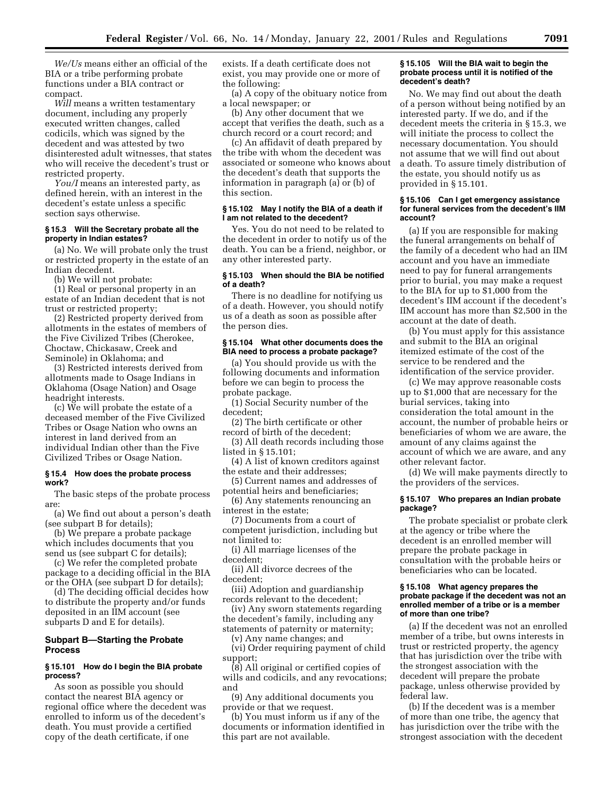*We/Us* means either an official of the BIA or a tribe performing probate functions under a BIA contract or compact.

*Will* means a written testamentary document, including any properly executed written changes, called codicils, which was signed by the decedent and was attested by two disinterested adult witnesses, that states who will receive the decedent's trust or restricted property.

*You/I* means an interested party, as defined herein, with an interest in the decedent's estate unless a specific section says otherwise.

### **§ 15.3 Will the Secretary probate all the property in Indian estates?**

(a) No. We will probate only the trust or restricted property in the estate of an Indian decedent.

(b) We will not probate:

(1) Real or personal property in an estate of an Indian decedent that is not trust or restricted property;

(2) Restricted property derived from allotments in the estates of members of the Five Civilized Tribes (Cherokee, Choctaw, Chickasaw, Creek and Seminole) in Oklahoma; and

(3) Restricted interests derived from allotments made to Osage Indians in Oklahoma (Osage Nation) and Osage headright interests.

(c) We will probate the estate of a deceased member of the Five Civilized Tribes or Osage Nation who owns an interest in land derived from an individual Indian other than the Five Civilized Tribes or Osage Nation.

#### **§ 15.4 How does the probate process work?**

The basic steps of the probate process are:

(a) We find out about a person's death (see subpart B for details);

(b) We prepare a probate package which includes documents that you send us (see subpart C for details);

(c) We refer the completed probate package to a deciding official in the BIA or the OHA (see subpart D for details);

(d) The deciding official decides how to distribute the property and/or funds deposited in an IIM account (see subparts D and E for details).

# **Subpart B—Starting the Probate Process**

### **§ 15.101 How do I begin the BIA probate process?**

As soon as possible you should contact the nearest BIA agency or regional office where the decedent was enrolled to inform us of the decedent's death. You must provide a certified copy of the death certificate, if one

exists. If a death certificate does not exist, you may provide one or more of the following:

(a) A copy of the obituary notice from a local newspaper; or

(b) Any other document that we accept that verifies the death, such as a church record or a court record; and

(c) An affidavit of death prepared by the tribe with whom the decedent was associated or someone who knows about the decedent's death that supports the information in paragraph (a) or (b) of this section.

# **§ 15.102 May I notify the BIA of a death if I am not related to the decedent?**

Yes. You do not need to be related to the decedent in order to notify us of the death. You can be a friend, neighbor, or any other interested party.

### **§ 15.103 When should the BIA be notified of a death?**

There is no deadline for notifying us of a death. However, you should notify us of a death as soon as possible after the person dies.

# **§ 15.104 What other documents does the BIA need to process a probate package?**

(a) You should provide us with the following documents and information before we can begin to process the probate package.

(1) Social Security number of the decedent;

(2) The birth certificate or other record of birth of the decedent;

(3) All death records including those listed in § 15.101;

(4) A list of known creditors against the estate and their addresses;

(5) Current names and addresses of potential heirs and beneficiaries;

(6) Any statements renouncing an interest in the estate;

(7) Documents from a court of competent jurisdiction, including but

not limited to:

(i) All marriage licenses of the decedent;

(ii) All divorce decrees of the decedent;

(iii) Adoption and guardianship records relevant to the decedent;

(iv) Any sworn statements regarding the decedent's family, including any statements of paternity or maternity;

(v) Any name changes; and

(vi) Order requiring payment of child support;

(8) All original or certified copies of wills and codicils, and any revocations; and

(9) Any additional documents you provide or that we request.

(b) You must inform us if any of the documents or information identified in this part are not available.

# **§ 15.105 Will the BIA wait to begin the probate process until it is notified of the decedent's death?**

No. We may find out about the death of a person without being notified by an interested party. If we do, and if the decedent meets the criteria in § 15.3, we will initiate the process to collect the necessary documentation. You should not assume that we will find out about a death. To assure timely distribution of the estate, you should notify us as provided in § 15.101.

#### **§ 15.106 Can I get emergency assistance for funeral services from the decedent's IIM account?**

(a) If you are responsible for making the funeral arrangements on behalf of the family of a decedent who had an IIM account and you have an immediate need to pay for funeral arrangements prior to burial, you may make a request to the BIA for up to \$1,000 from the decedent's IIM account if the decedent's IIM account has more than \$2,500 in the account at the date of death.

(b) You must apply for this assistance and submit to the BIA an original itemized estimate of the cost of the service to be rendered and the identification of the service provider.

(c) We may approve reasonable costs up to \$1,000 that are necessary for the burial services, taking into consideration the total amount in the account, the number of probable heirs or beneficiaries of whom we are aware, the amount of any claims against the account of which we are aware, and any other relevant factor.

(d) We will make payments directly to the providers of the services.

#### **§ 15.107 Who prepares an Indian probate package?**

The probate specialist or probate clerk at the agency or tribe where the decedent is an enrolled member will prepare the probate package in consultation with the probable heirs or beneficiaries who can be located.

#### **§ 15.108 What agency prepares the probate package if the decedent was not an enrolled member of a tribe or is a member of more than one tribe?**

(a) If the decedent was not an enrolled member of a tribe, but owns interests in trust or restricted property, the agency that has jurisdiction over the tribe with the strongest association with the decedent will prepare the probate package, unless otherwise provided by federal law.

(b) If the decedent was is a member of more than one tribe, the agency that has jurisdiction over the tribe with the strongest association with the decedent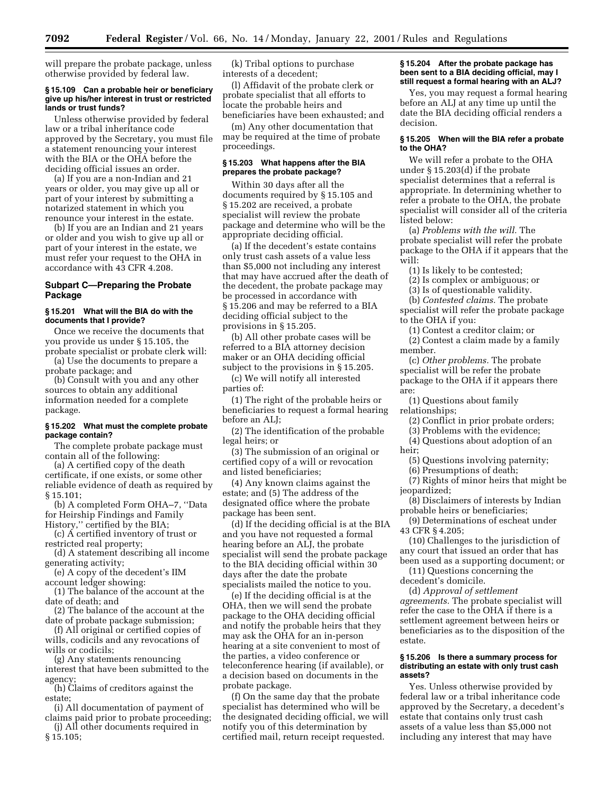will prepare the probate package, unless otherwise provided by federal law.

### **§ 15.109 Can a probable heir or beneficiary give up his/her interest in trust or restricted lands or trust funds?**

Unless otherwise provided by federal law or a tribal inheritance code approved by the Secretary, you must file a statement renouncing your interest with the BIA or the OHA before the deciding official issues an order.

(a) If you are a non-Indian and 21 years or older, you may give up all or part of your interest by submitting a notarized statement in which you renounce your interest in the estate.

(b) If you are an Indian and 21 years or older and you wish to give up all or part of your interest in the estate, we must refer your request to the OHA in accordance with 43 CFR 4.208.

# **Subpart C—Preparing the Probate Package**

## **§ 15.201 What will the BIA do with the documents that I provide?**

Once we receive the documents that you provide us under § 15.105, the probate specialist or probate clerk will:

(a) Use the documents to prepare a probate package; and

(b) Consult with you and any other sources to obtain any additional information needed for a complete package.

# **§ 15.202 What must the complete probate package contain?**

The complete probate package must contain all of the following:

(a) A certified copy of the death certificate, if one exists, or some other reliable evidence of death as required by § 15.101;

(b) A completed Form OHA–7, ''Data for Heirship Findings and Family History,'' certified by the BIA;

(c) A certified inventory of trust or restricted real property;

(d) A statement describing all income generating activity;

(e) A copy of the decedent's IIM account ledger showing:

(1) The balance of the account at the date of death; and

(2) The balance of the account at the date of probate package submission;

(f) All original or certified copies of wills, codicils and any revocations of wills or codicils;

(g) Any statements renouncing interest that have been submitted to the agency;

(h) Claims of creditors against the estate;

(i) All documentation of payment of claims paid prior to probate proceeding;

(j) All other documents required in § 15.105;

(k) Tribal options to purchase interests of a decedent;

(l) Affidavit of the probate clerk or probate specialist that all efforts to locate the probable heirs and beneficiaries have been exhausted; and

(m) Any other documentation that may be required at the time of probate proceedings.

# **§ 15.203 What happens after the BIA prepares the probate package?**

Within 30 days after all the documents required by § 15.105 and § 15.202 are received, a probate specialist will review the probate package and determine who will be the appropriate deciding official.

(a) If the decedent's estate contains only trust cash assets of a value less than \$5,000 not including any interest that may have accrued after the death of the decedent, the probate package may be processed in accordance with § 15.206 and may be referred to a BIA deciding official subject to the provisions in § 15.205.

(b) All other probate cases will be referred to a BIA attorney decision maker or an OHA deciding official subject to the provisions in § 15.205.

(c) We will notify all interested parties of:

(1) The right of the probable heirs or beneficiaries to request a formal hearing before an ALJ;

(2) The identification of the probable legal heirs; or

(3) The submission of an original or certified copy of a will or revocation and listed beneficiaries;

(4) Any known claims against the estate; and (5) The address of the designated office where the probate package has been sent.

(d) If the deciding official is at the BIA and you have not requested a formal hearing before an ALJ, the probate specialist will send the probate package to the BIA deciding official within 30 days after the date the probate specialists mailed the notice to you.

(e) If the deciding official is at the OHA, then we will send the probate package to the OHA deciding official and notify the probable heirs that they may ask the OHA for an in-person hearing at a site convenient to most of the parties, a video conference or teleconference hearing (if available), or a decision based on documents in the probate package.

(f) On the same day that the probate specialist has determined who will be the designated deciding official, we will notify you of this determination by certified mail, return receipt requested.

### **§ 15.204 After the probate package has been sent to a BIA deciding official, may I still request a formal hearing with an ALJ?**

Yes, you may request a formal hearing before an ALJ at any time up until the date the BIA deciding official renders a decision.

### **§ 15.205 When will the BIA refer a probate to the OHA?**

We will refer a probate to the OHA under § 15.203(d) if the probate specialist determines that a referral is appropriate. In determining whether to refer a probate to the OHA, the probate specialist will consider all of the criteria listed below:

(a) *Problems with the will.* The probate specialist will refer the probate package to the OHA if it appears that the will:

(1) Is likely to be contested;

(2) Is complex or ambiguous; or

(3) Is of questionable validity.

(b) *Contested claims.* The probate specialist will refer the probate package to the OHA if you:

(1) Contest a creditor claim; or

(2) Contest a claim made by a family member.

(c) *Other problems.* The probate specialist will be refer the probate package to the OHA if it appears there are:

(1) Questions about family relationships;

(2) Conflict in prior probate orders;

(3) Problems with the evidence;

(4) Questions about adoption of an heir;

(5) Questions involving paternity;

(6) Presumptions of death;

(7) Rights of minor heirs that might be jeopardized;

(8) Disclaimers of interests by Indian probable heirs or beneficiaries;

(9) Determinations of escheat under 43 CFR § 4.205;

(10) Challenges to the jurisdiction of any court that issued an order that has been used as a supporting document; or

(11) Questions concerning the decedent's domicile.

(d) *Approval of settlement agreements.* The probate specialist will refer the case to the OHA if there is a settlement agreement between heirs or beneficiaries as to the disposition of the estate.

# **§ 15.206 Is there a summary process for distributing an estate with only trust cash assets?**

Yes. Unless otherwise provided by federal law or a tribal inheritance code approved by the Secretary, a decedent's estate that contains only trust cash assets of a value less than \$5,000 not including any interest that may have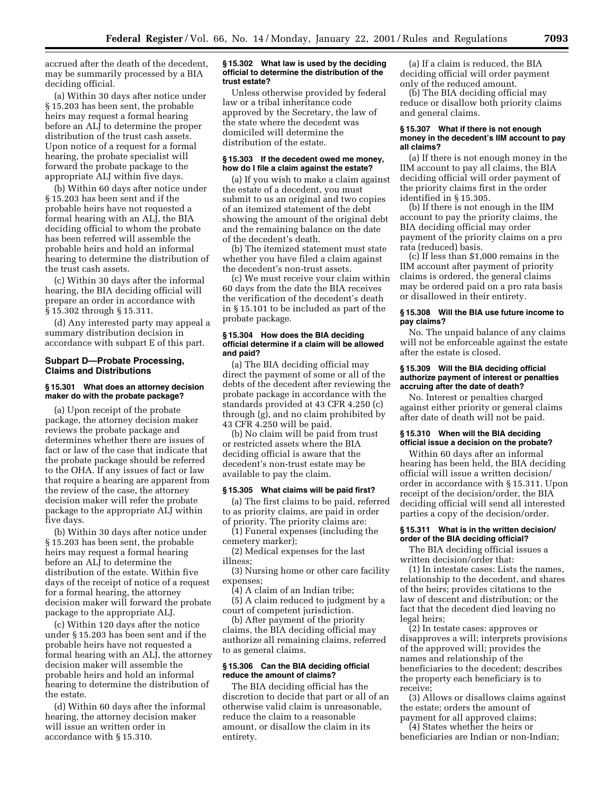accrued after the death of the decedent, may be summarily processed by a BIA deciding official.

(a) Within 30 days after notice under § 15.203 has been sent, the probable heirs may request a formal hearing before an ALJ to determine the proper distribution of the trust cash assets. Upon notice of a request for a formal hearing, the probate specialist will forward the probate package to the appropriate ALJ within five days.

(b) Within 60 days after notice under § 15.203 has been sent and if the probable heirs have not requested a formal hearing with an ALJ, the BIA deciding official to whom the probate has been referred will assemble the probable heirs and hold an informal hearing to determine the distribution of the trust cash assets.

(c) Within 30 days after the informal hearing, the BIA deciding official will prepare an order in accordance with § 15.302 through § 15.311.

(d) Any interested party may appeal a summary distribution decision in accordance with subpart E of this part.

### **Subpart D—Probate Processing, Claims and Distributions**

### **§ 15.301 What does an attorney decision maker do with the probate package?**

(a) Upon receipt of the probate package, the attorney decision maker reviews the probate package and determines whether there are issues of fact or law of the case that indicate that the probate package should be referred to the OHA. If any issues of fact or law that require a hearing are apparent from the review of the case, the attorney decision maker will refer the probate package to the appropriate ALJ within five days.

(b) Within 30 days after notice under § 15.203 has been sent, the probable heirs may request a formal hearing before an ALJ to determine the distribution of the estate. Within five days of the receipt of notice of a request for a formal hearing, the attorney decision maker will forward the probate package to the appropriate ALJ.

(c) Within 120 days after the notice under § 15.203 has been sent and if the probable heirs have not requested a formal hearing with an ALJ, the attorney decision maker will assemble the probable heirs and hold an informal hearing to determine the distribution of the estate.

(d) Within 60 days after the informal hearing, the attorney decision maker will issue an written order in accordance with § 15.310.

### **§ 15.302 What law is used by the deciding official to determine the distribution of the trust estate?**

Unless otherwise provided by federal law or a tribal inheritance code approved by the Secretary, the law of the state where the decedent was domiciled will determine the distribution of the estate.

# **§ 15.303 If the decedent owed me money, how do I file a claim against the estate?**

(a) If you wish to make a claim against the estate of a decedent, you must submit to us an original and two copies of an itemized statement of the debt showing the amount of the original debt and the remaining balance on the date of the decedent's death.

(b) The itemized statement must state whether you have filed a claim against the decedent's non-trust assets.

(c) We must receive your claim within 60 days from the date the BIA receives the verification of the decedent's death in § 15.101 to be included as part of the probate package.

### **§ 15.304 How does the BIA deciding official determine if a claim will be allowed and paid?**

(a) The BIA deciding official may direct the payment of some or all of the debts of the decedent after reviewing the probate package in accordance with the standards provided at 43 CFR 4.250 (c) through (g), and no claim prohibited by 43 CFR 4.250 will be paid.

(b) No claim will be paid from trust or restricted assets where the BIA deciding official is aware that the decedent's non-trust estate may be available to pay the claim.

# **§ 15.305 What claims will be paid first?**

(a) The first claims to be paid, referred to as priority claims, are paid in order of priority. The priority claims are:

(1) Funeral expenses (including the cemetery marker);

(2) Medical expenses for the last illness;

(3) Nursing home or other care facility expenses;

(4) A claim of an Indian tribe;

(5) A claim reduced to judgment by a court of competent jurisdiction.

(b) After payment of the priority claims, the BIA deciding official may authorize all remaining claims, referred to as general claims.

# **§ 15.306 Can the BIA deciding official reduce the amount of claims?**

The BIA deciding official has the discretion to decide that part or all of an otherwise valid claim is unreasonable, reduce the claim to a reasonable amount, or disallow the claim in its entirety.

(a) If a claim is reduced, the BIA deciding official will order payment only of the reduced amount.

(b) The BIA deciding official may reduce or disallow both priority claims and general claims.

#### **§ 15.307 What if there is not enough money in the decedent's IIM account to pay all claims?**

(a) If there is not enough money in the IIM account to pay all claims, the BIA deciding official will order payment of the priority claims first in the order identified in § 15.305.

(b) If there is not enough in the IIM account to pay the priority claims, the BIA deciding official may order payment of the priority claims on a pro rata (reduced) basis.

(c) If less than \$1,000 remains in the IIM account after payment of priority claims is ordered, the general claims may be ordered paid on a pro rata basis or disallowed in their entirety.

# **§ 15.308 Will the BIA use future income to pay claims?**

No. The unpaid balance of any claims will not be enforceable against the estate after the estate is closed.

## **§ 15.309 Will the BIA deciding official authorize payment of interest or penalties accruing after the date of death?**

No. Interest or penalties charged against either priority or general claims after date of death will not be paid.

# **§ 15.310 When will the BIA deciding official issue a decision on the probate?**

Within 60 days after an informal hearing has been held, the BIA deciding official will issue a written decision/ order in accordance with § 15.311. Upon receipt of the decision/order, the BIA deciding official will send all interested parties a copy of the decision/order.

# **§ 15.311 What is in the written decision/ order of the BIA deciding official?**

The BIA deciding official issues a written decision/order that:

(1) In intestate cases: Lists the names, relationship to the decedent, and shares of the heirs; provides citations to the law of descent and distribution; or the fact that the decedent died leaving no legal heirs;

(2) In testate cases: approves or disapproves a will; interprets provisions of the approved will; provides the names and relationship of the beneficiaries to the decedent; describes the property each beneficiary is to receive;

(3) Allows or disallows claims against the estate; orders the amount of payment for all approved claims;

(4) States whether the heirs or beneficiaries are Indian or non-Indian;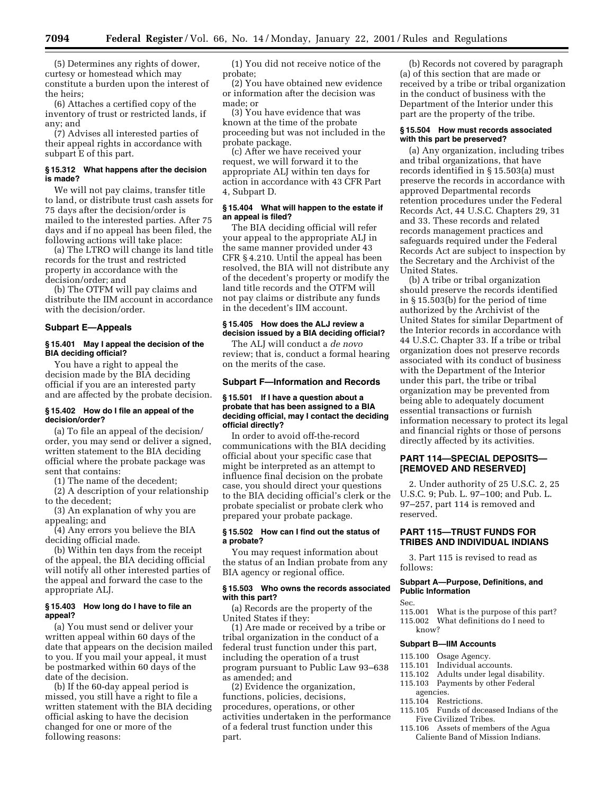(5) Determines any rights of dower, curtesy or homestead which may constitute a burden upon the interest of the heirs;

(6) Attaches a certified copy of the inventory of trust or restricted lands, if any; and

(7) Advises all interested parties of their appeal rights in accordance with subpart E of this part.

### **§ 15.312 What happens after the decision is made?**

We will not pay claims, transfer title to land, or distribute trust cash assets for 75 days after the decision/order is mailed to the interested parties. After 75 days and if no appeal has been filed, the following actions will take place:

(a) The LTRO will change its land title records for the trust and restricted property in accordance with the decision/order; and

(b) The OTFM will pay claims and distribute the IIM account in accordance with the decision/order.

# **Subpart E—Appeals**

# **§ 15.401 May I appeal the decision of the BIA deciding official?**

You have a right to appeal the decision made by the BIA deciding official if you are an interested party and are affected by the probate decision.

# **§ 15.402 How do I file an appeal of the decision/order?**

(a) To file an appeal of the decision/ order, you may send or deliver a signed, written statement to the BIA deciding official where the probate package was sent that contains:

(1) The name of the decedent;

(2) A description of your relationship to the decedent;

(3) An explanation of why you are appealing; and

(4) Any errors you believe the BIA deciding official made.

(b) Within ten days from the receipt of the appeal, the BIA deciding official will notify all other interested parties of the appeal and forward the case to the appropriate ALJ.

# **§ 15.403 How long do I have to file an appeal?**

(a) You must send or deliver your written appeal within 60 days of the date that appears on the decision mailed to you. If you mail your appeal, it must be postmarked within 60 days of the date of the decision.

(b) If the 60-day appeal period is missed, you still have a right to file a written statement with the BIA deciding official asking to have the decision changed for one or more of the following reasons:

(1) You did not receive notice of the probate;

(2) You have obtained new evidence or information after the decision was made; or

(3) You have evidence that was known at the time of the probate proceeding but was not included in the probate package.

(c) After we have received your request, we will forward it to the appropriate ALJ within ten days for action in accordance with 43 CFR Part 4, Subpart D.

# **§ 15.404 What will happen to the estate if an appeal is filed?**

The BIA deciding official will refer your appeal to the appropriate ALJ in the same manner provided under 43 CFR § 4.210. Until the appeal has been resolved, the BIA will not distribute any of the decedent's property or modify the land title records and the OTFM will not pay claims or distribute any funds in the decedent's IIM account.

# **§ 15.405 How does the ALJ review a decision issued by a BIA deciding official?**

The ALJ will conduct a *de novo* review; that is, conduct a formal hearing on the merits of the case.

#### **Subpart F—Information and Records**

### **§ 15.501 If I have a question about a probate that has been assigned to a BIA deciding official, may I contact the deciding official directly?**

In order to avoid off-the-record communications with the BIA deciding official about your specific case that might be interpreted as an attempt to influence final decision on the probate case, you should direct your questions to the BIA deciding official's clerk or the probate specialist or probate clerk who prepared your probate package.

# **§ 15.502 How can I find out the status of a probate?**

You may request information about the status of an Indian probate from any BIA agency or regional office.

### **§ 15.503 Who owns the records associated with this part?**

(a) Records are the property of the United States if they:

(1) Are made or received by a tribe or tribal organization in the conduct of a federal trust function under this part, including the operation of a trust program pursuant to Public Law 93–638 as amended; and

(2) Evidence the organization, functions, policies, decisions, procedures, operations, or other activities undertaken in the performance of a federal trust function under this part.

(b) Records not covered by paragraph (a) of this section that are made or received by a tribe or tribal organization in the conduct of business with the Department of the Interior under this part are the property of the tribe.

# **§ 15.504 How must records associated with this part be preserved?**

(a) Any organization, including tribes and tribal organizations, that have records identified in § 15.503(a) must preserve the records in accordance with approved Departmental records retention procedures under the Federal Records Act, 44 U.S.C. Chapters 29, 31 and 33. These records and related records management practices and safeguards required under the Federal Records Act are subject to inspection by the Secretary and the Archivist of the United States.

(b) A tribe or tribal organization should preserve the records identified in § 15.503(b) for the period of time authorized by the Archivist of the United States for similar Department of the Interior records in accordance with 44 U.S.C. Chapter 33. If a tribe or tribal organization does not preserve records associated with its conduct of business with the Department of the Interior under this part, the tribe or tribal organization may be prevented from being able to adequately document essential transactions or furnish information necessary to protect its legal and financial rights or those of persons directly affected by its activities.

# **PART 114—SPECIAL DEPOSITS— [REMOVED AND RESERVED]**

2. Under authority of 25 U.S.C. 2, 25 U.S.C. 9; Pub. L. 97–100; and Pub. L. 97–257, part 114 is removed and reserved.

# **PART 115—TRUST FUNDS FOR TRIBES AND INDIVIDUAL INDIANS**

3. Part 115 is revised to read as follows:

### **Subpart A—Purpose, Definitions, and Public Information**

# Sec.

- 115.001 What is the purpose of this part? 115.002 What definitions do I need to
	- know?

# **Subpart B—IIM Accounts**

- 115.100 Osage Agency.<br>115.101 Individual acco
- 115.101 Individual accounts.<br>115.102 Adults under legal d
- 115.102 Adults under legal disability.<br>115.103 Payments by other Federal Payments by other Federal
- agencies.
- 115.104 Restrictions.
- 115.105 Funds of deceased Indians of the Five Civilized Tribes.
- 115.106 Assets of members of the Agua Caliente Band of Mission Indians.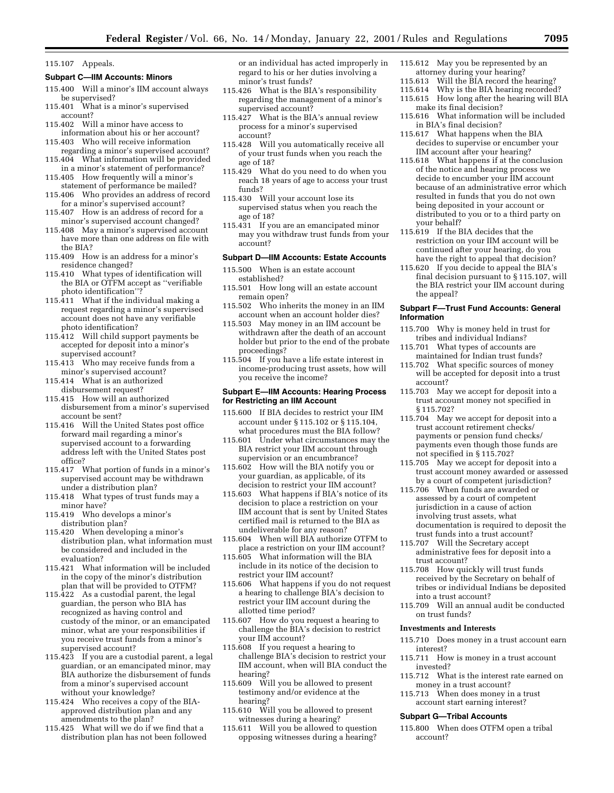#### 115.107 Appeals.

#### **Subpart C—IIM Accounts: Minors**

- 115.400 Will a minor's IIM account always be supervised?
- 115.401 What is a minor's supervised account?
- 115.402 Will a minor have access to information about his or her account?
- 115.403 Who will receive information regarding a minor's supervised account?
- 115.404 What information will be provided in a minor's statement of performance?
- 115.405 How frequently will a minor's statement of performance be mailed?
- 115.406 Who provides an address of record
- for a minor's supervised account? 115.407 How is an address of record for a minor's supervised account changed?
- 115.408 May a minor's supervised account have more than one address on file with the BIA?
- 115.409 How is an address for a minor's residence changed?
- 115.410 What types of identification will the BIA or OTFM accept as "verifiable photo identification''?
- 115.411 What if the individual making a request regarding a minor's supervised account does not have any verifiable photo identification?
- 115.412 Will child support payments be accepted for deposit into a minor's supervised account?
- 115.413 Who may receive funds from a minor's supervised account?
- 115.414 What is an authorized disbursement request?
- 115.415 How will an authorized disbursement from a minor's supervised account be sent?
- 115.416 Will the United States post office forward mail regarding a minor's supervised account to a forwarding address left with the United States post office?
- 115.417 What portion of funds in a minor's supervised account may be withdrawn under a distribution plan?
- 115.418 What types of trust funds may a minor have?
- 115.419 Who develops a minor's distribution plan?
- 115.420 When developing a minor's distribution plan, what information must be considered and included in the evaluation?
- 115.421 What information will be included in the copy of the minor's distribution plan that will be provided to OTFM?
- 115.422 As a custodial parent, the legal guardian, the person who BIA has recognized as having control and custody of the minor, or an emancipated minor, what are your responsibilities if you receive trust funds from a minor's supervised account?
- 115.423 If you are a custodial parent, a legal guardian, or an emancipated minor, may BIA authorize the disbursement of funds from a minor's supervised account without your knowledge?
- 115.424 Who receives a copy of the BIAapproved distribution plan and any amendments to the plan?
- 115.425 What will we do if we find that a distribution plan has not been followed

or an individual has acted improperly in regard to his or her duties involving a minor's trust funds?

- 115.426 What is the BIA's responsibility regarding the management of a minor's supervised account?
- 115.427 What is the BIA's annual review process for a minor's supervised account?
- 115.428 Will you automatically receive all of your trust funds when you reach the age of 18?
- 115.429 What do you need to do when you reach 18 years of age to access your trust funds?
- 115.430 Will your account lose its supervised status when you reach the age of 18?
- 115.431 If you are an emancipated minor may you withdraw trust funds from your account?

#### **Subpart D—IIM Accounts: Estate Accounts**

- 115.500 When is an estate account established?
- 115.501 How long will an estate account remain open?
- 115.502 Who inherits the money in an IIM account when an account holder dies?
- 115.503 May money in an IIM account be withdrawn after the death of an account holder but prior to the end of the probate proceedings?
- 115.504 If you have a life estate interest in income-producing trust assets, how will you receive the income?

# **Subpart E—IIM Accounts: Hearing Process for Restricting an IIM Account**

- 115.600 If BIA decides to restrict your IIM account under § 115.102 or § 115.104, what procedures must the BIA follow?
- 115.601 Under what circumstances may the BIA restrict your IIM account through supervision or an encumbrance?
- 115.602 How will the BIA notify you or your guardian, as applicable, of its decision to restrict your IIM account?
- 115.603 What happens if BIA's notice of its decision to place a restriction on your IIM account that is sent by United States certified mail is returned to the BIA as undeliverable for any reason?
- 115.604 When will BIA authorize OTFM to place a restriction on your IIM account?
- 115.605 What information will the BIA include in its notice of the decision to restrict your IIM account?
- 115.606 What happens if you do not request a hearing to challenge BIA's decision to restrict your IIM account during the allotted time period?
- 115.607 How do you request a hearing to challenge the BIA's decision to restrict your IIM account?
- 115.608 If you request a hearing to challenge BIA's decision to restrict your IIM account, when will BIA conduct the hearing?
- 115.609 Will you be allowed to present testimony and/or evidence at the hearing?
- 115.610 Will you be allowed to present witnesses during a hearing?
- 115.611 Will you be allowed to question opposing witnesses during a hearing?
- 115.612 May you be represented by an
- attorney during your hearing?<br>115.613 Will the BIA record the 115.613 Will the BIA record the hearing?<br>115.614 Why is the BIA hearing recorded
- Why is the BIA hearing recorded?
- 115.615 How long after the hearing will BIA make its final decision?
- 115.616 What information will be included in BIA's final decision?
- 115.617 What happens when the BIA decides to supervise or encumber your IIM account after your hearing?
- 115.618 What happens if at the conclusion of the notice and hearing process we decide to encumber your IIM account because of an administrative error which resulted in funds that you do not own being deposited in your account or distributed to you or to a third party on your behalf?
- 115.619 If the BIA decides that the restriction on your IIM account will be continued after your hearing, do you have the right to appeal that decision?
- 115.620 If you decide to appeal the BIA's final decision pursuant to § 115.107, will the BIA restrict your IIM account during the appeal?

#### **Subpart F—Trust Fund Accounts: General Information**

- 115.700 Why is money held in trust for tribes and individual Indians?
- 115.701 What types of accounts are maintained for Indian trust funds?
- 115.702 What specific sources of money will be accepted for deposit into a trust account?
- 115.703 May we accept for deposit into a trust account money not specified in § 115.702?
- 115.704 May we accept for deposit into a trust account retirement checks/ payments or pension fund checks/ payments even though those funds are not specified in § 115.702?
- 115.705 May we accept for deposit into a trust account money awarded or assessed by a court of competent jurisdiction?
- 115.706 When funds are awarded or assessed by a court of competent jurisdiction in a cause of action involving trust assets, what documentation is required to deposit the trust funds into a trust account?
- 115.707 Will the Secretary accept administrative fees for deposit into a trust account?
- 115.708 How quickly will trust funds received by the Secretary on behalf of tribes or individual Indians be deposited into a trust account?
- 115.709 Will an annual audit be conducted on trust funds?

#### **Investments and Interests**

- 115.710 Does money in a trust account earn interest?
- 115.711 How is money in a trust account invested?
- 115.712 What is the interest rate earned on money in a trust account?
- 115.713 When does money in a trust account start earning interest?

### **Subpart G—Tribal Accounts**

115.800 When does OTFM open a tribal account?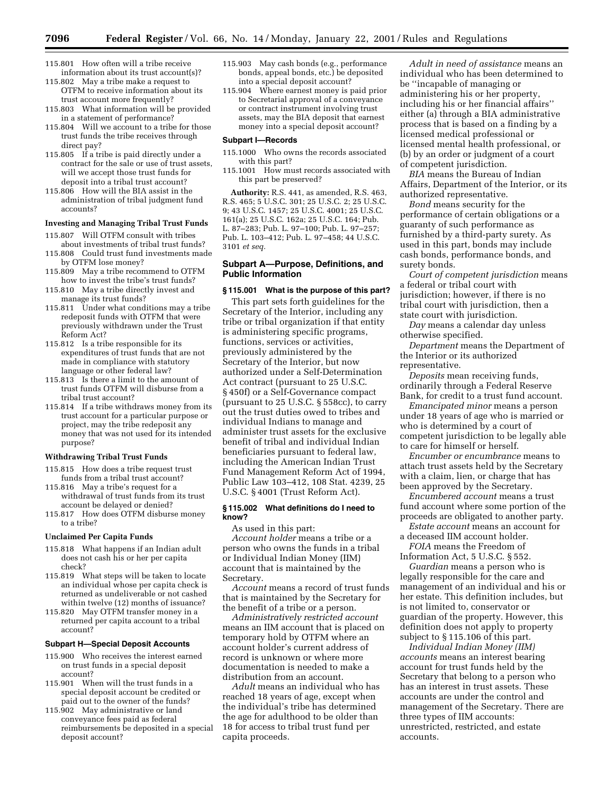- 115.801 How often will a tribe receive information about its trust account(s)?
- 115.802 May a tribe make a request to OTFM to receive information about its trust account more frequently?
- 115.803 What information will be provided in a statement of performance?
- 115.804 Will we account to a tribe for those trust funds the tribe receives through direct pay?
- 115.805 If a tribe is paid directly under a contract for the sale or use of trust assets, will we accept those trust funds for deposit into a tribal trust account?
- 115.806 How will the BIA assist in the administration of tribal judgment fund accounts?

### **Investing and Managing Tribal Trust Funds**

- 115.807 Will OTFM consult with tribes about investments of tribal trust funds?
- 115.808 Could trust fund investments made by OTFM lose money?
- 115.809 May a tribe recommend to OTFM how to invest the tribe's trust funds?
- 115.810 May a tribe directly invest and manage its trust funds?
- 115.811 Under what conditions may a tribe redeposit funds with OTFM that were previously withdrawn under the Trust Reform Act?
- 115.812 Is a tribe responsible for its expenditures of trust funds that are not made in compliance with statutory language or other federal law?
- 115.813 Is there a limit to the amount of trust funds OTFM will disburse from a tribal trust account?
- 115.814 If a tribe withdraws money from its trust account for a particular purpose or project, may the tribe redeposit any money that was not used for its intended purpose?

# **Withdrawing Tribal Trust Funds**

- 115.815 How does a tribe request trust funds from a tribal trust account?
- 115.816 May a tribe's request for a withdrawal of trust funds from its trust account be delayed or denied?
- 115.817 How does OTFM disburse money to a tribe?

#### **Unclaimed Per Capita Funds**

- 115.818 What happens if an Indian adult does not cash his or her per capita check?
- 115.819 What steps will be taken to locate an individual whose per capita check is returned as undeliverable or not cashed within twelve (12) months of issuance?
- 115.820 May OTFM transfer money in a returned per capita account to a tribal account?

#### **Subpart H—Special Deposit Accounts**

- 115.900 Who receives the interest earned on trust funds in a special deposit account?
- 115.901 When will the trust funds in a special deposit account be credited or paid out to the owner of the funds?
- 115.902 May administrative or land conveyance fees paid as federal reimbursements be deposited in a special deposit account?
- 115.903 May cash bonds (e.g., performance bonds, appeal bonds, etc.) be deposited into a special deposit account?
- 115.904 Where earnest money is paid prior to Secretarial approval of a conveyance or contract instrument involving trust assets, may the BIA deposit that earnest money into a special deposit account?

#### **Subpart I—Records**

- 115.1000 Who owns the records associated with this part?
- 115.1001 How must records associated with this part be preserved?

**Authority:** R.S. 441, as amended, R.S. 463, R.S. 465; 5 U.S.C. 301; 25 U.S.C. 2; 25 U.S.C. 9; 43 U.S.C. 1457; 25 U.S.C. 4001; 25 U.S.C. 161(a); 25 U.S.C. 162a; 25 U.S.C. 164; Pub. L. 87–283; Pub. L. 97–100; Pub. L. 97–257; Pub. L. 103–412; Pub. L. 97–458; 44 U.S.C. 3101 *et seq.*

# **Subpart A—Purpose, Definitions, and Public Information**

# **§ 115.001 What is the purpose of this part?**

This part sets forth guidelines for the Secretary of the Interior, including any tribe or tribal organization if that entity is administering specific programs, functions, services or activities, previously administered by the Secretary of the Interior, but now authorized under a Self-Determination Act contract (pursuant to 25 U.S.C. § 450f) or a Self-Governance compact (pursuant to 25 U.S.C. § 558cc), to carry out the trust duties owed to tribes and individual Indians to manage and administer trust assets for the exclusive benefit of tribal and individual Indian beneficiaries pursuant to federal law, including the American Indian Trust Fund Management Reform Act of 1994, Public Law 103–412, 108 Stat. 4239, 25 U.S.C. § 4001 (Trust Reform Act).

#### **§ 115.002 What definitions do I need to know?**

As used in this part:

*Account holder* means a tribe or a person who owns the funds in a tribal or Individual Indian Money (IIM) account that is maintained by the Secretary.

*Account* means a record of trust funds that is maintained by the Secretary for the benefit of a tribe or a person.

*Administratively restricted account* means an IIM account that is placed on temporary hold by OTFM where an account holder's current address of record is unknown or where more documentation is needed to make a distribution from an account.

*Adult* means an individual who has reached 18 years of age, except when the individual's tribe has determined the age for adulthood to be older than 18 for access to tribal trust fund per capita proceeds.

*Adult in need of assistance* means an individual who has been determined to be ''incapable of managing or administering his or her property, including his or her financial affairs'' either (a) through a BIA administrative process that is based on a finding by a licensed medical professional or licensed mental health professional, or (b) by an order or judgment of a court of competent jurisdiction.

*BIA* means the Bureau of Indian Affairs, Department of the Interior, or its authorized representative.

*Bond* means security for the performance of certain obligations or a guaranty of such performance as furnished by a third-party surety. As used in this part, bonds may include cash bonds, performance bonds, and surety bonds.

*Court of competent jurisdiction* means a federal or tribal court with jurisdiction; however, if there is no tribal court with jurisdiction, then a state court with jurisdiction.

*Day* means a calendar day unless otherwise specified.

*Department* means the Department of the Interior or its authorized representative.

*Deposits* mean receiving funds, ordinarily through a Federal Reserve Bank, for credit to a trust fund account.

*Emancipated minor* means a person under 18 years of age who is married or who is determined by a court of competent jurisdiction to be legally able to care for himself or herself.

*Encumber or encumbrance* means to attach trust assets held by the Secretary with a claim, lien, or charge that has been approved by the Secretary.

*Encumbered account* means a trust fund account where some portion of the proceeds are obligated to another party.

*Estate account* means an account for a deceased IIM account holder.

*FOIA* means the Freedom of Information Act, 5 U.S.C. § 552.

*Guardian* means a person who is legally responsible for the care and management of an individual and his or her estate. This definition includes, but is not limited to, conservator or guardian of the property. However, this definition does not apply to property subject to § 115.106 of this part.

*Individual Indian Money (IIM) accounts* means an interest bearing account for trust funds held by the Secretary that belong to a person who has an interest in trust assets. These accounts are under the control and management of the Secretary. There are three types of IIM accounts: unrestricted, restricted, and estate accounts.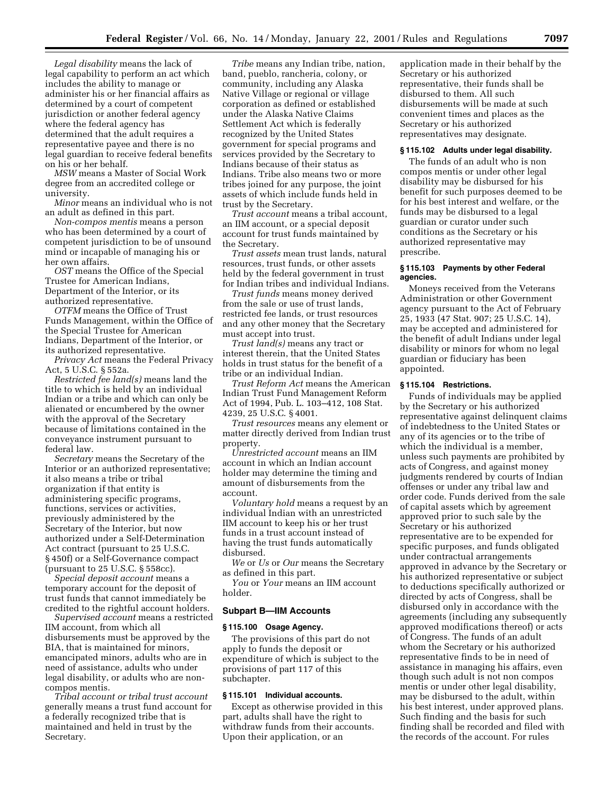*Legal disability* means the lack of legal capability to perform an act which includes the ability to manage or administer his or her financial affairs as determined by a court of competent jurisdiction or another federal agency where the federal agency has determined that the adult requires a representative payee and there is no legal guardian to receive federal benefits on his or her behalf.

*MSW* means a Master of Social Work degree from an accredited college or university.

*Minor* means an individual who is not an adult as defined in this part.

*Non-compos mentis* means a person who has been determined by a court of competent jurisdiction to be of unsound mind or incapable of managing his or her own affairs.

*OST* means the Office of the Special Trustee for American Indians, Department of the Interior, or its authorized representative.

*OTFM* means the Office of Trust Funds Management, within the Office of the Special Trustee for American Indians, Department of the Interior, or its authorized representative.

*Privacy Act* means the Federal Privacy Act, 5 U.S.C. § 552a.

*Restricted fee land(s)* means land the title to which is held by an individual Indian or a tribe and which can only be alienated or encumbered by the owner with the approval of the Secretary because of limitations contained in the conveyance instrument pursuant to federal law.

*Secretary* means the Secretary of the Interior or an authorized representative; it also means a tribe or tribal organization if that entity is administering specific programs, functions, services or activities, previously administered by the Secretary of the Interior, but now authorized under a Self-Determination Act contract (pursuant to 25 U.S.C. § 450f) or a Self-Governance compact (pursuant to 25 U.S.C. § 558cc).

*Special deposit account* means a temporary account for the deposit of trust funds that cannot immediately be credited to the rightful account holders.

*Supervised account* means a restricted IIM account, from which all disbursements must be approved by the BIA, that is maintained for minors, emancipated minors, adults who are in need of assistance, adults who under legal disability, or adults who are noncompos mentis.

*Tribal account or tribal trust account* generally means a trust fund account for a federally recognized tribe that is maintained and held in trust by the Secretary.

*Tribe* means any Indian tribe, nation, band, pueblo, rancheria, colony, or community, including any Alaska Native Village or regional or village corporation as defined or established under the Alaska Native Claims Settlement Act which is federally recognized by the United States government for special programs and services provided by the Secretary to Indians because of their status as Indians. Tribe also means two or more tribes joined for any purpose, the joint assets of which include funds held in trust by the Secretary.

*Trust account* means a tribal account, an IIM account, or a special deposit account for trust funds maintained by the Secretary.

*Trust assets* mean trust lands, natural resources, trust funds, or other assets held by the federal government in trust for Indian tribes and individual Indians.

*Trust funds* means money derived from the sale or use of trust lands, restricted fee lands, or trust resources and any other money that the Secretary must accept into trust.

*Trust land(s)* means any tract or interest therein, that the United States holds in trust status for the benefit of a tribe or an individual Indian.

*Trust Reform Act* means the American Indian Trust Fund Management Reform Act of 1994, Pub. L. 103–412, 108 Stat. 4239, 25 U.S.C. § 4001.

*Trust resources* means any element or matter directly derived from Indian trust property.

*Unrestricted account* means an IIM account in which an Indian account holder may determine the timing and amount of disbursements from the account.

*Voluntary hold* means a request by an individual Indian with an unrestricted IIM account to keep his or her trust funds in a trust account instead of having the trust funds automatically disbursed.

*We* or *Us* or *Our* means the Secretary as defined in this part.

*You* or *Your* means an IIM account holder.

# **Subpart B—IIM Accounts**

# **§ 115.100 Osage Agency.**

The provisions of this part do not apply to funds the deposit or expenditure of which is subject to the provisions of part 117 of this subchapter.

### **§ 115.101 Individual accounts.**

Except as otherwise provided in this part, adults shall have the right to withdraw funds from their accounts. Upon their application, or an

application made in their behalf by the Secretary or his authorized representative, their funds shall be disbursed to them. All such disbursements will be made at such convenient times and places as the Secretary or his authorized representatives may designate.

### **§ 115.102 Adults under legal disability.**

The funds of an adult who is non compos mentis or under other legal disability may be disbursed for his benefit for such purposes deemed to be for his best interest and welfare, or the funds may be disbursed to a legal guardian or curator under such conditions as the Secretary or his authorized representative may prescribe.

### **§ 115.103 Payments by other Federal agencies.**

Moneys received from the Veterans Administration or other Government agency pursuant to the Act of February 25, 1933 (47 Stat. 907; 25 U.S.C. 14), may be accepted and administered for the benefit of adult Indians under legal disability or minors for whom no legal guardian or fiduciary has been appointed.

#### **§ 115.104 Restrictions.**

Funds of individuals may be applied by the Secretary or his authorized representative against delinquent claims of indebtedness to the United States or any of its agencies or to the tribe of which the individual is a member, unless such payments are prohibited by acts of Congress, and against money judgments rendered by courts of Indian offenses or under any tribal law and order code. Funds derived from the sale of capital assets which by agreement approved prior to such sale by the Secretary or his authorized representative are to be expended for specific purposes, and funds obligated under contractual arrangements approved in advance by the Secretary or his authorized representative or subject to deductions specifically authorized or directed by acts of Congress, shall be disbursed only in accordance with the agreements (including any subsequently approved modifications thereof) or acts of Congress. The funds of an adult whom the Secretary or his authorized representative finds to be in need of assistance in managing his affairs, even though such adult is not non compos mentis or under other legal disability, may be disbursed to the adult, within his best interest, under approved plans. Such finding and the basis for such finding shall be recorded and filed with the records of the account. For rules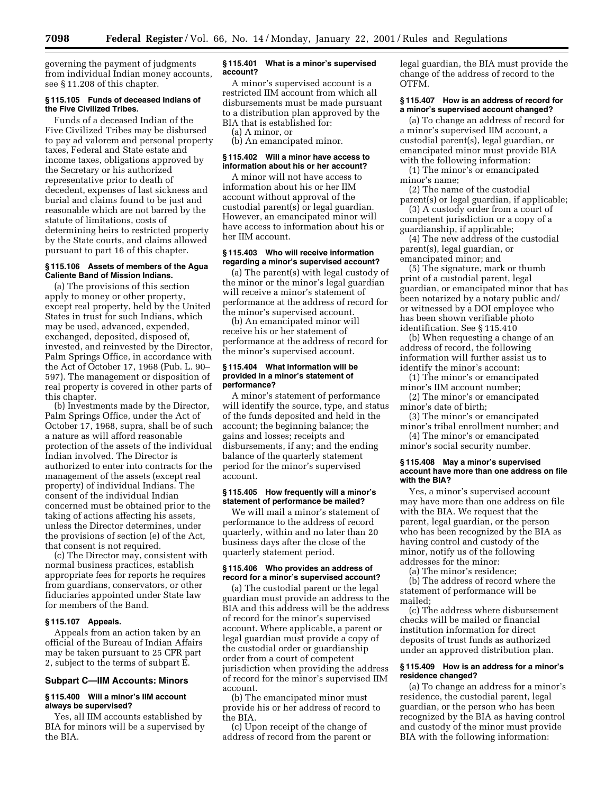governing the payment of judgments from individual Indian money accounts, see § 11.208 of this chapter.

### **§ 115.105 Funds of deceased Indians of the Five Civilized Tribes.**

Funds of a deceased Indian of the Five Civilized Tribes may be disbursed to pay ad valorem and personal property taxes, Federal and State estate and income taxes, obligations approved by the Secretary or his authorized representative prior to death of decedent, expenses of last sickness and burial and claims found to be just and reasonable which are not barred by the statute of limitations, costs of determining heirs to restricted property by the State courts, and claims allowed pursuant to part 16 of this chapter.

### **§ 115.106 Assets of members of the Agua Caliente Band of Mission Indians.**

(a) The provisions of this section apply to money or other property, except real property, held by the United States in trust for such Indians, which may be used, advanced, expended, exchanged, deposited, disposed of, invested, and reinvested by the Director, Palm Springs Office, in accordance with the Act of October 17, 1968 (Pub. L. 90– 597). The management or disposition of real property is covered in other parts of this chapter.

(b) Investments made by the Director, Palm Springs Office, under the Act of October 17, 1968, supra, shall be of such a nature as will afford reasonable protection of the assets of the individual Indian involved. The Director is authorized to enter into contracts for the management of the assets (except real property) of individual Indians. The consent of the individual Indian concerned must be obtained prior to the taking of actions affecting his assets, unless the Director determines, under the provisions of section (e) of the Act, that consent is not required.

(c) The Director may, consistent with normal business practices, establish appropriate fees for reports he requires from guardians, conservators, or other fiduciaries appointed under State law for members of the Band.

### **§ 115.107 Appeals.**

Appeals from an action taken by an official of the Bureau of Indian Affairs may be taken pursuant to 25 CFR part 2, subject to the terms of subpart E.

# **Subpart C—IIM Accounts: Minors**

# **§ 115.400 Will a minor's IIM account always be supervised?**

Yes, all IIM accounts established by BIA for minors will be a supervised by the BIA.

### **§ 115.401 What is a minor's supervised account?**

A minor's supervised account is a restricted IIM account from which all disbursements must be made pursuant to a distribution plan approved by the BIA that is established for:

(a) A minor, or

(b) An emancipated minor.

# **§ 115.402 Will a minor have access to information about his or her account?**

A minor will not have access to information about his or her IIM account without approval of the custodial parent(s) or legal guardian. However, an emancipated minor will have access to information about his or her IIM account.

### **§ 115.403 Who will receive information regarding a minor's supervised account?**

(a) The parent(s) with legal custody of the minor or the minor's legal guardian will receive a minor's statement of performance at the address of record for the minor's supervised account.

(b) An emancipated minor will receive his or her statement of performance at the address of record for the minor's supervised account.

#### **§ 115.404 What information will be provided in a minor's statement of performance?**

A minor's statement of performance will identify the source, type, and status of the funds deposited and held in the account; the beginning balance; the gains and losses; receipts and disbursements, if any; and the ending balance of the quarterly statement period for the minor's supervised account.

### **§ 115.405 How frequently will a minor's statement of performance be mailed?**

We will mail a minor's statement of performance to the address of record quarterly, within and no later than 20 business days after the close of the quarterly statement period.

### **§ 115.406 Who provides an address of record for a minor's supervised account?**

(a) The custodial parent or the legal guardian must provide an address to the BIA and this address will be the address of record for the minor's supervised account. Where applicable, a parent or legal guardian must provide a copy of the custodial order or guardianship order from a court of competent jurisdiction when providing the address of record for the minor's supervised IIM account.

(b) The emancipated minor must provide his or her address of record to the BIA.

(c) Upon receipt of the change of address of record from the parent or legal guardian, the BIA must provide the change of the address of record to the OTFM.

# **§ 115.407 How is an address of record for a minor's supervised account changed?**

(a) To change an address of record for a minor's supervised IIM account, a custodial parent(s), legal guardian, or emancipated minor must provide BIA with the following information:

(1) The minor's or emancipated minor's name;

(2) The name of the custodial parent(s) or legal guardian, if applicable;

(3) A custody order from a court of competent jurisdiction or a copy of a guardianship, if applicable;

(4) The new address of the custodial parent(s), legal guardian, or emancipated minor; and

(5) The signature, mark or thumb print of a custodial parent, legal guardian, or emancipated minor that has been notarized by a notary public and/ or witnessed by a DOI employee who has been shown verifiable photo identification. See § 115.410

(b) When requesting a change of an address of record, the following information will further assist us to identify the minor's account:

(1) The minor's or emancipated minor's IIM account number;

(2) The minor's or emancipated minor's date of birth;

(3) The minor's or emancipated minor's tribal enrollment number; and

(4) The minor's or emancipated minor's social security number.

### **§ 115.408 May a minor's supervised account have more than one address on file with the BIA?**

Yes, a minor's supervised account may have more than one address on file with the BIA. We request that the parent, legal guardian, or the person who has been recognized by the BIA as having control and custody of the minor, notify us of the following addresses for the minor:

(a) The minor's residence;

(b) The address of record where the statement of performance will be mailed;

(c) The address where disbursement checks will be mailed or financial institution information for direct deposits of trust funds as authorized under an approved distribution plan.

# **§ 115.409 How is an address for a minor's residence changed?**

(a) To change an address for a minor's residence, the custodial parent, legal guardian, or the person who has been recognized by the BIA as having control and custody of the minor must provide BIA with the following information: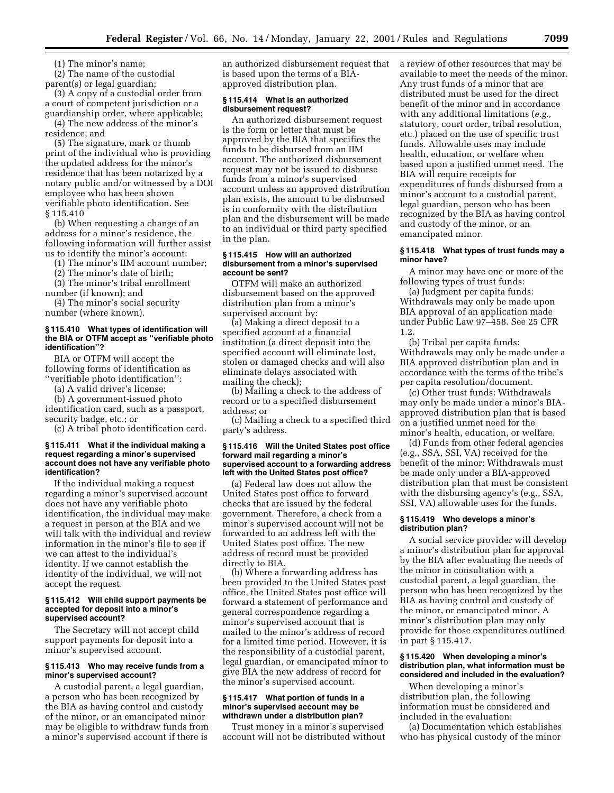(1) The minor's name;

(2) The name of the custodial parent(s) or legal guardian;

(3) A copy of a custodial order from a court of competent jurisdiction or a guardianship order, where applicable;

(4) The new address of the minor's residence; and

(5) The signature, mark or thumb print of the individual who is providing the updated address for the minor's residence that has been notarized by a notary public and/or witnessed by a DOI employee who has been shown verifiable photo identification. See § 115.410

(b) When requesting a change of an address for a minor's residence, the following information will further assist us to identify the minor's account:

(1) The minor's IIM account number;

(2) The minor's date of birth;

(3) The minor's tribal enrollment number (if known); and

(4) The minor's social security number (where known).

# **§ 115.410 What types of identification will the BIA or OTFM accept as ''verifiable photo identification''?**

BIA or OTFM will accept the following forms of identification as ''verifiable photo identification'':

(a) A valid driver's license;

(b) A government-issued photo identification card, such as a passport, security badge, etc.; or

(c) A tribal photo identification card.

# **§ 115.411 What if the individual making a request regarding a minor's supervised account does not have any verifiable photo identification?**

If the individual making a request regarding a minor's supervised account does not have any verifiable photo identification, the individual may make a request in person at the BIA and we will talk with the individual and review information in the minor's file to see if we can attest to the individual's identity. If we cannot establish the identity of the individual, we will not accept the request.

#### **§ 115.412 Will child support payments be accepted for deposit into a minor's supervised account?**

The Secretary will not accept child support payments for deposit into a minor's supervised account.

### **§ 115.413 Who may receive funds from a minor's supervised account?**

A custodial parent, a legal guardian, a person who has been recognized by the BIA as having control and custody of the minor, or an emancipated minor may be eligible to withdraw funds from a minor's supervised account if there is

an authorized disbursement request that is based upon the terms of a BIAapproved distribution plan.

#### **§ 115.414 What is an authorized disbursement request?**

An authorized disbursement request is the form or letter that must be approved by the BIA that specifies the funds to be disbursed from an IIM account. The authorized disbursement request may not be issued to disburse funds from a minor's supervised account unless an approved distribution plan exists, the amount to be disbursed is in conformity with the distribution plan and the disbursement will be made to an individual or third party specified in the plan.

# **§ 115.415 How will an authorized disbursement from a minor's supervised account be sent?**

OTFM will make an authorized disbursement based on the approved distribution plan from a minor's supervised account by:

(a) Making a direct deposit to a specified account at a financial institution (a direct deposit into the specified account will eliminate lost, stolen or damaged checks and will also eliminate delays associated with mailing the check);

(b) Mailing a check to the address of record or to a specified disbursement address; or

(c) Mailing a check to a specified third party's address.

### **§ 115.416 Will the United States post office forward mail regarding a minor's supervised account to a forwarding address left with the United States post office?**

(a) Federal law does not allow the United States post office to forward checks that are issued by the federal government. Therefore, a check from a minor's supervised account will not be forwarded to an address left with the United States post office. The new address of record must be provided directly to BIA.

(b) Where a forwarding address has been provided to the United States post office, the United States post office will forward a statement of performance and general correspondence regarding a minor's supervised account that is mailed to the minor's address of record for a limited time period. However, it is the responsibility of a custodial parent, legal guardian, or emancipated minor to give BIA the new address of record for the minor's supervised account.

### **§ 115.417 What portion of funds in a minor's supervised account may be withdrawn under a distribution plan?**

Trust money in a minor's supervised account will not be distributed without a review of other resources that may be available to meet the needs of the minor. Any trust funds of a minor that are distributed must be used for the direct benefit of the minor and in accordance with any additional limitations (*e.g.,* statutory, court order, tribal resolution, etc.) placed on the use of specific trust funds. Allowable uses may include health, education, or welfare when based upon a justified unmet need. The BIA will require receipts for expenditures of funds disbursed from a minor's account to a custodial parent, legal guardian, person who has been recognized by the BIA as having control and custody of the minor, or an emancipated minor.

#### **§ 115.418 What types of trust funds may a minor have?**

A minor may have one or more of the following types of trust funds:

(a) Judgment per capita funds: Withdrawals may only be made upon BIA approval of an application made under Public Law 97–458. See 25 CFR 1.2.

(b) Tribal per capita funds: Withdrawals may only be made under a BIA approved distribution plan and in accordance with the terms of the tribe's per capita resolution/document.

(c) Other trust funds: Withdrawals may only be made under a minor's BIAapproved distribution plan that is based on a justified unmet need for the minor's health, education, or welfare.

(d) Funds from other federal agencies (e.g., SSA, SSI, VA) received for the benefit of the minor: Withdrawals must be made only under a BIA-approved distribution plan that must be consistent with the disbursing agency's (e.g., SSA, SSI, VA) allowable uses for the funds.

# **§ 115.419 Who develops a minor's distribution plan?**

A social service provider will develop a minor's distribution plan for approval by the BIA after evaluating the needs of the minor in consultation with a custodial parent, a legal guardian, the person who has been recognized by the BIA as having control and custody of the minor, or emancipated minor. A minor's distribution plan may only provide for those expenditures outlined in part § 115.417.

### **§ 115.420 When developing a minor's distribution plan, what information must be considered and included in the evaluation?**

When developing a minor's distribution plan, the following information must be considered and included in the evaluation:

(a) Documentation which establishes who has physical custody of the minor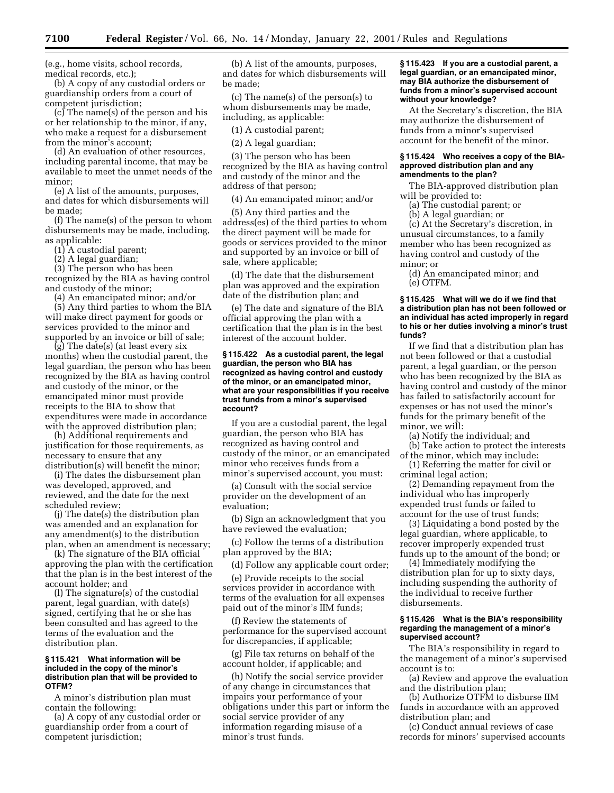(e.g., home visits, school records, medical records, etc.);

(b) A copy of any custodial orders or guardianship orders from a court of competent jurisdiction;

(c) The name(s) of the person and his or her relationship to the minor, if any, who make a request for a disbursement from the minor's account;

(d) An evaluation of other resources, including parental income, that may be available to meet the unmet needs of the minor;

(e) A list of the amounts, purposes, and dates for which disbursements will be made;

(f) The name(s) of the person to whom disbursements may be made, including, as applicable:

(1) A custodial parent;

(2) A legal guardian;

(3) The person who has been recognized by the BIA as having control and custody of the minor;

(4) An emancipated minor; and/or

(5) Any third parties to whom the BIA will make direct payment for goods or services provided to the minor and supported by an invoice or bill of sale;

(g) The date(s) (at least every six months) when the custodial parent, the legal guardian, the person who has been recognized by the BIA as having control and custody of the minor, or the emancipated minor must provide receipts to the BIA to show that expenditures were made in accordance with the approved distribution plan;

(h) Additional requirements and justification for those requirements, as necessary to ensure that any distribution(s) will benefit the minor;

(i) The dates the disbursement plan was developed, approved, and reviewed, and the date for the next scheduled review;

(j) The date(s) the distribution plan was amended and an explanation for any amendment(s) to the distribution plan, when an amendment is necessary;

(k) The signature of the BIA official approving the plan with the certification that the plan is in the best interest of the account holder; and

(l) The signature(s) of the custodial parent, legal guardian, with date(s) signed, certifying that he or she has been consulted and has agreed to the terms of the evaluation and the distribution plan.

#### **§ 115.421 What information will be included in the copy of the minor's distribution plan that will be provided to OTFM?**

A minor's distribution plan must contain the following:

(a) A copy of any custodial order or guardianship order from a court of competent jurisdiction;

(b) A list of the amounts, purposes, and dates for which disbursements will be made;

(c) The name(s) of the person(s) to whom disbursements may be made, including, as applicable:

(1) A custodial parent;

(2) A legal guardian;

(3) The person who has been recognized by the BIA as having control and custody of the minor and the address of that person;

(4) An emancipated minor; and/or

(5) Any third parties and the address(es) of the third parties to whom the direct payment will be made for goods or services provided to the minor and supported by an invoice or bill of sale, where applicable;

(d) The date that the disbursement plan was approved and the expiration date of the distribution plan; and

(e) The date and signature of the BIA official approving the plan with a certification that the plan is in the best interest of the account holder.

### **§ 115.422 As a custodial parent, the legal guardian, the person who BIA has recognized as having control and custody of the minor, or an emancipated minor, what are your responsibilities if you receive trust funds from a minor's supervised account?**

If you are a custodial parent, the legal guardian, the person who BIA has recognized as having control and custody of the minor, or an emancipated minor who receives funds from a minor's supervised account, you must:

(a) Consult with the social service provider on the development of an evaluation;

(b) Sign an acknowledgment that you have reviewed the evaluation;

(c) Follow the terms of a distribution plan approved by the BIA;

(d) Follow any applicable court order;

(e) Provide receipts to the social services provider in accordance with terms of the evaluation for all expenses paid out of the minor's IIM funds;

(f) Review the statements of performance for the supervised account for discrepancies, if applicable;

(g) File tax returns on behalf of the account holder, if applicable; and

(h) Notify the social service provider of any change in circumstances that impairs your performance of your obligations under this part or inform the social service provider of any information regarding misuse of a minor's trust funds.

# **§ 115.423 If you are a custodial parent, a legal guardian, or an emancipated minor, may BIA authorize the disbursement of funds from a minor's supervised account without your knowledge?**

At the Secretary's discretion, the BIA may authorize the disbursement of funds from a minor's supervised account for the benefit of the minor.

### **§ 115.424 Who receives a copy of the BIAapproved distribution plan and any amendments to the plan?**

The BIA-approved distribution plan will be provided to:

(a) The custodial parent; or

(b) A legal guardian; or

(c) At the Secretary's discretion, in unusual circumstances, to a family member who has been recognized as having control and custody of the minor; or

(d) An emancipated minor; and (e) OTFM.

### **§ 115.425 What will we do if we find that a distribution plan has not been followed or an individual has acted improperly in regard to his or her duties involving a minor's trust funds?**

If we find that a distribution plan has not been followed or that a custodial parent, a legal guardian, or the person who has been recognized by the BIA as having control and custody of the minor has failed to satisfactorily account for expenses or has not used the minor's funds for the primary benefit of the minor, we will:

(a) Notify the individual; and (b) Take action to protect the interests of the minor, which may include:

(1) Referring the matter for civil or criminal legal action;

(2) Demanding repayment from the individual who has improperly expended trust funds or failed to account for the use of trust funds;

(3) Liquidating a bond posted by the legal guardian, where applicable, to recover improperly expended trust funds up to the amount of the bond; or

(4) Immediately modifying the distribution plan for up to sixty days, including suspending the authority of the individual to receive further disbursements.

# **§ 115.426 What is the BIA's responsibility regarding the management of a minor's supervised account?**

The BIA's responsibility in regard to the management of a minor's supervised account is to:

(a) Review and approve the evaluation and the distribution plan;

(b) Authorize OTFM to disburse IIM funds in accordance with an approved distribution plan; and

(c) Conduct annual reviews of case records for minors' supervised accounts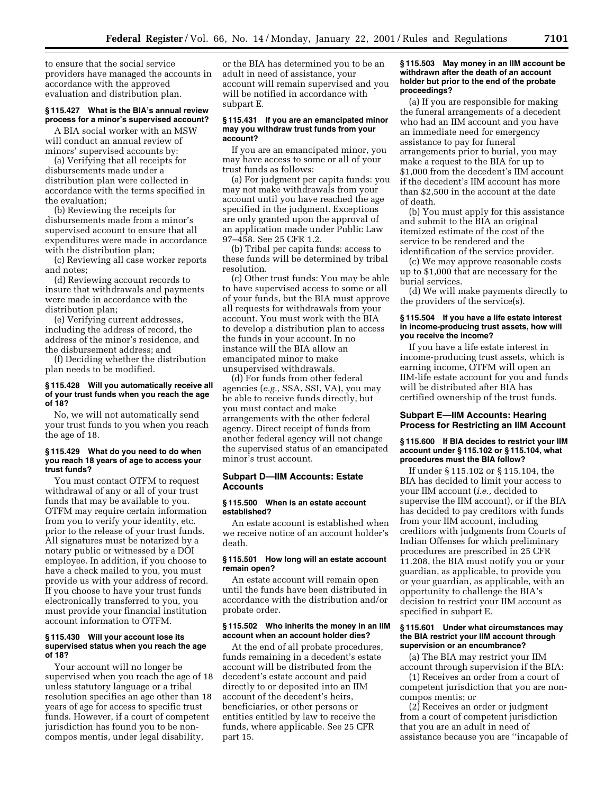to ensure that the social service providers have managed the accounts in accordance with the approved evaluation and distribution plan.

# **§ 115.427 What is the BIA's annual review process for a minor's supervised account?**

A BIA social worker with an MSW will conduct an annual review of minors' supervised accounts by:

(a) Verifying that all receipts for disbursements made under a distribution plan were collected in accordance with the terms specified in the evaluation;

(b) Reviewing the receipts for disbursements made from a minor's supervised account to ensure that all expenditures were made in accordance with the distribution plan;

(c) Reviewing all case worker reports and notes;

(d) Reviewing account records to insure that withdrawals and payments were made in accordance with the distribution plan;

(e) Verifying current addresses, including the address of record, the address of the minor's residence, and the disbursement address; and

(f) Deciding whether the distribution plan needs to be modified.

### **§ 115.428 Will you automatically receive all of your trust funds when you reach the age of 18?**

No, we will not automatically send your trust funds to you when you reach the age of 18.

#### **§ 115.429 What do you need to do when you reach 18 years of age to access your trust funds?**

You must contact OTFM to request withdrawal of any or all of your trust funds that may be available to you. OTFM may require certain information from you to verify your identity, etc. prior to the release of your trust funds. All signatures must be notarized by a notary public or witnessed by a DOI employee. In addition, if you choose to have a check mailed to you, you must provide us with your address of record. If you choose to have your trust funds electronically transferred to you, you must provide your financial institution account information to OTFM.

#### **§ 115.430 Will your account lose its supervised status when you reach the age of 18?**

Your account will no longer be supervised when you reach the age of 18 unless statutory language or a tribal resolution specifies an age other than 18 years of age for access to specific trust funds. However, if a court of competent jurisdiction has found you to be noncompos mentis, under legal disability,

or the BIA has determined you to be an adult in need of assistance, your account will remain supervised and you will be notified in accordance with subpart E.

#### **§ 115.431 If you are an emancipated minor may you withdraw trust funds from your account?**

If you are an emancipated minor, you may have access to some or all of your trust funds as follows:

(a) For judgment per capita funds: you may not make withdrawals from your account until you have reached the age specified in the judgment. Exceptions are only granted upon the approval of an application made under Public Law 97–458. See 25 CFR 1.2.

(b) Tribal per capita funds: access to these funds will be determined by tribal resolution.

(c) Other trust funds: You may be able to have supervised access to some or all of your funds, but the BIA must approve all requests for withdrawals from your account. You must work with the BIA to develop a distribution plan to access the funds in your account. In no instance will the BIA allow an emancipated minor to make unsupervised withdrawals.

(d) For funds from other federal agencies (*e.g.,* SSA, SSI, VA), you may be able to receive funds directly, but you must contact and make arrangements with the other federal agency. Direct receipt of funds from another federal agency will not change the supervised status of an emancipated minor's trust account.

# **Subpart D—IIM Accounts: Estate Accounts**

#### **§ 115.500 When is an estate account established?**

An estate account is established when we receive notice of an account holder's death.

# **§ 115.501 How long will an estate account remain open?**

An estate account will remain open until the funds have been distributed in accordance with the distribution and/or probate order.

# **§ 115.502 Who inherits the money in an IIM account when an account holder dies?**

At the end of all probate procedures, funds remaining in a decedent's estate account will be distributed from the decedent's estate account and paid directly to or deposited into an IIM account of the decedent's heirs, beneficiaries, or other persons or entities entitled by law to receive the funds, where applicable. See 25 CFR part 15.

## **§ 115.503 May money in an IIM account be withdrawn after the death of an account holder but prior to the end of the probate proceedings?**

(a) If you are responsible for making the funeral arrangements of a decedent who had an IIM account and you have an immediate need for emergency assistance to pay for funeral arrangements prior to burial, you may make a request to the BIA for up to \$1,000 from the decedent's IIM account if the decedent's IIM account has more than \$2,500 in the account at the date of death.

(b) You must apply for this assistance and submit to the BIA an original itemized estimate of the cost of the service to be rendered and the identification of the service provider.

(c) We may approve reasonable costs up to \$1,000 that are necessary for the burial services.

(d) We will make payments directly to the providers of the service(s).

### **§ 115.504 If you have a life estate interest in income-producing trust assets, how will you receive the income?**

If you have a life estate interest in income-producing trust assets, which is earning income, OTFM will open an IIM-life estate account for you and funds will be distributed after BIA has certified ownership of the trust funds.

# **Subpart E—IIM Accounts: Hearing Process for Restricting an IIM Account**

# **§ 115.600 If BIA decides to restrict your IIM account under § 115.102 or § 115.104, what procedures must the BIA follow?**

If under § 115.102 or § 115.104, the BIA has decided to limit your access to your IIM account (*i.e.,* decided to supervise the IIM account), or if the BIA has decided to pay creditors with funds from your IIM account, including creditors with judgments from Courts of Indian Offenses for which preliminary procedures are prescribed in 25 CFR 11.208, the BIA must notify you or your guardian, as applicable, to provide you or your guardian, as applicable, with an opportunity to challenge the BIA's decision to restrict your IIM account as specified in subpart E.

# **§ 115.601 Under what circumstances may the BIA restrict your IIM account through supervision or an encumbrance?**

(a) The BIA may restrict your IIM account through supervision if the BIA:

(1) Receives an order from a court of competent jurisdiction that you are noncompos mentis; or

(2) Receives an order or judgment from a court of competent jurisdiction that you are an adult in need of assistance because you are ''incapable of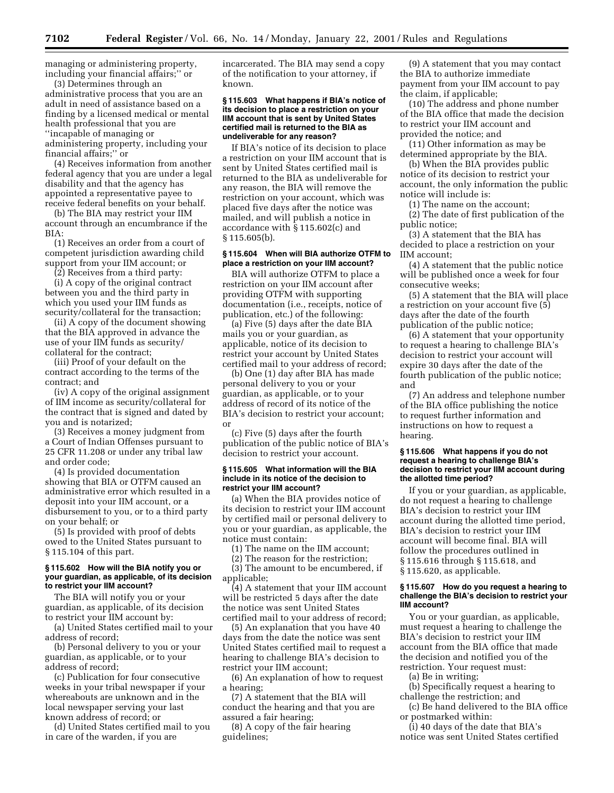managing or administering property, including your financial affairs;'' or

(3) Determines through an administrative process that you are an adult in need of assistance based on a finding by a licensed medical or mental health professional that you are ''incapable of managing or administering property, including your financial affairs;'' or

(4) Receives information from another federal agency that you are under a legal disability and that the agency has appointed a representative payee to receive federal benefits on your behalf.

(b) The BIA may restrict your IIM account through an encumbrance if the BIA:

(1) Receives an order from a court of competent jurisdiction awarding child support from your IIM account; or

(2) Receives from a third party:

(i) A copy of the original contract between you and the third party in which you used your IIM funds as security/collateral for the transaction;

(ii) A copy of the document showing that the BIA approved in advance the use of your IIM funds as security/ collateral for the contract;

(iii) Proof of your default on the contract according to the terms of the contract; and

(iv) A copy of the original assignment of IIM income as security/collateral for the contract that is signed and dated by you and is notarized;

(3) Receives a money judgment from a Court of Indian Offenses pursuant to 25 CFR 11.208 or under any tribal law and order code;

(4) Is provided documentation showing that BIA or OTFM caused an administrative error which resulted in a deposit into your IIM account, or a disbursement to you, or to a third party on your behalf; or

(5) Is provided with proof of debts owed to the United States pursuant to § 115.104 of this part.

### **§ 115.602 How will the BIA notify you or your guardian, as applicable, of its decision to restrict your IIM account?**

The BIA will notify you or your guardian, as applicable, of its decision to restrict your IIM account by:

(a) United States certified mail to your address of record;

(b) Personal delivery to you or your guardian, as applicable, or to your address of record;

(c) Publication for four consecutive weeks in your tribal newspaper if your whereabouts are unknown and in the local newspaper serving your last known address of record; or

(d) United States certified mail to you in care of the warden, if you are

incarcerated. The BIA may send a copy of the notification to your attorney, if known.

### **§ 115.603 What happens if BIA's notice of its decision to place a restriction on your IIM account that is sent by United States certified mail is returned to the BIA as undeliverable for any reason?**

If BIA's notice of its decision to place a restriction on your IIM account that is sent by United States certified mail is returned to the BIA as undeliverable for any reason, the BIA will remove the restriction on your account, which was placed five days after the notice was mailed, and will publish a notice in accordance with § 115.602(c) and § 115.605(b).

### **§ 115.604 When will BIA authorize OTFM to place a restriction on your IIM account?**

BIA will authorize OTFM to place a restriction on your IIM account after providing OTFM with supporting documentation (i.e., receipts, notice of publication, etc.) of the following:

(a) Five (5) days after the date BIA mails you or your guardian, as applicable, notice of its decision to restrict your account by United States certified mail to your address of record;

(b) One (1) day after BIA has made personal delivery to you or your guardian, as applicable, or to your address of record of its notice of the BIA's decision to restrict your account; or

(c) Five (5) days after the fourth publication of the public notice of BIA's decision to restrict your account.

### **§ 115.605 What information will the BIA include in its notice of the decision to restrict your IIM account?**

(a) When the BIA provides notice of its decision to restrict your IIM account by certified mail or personal delivery to you or your guardian, as applicable, the notice must contain:

(1) The name on the IIM account;

(2) The reason for the restriction;

(3) The amount to be encumbered, if applicable;

(4) A statement that your IIM account will be restricted 5 days after the date the notice was sent United States certified mail to your address of record;

(5) An explanation that you have 40 days from the date the notice was sent United States certified mail to request a hearing to challenge BIA's decision to restrict your IIM account;

(6) An explanation of how to request a hearing;

(7) A statement that the BIA will conduct the hearing and that you are assured a fair hearing;

(8) A copy of the fair hearing guidelines;

(9) A statement that you may contact the BIA to authorize immediate payment from your IIM account to pay the claim, if applicable;

(10) The address and phone number of the BIA office that made the decision to restrict your IIM account and provided the notice; and

(11) Other information as may be determined appropriate by the BIA.

(b) When the BIA provides public notice of its decision to restrict your account, the only information the public notice will include is:

(1) The name on the account; (2) The date of first publication of the public notice;

(3) A statement that the BIA has decided to place a restriction on your IIM account;

(4) A statement that the public notice will be published once a week for four consecutive weeks;

(5) A statement that the BIA will place a restriction on your account five (5) days after the date of the fourth publication of the public notice;

(6) A statement that your opportunity to request a hearing to challenge BIA's decision to restrict your account will expire 30 days after the date of the fourth publication of the public notice; and

(7) An address and telephone number of the BIA office publishing the notice to request further information and instructions on how to request a hearing.

# **§ 115.606 What happens if you do not request a hearing to challenge BIA's decision to restrict your IIM account during the allotted time period?**

If you or your guardian, as applicable, do not request a hearing to challenge BIA's decision to restrict your IIM account during the allotted time period, BIA's decision to restrict your IIM account will become final. BIA will follow the procedures outlined in § 115.616 through § 115.618, and § 115.620, as applicable.

### **§ 115.607 How do you request a hearing to challenge the BIA's decision to restrict your IIM account?**

You or your guardian, as applicable, must request a hearing to challenge the BIA's decision to restrict your IIM account from the BIA office that made the decision and notified you of the restriction. Your request must:

(a) Be in writing;

(b) Specifically request a hearing to challenge the restriction; and

(c) Be hand delivered to the BIA office or postmarked within:

(i) 40 days of the date that BIA's notice was sent United States certified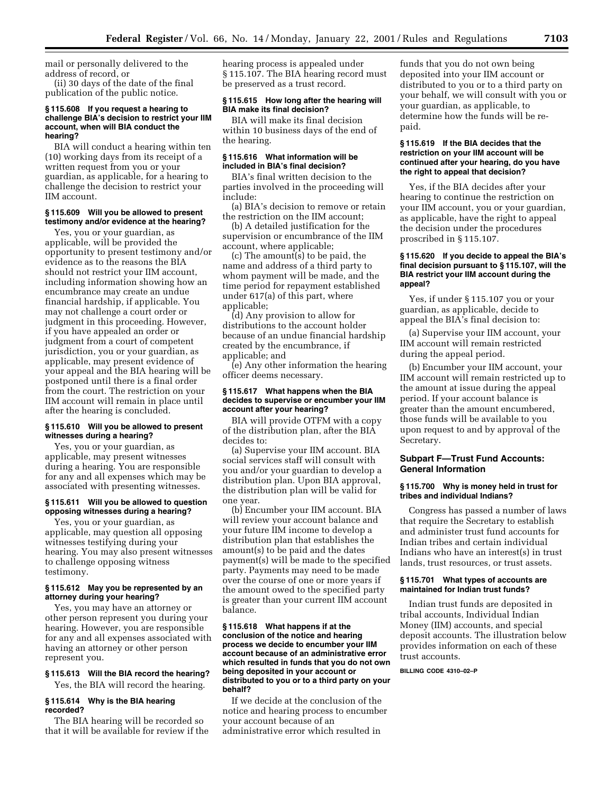mail or personally delivered to the address of record, or

(ii) 30 days of the date of the final publication of the public notice.

### **§ 115.608 If you request a hearing to challenge BIA's decision to restrict your IIM account, when will BIA conduct the hearing?**

BIA will conduct a hearing within ten (10) working days from its receipt of a written request from you or your guardian, as applicable, for a hearing to challenge the decision to restrict your IIM account.

# **§ 115.609 Will you be allowed to present testimony and/or evidence at the hearing?**

Yes, you or your guardian, as applicable, will be provided the opportunity to present testimony and/or evidence as to the reasons the BIA should not restrict your IIM account, including information showing how an encumbrance may create an undue financial hardship, if applicable. You may not challenge a court order or judgment in this proceeding. However, if you have appealed an order or judgment from a court of competent jurisdiction, you or your guardian, as applicable, may present evidence of your appeal and the BIA hearing will be postponed until there is a final order from the court. The restriction on your IIM account will remain in place until after the hearing is concluded.

# **§ 115.610 Will you be allowed to present witnesses during a hearing?**

Yes, you or your guardian, as applicable, may present witnesses during a hearing. You are responsible for any and all expenses which may be associated with presenting witnesses.

### **§ 115.611 Will you be allowed to question opposing witnesses during a hearing?**

Yes, you or your guardian, as applicable, may question all opposing witnesses testifying during your hearing. You may also present witnesses to challenge opposing witness testimony.

# **§ 115.612 May you be represented by an attorney during your hearing?**

Yes, you may have an attorney or other person represent you during your hearing. However, you are responsible for any and all expenses associated with having an attorney or other person represent you.

# **§ 115.613 Will the BIA record the hearing?**

Yes, the BIA will record the hearing.

# **§ 115.614 Why is the BIA hearing recorded?**

The BIA hearing will be recorded so that it will be available for review if the hearing process is appealed under § 115.107. The BIA hearing record must be preserved as a trust record.

# **§ 115.615 How long after the hearing will BIA make its final decision?**

# BIA will make its final decision within 10 business days of the end of the hearing.

### **§ 115.616 What information will be included in BIA's final decision?**

BIA's final written decision to the parties involved in the proceeding will include:

(a) BIA's decision to remove or retain the restriction on the IIM account;

(b) A detailed justification for the supervision or encumbrance of the IIM account, where applicable;

(c) The amount(s) to be paid, the name and address of a third party to whom payment will be made, and the time period for repayment established under 617(a) of this part, where applicable;

(d) Any provision to allow for distributions to the account holder because of an undue financial hardship created by the encumbrance, if applicable; and

(e) Any other information the hearing officer deems necessary.

# **§ 115.617 What happens when the BIA decides to supervise or encumber your IIM account after your hearing?**

BIA will provide OTFM with a copy of the distribution plan, after the BIA decides to:

(a) Supervise your IIM account. BIA social services staff will consult with you and/or your guardian to develop a distribution plan. Upon BIA approval, the distribution plan will be valid for one year.

(b) Encumber your IIM account. BIA will review your account balance and your future IIM income to develop a distribution plan that establishes the amount(s) to be paid and the dates payment(s) will be made to the specified party. Payments may need to be made over the course of one or more years if the amount owed to the specified party is greater than your current IIM account balance.

### **§ 115.618 What happens if at the conclusion of the notice and hearing process we decide to encumber your IIM account because of an administrative error which resulted in funds that you do not own being deposited in your account or distributed to you or to a third party on your behalf?**

If we decide at the conclusion of the notice and hearing process to encumber your account because of an administrative error which resulted in

funds that you do not own being deposited into your IIM account or distributed to you or to a third party on your behalf, we will consult with you or your guardian, as applicable, to determine how the funds will be repaid.

# **§ 115.619 If the BIA decides that the restriction on your IIM account will be continued after your hearing, do you have the right to appeal that decision?**

Yes, if the BIA decides after your hearing to continue the restriction on your IIM account, you or your guardian, as applicable, have the right to appeal the decision under the procedures proscribed in § 115.107.

# **§ 115.620 If you decide to appeal the BIA's final decision pursuant to § 115.107, will the BIA restrict your IIM account during the appeal?**

Yes, if under § 115.107 you or your guardian, as applicable, decide to appeal the BIA's final decision to:

(a) Supervise your IIM account, your IIM account will remain restricted during the appeal period.

(b) Encumber your IIM account, your IIM account will remain restricted up to the amount at issue during the appeal period. If your account balance is greater than the amount encumbered, those funds will be available to you upon request to and by approval of the Secretary.

# **Subpart F—Trust Fund Accounts: General Information**

# **§ 115.700 Why is money held in trust for tribes and individual Indians?**

Congress has passed a number of laws that require the Secretary to establish and administer trust fund accounts for Indian tribes and certain individual Indians who have an interest(s) in trust lands, trust resources, or trust assets.

# **§ 115.701 What types of accounts are maintained for Indian trust funds?**

Indian trust funds are deposited in tribal accounts, Individual Indian Money (IIM) accounts, and special deposit accounts. The illustration below provides information on each of these trust accounts.

**BILLING CODE 4310–02–P**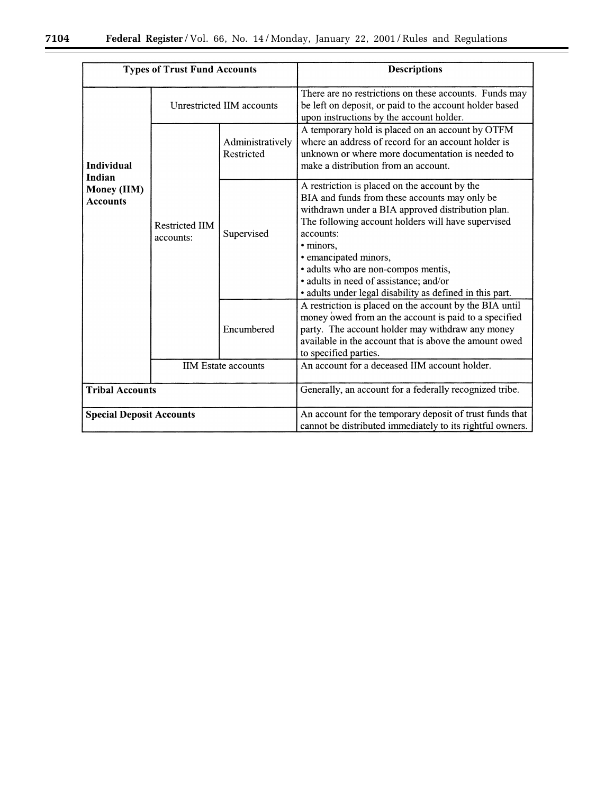÷.

| <b>Types of Trust Fund Accounts</b>      |                                    |                                | <b>Descriptions</b>                                                                                                                                                                                                                                                                                                                                                                                       |
|------------------------------------------|------------------------------------|--------------------------------|-----------------------------------------------------------------------------------------------------------------------------------------------------------------------------------------------------------------------------------------------------------------------------------------------------------------------------------------------------------------------------------------------------------|
|                                          | Unrestricted IIM accounts          |                                | There are no restrictions on these accounts. Funds may<br>be left on deposit, or paid to the account holder based<br>upon instructions by the account holder.                                                                                                                                                                                                                                             |
| Individual                               |                                    | Administratively<br>Restricted | A temporary hold is placed on an account by OTFM<br>where an address of record for an account holder is<br>unknown or where more documentation is needed to<br>make a distribution from an account.                                                                                                                                                                                                       |
| Indian<br>Money (IIM)<br><b>Accounts</b> | <b>Restricted IIM</b><br>accounts: | Supervised                     | A restriction is placed on the account by the<br>BIA and funds from these accounts may only be<br>withdrawn under a BIA approved distribution plan.<br>The following account holders will have supervised<br>accounts:<br>• minors,<br>· emancipated minors,<br>· adults who are non-compos mentis,<br>· adults in need of assistance; and/or<br>· adults under legal disability as defined in this part. |
|                                          |                                    | Encumbered                     | A restriction is placed on the account by the BIA until<br>money owed from an the account is paid to a specified<br>party. The account holder may withdraw any money<br>available in the account that is above the amount owed<br>to specified parties.                                                                                                                                                   |
|                                          | <b>IIM Estate accounts</b>         |                                | An account for a deceased IIM account holder.                                                                                                                                                                                                                                                                                                                                                             |
| <b>Tribal Accounts</b>                   |                                    |                                | Generally, an account for a federally recognized tribe.                                                                                                                                                                                                                                                                                                                                                   |
| <b>Special Deposit Accounts</b>          |                                    |                                | An account for the temporary deposit of trust funds that<br>cannot be distributed immediately to its rightful owners.                                                                                                                                                                                                                                                                                     |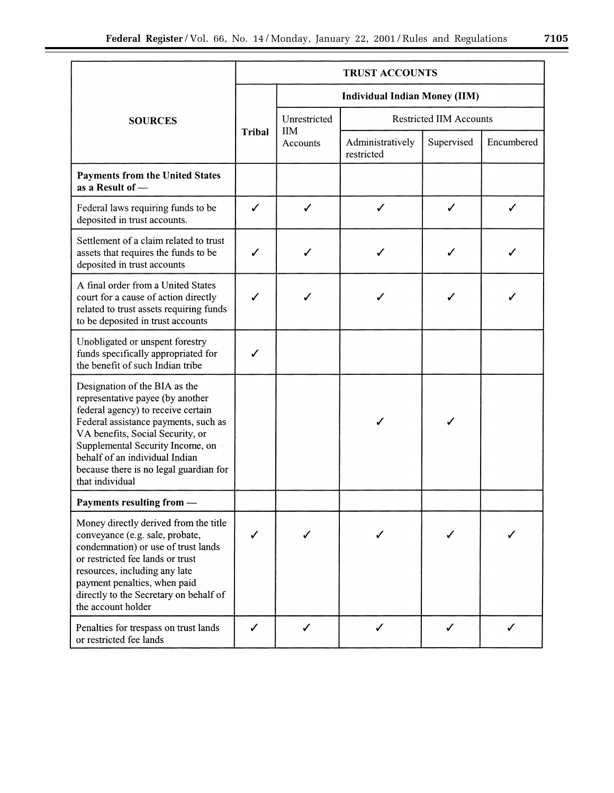|                                                                                                                                                                                                                                                                                                                        |                                      | <b>TRUST ACCOUNTS</b>                          |                                |            |            |
|------------------------------------------------------------------------------------------------------------------------------------------------------------------------------------------------------------------------------------------------------------------------------------------------------------------------|--------------------------------------|------------------------------------------------|--------------------------------|------------|------------|
|                                                                                                                                                                                                                                                                                                                        | <b>Individual Indian Money (IIM)</b> |                                                |                                |            |            |
| <b>SOURCES</b>                                                                                                                                                                                                                                                                                                         |                                      | <b>Restricted IIM Accounts</b><br>Unrestricted |                                |            |            |
|                                                                                                                                                                                                                                                                                                                        | <b>Tribal</b>                        | <b>IIM</b><br>Accounts                         | Administratively<br>restricted | Supervised | Encumbered |
| <b>Payments from the United States</b><br>as a Result of -                                                                                                                                                                                                                                                             |                                      |                                                |                                |            |            |
| Federal laws requiring funds to be<br>deposited in trust accounts.                                                                                                                                                                                                                                                     | ✓                                    | ✓                                              | ✓                              | ✓          | ✓          |
| Settlement of a claim related to trust<br>assets that requires the funds to be<br>deposited in trust accounts                                                                                                                                                                                                          | ℐ                                    | ✓                                              |                                | ✓          | ✓          |
| A final order from a United States<br>court for a cause of action directly<br>related to trust assets requiring funds<br>to be deposited in trust accounts                                                                                                                                                             |                                      |                                                |                                |            |            |
| Unobligated or unspent forestry<br>funds specifically appropriated for<br>the benefit of such Indian tribe                                                                                                                                                                                                             | ✓                                    |                                                |                                |            |            |
| Designation of the BIA as the<br>representative payee (by another<br>federal agency) to receive certain<br>Federal assistance payments, such as<br>VA benefits, Social Security, or<br>Supplemental Security Income, on<br>behalf of an individual Indian<br>because there is no legal guardian for<br>that individual |                                      |                                                |                                | ℐ          |            |
| Payments resulting from -                                                                                                                                                                                                                                                                                              |                                      |                                                |                                |            |            |
| Money directly derived from the title<br>conveyance (e.g. sale, probate,<br>condemnation) or use of trust lands<br>or restricted fee lands or trust<br>resources, including any late<br>payment penalties, when paid<br>directly to the Secretary on behalf of<br>the account holder                                   |                                      |                                                |                                |            |            |
| Penalties for trespass on trust lands<br>or restricted fee lands                                                                                                                                                                                                                                                       | ✔                                    | ✓                                              | ✓                              | ✓          |            |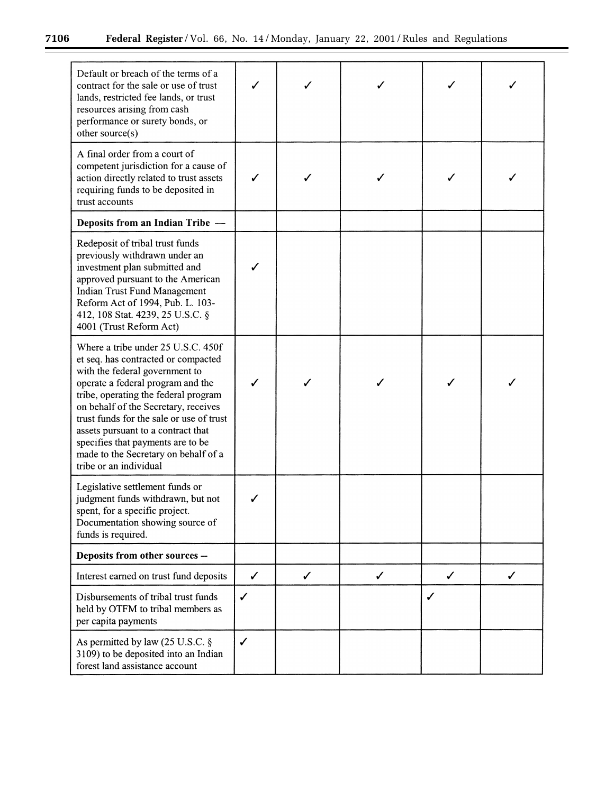÷.

| Default or breach of the terms of a<br>contract for the sale or use of trust<br>lands, restricted fee lands, or trust<br>resources arising from cash<br>performance or surety bonds, or<br>other source(s)                                                                                                                                                                                                                |              |   |              |   |   |
|---------------------------------------------------------------------------------------------------------------------------------------------------------------------------------------------------------------------------------------------------------------------------------------------------------------------------------------------------------------------------------------------------------------------------|--------------|---|--------------|---|---|
| A final order from a court of<br>competent jurisdiction for a cause of<br>action directly related to trust assets<br>requiring funds to be deposited in<br>trust accounts                                                                                                                                                                                                                                                 |              |   |              |   |   |
| Deposits from an Indian Tribe -                                                                                                                                                                                                                                                                                                                                                                                           |              |   |              |   |   |
| Redeposit of tribal trust funds<br>previously withdrawn under an<br>investment plan submitted and<br>approved pursuant to the American<br><b>Indian Trust Fund Management</b><br>Reform Act of 1994, Pub. L. 103-<br>412, 108 Stat. 4239, 25 U.S.C. §<br>4001 (Trust Reform Act)                                                                                                                                          |              |   |              |   |   |
| Where a tribe under 25 U.S.C. 450f<br>et seq. has contracted or compacted<br>with the federal government to<br>operate a federal program and the<br>tribe, operating the federal program<br>on behalf of the Secretary, receives<br>trust funds for the sale or use of trust<br>assets pursuant to a contract that<br>specifies that payments are to be<br>made to the Secretary on behalf of a<br>tribe or an individual |              |   |              |   |   |
| Legislative settlement funds or<br>judgment funds withdrawn, but not<br>spent, for a specific project.<br>Documentation showing source of<br>funds is required.                                                                                                                                                                                                                                                           |              |   |              |   |   |
| Deposits from other sources --                                                                                                                                                                                                                                                                                                                                                                                            |              |   |              |   |   |
| Interest earned on trust fund deposits                                                                                                                                                                                                                                                                                                                                                                                    | $\checkmark$ | ✓ | $\checkmark$ | ✓ | ✓ |
| Disbursements of tribal trust funds<br>held by OTFM to tribal members as<br>per capita payments                                                                                                                                                                                                                                                                                                                           | $\checkmark$ |   |              | ✓ |   |
| As permitted by law (25 U.S.C. $\S$<br>3109) to be deposited into an Indian<br>forest land assistance account                                                                                                                                                                                                                                                                                                             | $\checkmark$ |   |              |   |   |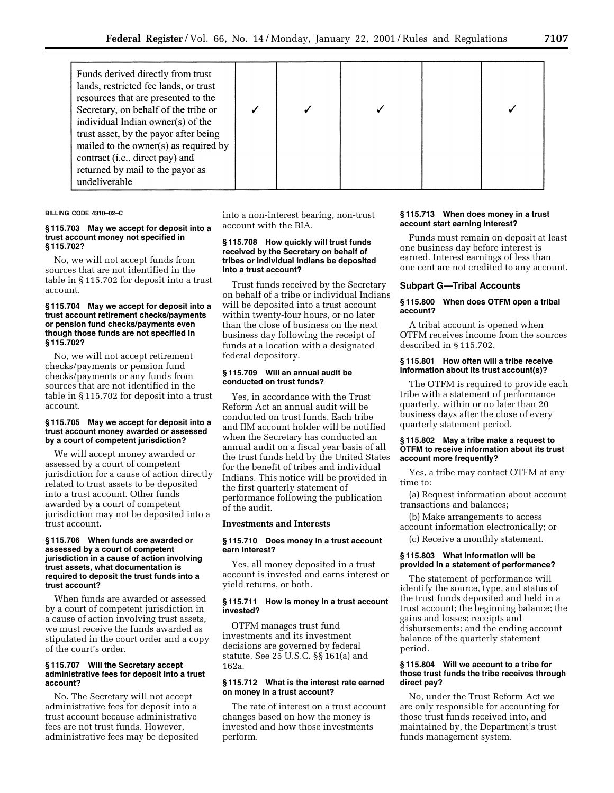| Funds derived directly from trust<br>lands, restricted fee lands, or trust<br>resources that are presented to the<br>Secretary, on behalf of the tribe or<br>individual Indian owner(s) of the<br>trust asset, by the payor after being<br>mailed to the owner(s) as required by<br>contract (i.e., direct pay) and<br>returned by mail to the payor as<br>undeliverable |  |  |  |  |  |
|--------------------------------------------------------------------------------------------------------------------------------------------------------------------------------------------------------------------------------------------------------------------------------------------------------------------------------------------------------------------------|--|--|--|--|--|
|--------------------------------------------------------------------------------------------------------------------------------------------------------------------------------------------------------------------------------------------------------------------------------------------------------------------------------------------------------------------------|--|--|--|--|--|

**BILLING CODE 4310–02–C**

#### **§ 115.703 May we accept for deposit into a trust account money not specified in § 115.702?**

No, we will not accept funds from sources that are not identified in the table in § 115.702 for deposit into a trust account.

### **§ 115.704 May we accept for deposit into a trust account retirement checks/payments or pension fund checks/payments even though those funds are not specified in § 115.702?**

No, we will not accept retirement checks/payments or pension fund checks/payments or any funds from sources that are not identified in the table in § 115.702 for deposit into a trust account.

### **§ 115.705 May we accept for deposit into a trust account money awarded or assessed by a court of competent jurisdiction?**

We will accept money awarded or assessed by a court of competent jurisdiction for a cause of action directly related to trust assets to be deposited into a trust account. Other funds awarded by a court of competent jurisdiction may not be deposited into a trust account.

### **§ 115.706 When funds are awarded or assessed by a court of competent jurisdiction in a cause of action involving trust assets, what documentation is required to deposit the trust funds into a trust account?**

When funds are awarded or assessed by a court of competent jurisdiction in a cause of action involving trust assets, we must receive the funds awarded as stipulated in the court order and a copy of the court's order.

### **§ 115.707 Will the Secretary accept administrative fees for deposit into a trust account?**

No. The Secretary will not accept administrative fees for deposit into a trust account because administrative fees are not trust funds. However, administrative fees may be deposited

into a non-interest bearing, non-trust account with the BIA.

#### **§ 115.708 How quickly will trust funds received by the Secretary on behalf of tribes or individual Indians be deposited into a trust account?**

Trust funds received by the Secretary on behalf of a tribe or individual Indians will be deposited into a trust account within twenty-four hours, or no later than the close of business on the next business day following the receipt of funds at a location with a designated federal depository.

## **§ 115.709 Will an annual audit be conducted on trust funds?**

Yes, in accordance with the Trust Reform Act an annual audit will be conducted on trust funds. Each tribe and IIM account holder will be notified when the Secretary has conducted an annual audit on a fiscal year basis of all the trust funds held by the United States for the benefit of tribes and individual Indians. This notice will be provided in the first quarterly statement of performance following the publication of the audit.

## **Investments and Interests**

#### **§ 115.710 Does money in a trust account earn interest?**

Yes, all money deposited in a trust account is invested and earns interest or yield returns, or both.

#### **§ 115.711 How is money in a trust account invested?**

OTFM manages trust fund investments and its investment decisions are governed by federal statute. See 25 U.S.C. §§ 161(a) and 162a.

## **§ 115.712 What is the interest rate earned on money in a trust account?**

The rate of interest on a trust account changes based on how the money is invested and how those investments perform.

## **§ 115.713 When does money in a trust account start earning interest?**

Funds must remain on deposit at least one business day before interest is earned. Interest earnings of less than one cent are not credited to any account.

### **Subpart G—Tribal Accounts**

### **§ 115.800 When does OTFM open a tribal account?**

A tribal account is opened when OTFM receives income from the sources described in § 115.702.

#### **§ 115.801 How often will a tribe receive information about its trust account(s)?**

The OTFM is required to provide each tribe with a statement of performance quarterly, within or no later than 20 business days after the close of every quarterly statement period.

### **§ 115.802 May a tribe make a request to OTFM to receive information about its trust account more frequently?**

Yes, a tribe may contact OTFM at any time to:

(a) Request information about account transactions and balances;

(b) Make arrangements to access account information electronically; or

(c) Receive a monthly statement.

## **§ 115.803 What information will be provided in a statement of performance?**

The statement of performance will identify the source, type, and status of the trust funds deposited and held in a trust account; the beginning balance; the gains and losses; receipts and disbursements; and the ending account balance of the quarterly statement period.

### **§ 115.804 Will we account to a tribe for those trust funds the tribe receives through direct pay?**

No, under the Trust Reform Act we are only responsible for accounting for those trust funds received into, and maintained by, the Department's trust funds management system.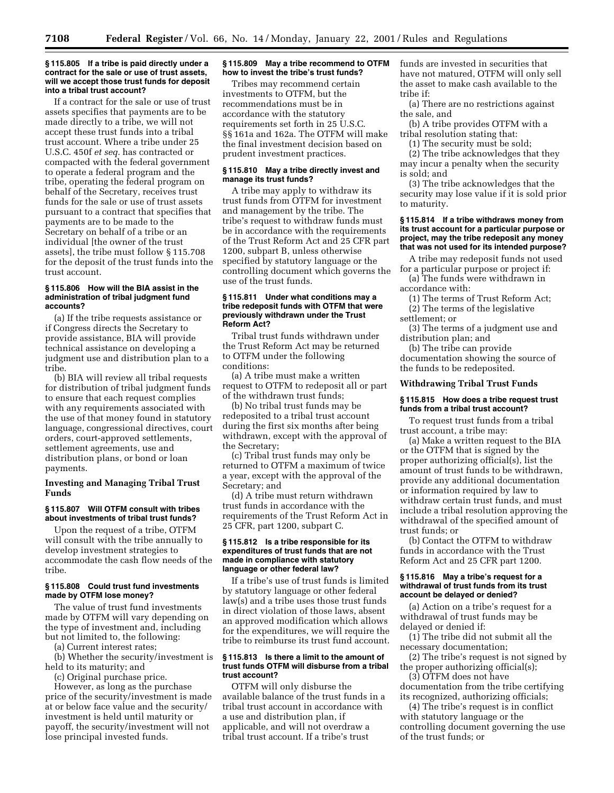### **§ 115.805 If a tribe is paid directly under a contract for the sale or use of trust assets, will we accept those trust funds for deposit into a tribal trust account?**

If a contract for the sale or use of trust assets specifies that payments are to be made directly to a tribe, we will not accept these trust funds into a tribal trust account. Where a tribe under 25 U.S.C. 450f *et seq.* has contracted or compacted with the federal government to operate a federal program and the tribe, operating the federal program on behalf of the Secretary, receives trust funds for the sale or use of trust assets pursuant to a contract that specifies that payments are to be made to the Secretary on behalf of a tribe or an individual [the owner of the trust assets], the tribe must follow § 115.708 for the deposit of the trust funds into the trust account.

### **§ 115.806 How will the BIA assist in the administration of tribal judgment fund accounts?**

(a) If the tribe requests assistance or if Congress directs the Secretary to provide assistance, BIA will provide technical assistance on developing a judgment use and distribution plan to a tribe.

(b) BIA will review all tribal requests for distribution of tribal judgment funds to ensure that each request complies with any requirements associated with the use of that money found in statutory language, congressional directives, court orders, court-approved settlements, settlement agreements, use and distribution plans, or bond or loan payments.

## **Investing and Managing Tribal Trust Funds**

## **§ 115.807 Will OTFM consult with tribes about investments of tribal trust funds?**

Upon the request of a tribe, OTFM will consult with the tribe annually to develop investment strategies to accommodate the cash flow needs of the tribe.

## **§ 115.808 Could trust fund investments made by OTFM lose money?**

The value of trust fund investments made by OTFM will vary depending on the type of investment and, including but not limited to, the following:

(a) Current interest rates;

(b) Whether the security/investment is held to its maturity; and

(c) Original purchase price.

However, as long as the purchase price of the security/investment is made at or below face value and the security/ investment is held until maturity or payoff, the security/investment will not lose principal invested funds.

## **§ 115.809 May a tribe recommend to OTFM how to invest the tribe's trust funds?**

Tribes may recommend certain investments to OTFM, but the recommendations must be in accordance with the statutory requirements set forth in 25 U.S.C. §§ 161a and 162a. The OTFM will make the final investment decision based on prudent investment practices.

### **§ 115.810 May a tribe directly invest and manage its trust funds?**

A tribe may apply to withdraw its trust funds from OTFM for investment and management by the tribe. The tribe's request to withdraw funds must be in accordance with the requirements of the Trust Reform Act and 25 CFR part 1200, subpart B, unless otherwise specified by statutory language or the controlling document which governs the use of the trust funds.

### **§ 115.811 Under what conditions may a tribe redeposit funds with OTFM that were previously withdrawn under the Trust Reform Act?**

Tribal trust funds withdrawn under the Trust Reform Act may be returned to OTFM under the following conditions:

(a) A tribe must make a written request to OTFM to redeposit all or part of the withdrawn trust funds;

(b) No tribal trust funds may be redeposited to a tribal trust account during the first six months after being withdrawn, except with the approval of the Secretary;

(c) Tribal trust funds may only be returned to OTFM a maximum of twice a year, except with the approval of the Secretary; and

(d) A tribe must return withdrawn trust funds in accordance with the requirements of the Trust Reform Act in 25 CFR, part 1200, subpart C.

#### **§ 115.812 Is a tribe responsible for its expenditures of trust funds that are not made in compliance with statutory language or other federal law?**

If a tribe's use of trust funds is limited by statutory language or other federal law(s) and a tribe uses those trust funds in direct violation of those laws, absent an approved modification which allows for the expenditures, we will require the tribe to reimburse its trust fund account.

### **§ 115.813 Is there a limit to the amount of trust funds OTFM will disburse from a tribal trust account?**

OTFM will only disburse the available balance of the trust funds in a tribal trust account in accordance with a use and distribution plan, if applicable, and will not overdraw a tribal trust account. If a tribe's trust

funds are invested in securities that have not matured, OTFM will only sell the asset to make cash available to the tribe if:

(a) There are no restrictions against the sale, and

(b) A tribe provides OTFM with a tribal resolution stating that:

(1) The security must be sold;

(2) The tribe acknowledges that they may incur a penalty when the security

is sold; and (3) The tribe acknowledges that the security may lose value if it is sold prior to maturity.

## **§ 115.814 If a tribe withdraws money from its trust account for a particular purpose or project, may the tribe redeposit any money that was not used for its intended purpose?**

A tribe may redeposit funds not used

for a particular purpose or project if: (a) The funds were withdrawn in

accordance with:

(1) The terms of Trust Reform Act; (2) The terms of the legislative

settlement; or

(3) The terms of a judgment use and distribution plan; and

(b) The tribe can provide documentation showing the source of the funds to be redeposited.

## **Withdrawing Tribal Trust Funds**

## **§ 115.815 How does a tribe request trust funds from a tribal trust account?**

To request trust funds from a tribal trust account, a tribe may:

(a) Make a written request to the BIA or the OTFM that is signed by the proper authorizing official(s), list the amount of trust funds to be withdrawn, provide any additional documentation or information required by law to withdraw certain trust funds, and must include a tribal resolution approving the withdrawal of the specified amount of trust funds; or

(b) Contact the OTFM to withdraw funds in accordance with the Trust Reform Act and 25 CFR part 1200.

#### **§ 115.816 May a tribe's request for a withdrawal of trust funds from its trust account be delayed or denied?**

(a) Action on a tribe's request for a withdrawal of trust funds may be delayed or denied if:

(1) The tribe did not submit all the necessary documentation;

(2) The tribe's request is not signed by the proper authorizing official(s);

(3) OTFM does not have documentation from the tribe certifying its recognized, authorizing officials;

(4) The tribe's request is in conflict with statutory language or the controlling document governing the use of the trust funds; or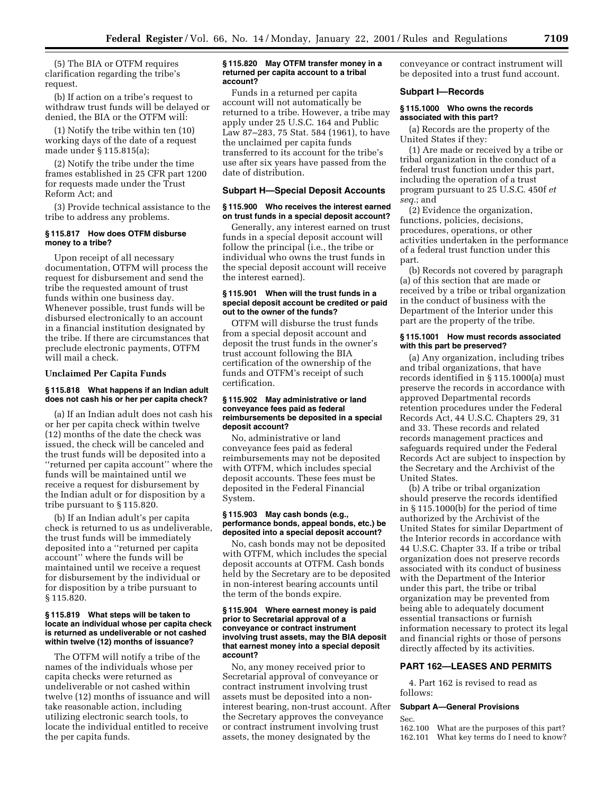(5) The BIA or OTFM requires clarification regarding the tribe's request.

(b) If action on a tribe's request to withdraw trust funds will be delayed or denied, the BIA or the OTFM will:

(1) Notify the tribe within ten (10) working days of the date of a request made under § 115.815(a);

(2) Notify the tribe under the time frames established in 25 CFR part 1200 for requests made under the Trust Reform Act; and

(3) Provide technical assistance to the tribe to address any problems.

## **§ 115.817 How does OTFM disburse money to a tribe?**

Upon receipt of all necessary documentation, OTFM will process the request for disbursement and send the tribe the requested amount of trust funds within one business day. Whenever possible, trust funds will be disbursed electronically to an account in a financial institution designated by the tribe. If there are circumstances that preclude electronic payments, OTFM will mail a check.

#### **Unclaimed Per Capita Funds**

### **§ 115.818 What happens if an Indian adult does not cash his or her per capita check?**

(a) If an Indian adult does not cash his or her per capita check within twelve (12) months of the date the check was issued, the check will be canceled and the trust funds will be deposited into a ''returned per capita account'' where the funds will be maintained until we receive a request for disbursement by the Indian adult or for disposition by a tribe pursuant to § 115.820.

(b) If an Indian adult's per capita check is returned to us as undeliverable, the trust funds will be immediately deposited into a ''returned per capita account'' where the funds will be maintained until we receive a request for disbursement by the individual or for disposition by a tribe pursuant to § 115.820.

#### **§ 115.819 What steps will be taken to locate an individual whose per capita check is returned as undeliverable or not cashed within twelve (12) months of issuance?**

The OTFM will notify a tribe of the names of the individuals whose per capita checks were returned as undeliverable or not cashed within twelve (12) months of issuance and will take reasonable action, including utilizing electronic search tools, to locate the individual entitled to receive the per capita funds.

### **§ 115.820 May OTFM transfer money in a returned per capita account to a tribal account?**

Funds in a returned per capita account will not automatically be returned to a tribe. However, a tribe may apply under 25 U.S.C. 164 and Public Law 87–283, 75 Stat. 584 (1961), to have the unclaimed per capita funds transferred to its account for the tribe's use after six years have passed from the date of distribution.

## **Subpart H—Special Deposit Accounts**

### **§ 115.900 Who receives the interest earned on trust funds in a special deposit account?**

Generally, any interest earned on trust funds in a special deposit account will follow the principal (i.e., the tribe or individual who owns the trust funds in the special deposit account will receive the interest earned).

### **§ 115.901 When will the trust funds in a special deposit account be credited or paid out to the owner of the funds?**

OTFM will disburse the trust funds from a special deposit account and deposit the trust funds in the owner's trust account following the BIA certification of the ownership of the funds and OTFM's receipt of such certification.

### **§ 115.902 May administrative or land conveyance fees paid as federal reimbursements be deposited in a special deposit account?**

No, administrative or land conveyance fees paid as federal reimbursements may not be deposited with OTFM, which includes special deposit accounts. These fees must be deposited in the Federal Financial System.

#### **§ 115.903 May cash bonds (e.g., performance bonds, appeal bonds, etc.) be deposited into a special deposit account?**

No, cash bonds may not be deposited with OTFM, which includes the special deposit accounts at OTFM. Cash bonds held by the Secretary are to be deposited in non-interest bearing accounts until the term of the bonds expire.

### **§ 115.904 Where earnest money is paid prior to Secretarial approval of a conveyance or contract instrument involving trust assets, may the BIA deposit that earnest money into a special deposit account?**

No, any money received prior to Secretarial approval of conveyance or contract instrument involving trust assets must be deposited into a noninterest bearing, non-trust account. After the Secretary approves the conveyance or contract instrument involving trust assets, the money designated by the

conveyance or contract instrument will be deposited into a trust fund account.

## **Subpart I—Records**

### **§ 115.1000 Who owns the records associated with this part?**

(a) Records are the property of the United States if they:

(1) Are made or received by a tribe or tribal organization in the conduct of a federal trust function under this part, including the operation of a trust program pursuant to 25 U.S.C. 450f *et seq.*; and

(2) Evidence the organization, functions, policies, decisions, procedures, operations, or other activities undertaken in the performance of a federal trust function under this part.

(b) Records not covered by paragraph (a) of this section that are made or received by a tribe or tribal organization in the conduct of business with the Department of the Interior under this part are the property of the tribe.

### **§ 115.1001 How must records associated with this part be preserved?**

(a) Any organization, including tribes and tribal organizations, that have records identified in § 115.1000(a) must preserve the records in accordance with approved Departmental records retention procedures under the Federal Records Act, 44 U.S.C. Chapters 29, 31 and 33. These records and related records management practices and safeguards required under the Federal Records Act are subject to inspection by the Secretary and the Archivist of the United States.

(b) A tribe or tribal organization should preserve the records identified in § 115.1000(b) for the period of time authorized by the Archivist of the United States for similar Department of the Interior records in accordance with 44 U.S.C. Chapter 33. If a tribe or tribal organization does not preserve records associated with its conduct of business with the Department of the Interior under this part, the tribe or tribal organization may be prevented from being able to adequately document essential transactions or furnish information necessary to protect its legal and financial rights or those of persons directly affected by its activities.

## **PART 162—LEASES AND PERMITS**

4. Part 162 is revised to read as follows:

#### **Subpart A—General Provisions**

Sec.

162.100 What are the purposes of this part? 162.101 What key terms do I need to know?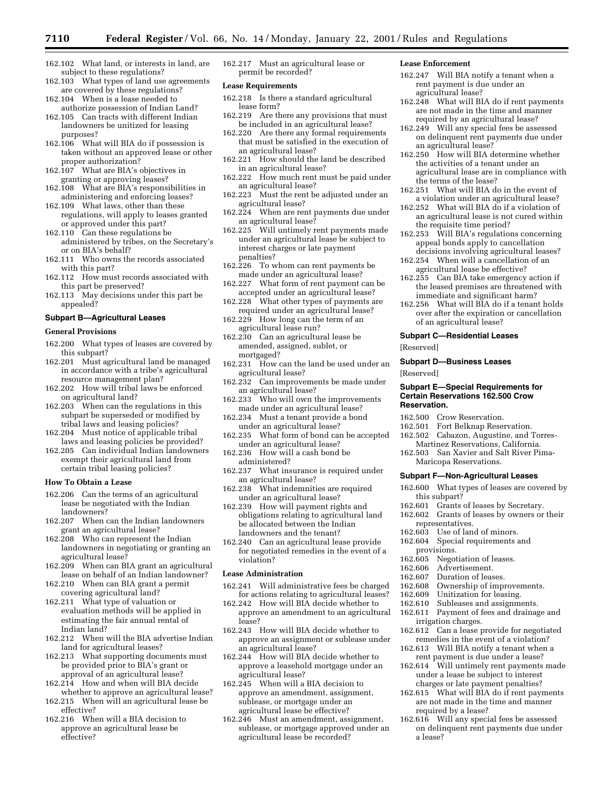- 162.102 What land, or interests in land, are subject to these regulations?
- 162.103 What types of land use agreements are covered by these regulations?
- 162.104 When is a lease needed to authorize possession of Indian Land?
- 162.105 Can tracts with different Indian landowners be unitized for leasing purposes?
- 162.106 What will BIA do if possession is taken without an approved lease or other proper authorization?
- 162.107 What are BIA's objectives in granting or approving leases?
- 162.108 What are BIA's responsibilities in administering and enforcing leases?
- 162.109 What laws, other than these regulations, will apply to leases granted or approved under this part?
- 162.110 Can these regulations be administered by tribes, on the Secretary's or on BIA's behalf?
- 162.111 Who owns the records associated with this part?
- 162.112 How must records associated with this part be preserved?
- 162.113 May decisions under this part be appealed?

## **Subpart B—Agricultural Leases**

#### **General Provisions**

- 162.200 What types of leases are covered by this subpart?
- 162.201 Must agricultural land be managed in accordance with a tribe's agricultural resource management plan?
- 162.202 How will tribal laws be enforced on agricultural land?
- 162.203 When can the regulations in this subpart be superseded or modified by tribal laws and leasing policies?
- 162.204 Must notice of applicable tribal laws and leasing policies be provided?
- 162.205 Can individual Indian landowners exempt their agricultural land from certain tribal leasing policies?

### **How To Obtain a Lease**

- 162.206 Can the terms of an agricultural lease be negotiated with the Indian landowners?
- 162.207 When can the Indian landowners grant an agricultural lease?
- 162.208 Who can represent the Indian landowners in negotiating or granting an agricultural lease?
- 162.209 When can BIA grant an agricultural lease on behalf of an Indian landowner?
- 162.210 When can BIA grant a permit covering agricultural land?
- 162.211 What type of valuation or evaluation methods will be applied in estimating the fair annual rental of Indian land?
- 162.212 When will the BIA advertise Indian land for agricultural leases?
- 162.213 What supporting documents must be provided prior to BIA's grant or approval of an agricultural lease?
- 162.214 How and when will BIA decide whether to approve an agricultural lease?
- 162.215 When will an agricultural lease be effective?
- 162.216 When will a BIA decision to approve an agricultural lease be effective?

162.217 Must an agricultural lease or permit be recorded?

#### **Lease Requirements**

- 162.218 Is there a standard agricultural lease form?
- 162.219 Are there any provisions that must be included in an agricultural lease?
- 162.220 Are there any formal requirements that must be satisfied in the execution of an agricultural lease?
- 162.221 How should the land be described in an agricultural lease?
- 162.222 How much rent must be paid under an agricultural lease?
- 162.223 Must the rent be adjusted under an agricultural lease?
- 162.224 When are rent payments due under an agricultural lease?
- 162.225 Will untimely rent payments made under an agricultural lease be subject to interest charges or late payment penalties?
- 162.226 To whom can rent payments be made under an agricultural lease?
- 162.227 What form of rent payment can be accepted under an agricultural lease?
- 162.228 What other types of payments are required under an agricultural lease?
- 162.229 How long can the term of an agricultural lease run?
- 162.230 Can an agricultural lease be amended, assigned, sublet, or mortgaged?
- 162.231 How can the land be used under an agricultural lease?
- 162.232 Can improvements be made under an agricultural lease?
- 162.233 Who will own the improvements made under an agricultural lease?
- 162.234 Must a tenant provide a bond under an agricultural lease?
- 162.235 What form of bond can be accepted under an agricultural lease?
- 162.236 How will a cash bond be administered?
- 162.237 What insurance is required under an agricultural lease?
- 162.238 What indemnities are required under an agricultural lease?
- 162.239 How will payment rights and obligations relating to agricultural land be allocated between the Indian landowners and the tenant?
- 162.240 Can an agricultural lease provide for negotiated remedies in the event of a violation?

## **Lease Administration**

- 162.241 Will administrative fees be charged for actions relating to agricultural leases?
- 162.242 How will BIA decide whether to approve an amendment to an agricultural lease?
- 162.243 How will BIA decide whether to approve an assignment or sublease under an agricultural lease?
- 162.244 How will BIA decide whether to approve a leasehold mortgage under an agricultural lease?
- 162.245 When will a BIA decision to approve an amendment, assignment, sublease, or mortgage under an agricultural lease be effective?
- 162.246 Must an amendment, assignment, sublease, or mortgage approved under an agricultural lease be recorded?

#### **Lease Enforcement**

- 162.247 Will BIA notify a tenant when a rent payment is due under an agricultural lease?
- 162.248 What will BIA do if rent payments are not made in the time and manner required by an agricultural lease?
- 162.249 Will any special fees be assessed on delinquent rent payments due under an agricultural lease?
- 162.250 How will BIA determine whether the activities of a tenant under an agricultural lease are in compliance with the terms of the lease?
- 162.251 What will BIA do in the event of a violation under an agricultural lease?
- 162.252 What will BIA do if a violation of an agricultural lease is not cured within the requisite time period?
- 162.253 Will BIA's regulations concerning appeal bonds apply to cancellation decisions involving agricultural leases?
- 162.254 When will a cancellation of an agricultural lease be effective?
- 162.255 Can BIA take emergency action if the leased premises are threatened with immediate and significant harm?
- 162.256 What will BIA do if a tenant holds over after the expiration or cancellation of an agricultural lease?

## **Subpart C—Residential Leases**

[Reserved]

#### **Subpart D—Business Leases**

[Reserved]

#### **Subpart E—Special Requirements for Certain Reservations 162.500 Crow Reservation.**

- 162.500 Crow Reservation.
- 162.501 Fort Belknap Reservation.
- 162.502 Cabazon, Augustine, and Torres-Martinez Reservations, California.
- 162.503 San Xavier and Salt River Pima-Maricopa Reservations.

#### **Subpart F—Non-Agricultural Leases**

- 162.600 What types of leases are covered by this subpart?
- 162.601 Grants of leases by Secretary.
- 162.602 Grants of leases by owners or their representatives.
- 162.603 Use of land of minors.
- 162.604 Special requirements and provisions.
- 162.605 Negotiation of leases.
- 162.606 Advertisement.
- 162.607 Duration of leases.

required by a lease?

a lease?

- 162.608 Ownership of improvements.<br>162.609 Unitization for leasing.
- 162.609 Unitization for leasing.<br>162.610 Subleases and assignment
- 162.610 Subleases and assignments.<br>162.611 Payment of fees and drainag
- Payment of fees and drainage and irrigation charges.
- 162.612 Can a lease provide for negotiated remedies in the event of a violation?
- 162.613 Will BIA notify a tenant when a rent payment is due under a lease? 162.614 Will untimely rent payments made

under a lease be subject to interest charges or late payment penalties? 162.615 What will BIA do if rent payments are not made in the time and manner

162.616 Will any special fees be assessed on delinquent rent payments due under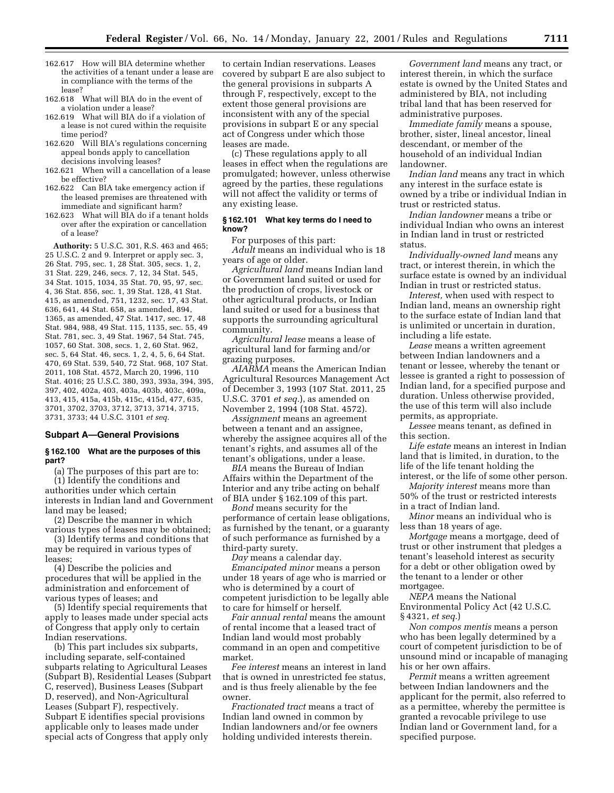- 162.617 How will BIA determine whether the activities of a tenant under a lease are in compliance with the terms of the lease?
- 162.618 What will BIA do in the event of a violation under a lease?
- 162.619 What will BIA do if a violation of a lease is not cured within the requisite time period?
- 162.620 Will BIA's regulations concerning appeal bonds apply to cancellation decisions involving leases?
- 162.621 When will a cancellation of a lease be effective?
- 162.622 Can BIA take emergency action if the leased premises are threatened with immediate and significant harm?
- 162.623 What will BIA do if a tenant holds over after the expiration or cancellation of a lease?

**Authority:** 5 U.S.C. 301, R.S. 463 and 465; 25 U.S.C. 2 and 9. Interpret or apply sec. 3, 26 Stat. 795, sec. 1, 28 Stat. 305, secs. 1, 2, 31 Stat. 229, 246, secs. 7, 12, 34 Stat. 545, 34 Stat. 1015, 1034, 35 Stat. 70, 95, 97, sec. 4, 36 Stat. 856, sec. 1, 39 Stat. 128, 41 Stat. 415, as amended, 751, 1232, sec. 17, 43 Stat. 636, 641, 44 Stat. 658, as amended, 894, 1365, as amended, 47 Stat. 1417, sec. 17, 48 Stat. 984, 988, 49 Stat. 115, 1135, sec. 55, 49 Stat. 781, sec. 3, 49 Stat. 1967, 54 Stat. 745, 1057, 60 Stat. 308, secs. 1, 2, 60 Stat. 962, sec. 5, 64 Stat. 46, secs. 1, 2, 4, 5, 6, 64 Stat. 470, 69 Stat. 539, 540, 72 Stat. 968, 107 Stat. 2011, 108 Stat. 4572, March 20, 1996, 110 Stat. 4016; 25 U.S.C. 380, 393, 393a, 394, 395, 397, 402, 402a, 403, 403a, 403b, 403c, 409a, 413, 415, 415a, 415b, 415c, 415d, 477, 635, 3701, 3702, 3703, 3712, 3713, 3714, 3715, 3731, 3733; 44 U.S.C. 3101 *et seq.*

#### **Subpart A—General Provisions**

### **§ 162.100 What are the purposes of this part?**

(a) The purposes of this part are to: (1) Identify the conditions and authorities under which certain interests in Indian land and Government land may be leased;

(2) Describe the manner in which various types of leases may be obtained;

(3) Identify terms and conditions that may be required in various types of leases;

(4) Describe the policies and procedures that will be applied in the administration and enforcement of various types of leases; and

(5) Identify special requirements that apply to leases made under special acts of Congress that apply only to certain Indian reservations.

(b) This part includes six subparts, including separate, self-contained subparts relating to Agricultural Leases (Subpart B), Residential Leases (Subpart C, reserved), Business Leases (Subpart D, reserved), and Non-Agricultural Leases (Subpart F), respectively. Subpart E identifies special provisions applicable only to leases made under special acts of Congress that apply only

to certain Indian reservations. Leases covered by subpart E are also subject to the general provisions in subparts A through F, respectively, except to the extent those general provisions are inconsistent with any of the special provisions in subpart E or any special act of Congress under which those leases are made.

(c) These regulations apply to all leases in effect when the regulations are promulgated; however, unless otherwise agreed by the parties, these regulations will not affect the validity or terms of any existing lease.

### **§ 162.101 What key terms do I need to know?**

For purposes of this part: *Adult* means an individual who is 18 years of age or older.

*Agricultural land* means Indian land or Government land suited or used for the production of crops, livestock or other agricultural products, or Indian land suited or used for a business that supports the surrounding agricultural community.

*Agricultural lease* means a lease of agricultural land for farming and/or grazing purposes.

*AIARMA* means the American Indian Agricultural Resources Management Act of December 3, 1993 (107 Stat. 2011, 25 U.S.C. 3701 *et seq.*), as amended on November 2, 1994 (108 Stat. 4572).

*Assignment* means an agreement between a tenant and an assignee, whereby the assignee acquires all of the tenant's rights, and assumes all of the tenant's obligations, under a lease.

*BIA* means the Bureau of Indian Affairs within the Department of the Interior and any tribe acting on behalf of BIA under § 162.109 of this part.

*Bond* means security for the performance of certain lease obligations, as furnished by the tenant, or a guaranty of such performance as furnished by a third-party surety.

*Day* means a calendar day.

*Emancipated minor* means a person under 18 years of age who is married or who is determined by a court of competent jurisdiction to be legally able to care for himself or herself.

*Fair annual rental* means the amount of rental income that a leased tract of Indian land would most probably command in an open and competitive market.

*Fee interest* means an interest in land that is owned in unrestricted fee status, and is thus freely alienable by the fee owner.

*Fractionated tract* means a tract of Indian land owned in common by Indian landowners and/or fee owners holding undivided interests therein.

*Government land* means any tract, or interest therein, in which the surface estate is owned by the United States and administered by BIA, not including tribal land that has been reserved for administrative purposes.

*Immediate family* means a spouse, brother, sister, lineal ancestor, lineal descendant, or member of the household of an individual Indian landowner.

*Indian land* means any tract in which any interest in the surface estate is owned by a tribe or individual Indian in trust or restricted status.

*Indian landowner* means a tribe or individual Indian who owns an interest in Indian land in trust or restricted status.

*Individually-owned land* means any tract, or interest therein, in which the surface estate is owned by an individual Indian in trust or restricted status.

*Interest,* when used with respect to Indian land, means an ownership right to the surface estate of Indian land that is unlimited or uncertain in duration, including a life estate.

*Lease* means a written agreement between Indian landowners and a tenant or lessee, whereby the tenant or lessee is granted a right to possession of Indian land, for a specified purpose and duration. Unless otherwise provided, the use of this term will also include permits, as appropriate.

*Lessee* means tenant, as defined in this section.

*Life estate* means an interest in Indian land that is limited, in duration, to the life of the life tenant holding the interest, or the life of some other person.

*Majority interest* means more than 50% of the trust or restricted interests in a tract of Indian land.

*Minor* means an individual who is less than 18 years of age.

*Mortgage* means a mortgage, deed of trust or other instrument that pledges a tenant's leasehold interest as security for a debt or other obligation owed by the tenant to a lender or other mortgagee.

*NEPA* means the National Environmental Policy Act (42 U.S.C. § 4321, *et seq.*)

*Non compos mentis* means a person who has been legally determined by a court of competent jurisdiction to be of unsound mind or incapable of managing his or her own affairs.

*Permit* means a written agreement between Indian landowners and the applicant for the permit, also referred to as a permittee, whereby the permittee is granted a revocable privilege to use Indian land or Government land, for a specified purpose.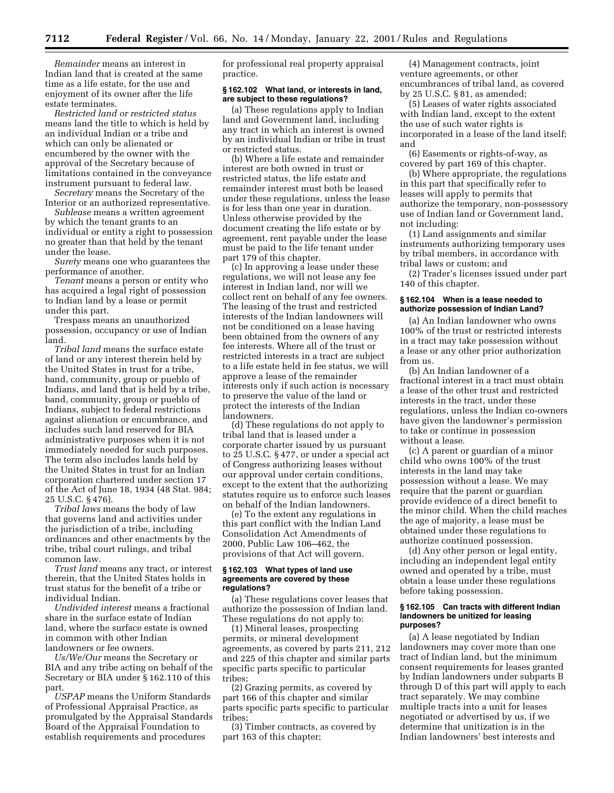*Remainder* means an interest in Indian land that is created at the same time as a life estate, for the use and enjoyment of its owner after the life estate terminates.

*Restricted land or restricted status* means land the title to which is held by an individual Indian or a tribe and which can only be alienated or encumbered by the owner with the approval of the Secretary because of limitations contained in the conveyance instrument pursuant to federal law.

*Secretary* means the Secretary of the Interior or an authorized representative.

*Sublease* means a written agreement by which the tenant grants to an individual or entity a right to possession no greater than that held by the tenant under the lease.

*Surety* means one who guarantees the performance of another.

*Tenant* means a person or entity who has acquired a legal right of possession to Indian land by a lease or permit under this part.

Trespass means an unauthorized possession, occupancy or use of Indian land.

*Tribal land* means the surface estate of land or any interest therein held by the United States in trust for a tribe, band, community, group or pueblo of Indians, and land that is held by a tribe, band, community, group or pueblo of Indians, subject to federal restrictions against alienation or encumbrance, and includes such land reserved for BIA administrative purposes when it is not immediately needed for such purposes. The term also includes lands held by the United States in trust for an Indian corporation chartered under section 17 of the Act of June 18, 1934 (48 Stat. 984; 25 U.S.C. § 476).

*Tribal laws* means the body of law that governs land and activities under the jurisdiction of a tribe, including ordinances and other enactments by the tribe, tribal court rulings, and tribal common law.

*Trust land* means any tract, or interest therein, that the United States holds in trust status for the benefit of a tribe or individual Indian.

*Undivided interest* means a fractional share in the surface estate of Indian land, where the surface estate is owned in common with other Indian landowners or fee owners.

*Us/We/Our* means the Secretary or BIA and any tribe acting on behalf of the Secretary or BIA under § 162.110 of this part.

*USPAP* means the Uniform Standards of Professional Appraisal Practice, as promulgated by the Appraisal Standards Board of the Appraisal Foundation to establish requirements and procedures

for professional real property appraisal practice.

#### **§ 162.102 What land, or interests in land, are subject to these regulations?**

(a) These regulations apply to Indian land and Government land, including any tract in which an interest is owned by an individual Indian or tribe in trust or restricted status.

(b) Where a life estate and remainder interest are both owned in trust or restricted status, the life estate and remainder interest must both be leased under these regulations, unless the lease is for less than one year in duration. Unless otherwise provided by the document creating the life estate or by agreement, rent payable under the lease must be paid to the life tenant under part 179 of this chapter.

(c) In approving a lease under these regulations, we will not lease any fee interest in Indian land, nor will we collect rent on behalf of any fee owners. The leasing of the trust and restricted interests of the Indian landowners will not be conditioned on a lease having been obtained from the owners of any fee interests. Where all of the trust or restricted interests in a tract are subject to a life estate held in fee status, we will approve a lease of the remainder interests only if such action is necessary to preserve the value of the land or protect the interests of the Indian landowners.

(d) These regulations do not apply to tribal land that is leased under a corporate charter issued by us pursuant to 25 U.S.C. § 477, or under a special act of Congress authorizing leases without our approval under certain conditions, except to the extent that the authorizing statutes require us to enforce such leases on behalf of the Indian landowners.

(e) To the extent any regulations in this part conflict with the Indian Land Consolidation Act Amendments of 2000, Public Law 106–462, the provisions of that Act will govern.

#### **§ 162.103 What types of land use agreements are covered by these regulations?**

(a) These regulations cover leases that authorize the possession of Indian land. These regulations do not apply to:

(1) Mineral leases, prospecting permits, or mineral development agreements, as covered by parts 211, 212 and 225 of this chapter and similar parts specific parts specific to particular tribes;

(2) Grazing permits, as covered by part 166 of this chapter and similar parts specific parts specific to particular tribes;

(3) Timber contracts, as covered by part 163 of this chapter;

(4) Management contracts, joint venture agreements, or other encumbrances of tribal land, as covered by 25 U.S.C. § 81, as amended;

(5) Leases of water rights associated with Indian land, except to the extent the use of such water rights is incorporated in a lease of the land itself; and

(6) Easements or rights-of-way, as covered by part 169 of this chapter.

(b) Where appropriate, the regulations in this part that specifically refer to leases will apply to permits that authorize the temporary, non-possessory use of Indian land or Government land, not including:

(1) Land assignments and similar instruments authorizing temporary uses by tribal members, in accordance with tribal laws or custom; and

(2) Trader's licenses issued under part 140 of this chapter.

## **§ 162.104 When is a lease needed to authorize possession of Indian Land?**

(a) An Indian landowner who owns 100% of the trust or restricted interests in a tract may take possession without a lease or any other prior authorization from us.

(b) An Indian landowner of a fractional interest in a tract must obtain a lease of the other trust and restricted interests in the tract, under these regulations, unless the Indian co-owners have given the landowner's permission to take or continue in possession without a lease.

(c) A parent or guardian of a minor child who owns 100% of the trust interests in the land may take possession without a lease. We may require that the parent or guardian provide evidence of a direct benefit to the minor child. When the child reaches the age of majority, a lease must be obtained under these regulations to authorize continued possession.

(d) Any other person or legal entity, including an independent legal entity owned and operated by a tribe, must obtain a lease under these regulations before taking possession.

#### **§ 162.105 Can tracts with different Indian landowners be unitized for leasing purposes?**

(a) A lease negotiated by Indian landowners may cover more than one tract of Indian land, but the minimum consent requirements for leases granted by Indian landowners under subparts B through D of this part will apply to each tract separately. We may combine multiple tracts into a unit for leases negotiated or advertised by us, if we determine that unitization is in the Indian landowners' best interests and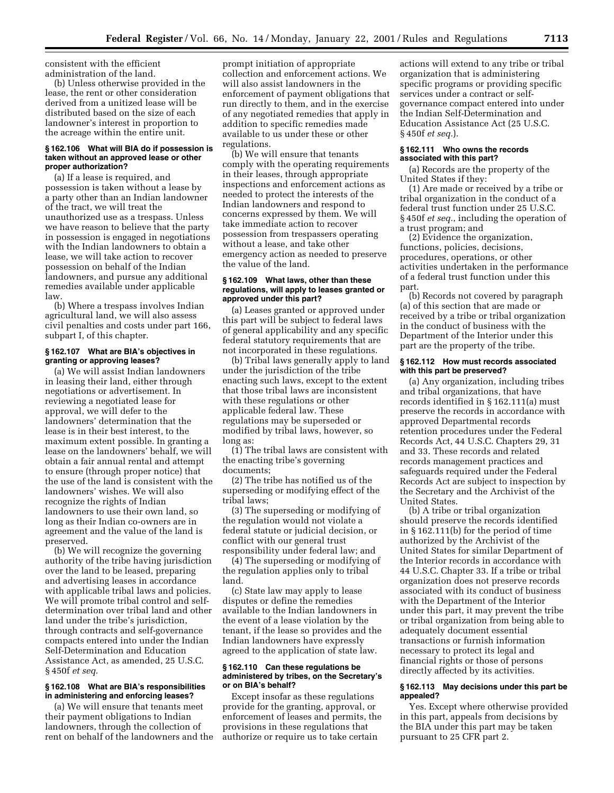consistent with the efficient administration of the land.

(b) Unless otherwise provided in the lease, the rent or other consideration derived from a unitized lease will be distributed based on the size of each landowner's interest in proportion to the acreage within the entire unit.

### **§ 162.106 What will BIA do if possession is taken without an approved lease or other proper authorization?**

(a) If a lease is required, and possession is taken without a lease by a party other than an Indian landowner of the tract, we will treat the unauthorized use as a trespass. Unless we have reason to believe that the party in possession is engaged in negotiations with the Indian landowners to obtain a lease, we will take action to recover possession on behalf of the Indian landowners, and pursue any additional remedies available under applicable law.

(b) Where a trespass involves Indian agricultural land, we will also assess civil penalties and costs under part 166, subpart I, of this chapter.

## **§ 162.107 What are BIA's objectives in granting or approving leases?**

(a) We will assist Indian landowners in leasing their land, either through negotiations or advertisement. In reviewing a negotiated lease for approval, we will defer to the landowners' determination that the lease is in their best interest, to the maximum extent possible. In granting a lease on the landowners' behalf, we will obtain a fair annual rental and attempt to ensure (through proper notice) that the use of the land is consistent with the landowners' wishes. We will also recognize the rights of Indian landowners to use their own land, so long as their Indian co-owners are in agreement and the value of the land is preserved.

(b) We will recognize the governing authority of the tribe having jurisdiction over the land to be leased, preparing and advertising leases in accordance with applicable tribal laws and policies. We will promote tribal control and selfdetermination over tribal land and other land under the tribe's jurisdiction, through contracts and self-governance compacts entered into under the Indian Self-Determination and Education Assistance Act, as amended, 25 U.S.C. § 450f *et seq.*

## **§ 162.108 What are BIA's responsibilities in administering and enforcing leases?**

(a) We will ensure that tenants meet their payment obligations to Indian landowners, through the collection of rent on behalf of the landowners and the

prompt initiation of appropriate collection and enforcement actions. We will also assist landowners in the enforcement of payment obligations that run directly to them, and in the exercise of any negotiated remedies that apply in addition to specific remedies made available to us under these or other regulations.

(b) We will ensure that tenants comply with the operating requirements in their leases, through appropriate inspections and enforcement actions as needed to protect the interests of the Indian landowners and respond to concerns expressed by them. We will take immediate action to recover possession from trespassers operating without a lease, and take other emergency action as needed to preserve the value of the land.

#### **§ 162.109 What laws, other than these regulations, will apply to leases granted or approved under this part?**

(a) Leases granted or approved under this part will be subject to federal laws of general applicability and any specific federal statutory requirements that are not incorporated in these regulations.

(b) Tribal laws generally apply to land under the jurisdiction of the tribe enacting such laws, except to the extent that those tribal laws are inconsistent with these regulations or other applicable federal law. These regulations may be superseded or modified by tribal laws, however, so long as:

(1) The tribal laws are consistent with the enacting tribe's governing documents;

(2) The tribe has notified us of the superseding or modifying effect of the tribal laws;

(3) The superseding or modifying of the regulation would not violate a federal statute or judicial decision, or conflict with our general trust responsibility under federal law; and

(4) The superseding or modifying of the regulation applies only to tribal land.

(c) State law may apply to lease disputes or define the remedies available to the Indian landowners in the event of a lease violation by the tenant, if the lease so provides and the Indian landowners have expressly agreed to the application of state law.

### **§ 162.110 Can these regulations be administered by tribes, on the Secretary's or on BIA's behalf?**

Except insofar as these regulations provide for the granting, approval, or enforcement of leases and permits, the provisions in these regulations that authorize or require us to take certain

actions will extend to any tribe or tribal organization that is administering specific programs or providing specific services under a contract or selfgovernance compact entered into under the Indian Self-Determination and Education Assistance Act (25 U.S.C. § 450f *et seq.*).

#### **§ 162.111 Who owns the records associated with this part?**

(a) Records are the property of the United States if they:

(1) Are made or received by a tribe or tribal organization in the conduct of a federal trust function under 25 U.S.C. § 450f *et seq.*, including the operation of a trust program; and

(2) Evidence the organization, functions, policies, decisions, procedures, operations, or other activities undertaken in the performance of a federal trust function under this part.

(b) Records not covered by paragraph (a) of this section that are made or received by a tribe or tribal organization in the conduct of business with the Department of the Interior under this part are the property of the tribe.

#### **§ 162.112 How must records associated with this part be preserved?**

(a) Any organization, including tribes and tribal organizations, that have records identified in § 162.111(a) must preserve the records in accordance with approved Departmental records retention procedures under the Federal Records Act, 44 U.S.C. Chapters 29, 31 and 33. These records and related records management practices and safeguards required under the Federal Records Act are subject to inspection by the Secretary and the Archivist of the United States.

(b) A tribe or tribal organization should preserve the records identified in § 162.111(b) for the period of time authorized by the Archivist of the United States for similar Department of the Interior records in accordance with 44 U.S.C. Chapter 33. If a tribe or tribal organization does not preserve records associated with its conduct of business with the Department of the Interior under this part, it may prevent the tribe or tribal organization from being able to adequately document essential transactions or furnish information necessary to protect its legal and financial rights or those of persons directly affected by its activities.

### **§ 162.113 May decisions under this part be appealed?**

Yes. Except where otherwise provided in this part, appeals from decisions by the BIA under this part may be taken pursuant to 25 CFR part 2.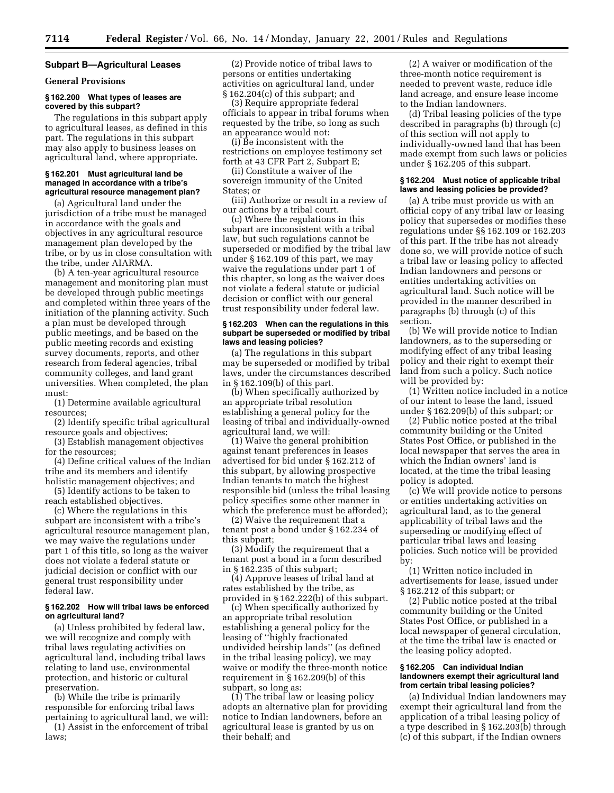### **Subpart B—Agricultural Leases**

### **General Provisions**

## **§ 162.200 What types of leases are covered by this subpart?**

The regulations in this subpart apply to agricultural leases, as defined in this part. The regulations in this subpart may also apply to business leases on agricultural land, where appropriate.

#### **§ 162.201 Must agricultural land be managed in accordance with a tribe's agricultural resource management plan?**

(a) Agricultural land under the jurisdiction of a tribe must be managed in accordance with the goals and objectives in any agricultural resource management plan developed by the tribe, or by us in close consultation with the tribe, under AIARMA.

(b) A ten-year agricultural resource management and monitoring plan must be developed through public meetings and completed within three years of the initiation of the planning activity. Such a plan must be developed through public meetings, and be based on the public meeting records and existing survey documents, reports, and other research from federal agencies, tribal community colleges, and land grant universities. When completed, the plan must:

(1) Determine available agricultural resources;

(2) Identify specific tribal agricultural resource goals and objectives;

(3) Establish management objectives for the resources;

(4) Define critical values of the Indian tribe and its members and identify holistic management objectives; and

(5) Identify actions to be taken to reach established objectives.

(c) Where the regulations in this subpart are inconsistent with a tribe's agricultural resource management plan, we may waive the regulations under part 1 of this title, so long as the waiver does not violate a federal statute or judicial decision or conflict with our general trust responsibility under federal law.

### **§ 162.202 How will tribal laws be enforced on agricultural land?**

(a) Unless prohibited by federal law, we will recognize and comply with tribal laws regulating activities on agricultural land, including tribal laws relating to land use, environmental protection, and historic or cultural preservation.

(b) While the tribe is primarily responsible for enforcing tribal laws pertaining to agricultural land, we will:

(1) Assist in the enforcement of tribal laws;

(2) Provide notice of tribal laws to persons or entities undertaking activities on agricultural land, under § 162.204(c) of this subpart; and

(3) Require appropriate federal officials to appear in tribal forums when requested by the tribe, so long as such an appearance would not:

(i) Be inconsistent with the restrictions on employee testimony set forth at 43 CFR Part 2, Subpart E;

(ii) Constitute a waiver of the sovereign immunity of the United States; or

(iii) Authorize or result in a review of our actions by a tribal court.

(c) Where the regulations in this subpart are inconsistent with a tribal law, but such regulations cannot be superseded or modified by the tribal law under § 162.109 of this part, we may waive the regulations under part 1 of this chapter, so long as the waiver does not violate a federal statute or judicial decision or conflict with our general trust responsibility under federal law.

#### **§ 162.203 When can the regulations in this subpart be superseded or modified by tribal laws and leasing policies?**

(a) The regulations in this subpart may be superseded or modified by tribal laws, under the circumstances described in § 162.109(b) of this part.

(b) When specifically authorized by an appropriate tribal resolution establishing a general policy for the leasing of tribal and individually-owned agricultural land, we will:

(1) Waive the general prohibition against tenant preferences in leases advertised for bid under § 162.212 of this subpart, by allowing prospective Indian tenants to match the highest responsible bid (unless the tribal leasing policy specifies some other manner in which the preference must be afforded);

(2) Waive the requirement that a tenant post a bond under § 162.234 of this subpart;

(3) Modify the requirement that a tenant post a bond in a form described in § 162.235 of this subpart;

(4) Approve leases of tribal land at rates established by the tribe, as provided in § 162.222(b) of this subpart.

(c) When specifically authorized by an appropriate tribal resolution establishing a general policy for the leasing of ''highly fractionated undivided heirship lands'' (as defined in the tribal leasing policy), we may waive or modify the three-month notice requirement in § 162.209(b) of this subpart, so long as:

(1) The tribal law or leasing policy adopts an alternative plan for providing notice to Indian landowners, before an agricultural lease is granted by us on their behalf; and

(2) A waiver or modification of the three-month notice requirement is needed to prevent waste, reduce idle land acreage, and ensure lease income to the Indian landowners.

(d) Tribal leasing policies of the type described in paragraphs (b) through (c) of this section will not apply to individually-owned land that has been made exempt from such laws or policies under § 162.205 of this subpart.

### **§ 162.204 Must notice of applicable tribal laws and leasing policies be provided?**

(a) A tribe must provide us with an official copy of any tribal law or leasing policy that supersedes or modifies these regulations under §§ 162.109 or 162.203 of this part. If the tribe has not already done so, we will provide notice of such a tribal law or leasing policy to affected Indian landowners and persons or entities undertaking activities on agricultural land. Such notice will be provided in the manner described in paragraphs (b) through (c) of this section.

(b) We will provide notice to Indian landowners, as to the superseding or modifying effect of any tribal leasing policy and their right to exempt their land from such a policy. Such notice will be provided by:

(1) Written notice included in a notice of our intent to lease the land, issued under § 162.209(b) of this subpart; or

(2) Public notice posted at the tribal community building or the United States Post Office, or published in the local newspaper that serves the area in which the Indian owners' land is located, at the time the tribal leasing policy is adopted.

(c) We will provide notice to persons or entities undertaking activities on agricultural land, as to the general applicability of tribal laws and the superseding or modifying effect of particular tribal laws and leasing policies. Such notice will be provided by:

(1) Written notice included in advertisements for lease, issued under § 162.212 of this subpart; or

(2) Public notice posted at the tribal community building or the United States Post Office, or published in a local newspaper of general circulation, at the time the tribal law is enacted or the leasing policy adopted.

### **§ 162.205 Can individual Indian landowners exempt their agricultural land from certain tribal leasing policies?**

(a) Individual Indian landowners may exempt their agricultural land from the application of a tribal leasing policy of a type described in § 162.203(b) through (c) of this subpart, if the Indian owners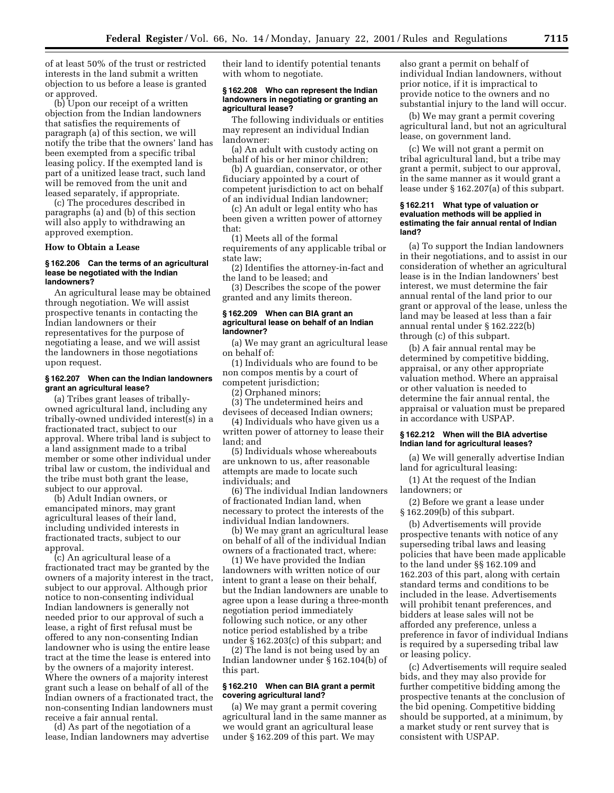of at least 50% of the trust or restricted interests in the land submit a written objection to us before a lease is granted or approved.

(b) Upon our receipt of a written objection from the Indian landowners that satisfies the requirements of paragraph (a) of this section, we will notify the tribe that the owners' land has been exempted from a specific tribal leasing policy. If the exempted land is part of a unitized lease tract, such land will be removed from the unit and leased separately, if appropriate.

(c) The procedures described in paragraphs (a) and (b) of this section will also apply to withdrawing an approved exemption.

### **How to Obtain a Lease**

### **§ 162.206 Can the terms of an agricultural lease be negotiated with the Indian landowners?**

An agricultural lease may be obtained through negotiation. We will assist prospective tenants in contacting the Indian landowners or their representatives for the purpose of negotiating a lease, and we will assist the landowners in those negotiations upon request.

### **§ 162.207 When can the Indian landowners grant an agricultural lease?**

(a) Tribes grant leases of triballyowned agricultural land, including any tribally-owned undivided interest(s) in a fractionated tract, subject to our approval. Where tribal land is subject to a land assignment made to a tribal member or some other individual under tribal law or custom, the individual and the tribe must both grant the lease, subject to our approval.

(b) Adult Indian owners, or emancipated minors, may grant agricultural leases of their land, including undivided interests in fractionated tracts, subject to our approval.

(c) An agricultural lease of a fractionated tract may be granted by the owners of a majority interest in the tract, subject to our approval. Although prior notice to non-consenting individual Indian landowners is generally not needed prior to our approval of such a lease, a right of first refusal must be offered to any non-consenting Indian landowner who is using the entire lease tract at the time the lease is entered into by the owners of a majority interest. Where the owners of a majority interest grant such a lease on behalf of all of the Indian owners of a fractionated tract, the non-consenting Indian landowners must receive a fair annual rental.

(d) As part of the negotiation of a lease, Indian landowners may advertise their land to identify potential tenants with whom to negotiate.

### **§ 162.208 Who can represent the Indian landowners in negotiating or granting an agricultural lease?**

The following individuals or entities may represent an individual Indian landowner:

(a) An adult with custody acting on behalf of his or her minor children;

(b) A guardian, conservator, or other fiduciary appointed by a court of competent jurisdiction to act on behalf of an individual Indian landowner;

(c) An adult or legal entity who has been given a written power of attorney that:

(1) Meets all of the formal requirements of any applicable tribal or state law;

(2) Identifies the attorney-in-fact and the land to be leased; and

(3) Describes the scope of the power granted and any limits thereon.

#### **§ 162.209 When can BIA grant an agricultural lease on behalf of an Indian landowner?**

(a) We may grant an agricultural lease on behalf of:

(1) Individuals who are found to be non compos mentis by a court of competent jurisdiction;

(2) Orphaned minors;

(3) The undetermined heirs and devisees of deceased Indian owners;

(4) Individuals who have given us a written power of attorney to lease their land; and

(5) Individuals whose whereabouts are unknown to us, after reasonable attempts are made to locate such individuals; and

(6) The individual Indian landowners of fractionated Indian land, when necessary to protect the interests of the individual Indian landowners.

(b) We may grant an agricultural lease on behalf of all of the individual Indian owners of a fractionated tract, where:

(1) We have provided the Indian landowners with written notice of our intent to grant a lease on their behalf, but the Indian landowners are unable to agree upon a lease during a three-month negotiation period immediately following such notice, or any other notice period established by a tribe under § 162.203(c) of this subpart; and

(2) The land is not being used by an Indian landowner under § 162.104(b) of this part.

## **§ 162.210 When can BIA grant a permit covering agricultural land?**

(a) We may grant a permit covering agricultural land in the same manner as we would grant an agricultural lease under § 162.209 of this part. We may

also grant a permit on behalf of individual Indian landowners, without prior notice, if it is impractical to provide notice to the owners and no substantial injury to the land will occur.

(b) We may grant a permit covering agricultural land, but not an agricultural lease, on government land.

(c) We will not grant a permit on tribal agricultural land, but a tribe may grant a permit, subject to our approval, in the same manner as it would grant a lease under § 162.207(a) of this subpart.

### **§ 162.211 What type of valuation or evaluation methods will be applied in estimating the fair annual rental of Indian land?**

(a) To support the Indian landowners in their negotiations, and to assist in our consideration of whether an agricultural lease is in the Indian landowners' best interest, we must determine the fair annual rental of the land prior to our grant or approval of the lease, unless the land may be leased at less than a fair annual rental under § 162.222(b) through (c) of this subpart.

(b) A fair annual rental may be determined by competitive bidding, appraisal, or any other appropriate valuation method. Where an appraisal or other valuation is needed to determine the fair annual rental, the appraisal or valuation must be prepared in accordance with USPAP.

### **§ 162.212 When will the BIA advertise Indian land for agricultural leases?**

(a) We will generally advertise Indian land for agricultural leasing:

(1) At the request of the Indian landowners; or

(2) Before we grant a lease under § 162.209(b) of this subpart.

(b) Advertisements will provide prospective tenants with notice of any superseding tribal laws and leasing policies that have been made applicable to the land under §§ 162.109 and 162.203 of this part, along with certain standard terms and conditions to be included in the lease. Advertisements will prohibit tenant preferences, and bidders at lease sales will not be afforded any preference, unless a preference in favor of individual Indians is required by a superseding tribal law or leasing policy.

(c) Advertisements will require sealed bids, and they may also provide for further competitive bidding among the prospective tenants at the conclusion of the bid opening. Competitive bidding should be supported, at a minimum, by a market study or rent survey that is consistent with USPAP.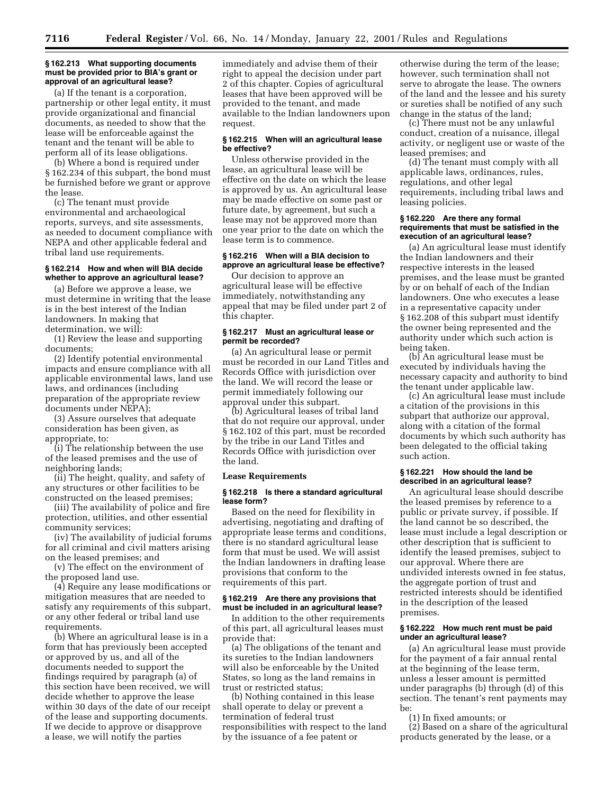#### **§ 162.213 What supporting documents must be provided prior to BIA's grant or approval of an agricultural lease?**

(a) If the tenant is a corporation, partnership or other legal entity, it must provide organizational and financial documents, as needed to show that the lease will be enforceable against the tenant and the tenant will be able to perform all of its lease obligations.

(b) Where a bond is required under § 162.234 of this subpart, the bond must be furnished before we grant or approve the lease.

(c) The tenant must provide environmental and archaeological reports, surveys, and site assessments, as needed to document compliance with NEPA and other applicable federal and tribal land use requirements.

#### **§ 162.214 How and when will BIA decide whether to approve an agricultural lease?**

(a) Before we approve a lease, we must determine in writing that the lease is in the best interest of the Indian landowners. In making that determination, we will:

(1) Review the lease and supporting documents;

(2) Identify potential environmental impacts and ensure compliance with all applicable environmental laws, land use laws, and ordinances (including preparation of the appropriate review documents under NEPA);

(3) Assure ourselves that adequate consideration has been given, as appropriate, to:

(i) The relationship between the use of the leased premises and the use of neighboring lands;

(ii) The height, quality, and safety of any structures or other facilities to be constructed on the leased premises;

(iii) The availability of police and fire protection, utilities, and other essential community services;

(iv) The availability of judicial forums for all criminal and civil matters arising on the leased premises; and

(v) The effect on the environment of the proposed land use.

(4) Require any lease modifications or mitigation measures that are needed to satisfy any requirements of this subpart, or any other federal or tribal land use requirements.

(b) Where an agricultural lease is in a form that has previously been accepted or approved by us, and all of the documents needed to support the findings required by paragraph (a) of this section have been received, we will decide whether to approve the lease within 30 days of the date of our receipt of the lease and supporting documents. If we decide to approve or disapprove a lease, we will notify the parties

immediately and advise them of their right to appeal the decision under part 2 of this chapter. Copies of agricultural leases that have been approved will be provided to the tenant, and made available to the Indian landowners upon request.

## **§ 162.215 When will an agricultural lease be effective?**

Unless otherwise provided in the lease, an agricultural lease will be effective on the date on which the lease is approved by us. An agricultural lease may be made effective on some past or future date, by agreement, but such a lease may not be approved more than one year prior to the date on which the lease term is to commence.

## **§ 162.216 When will a BIA decision to approve an agricultural lease be effective?**

Our decision to approve an agricultural lease will be effective immediately, notwithstanding any appeal that may be filed under part 2 of this chapter.

#### **§ 162.217 Must an agricultural lease or permit be recorded?**

(a) An agricultural lease or permit must be recorded in our Land Titles and Records Office with jurisdiction over the land. We will record the lease or permit immediately following our approval under this subpart.

(b) Agricultural leases of tribal land that do not require our approval, under § 162.102 of this part, must be recorded by the tribe in our Land Titles and Records Office with jurisdiction over the land.

#### **Lease Requirements**

#### **§ 162.218 Is there a standard agricultural lease form?**

Based on the need for flexibility in advertising, negotiating and drafting of appropriate lease terms and conditions, there is no standard agricultural lease form that must be used. We will assist the Indian landowners in drafting lease provisions that conform to the requirements of this part.

### **§ 162.219 Are there any provisions that must be included in an agricultural lease?**

In addition to the other requirements of this part, all agricultural leases must provide that:

(a) The obligations of the tenant and its sureties to the Indian landowners will also be enforceable by the United States, so long as the land remains in trust or restricted status;

(b) Nothing contained in this lease shall operate to delay or prevent a termination of federal trust responsibilities with respect to the land by the issuance of a fee patent or

otherwise during the term of the lease; however, such termination shall not serve to abrogate the lease. The owners of the land and the lessee and his surety or sureties shall be notified of any such change in the status of the land;

(c) There must not be any unlawful conduct, creation of a nuisance, illegal activity, or negligent use or waste of the leased premises; and

(d) The tenant must comply with all applicable laws, ordinances, rules, regulations, and other legal requirements, including tribal laws and leasing policies.

#### **§ 162.220 Are there any formal requirements that must be satisfied in the execution of an agricultural lease?**

(a) An agricultural lease must identify the Indian landowners and their respective interests in the leased premises, and the lease must be granted by or on behalf of each of the Indian landowners. One who executes a lease in a representative capacity under § 162.208 of this subpart must identify the owner being represented and the authority under which such action is being taken.

(b) An agricultural lease must be executed by individuals having the necessary capacity and authority to bind the tenant under applicable law.

(c) An agricultural lease must include a citation of the provisions in this subpart that authorize our approval, along with a citation of the formal documents by which such authority has been delegated to the official taking such action.

#### **§ 162.221 How should the land be described in an agricultural lease?**

An agricultural lease should describe the leased premises by reference to a public or private survey, if possible. If the land cannot be so described, the lease must include a legal description or other description that is sufficient to identify the leased premises, subject to our approval. Where there are undivided interests owned in fee status, the aggregate portion of trust and restricted interests should be identified in the description of the leased premises.

### **§ 162.222 How much rent must be paid under an agricultural lease?**

(a) An agricultural lease must provide for the payment of a fair annual rental at the beginning of the lease term, unless a lesser amount is permitted under paragraphs (b) through (d) of this section. The tenant's rent payments may be:

(1) In fixed amounts; or

(2) Based on a share of the agricultural products generated by the lease, or a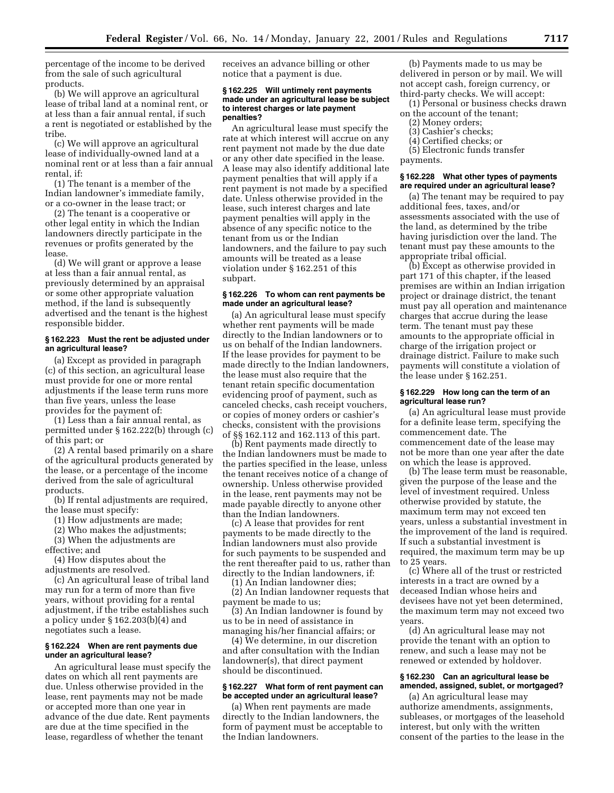percentage of the income to be derived from the sale of such agricultural products.

(b) We will approve an agricultural lease of tribal land at a nominal rent, or at less than a fair annual rental, if such a rent is negotiated or established by the tribe.

(c) We will approve an agricultural lease of individually-owned land at a nominal rent or at less than a fair annual rental if<sup>.</sup>

(1) The tenant is a member of the Indian landowner's immediate family, or a co-owner in the lease tract; or

(2) The tenant is a cooperative or other legal entity in which the Indian landowners directly participate in the revenues or profits generated by the lease.

(d) We will grant or approve a lease at less than a fair annual rental, as previously determined by an appraisal or some other appropriate valuation method, if the land is subsequently advertised and the tenant is the highest responsible bidder.

### **§ 162.223 Must the rent be adjusted under an agricultural lease?**

(a) Except as provided in paragraph (c) of this section, an agricultural lease must provide for one or more rental adjustments if the lease term runs more than five years, unless the lease provides for the payment of:

(1) Less than a fair annual rental, as permitted under § 162.222(b) through (c) of this part; or

(2) A rental based primarily on a share of the agricultural products generated by the lease, or a percentage of the income derived from the sale of agricultural products.

(b) If rental adjustments are required, the lease must specify:

(1) How adjustments are made;

(2) Who makes the adjustments;

(3) When the adjustments are effective; and

(4) How disputes about the adjustments are resolved.

(c) An agricultural lease of tribal land may run for a term of more than five years, without providing for a rental adjustment, if the tribe establishes such a policy under § 162.203(b)(4) and negotiates such a lease.

### **§ 162.224 When are rent payments due under an agricultural lease?**

An agricultural lease must specify the dates on which all rent payments are due. Unless otherwise provided in the lease, rent payments may not be made or accepted more than one year in advance of the due date. Rent payments are due at the time specified in the lease, regardless of whether the tenant

receives an advance billing or other notice that a payment is due.

#### **§ 162.225 Will untimely rent payments made under an agricultural lease be subject to interest charges or late payment penalties?**

An agricultural lease must specify the rate at which interest will accrue on any rent payment not made by the due date or any other date specified in the lease. A lease may also identify additional late payment penalties that will apply if a rent payment is not made by a specified date. Unless otherwise provided in the lease, such interest charges and late payment penalties will apply in the absence of any specific notice to the tenant from us or the Indian landowners, and the failure to pay such amounts will be treated as a lease violation under § 162.251 of this subpart.

## **§ 162.226 To whom can rent payments be made under an agricultural lease?**

(a) An agricultural lease must specify whether rent payments will be made directly to the Indian landowners or to us on behalf of the Indian landowners. If the lease provides for payment to be made directly to the Indian landowners, the lease must also require that the tenant retain specific documentation evidencing proof of payment, such as canceled checks, cash receipt vouchers, or copies of money orders or cashier's checks, consistent with the provisions of §§ 162.112 and 162.113 of this part.

(b) Rent payments made directly to the Indian landowners must be made to the parties specified in the lease, unless the tenant receives notice of a change of ownership. Unless otherwise provided in the lease, rent payments may not be made payable directly to anyone other than the Indian landowners.

(c) A lease that provides for rent payments to be made directly to the Indian landowners must also provide for such payments to be suspended and the rent thereafter paid to us, rather than directly to the Indian landowners, if:

(1) An Indian landowner dies;

(2) An Indian landowner requests that payment be made to us;

(3) An Indian landowner is found by us to be in need of assistance in managing his/her financial affairs; or

(4) We determine, in our discretion and after consultation with the Indian landowner(s), that direct payment should be discontinued.

## **§ 162.227 What form of rent payment can be accepted under an agricultural lease?**

(a) When rent payments are made directly to the Indian landowners, the form of payment must be acceptable to the Indian landowners.

(b) Payments made to us may be delivered in person or by mail. We will not accept cash, foreign currency, or third-party checks. We will accept:

- (1) Personal or business checks drawn on the account of the tenant;
	- (2) Money orders;
	- (3) Cashier's checks;
	- (4) Certified checks; or

(5) Electronic funds transfer payments.

### **§ 162.228 What other types of payments are required under an agricultural lease?**

(a) The tenant may be required to pay additional fees, taxes, and/or assessments associated with the use of the land, as determined by the tribe having jurisdiction over the land. The tenant must pay these amounts to the appropriate tribal official.

(b) Except as otherwise provided in part 171 of this chapter, if the leased premises are within an Indian irrigation project or drainage district, the tenant must pay all operation and maintenance charges that accrue during the lease term. The tenant must pay these amounts to the appropriate official in charge of the irrigation project or drainage district. Failure to make such payments will constitute a violation of the lease under § 162.251.

### **§ 162.229 How long can the term of an agricultural lease run?**

(a) An agricultural lease must provide for a definite lease term, specifying the commencement date. The commencement date of the lease may not be more than one year after the date on which the lease is approved.

(b) The lease term must be reasonable, given the purpose of the lease and the level of investment required. Unless otherwise provided by statute, the maximum term may not exceed ten years, unless a substantial investment in the improvement of the land is required. If such a substantial investment is required, the maximum term may be up to 25 years.

(c) Where all of the trust or restricted interests in a tract are owned by a deceased Indian whose heirs and devisees have not yet been determined, the maximum term may not exceed two years.

(d) An agricultural lease may not provide the tenant with an option to renew, and such a lease may not be renewed or extended by holdover.

## **§ 162.230 Can an agricultural lease be amended, assigned, sublet, or mortgaged?**

(a) An agricultural lease may authorize amendments, assignments, subleases, or mortgages of the leasehold interest, but only with the written consent of the parties to the lease in the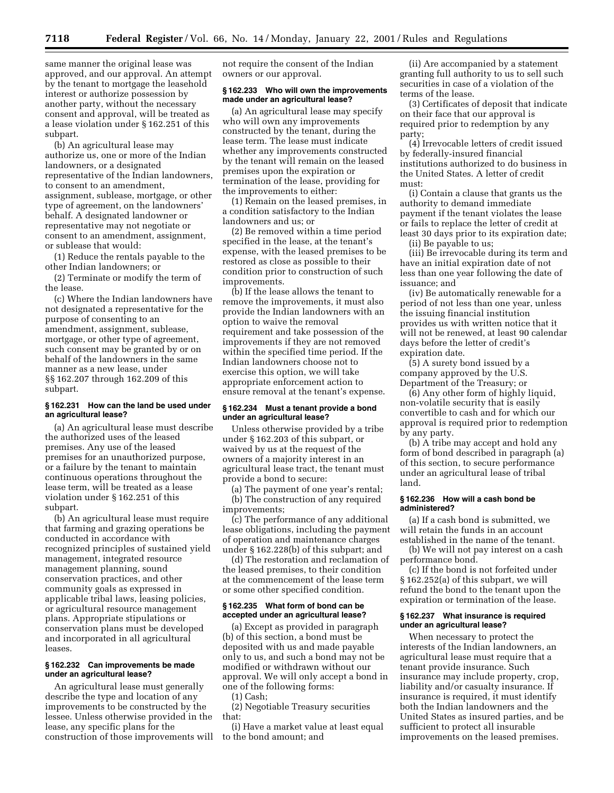same manner the original lease was approved, and our approval. An attempt by the tenant to mortgage the leasehold interest or authorize possession by another party, without the necessary consent and approval, will be treated as a lease violation under § 162.251 of this subpart.

(b) An agricultural lease may authorize us, one or more of the Indian landowners, or a designated representative of the Indian landowners, to consent to an amendment, assignment, sublease, mortgage, or other type of agreement, on the landowners' behalf. A designated landowner or representative may not negotiate or consent to an amendment, assignment, or sublease that would:

(1) Reduce the rentals payable to the other Indian landowners; or

(2) Terminate or modify the term of the lease.

(c) Where the Indian landowners have not designated a representative for the purpose of consenting to an amendment, assignment, sublease, mortgage, or other type of agreement, such consent may be granted by or on behalf of the landowners in the same manner as a new lease, under §§ 162.207 through 162.209 of this subpart.

### **§ 162.231 How can the land be used under an agricultural lease?**

(a) An agricultural lease must describe the authorized uses of the leased premises. Any use of the leased premises for an unauthorized purpose, or a failure by the tenant to maintain continuous operations throughout the lease term, will be treated as a lease violation under § 162.251 of this subpart.

(b) An agricultural lease must require that farming and grazing operations be conducted in accordance with recognized principles of sustained yield management, integrated resource management planning, sound conservation practices, and other community goals as expressed in applicable tribal laws, leasing policies, or agricultural resource management plans. Appropriate stipulations or conservation plans must be developed and incorporated in all agricultural leases.

## **§ 162.232 Can improvements be made under an agricultural lease?**

An agricultural lease must generally describe the type and location of any improvements to be constructed by the lessee. Unless otherwise provided in the lease, any specific plans for the construction of those improvements will

not require the consent of the Indian owners or our approval.

### **§ 162.233 Who will own the improvements made under an agricultural lease?**

(a) An agricultural lease may specify who will own any improvements constructed by the tenant, during the lease term. The lease must indicate whether any improvements constructed by the tenant will remain on the leased premises upon the expiration or termination of the lease, providing for the improvements to either:

(1) Remain on the leased premises, in a condition satisfactory to the Indian landowners and us; or

(2) Be removed within a time period specified in the lease, at the tenant's expense, with the leased premises to be restored as close as possible to their condition prior to construction of such improvements.

(b) If the lease allows the tenant to remove the improvements, it must also provide the Indian landowners with an option to waive the removal requirement and take possession of the improvements if they are not removed within the specified time period. If the Indian landowners choose not to exercise this option, we will take appropriate enforcement action to ensure removal at the tenant's expense.

### **§ 162.234 Must a tenant provide a bond under an agricultural lease?**

Unless otherwise provided by a tribe under § 162.203 of this subpart, or waived by us at the request of the owners of a majority interest in an agricultural lease tract, the tenant must provide a bond to secure:

(a) The payment of one year's rental; (b) The construction of any required improvements;

(c) The performance of any additional lease obligations, including the payment of operation and maintenance charges under § 162.228(b) of this subpart; and

(d) The restoration and reclamation of the leased premises, to their condition at the commencement of the lease term or some other specified condition.

### **§ 162.235 What form of bond can be accepted under an agricultural lease?**

(a) Except as provided in paragraph (b) of this section, a bond must be deposited with us and made payable only to us, and such a bond may not be modified or withdrawn without our approval. We will only accept a bond in one of the following forms:

(1) Cash; (2) Negotiable Treasury securities that:

(i) Have a market value at least equal to the bond amount; and

(ii) Are accompanied by a statement granting full authority to us to sell such securities in case of a violation of the terms of the lease.

(3) Certificates of deposit that indicate on their face that our approval is required prior to redemption by any party;

(4) Irrevocable letters of credit issued by federally-insured financial institutions authorized to do business in the United States. A letter of credit must:

(i) Contain a clause that grants us the authority to demand immediate payment if the tenant violates the lease or fails to replace the letter of credit at least 30 days prior to its expiration date; (ii) Be payable to us;

(iii) Be irrevocable during its term and have an initial expiration date of not less than one year following the date of issuance; and

(iv) Be automatically renewable for a period of not less than one year, unless the issuing financial institution provides us with written notice that it will not be renewed, at least 90 calendar days before the letter of credit's expiration date.

(5) A surety bond issued by a company approved by the U.S. Department of the Treasury; or

(6) Any other form of highly liquid, non-volatile security that is easily convertible to cash and for which our approval is required prior to redemption by any party.

(b) A tribe may accept and hold any form of bond described in paragraph (a) of this section, to secure performance under an agricultural lease of tribal land.

#### **§ 162.236 How will a cash bond be administered?**

(a) If a cash bond is submitted, we will retain the funds in an account established in the name of the tenant.

(b) We will not pay interest on a cash performance bond.

(c) If the bond is not forfeited under § 162.252(a) of this subpart, we will refund the bond to the tenant upon the expiration or termination of the lease.

## **§ 162.237 What insurance is required under an agricultural lease?**

When necessary to protect the interests of the Indian landowners, an agricultural lease must require that a tenant provide insurance. Such insurance may include property, crop, liability and/or casualty insurance. If insurance is required, it must identify both the Indian landowners and the United States as insured parties, and be sufficient to protect all insurable improvements on the leased premises.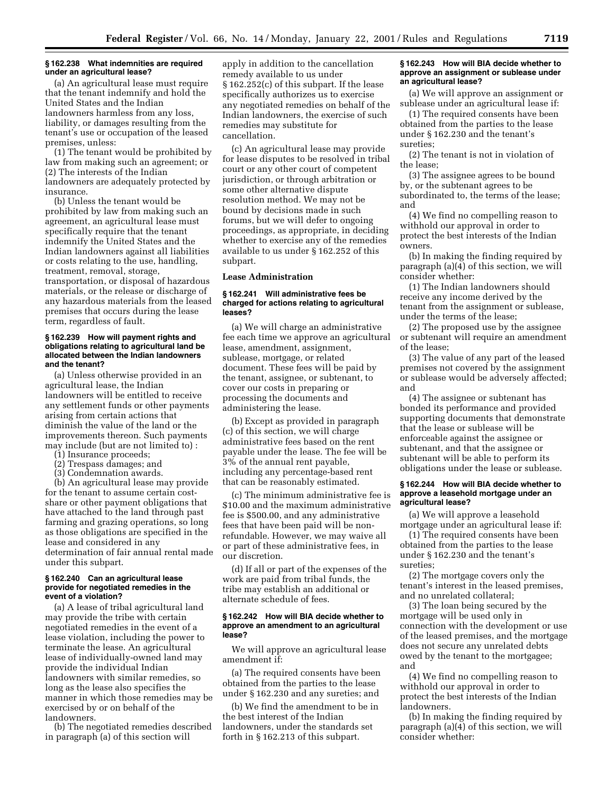### **§ 162.238 What indemnities are required under an agricultural lease?**

(a) An agricultural lease must require that the tenant indemnify and hold the United States and the Indian landowners harmless from any loss, liability, or damages resulting from the tenant's use or occupation of the leased premises, unless:

(1) The tenant would be prohibited by law from making such an agreement; or (2) The interests of the Indian landowners are adequately protected by insurance.

(b) Unless the tenant would be prohibited by law from making such an agreement, an agricultural lease must specifically require that the tenant indemnify the United States and the Indian landowners against all liabilities or costs relating to the use, handling, treatment, removal, storage, transportation, or disposal of hazardous materials, or the release or discharge of any hazardous materials from the leased premises that occurs during the lease term, regardless of fault.

#### **§ 162.239 How will payment rights and obligations relating to agricultural land be allocated between the Indian landowners and the tenant?**

(a) Unless otherwise provided in an agricultural lease, the Indian landowners will be entitled to receive any settlement funds or other payments arising from certain actions that diminish the value of the land or the improvements thereon. Such payments may include (but are not limited to) :

- (1) Insurance proceeds;
- (2) Trespass damages; and
- (3) Condemnation awards.

(b) An agricultural lease may provide for the tenant to assume certain costshare or other payment obligations that have attached to the land through past farming and grazing operations, so long as those obligations are specified in the lease and considered in any determination of fair annual rental made under this subpart.

### **§ 162.240 Can an agricultural lease provide for negotiated remedies in the event of a violation?**

(a) A lease of tribal agricultural land may provide the tribe with certain negotiated remedies in the event of a lease violation, including the power to terminate the lease. An agricultural lease of individually-owned land may provide the individual Indian landowners with similar remedies, so long as the lease also specifies the manner in which those remedies may be exercised by or on behalf of the landowners.

(b) The negotiated remedies described in paragraph (a) of this section will

apply in addition to the cancellation remedy available to us under § 162.252(c) of this subpart. If the lease specifically authorizes us to exercise any negotiated remedies on behalf of the Indian landowners, the exercise of such remedies may substitute for cancellation.

(c) An agricultural lease may provide for lease disputes to be resolved in tribal court or any other court of competent jurisdiction, or through arbitration or some other alternative dispute resolution method. We may not be bound by decisions made in such forums, but we will defer to ongoing proceedings, as appropriate, in deciding whether to exercise any of the remedies available to us under § 162.252 of this subpart.

### **Lease Administration**

## **§ 162.241 Will administrative fees be charged for actions relating to agricultural leases?**

(a) We will charge an administrative fee each time we approve an agricultural lease, amendment, assignment, sublease, mortgage, or related document. These fees will be paid by the tenant, assignee, or subtenant, to cover our costs in preparing or processing the documents and administering the lease.

(b) Except as provided in paragraph (c) of this section, we will charge administrative fees based on the rent payable under the lease. The fee will be 3% of the annual rent payable, including any percentage-based rent that can be reasonably estimated.

(c) The minimum administrative fee is \$10.00 and the maximum administrative fee is \$500.00, and any administrative fees that have been paid will be nonrefundable. However, we may waive all or part of these administrative fees, in our discretion.

(d) If all or part of the expenses of the work are paid from tribal funds, the tribe may establish an additional or alternate schedule of fees.

#### **§ 162.242 How will BIA decide whether to approve an amendment to an agricultural lease?**

We will approve an agricultural lease amendment if:

(a) The required consents have been obtained from the parties to the lease under § 162.230 and any sureties; and

(b) We find the amendment to be in the best interest of the Indian landowners, under the standards set forth in § 162.213 of this subpart.

## **§ 162.243 How will BIA decide whether to approve an assignment or sublease under an agricultural lease?**

(a) We will approve an assignment or sublease under an agricultural lease if:

(1) The required consents have been obtained from the parties to the lease under § 162.230 and the tenant's sureties;

(2) The tenant is not in violation of the lease;

(3) The assignee agrees to be bound by, or the subtenant agrees to be subordinated to, the terms of the lease; and

(4) We find no compelling reason to withhold our approval in order to protect the best interests of the Indian owners.

(b) In making the finding required by paragraph (a)(4) of this section, we will consider whether:

(1) The Indian landowners should receive any income derived by the tenant from the assignment or sublease, under the terms of the lease;

(2) The proposed use by the assignee or subtenant will require an amendment of the lease;

(3) The value of any part of the leased premises not covered by the assignment or sublease would be adversely affected; and

(4) The assignee or subtenant has bonded its performance and provided supporting documents that demonstrate that the lease or sublease will be enforceable against the assignee or subtenant, and that the assignee or subtenant will be able to perform its obligations under the lease or sublease.

## **§ 162.244 How will BIA decide whether to approve a leasehold mortgage under an agricultural lease?**

(a) We will approve a leasehold mortgage under an agricultural lease if:

(1) The required consents have been obtained from the parties to the lease under § 162.230 and the tenant's sureties;

(2) The mortgage covers only the tenant's interest in the leased premises, and no unrelated collateral;

(3) The loan being secured by the mortgage will be used only in connection with the development or use of the leased premises, and the mortgage does not secure any unrelated debts owed by the tenant to the mortgagee; and

(4) We find no compelling reason to withhold our approval in order to protect the best interests of the Indian landowners.

(b) In making the finding required by paragraph (a)(4) of this section, we will consider whether: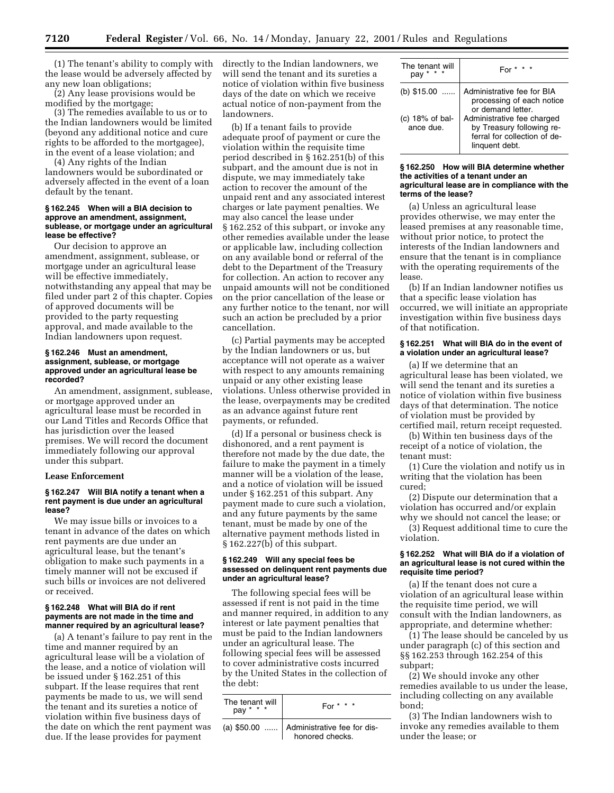(1) The tenant's ability to comply with directly to the Indian landowners, we the lease would be adversely affected by any new loan obligations;

(2) Any lease provisions would be modified by the mortgage;

(3) The remedies available to us or to the Indian landowners would be limited (beyond any additional notice and cure rights to be afforded to the mortgagee), in the event of a lease violation; and

(4) Any rights of the Indian landowners would be subordinated or adversely affected in the event of a loan default by the tenant.

#### **§ 162.245 When will a BIA decision to approve an amendment, assignment, sublease, or mortgage under an agricultural lease be effective?**

Our decision to approve an amendment, assignment, sublease, or mortgage under an agricultural lease will be effective immediately, notwithstanding any appeal that may be filed under part 2 of this chapter. Copies of approved documents will be provided to the party requesting approval, and made available to the Indian landowners upon request.

## **§ 162.246 Must an amendment, assignment, sublease, or mortgage approved under an agricultural lease be recorded?**

An amendment, assignment, sublease, or mortgage approved under an agricultural lease must be recorded in our Land Titles and Records Office that has jurisdiction over the leased premises. We will record the document immediately following our approval under this subpart.

#### **Lease Enforcement**

### **§ 162.247 Will BIA notify a tenant when a rent payment is due under an agricultural lease?**

We may issue bills or invoices to a tenant in advance of the dates on which rent payments are due under an agricultural lease, but the tenant's obligation to make such payments in a timely manner will not be excused if such bills or invoices are not delivered or received.

#### **§ 162.248 What will BIA do if rent payments are not made in the time and manner required by an agricultural lease?**

(a) A tenant's failure to pay rent in the time and manner required by an agricultural lease will be a violation of the lease, and a notice of violation will be issued under § 162.251 of this subpart. If the lease requires that rent payments be made to us, we will send the tenant and its sureties a notice of violation within five business days of the date on which the rent payment was due. If the lease provides for payment

will send the tenant and its sureties a notice of violation within five business days of the date on which we receive actual notice of non-payment from the landowners.

(b) If a tenant fails to provide adequate proof of payment or cure the violation within the requisite time period described in § 162.251(b) of this subpart, and the amount due is not in dispute, we may immediately take action to recover the amount of the unpaid rent and any associated interest charges or late payment penalties. We may also cancel the lease under § 162.252 of this subpart, or invoke any other remedies available under the lease or applicable law, including collection on any available bond or referral of the debt to the Department of the Treasury for collection. An action to recover any unpaid amounts will not be conditioned on the prior cancellation of the lease or any further notice to the tenant, nor will such an action be precluded by a prior cancellation.

(c) Partial payments may be accepted by the Indian landowners or us, but acceptance will not operate as a waiver with respect to any amounts remaining unpaid or any other existing lease violations. Unless otherwise provided in the lease, overpayments may be credited as an advance against future rent payments, or refunded.

(d) If a personal or business check is dishonored, and a rent payment is therefore not made by the due date, the failure to make the payment in a timely manner will be a violation of the lease, and a notice of violation will be issued under § 162.251 of this subpart. Any payment made to cure such a violation, and any future payments by the same tenant, must be made by one of the alternative payment methods listed in § 162.227(b) of this subpart.

#### **§ 162.249 Will any special fees be assessed on delinquent rent payments due under an agricultural lease?**

The following special fees will be assessed if rent is not paid in the time and manner required, in addition to any interest or late payment penalties that must be paid to the Indian landowners under an agricultural lease. The following special fees will be assessed to cover administrative costs incurred by the United States in the collection of the debt:

| The tenant will<br>$pay * * * *$ | For $* * * *$                                          |  |
|----------------------------------|--------------------------------------------------------|--|
|                                  | (a) $$50.00$ Administrative fee for dishonored checks. |  |

| The tenant will<br>*<br>pav     | For $* * * *$                                                                                             |
|---------------------------------|-----------------------------------------------------------------------------------------------------------|
| (b) $$15.00$                    | Administrative fee for BIA<br>processing of each notice<br>or demand letter.                              |
| (c) $18\%$ of bal-<br>ance due. | Administrative fee charged<br>by Treasury following re-<br>ferral for collection of de-<br>linguent debt. |

#### **§ 162.250 How will BIA determine whether the activities of a tenant under an agricultural lease are in compliance with the terms of the lease?**

(a) Unless an agricultural lease provides otherwise, we may enter the leased premises at any reasonable time, without prior notice, to protect the interests of the Indian landowners and ensure that the tenant is in compliance with the operating requirements of the lease.

(b) If an Indian landowner notifies us that a specific lease violation has occurred, we will initiate an appropriate investigation within five business days of that notification.

### **§ 162.251 What will BIA do in the event of a violation under an agricultural lease?**

(a) If we determine that an agricultural lease has been violated, we will send the tenant and its sureties a notice of violation within five business days of that determination. The notice of violation must be provided by certified mail, return receipt requested.

(b) Within ten business days of the receipt of a notice of violation, the tenant must:

(1) Cure the violation and notify us in writing that the violation has been cured;

(2) Dispute our determination that a violation has occurred and/or explain why we should not cancel the lease; or

(3) Request additional time to cure the violation.

### **§ 162.252 What will BIA do if a violation of an agricultural lease is not cured within the requisite time period?**

(a) If the tenant does not cure a violation of an agricultural lease within the requisite time period, we will consult with the Indian landowners, as appropriate, and determine whether:

(1) The lease should be canceled by us under paragraph (c) of this section and §§ 162.253 through 162.254 of this subpart;

(2) We should invoke any other remedies available to us under the lease, including collecting on any available bond;

(3) The Indian landowners wish to invoke any remedies available to them under the lease; or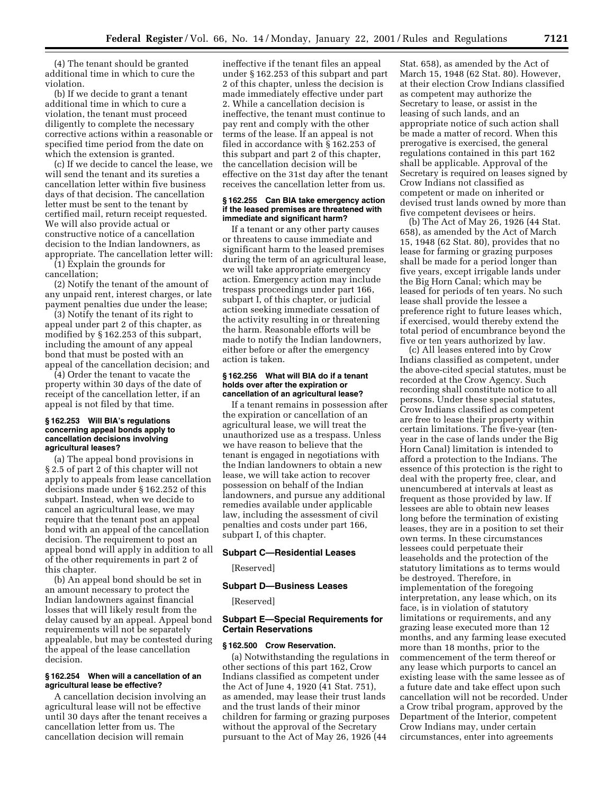(4) The tenant should be granted additional time in which to cure the violation.

(b) If we decide to grant a tenant additional time in which to cure a violation, the tenant must proceed diligently to complete the necessary corrective actions within a reasonable or specified time period from the date on which the extension is granted.

(c) If we decide to cancel the lease, we will send the tenant and its sureties a cancellation letter within five business days of that decision. The cancellation letter must be sent to the tenant by certified mail, return receipt requested. We will also provide actual or constructive notice of a cancellation decision to the Indian landowners, as appropriate. The cancellation letter will: (1) Explain the grounds for

cancellation;

(2) Notify the tenant of the amount of any unpaid rent, interest charges, or late payment penalties due under the lease;

(3) Notify the tenant of its right to appeal under part 2 of this chapter, as modified by § 162.253 of this subpart, including the amount of any appeal bond that must be posted with an appeal of the cancellation decision; and

(4) Order the tenant to vacate the property within 30 days of the date of receipt of the cancellation letter, if an appeal is not filed by that time.

#### **§ 162.253 Will BIA's regulations concerning appeal bonds apply to cancellation decisions involving agricultural leases?**

(a) The appeal bond provisions in § 2.5 of part 2 of this chapter will not apply to appeals from lease cancellation decisions made under § 162.252 of this subpart. Instead, when we decide to cancel an agricultural lease, we may require that the tenant post an appeal bond with an appeal of the cancellation decision. The requirement to post an appeal bond will apply in addition to all of the other requirements in part 2 of this chapter.

(b) An appeal bond should be set in an amount necessary to protect the Indian landowners against financial losses that will likely result from the delay caused by an appeal. Appeal bond requirements will not be separately appealable, but may be contested during the appeal of the lease cancellation decision.

### **§ 162.254 When will a cancellation of an agricultural lease be effective?**

A cancellation decision involving an agricultural lease will not be effective until 30 days after the tenant receives a cancellation letter from us. The cancellation decision will remain

ineffective if the tenant files an appeal under § 162.253 of this subpart and part 2 of this chapter, unless the decision is made immediately effective under part 2. While a cancellation decision is ineffective, the tenant must continue to pay rent and comply with the other terms of the lease. If an appeal is not filed in accordance with § 162.253 of this subpart and part 2 of this chapter, the cancellation decision will be effective on the 31st day after the tenant receives the cancellation letter from us.

#### **§ 162.255 Can BIA take emergency action if the leased premises are threatened with immediate and significant harm?**

If a tenant or any other party causes or threatens to cause immediate and significant harm to the leased premises during the term of an agricultural lease, we will take appropriate emergency action. Emergency action may include trespass proceedings under part 166, subpart I, of this chapter, or judicial action seeking immediate cessation of the activity resulting in or threatening the harm. Reasonable efforts will be made to notify the Indian landowners, either before or after the emergency action is taken.

#### **§ 162.256 What will BIA do if a tenant holds over after the expiration or cancellation of an agricultural lease?**

If a tenant remains in possession after the expiration or cancellation of an agricultural lease, we will treat the unauthorized use as a trespass. Unless we have reason to believe that the tenant is engaged in negotiations with the Indian landowners to obtain a new lease, we will take action to recover possession on behalf of the Indian landowners, and pursue any additional remedies available under applicable law, including the assessment of civil penalties and costs under part 166, subpart I, of this chapter.

### **Subpart C—Residential Leases**

[Reserved]

### **Subpart D—Business Leases**

[Reserved]

## **Subpart E—Special Requirements for Certain Reservations**

#### **§ 162.500 Crow Reservation.**

(a) Notwithstanding the regulations in other sections of this part 162, Crow Indians classified as competent under the Act of June 4, 1920 (41 Stat. 751), as amended, may lease their trust lands and the trust lands of their minor children for farming or grazing purposes without the approval of the Secretary pursuant to the Act of May 26, 1926 (44

Stat. 658), as amended by the Act of March 15, 1948 (62 Stat. 80). However, at their election Crow Indians classified as competent may authorize the Secretary to lease, or assist in the leasing of such lands, and an appropriate notice of such action shall be made a matter of record. When this prerogative is exercised, the general regulations contained in this part 162 shall be applicable. Approval of the Secretary is required on leases signed by Crow Indians not classified as competent or made on inherited or devised trust lands owned by more than five competent devisees or heirs.

(b) The Act of May 26, 1926 (44 Stat. 658), as amended by the Act of March 15, 1948 (62 Stat. 80), provides that no lease for farming or grazing purposes shall be made for a period longer than five years, except irrigable lands under the Big Horn Canal; which may be leased for periods of ten years. No such lease shall provide the lessee a preference right to future leases which, if exercised, would thereby extend the total period of encumbrance beyond the five or ten years authorized by law.

(c) All leases entered into by Crow Indians classified as competent, under the above-cited special statutes, must be recorded at the Crow Agency. Such recording shall constitute notice to all persons. Under these special statutes, Crow Indians classified as competent are free to lease their property within certain limitations. The five-year (tenyear in the case of lands under the Big Horn Canal) limitation is intended to afford a protection to the Indians. The essence of this protection is the right to deal with the property free, clear, and unencumbered at intervals at least as frequent as those provided by law. If lessees are able to obtain new leases long before the termination of existing leases, they are in a position to set their own terms. In these circumstances lessees could perpetuate their leaseholds and the protection of the statutory limitations as to terms would be destroyed. Therefore, in implementation of the foregoing interpretation, any lease which, on its face, is in violation of statutory limitations or requirements, and any grazing lease executed more than 12 months, and any farming lease executed more than 18 months, prior to the commencement of the term thereof or any lease which purports to cancel an existing lease with the same lessee as of a future date and take effect upon such cancellation will not be recorded. Under a Crow tribal program, approved by the Department of the Interior, competent Crow Indians may, under certain circumstances, enter into agreements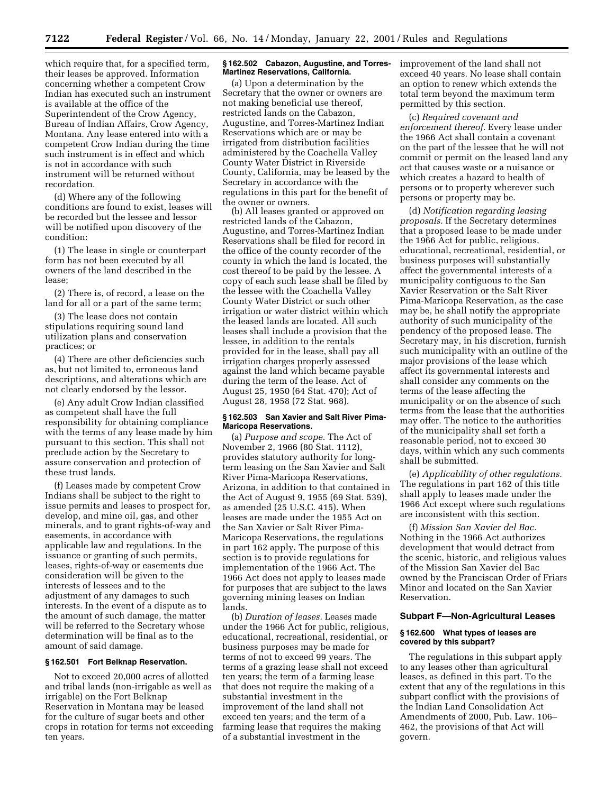which require that, for a specified term, their leases be approved. Information concerning whether a competent Crow Indian has executed such an instrument is available at the office of the Superintendent of the Crow Agency, Bureau of Indian Affairs, Crow Agency, Montana. Any lease entered into with a competent Crow Indian during the time such instrument is in effect and which is not in accordance with such instrument will be returned without recordation.

(d) Where any of the following conditions are found to exist, leases will be recorded but the lessee and lessor will be notified upon discovery of the condition:

(1) The lease in single or counterpart form has not been executed by all owners of the land described in the lease;

(2) There is, of record, a lease on the land for all or a part of the same term;

(3) The lease does not contain stipulations requiring sound land utilization plans and conservation practices; or

(4) There are other deficiencies such as, but not limited to, erroneous land descriptions, and alterations which are not clearly endorsed by the lessor.

(e) Any adult Crow Indian classified as competent shall have the full responsibility for obtaining compliance with the terms of any lease made by him pursuant to this section. This shall not preclude action by the Secretary to assure conservation and protection of these trust lands.

(f) Leases made by competent Crow Indians shall be subject to the right to issue permits and leases to prospect for, develop, and mine oil, gas, and other minerals, and to grant rights-of-way and easements, in accordance with applicable law and regulations. In the issuance or granting of such permits, leases, rights-of-way or easements due consideration will be given to the interests of lessees and to the adjustment of any damages to such interests. In the event of a dispute as to the amount of such damage, the matter will be referred to the Secretary whose determination will be final as to the amount of said damage.

#### **§ 162.501 Fort Belknap Reservation.**

Not to exceed 20,000 acres of allotted and tribal lands (non-irrigable as well as irrigable) on the Fort Belknap Reservation in Montana may be leased for the culture of sugar beets and other crops in rotation for terms not exceeding ten years.

#### **§ 162.502 Cabazon, Augustine, and Torres-Martinez Reservations, California.**

(a) Upon a determination by the Secretary that the owner or owners are not making beneficial use thereof, restricted lands on the Cabazon, Augustine, and Torres-Martinez Indian Reservations which are or may be irrigated from distribution facilities administered by the Coachella Valley County Water District in Riverside County, California, may be leased by the Secretary in accordance with the regulations in this part for the benefit of the owner or owners.

(b) All leases granted or approved on restricted lands of the Cabazon, Augustine, and Torres-Martinez Indian Reservations shall be filed for record in the office of the county recorder of the county in which the land is located, the cost thereof to be paid by the lessee. A copy of each such lease shall be filed by the lessee with the Coachella Valley County Water District or such other irrigation or water district within which the leased lands are located. All such leases shall include a provision that the lessee, in addition to the rentals provided for in the lease, shall pay all irrigation charges properly assessed against the land which became payable during the term of the lease. Act of August 25, 1950 (64 Stat. 470); Act of August 28, 1958 (72 Stat. 968).

### **§ 162.503 San Xavier and Salt River Pima-Maricopa Reservations.**

(a) *Purpose and scope.* The Act of November 2, 1966 (80 Stat. 1112), provides statutory authority for longterm leasing on the San Xavier and Salt River Pima-Maricopa Reservations, Arizona, in addition to that contained in the Act of August 9, 1955 (69 Stat. 539), as amended (25 U.S.C. 415). When leases are made under the 1955 Act on the San Xavier or Salt River Pima-Maricopa Reservations, the regulations in part 162 apply. The purpose of this section is to provide regulations for implementation of the 1966 Act. The 1966 Act does not apply to leases made for purposes that are subject to the laws governing mining leases on Indian lands.

(b) *Duration of leases.* Leases made under the 1966 Act for public, religious, educational, recreational, residential, or business purposes may be made for terms of not to exceed 99 years. The terms of a grazing lease shall not exceed ten years; the term of a farming lease that does not require the making of a substantial investment in the improvement of the land shall not exceed ten years; and the term of a farming lease that requires the making of a substantial investment in the

improvement of the land shall not exceed 40 years. No lease shall contain an option to renew which extends the total term beyond the maximum term permitted by this section.

(c) *Required covenant and enforcement thereof.* Every lease under the 1966 Act shall contain a covenant on the part of the lessee that he will not commit or permit on the leased land any act that causes waste or a nuisance or which creates a hazard to health of persons or to property wherever such persons or property may be.

(d) *Notification regarding leasing proposals.* If the Secretary determines that a proposed lease to be made under the 1966 Act for public, religious, educational, recreational, residential, or business purposes will substantially affect the governmental interests of a municipality contiguous to the San Xavier Reservation or the Salt River Pima-Maricopa Reservation, as the case may be, he shall notify the appropriate authority of such municipality of the pendency of the proposed lease. The Secretary may, in his discretion, furnish such municipality with an outline of the major provisions of the lease which affect its governmental interests and shall consider any comments on the terms of the lease affecting the municipality or on the absence of such terms from the lease that the authorities may offer. The notice to the authorities of the municipality shall set forth a reasonable period, not to exceed 30 days, within which any such comments shall be submitted.

(e) *Applicability of other regulations.* The regulations in part 162 of this title shall apply to leases made under the 1966 Act except where such regulations are inconsistent with this section.

(f) *Mission San Xavier del Bac.* Nothing in the 1966 Act authorizes development that would detract from the scenic, historic, and religious values of the Mission San Xavier del Bac owned by the Franciscan Order of Friars Minor and located on the San Xavier Reservation.

#### **Subpart F—Non-Agricultural Leases**

### **§ 162.600 What types of leases are covered by this subpart?**

The regulations in this subpart apply to any leases other than agricultural leases, as defined in this part. To the extent that any of the regulations in this subpart conflict with the provisions of the Indian Land Consolidation Act Amendments of 2000, Pub. Law. 106– 462, the provisions of that Act will govern.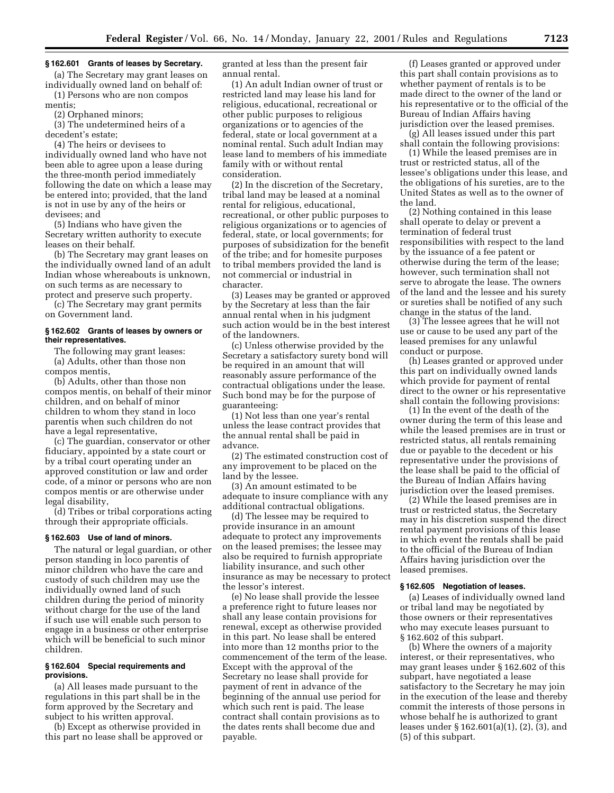#### **§ 162.601 Grants of leases by Secretary.**

(a) The Secretary may grant leases on individually owned land on behalf of: (1) Persons who are non compos

mentis;

(2) Orphaned minors;

(3) The undetermined heirs of a decedent's estate;

(4) The heirs or devisees to individually owned land who have not been able to agree upon a lease during the three-month period immediately following the date on which a lease may be entered into; provided, that the land is not in use by any of the heirs or devisees; and

(5) Indians who have given the Secretary written authority to execute leases on their behalf.

(b) The Secretary may grant leases on the individually owned land of an adult Indian whose whereabouts is unknown, on such terms as are necessary to protect and preserve such property.

(c) The Secretary may grant permits on Government land.

#### **§ 162.602 Grants of leases by owners or their representatives.**

The following may grant leases: (a) Adults, other than those non compos mentis,

(b) Adults, other than those non compos mentis, on behalf of their minor children, and on behalf of minor children to whom they stand in loco parentis when such children do not have a legal representative,

(c) The guardian, conservator or other fiduciary, appointed by a state court or by a tribal court operating under an approved constitution or law and order code, of a minor or persons who are non compos mentis or are otherwise under legal disability,

(d) Tribes or tribal corporations acting through their appropriate officials.

#### **§ 162.603 Use of land of minors.**

The natural or legal guardian, or other person standing in loco parentis of minor children who have the care and custody of such children may use the individually owned land of such children during the period of minority without charge for the use of the land if such use will enable such person to engage in a business or other enterprise which will be beneficial to such minor children.

#### **§ 162.604 Special requirements and provisions.**

(a) All leases made pursuant to the regulations in this part shall be in the form approved by the Secretary and subject to his written approval.

(b) Except as otherwise provided in this part no lease shall be approved or granted at less than the present fair annual rental.

(1) An adult Indian owner of trust or restricted land may lease his land for religious, educational, recreational or other public purposes to religious organizations or to agencies of the federal, state or local government at a nominal rental. Such adult Indian may lease land to members of his immediate family with or without rental consideration.

(2) In the discretion of the Secretary, tribal land may be leased at a nominal rental for religious, educational, recreational, or other public purposes to religious organizations or to agencies of federal, state, or local governments; for purposes of subsidization for the benefit of the tribe; and for homesite purposes to tribal members provided the land is not commercial or industrial in character.

(3) Leases may be granted or approved by the Secretary at less than the fair annual rental when in his judgment such action would be in the best interest of the landowners.

(c) Unless otherwise provided by the Secretary a satisfactory surety bond will be required in an amount that will reasonably assure performance of the contractual obligations under the lease. Such bond may be for the purpose of guaranteeing:

(1) Not less than one year's rental unless the lease contract provides that the annual rental shall be paid in advance.

(2) The estimated construction cost of any improvement to be placed on the land by the lessee.

(3) An amount estimated to be adequate to insure compliance with any additional contractual obligations.

(d) The lessee may be required to provide insurance in an amount adequate to protect any improvements on the leased premises; the lessee may also be required to furnish appropriate liability insurance, and such other insurance as may be necessary to protect the lessor's interest.

(e) No lease shall provide the lessee a preference right to future leases nor shall any lease contain provisions for renewal, except as otherwise provided in this part. No lease shall be entered into more than 12 months prior to the commencement of the term of the lease. Except with the approval of the Secretary no lease shall provide for payment of rent in advance of the beginning of the annual use period for which such rent is paid. The lease contract shall contain provisions as to the dates rents shall become due and payable.

(f) Leases granted or approved under this part shall contain provisions as to whether payment of rentals is to be made direct to the owner of the land or his representative or to the official of the Bureau of Indian Affairs having jurisdiction over the leased premises.

(g) All leases issued under this part shall contain the following provisions:

(1) While the leased premises are in trust or restricted status, all of the lessee's obligations under this lease, and the obligations of his sureties, are to the United States as well as to the owner of the land.

(2) Nothing contained in this lease shall operate to delay or prevent a termination of federal trust responsibilities with respect to the land by the issuance of a fee patent or otherwise during the term of the lease; however, such termination shall not serve to abrogate the lease. The owners of the land and the lessee and his surety or sureties shall be notified of any such change in the status of the land.

(3) The lessee agrees that he will not use or cause to be used any part of the leased premises for any unlawful conduct or purpose.

(h) Leases granted or approved under this part on individually owned lands which provide for payment of rental direct to the owner or his representative shall contain the following provisions:

(1) In the event of the death of the owner during the term of this lease and while the leased premises are in trust or restricted status, all rentals remaining due or payable to the decedent or his representative under the provisions of the lease shall be paid to the official of the Bureau of Indian Affairs having jurisdiction over the leased premises.

(2) While the leased premises are in trust or restricted status, the Secretary may in his discretion suspend the direct rental payment provisions of this lease in which event the rentals shall be paid to the official of the Bureau of Indian Affairs having jurisdiction over the leased premises.

#### **§ 162.605 Negotiation of leases.**

(a) Leases of individually owned land or tribal land may be negotiated by those owners or their representatives who may execute leases pursuant to § 162.602 of this subpart.

(b) Where the owners of a majority interest, or their representatives, who may grant leases under § 162.602 of this subpart, have negotiated a lease satisfactory to the Secretary he may join in the execution of the lease and thereby commit the interests of those persons in whose behalf he is authorized to grant leases under § 162.601(a)(1), (2), (3), and (5) of this subpart.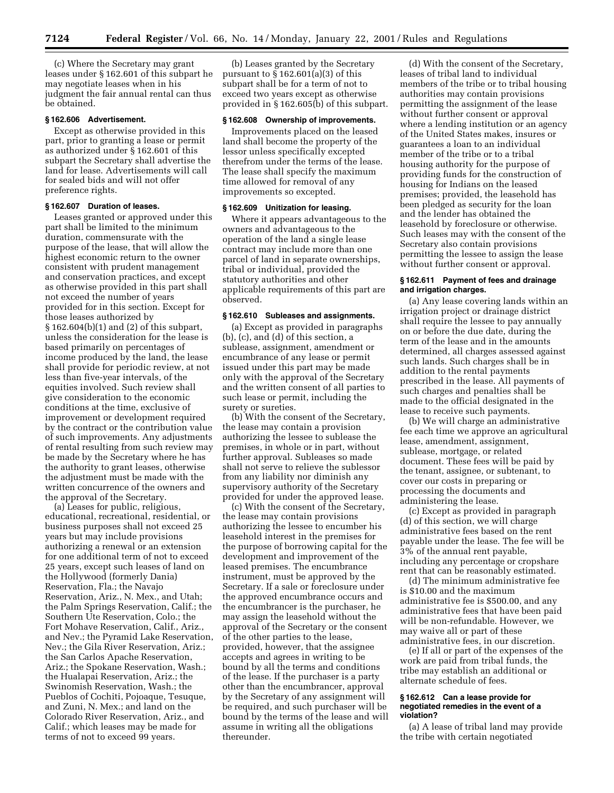(c) Where the Secretary may grant leases under § 162.601 of this subpart he may negotiate leases when in his judgment the fair annual rental can thus be obtained.

### **§ 162.606 Advertisement.**

Except as otherwise provided in this part, prior to granting a lease or permit as authorized under § 162.601 of this subpart the Secretary shall advertise the land for lease. Advertisements will call for sealed bids and will not offer preference rights.

### **§ 162.607 Duration of leases.**

Leases granted or approved under this part shall be limited to the minimum duration, commensurate with the purpose of the lease, that will allow the highest economic return to the owner consistent with prudent management and conservation practices, and except as otherwise provided in this part shall not exceed the number of years provided for in this section. Except for those leases authorized by § 162.604(b)(1) and (2) of this subpart, unless the consideration for the lease is based primarily on percentages of income produced by the land, the lease shall provide for periodic review, at not less than five-year intervals, of the equities involved. Such review shall give consideration to the economic conditions at the time, exclusive of improvement or development required by the contract or the contribution value of such improvements. Any adjustments of rental resulting from such review may be made by the Secretary where he has the authority to grant leases, otherwise the adjustment must be made with the written concurrence of the owners and the approval of the Secretary.

(a) Leases for public, religious, educational, recreational, residential, or business purposes shall not exceed 25 years but may include provisions authorizing a renewal or an extension for one additional term of not to exceed 25 years, except such leases of land on the Hollywood (formerly Dania) Reservation, Fla.; the Navajo Reservation, Ariz., N. Mex., and Utah; the Palm Springs Reservation, Calif.; the Southern Ute Reservation, Colo.; the Fort Mohave Reservation, Calif., Ariz., and Nev.; the Pyramid Lake Reservation, Nev.; the Gila River Reservation, Ariz.; the San Carlos Apache Reservation, Ariz.; the Spokane Reservation, Wash.; the Hualapai Reservation, Ariz.; the Swinomish Reservation, Wash.; the Pueblos of Cochiti, Pojoaque, Tesuque, and Zuni, N. Mex.; and land on the Colorado River Reservation, Ariz., and Calif.; which leases may be made for terms of not to exceed 99 years.

(b) Leases granted by the Secretary pursuant to  $\S 162.601(a)(3)$  of this subpart shall be for a term of not to exceed two years except as otherwise provided in § 162.605(b) of this subpart.

#### **§ 162.608 Ownership of improvements.**

Improvements placed on the leased land shall become the property of the lessor unless specifically excepted therefrom under the terms of the lease. The lease shall specify the maximum time allowed for removal of any improvements so excepted.

### **§ 162.609 Unitization for leasing.**

Where it appears advantageous to the owners and advantageous to the operation of the land a single lease contract may include more than one parcel of land in separate ownerships, tribal or individual, provided the statutory authorities and other applicable requirements of this part are observed.

#### **§ 162.610 Subleases and assignments.**

(a) Except as provided in paragraphs (b), (c), and (d) of this section, a sublease, assignment, amendment or encumbrance of any lease or permit issued under this part may be made only with the approval of the Secretary and the written consent of all parties to such lease or permit, including the surety or sureties.

(b) With the consent of the Secretary, the lease may contain a provision authorizing the lessee to sublease the premises, in whole or in part, without further approval. Subleases so made shall not serve to relieve the sublessor from any liability nor diminish any supervisory authority of the Secretary provided for under the approved lease.

(c) With the consent of the Secretary, the lease may contain provisions authorizing the lessee to encumber his leasehold interest in the premises for the purpose of borrowing capital for the development and improvement of the leased premises. The encumbrance instrument, must be approved by the Secretary. If a sale or foreclosure under the approved encumbrance occurs and the encumbrancer is the purchaser, he may assign the leasehold without the approval of the Secretary or the consent of the other parties to the lease, provided, however, that the assignee accepts and agrees in writing to be bound by all the terms and conditions of the lease. If the purchaser is a party other than the encumbrancer, approval by the Secretary of any assignment will be required, and such purchaser will be bound by the terms of the lease and will assume in writing all the obligations thereunder.

(d) With the consent of the Secretary, leases of tribal land to individual members of the tribe or to tribal housing authorities may contain provisions permitting the assignment of the lease without further consent or approval where a lending institution or an agency of the United States makes, insures or guarantees a loan to an individual member of the tribe or to a tribal housing authority for the purpose of providing funds for the construction of housing for Indians on the leased premises; provided, the leasehold has been pledged as security for the loan and the lender has obtained the leasehold by foreclosure or otherwise. Such leases may with the consent of the Secretary also contain provisions permitting the lessee to assign the lease without further consent or approval.

### **§ 162.611 Payment of fees and drainage and irrigation charges.**

(a) Any lease covering lands within an irrigation project or drainage district shall require the lessee to pay annually on or before the due date, during the term of the lease and in the amounts determined, all charges assessed against such lands. Such charges shall be in addition to the rental payments prescribed in the lease. All payments of such charges and penalties shall be made to the official designated in the lease to receive such payments.

(b) We will charge an administrative fee each time we approve an agricultural lease, amendment, assignment, sublease, mortgage, or related document. These fees will be paid by the tenant, assignee, or subtenant, to cover our costs in preparing or processing the documents and administering the lease.

(c) Except as provided in paragraph (d) of this section, we will charge administrative fees based on the rent payable under the lease. The fee will be 3% of the annual rent payable, including any percentage or cropshare rent that can be reasonably estimated.

(d) The minimum administrative fee is \$10.00 and the maximum administrative fee is \$500.00, and any administrative fees that have been paid will be non-refundable. However, we may waive all or part of these administrative fees, in our discretion.

(e) If all or part of the expenses of the work are paid from tribal funds, the tribe may establish an additional or alternate schedule of fees.

#### **§ 162.612 Can a lease provide for negotiated remedies in the event of a violation?**

(a) A lease of tribal land may provide the tribe with certain negotiated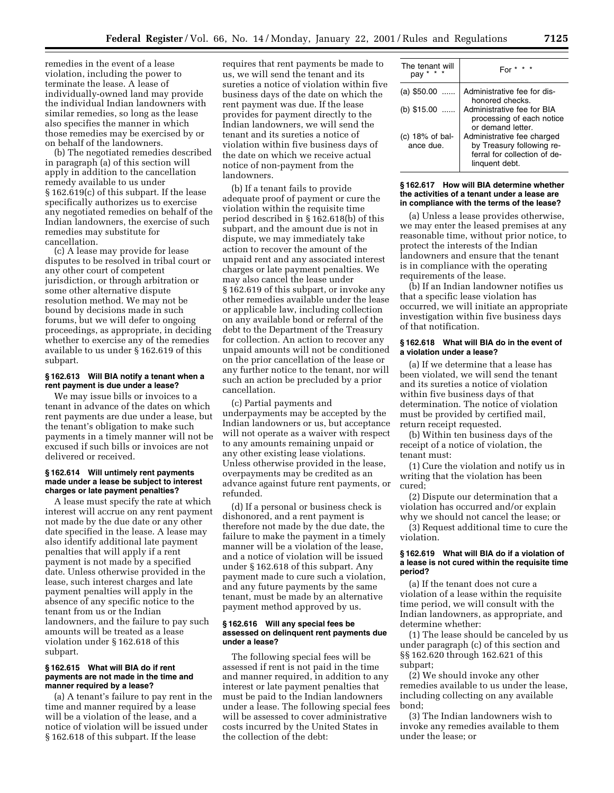remedies in the event of a lease violation, including the power to terminate the lease. A lease of individually-owned land may provide the individual Indian landowners with similar remedies, so long as the lease also specifies the manner in which those remedies may be exercised by or on behalf of the landowners.

(b) The negotiated remedies described in paragraph (a) of this section will apply in addition to the cancellation remedy available to us under § 162.619(c) of this subpart. If the lease specifically authorizes us to exercise any negotiated remedies on behalf of the Indian landowners, the exercise of such remedies may substitute for cancellation.

(c) A lease may provide for lease disputes to be resolved in tribal court or any other court of competent jurisdiction, or through arbitration or some other alternative dispute resolution method. We may not be bound by decisions made in such forums, but we will defer to ongoing proceedings, as appropriate, in deciding whether to exercise any of the remedies available to us under § 162.619 of this subpart.

## **§ 162.613 Will BIA notify a tenant when a rent payment is due under a lease?**

We may issue bills or invoices to a tenant in advance of the dates on which rent payments are due under a lease, but the tenant's obligation to make such payments in a timely manner will not be excused if such bills or invoices are not delivered or received.

### **§ 162.614 Will untimely rent payments made under a lease be subject to interest charges or late payment penalties?**

A lease must specify the rate at which interest will accrue on any rent payment not made by the due date or any other date specified in the lease. A lease may also identify additional late payment penalties that will apply if a rent payment is not made by a specified date. Unless otherwise provided in the lease, such interest charges and late payment penalties will apply in the absence of any specific notice to the tenant from us or the Indian landowners, and the failure to pay such amounts will be treated as a lease violation under § 162.618 of this subpart.

### **§ 162.615 What will BIA do if rent payments are not made in the time and manner required by a lease?**

(a) A tenant's failure to pay rent in the time and manner required by a lease will be a violation of the lease, and a notice of violation will be issued under § 162.618 of this subpart. If the lease

requires that rent payments be made to us, we will send the tenant and its sureties a notice of violation within five business days of the date on which the rent payment was due. If the lease provides for payment directly to the Indian landowners, we will send the tenant and its sureties a notice of violation within five business days of the date on which we receive actual notice of non-payment from the landowners.

(b) If a tenant fails to provide adequate proof of payment or cure the violation within the requisite time period described in § 162.618(b) of this subpart, and the amount due is not in dispute, we may immediately take action to recover the amount of the unpaid rent and any associated interest charges or late payment penalties. We may also cancel the lease under § 162.619 of this subpart, or invoke any other remedies available under the lease or applicable law, including collection on any available bond or referral of the debt to the Department of the Treasury for collection. An action to recover any unpaid amounts will not be conditioned on the prior cancellation of the lease or any further notice to the tenant, nor will such an action be precluded by a prior cancellation.

(c) Partial payments and underpayments may be accepted by the Indian landowners or us, but acceptance will not operate as a waiver with respect to any amounts remaining unpaid or any other existing lease violations. Unless otherwise provided in the lease, overpayments may be credited as an advance against future rent payments, or refunded.

(d) If a personal or business check is dishonored, and a rent payment is therefore not made by the due date, the failure to make the payment in a timely manner will be a violation of the lease, and a notice of violation will be issued under § 162.618 of this subpart. Any payment made to cure such a violation, and any future payments by the same tenant, must be made by an alternative payment method approved by us.

#### **§ 162.616 Will any special fees be assessed on delinquent rent payments due under a lease?**

The following special fees will be assessed if rent is not paid in the time and manner required, in addition to any interest or late payment penalties that must be paid to the Indian landowners under a lease. The following special fees will be assessed to cover administrative costs incurred by the United States in the collection of the debt:

| The tenant will<br>pay          | F٥                                                                                                        |
|---------------------------------|-----------------------------------------------------------------------------------------------------------|
| $(a)$ \$50.00                   | Administrative fee for dis-<br>honored checks.                                                            |
| (b) $$15.00$                    | Administrative fee for BIA<br>processing of each notice<br>or demand letter.                              |
| (c) $18\%$ of bal-<br>ance due. | Administrative fee charged<br>by Treasury following re-<br>ferral for collection of de-<br>linguent debt. |

#### **§ 162.617 How will BIA determine whether the activities of a tenant under a lease are in compliance with the terms of the lease?**

(a) Unless a lease provides otherwise, we may enter the leased premises at any reasonable time, without prior notice, to protect the interests of the Indian landowners and ensure that the tenant is in compliance with the operating requirements of the lease.

(b) If an Indian landowner notifies us that a specific lease violation has occurred, we will initiate an appropriate investigation within five business days of that notification.

## **§ 162.618 What will BIA do in the event of a violation under a lease?**

(a) If we determine that a lease has been violated, we will send the tenant and its sureties a notice of violation within five business days of that determination. The notice of violation must be provided by certified mail, return receipt requested.

(b) Within ten business days of the receipt of a notice of violation, the tenant must:

(1) Cure the violation and notify us in writing that the violation has been cured;

(2) Dispute our determination that a violation has occurred and/or explain why we should not cancel the lease; or

(3) Request additional time to cure the violation.

### **§ 162.619 What will BIA do if a violation of a lease is not cured within the requisite time period?**

(a) If the tenant does not cure a violation of a lease within the requisite time period, we will consult with the Indian landowners, as appropriate, and determine whether:

(1) The lease should be canceled by us under paragraph (c) of this section and §§ 162.620 through 162.621 of this subpart;

(2) We should invoke any other remedies available to us under the lease, including collecting on any available bond;

(3) The Indian landowners wish to invoke any remedies available to them under the lease; or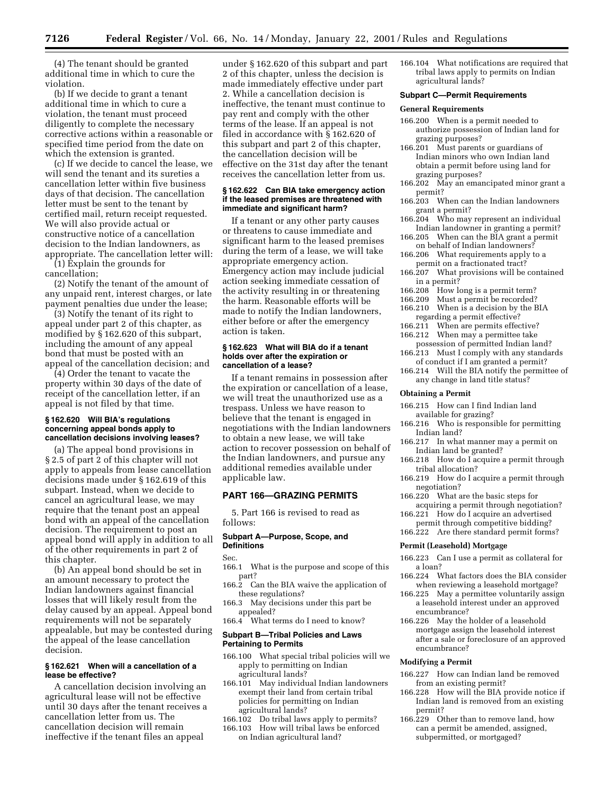(4) The tenant should be granted additional time in which to cure the violation.

(b) If we decide to grant a tenant additional time in which to cure a violation, the tenant must proceed diligently to complete the necessary corrective actions within a reasonable or specified time period from the date on which the extension is granted.

(c) If we decide to cancel the lease, we will send the tenant and its sureties a cancellation letter within five business days of that decision. The cancellation letter must be sent to the tenant by certified mail, return receipt requested. We will also provide actual or constructive notice of a cancellation decision to the Indian landowners, as appropriate. The cancellation letter will: (1) Explain the grounds for

cancellation;

(2) Notify the tenant of the amount of any unpaid rent, interest charges, or late payment penalties due under the lease;

(3) Notify the tenant of its right to appeal under part 2 of this chapter, as modified by § 162.620 of this subpart, including the amount of any appeal bond that must be posted with an appeal of the cancellation decision; and

(4) Order the tenant to vacate the property within 30 days of the date of receipt of the cancellation letter, if an appeal is not filed by that time.

### **§ 162.620 Will BIA's regulations concerning appeal bonds apply to cancellation decisions involving leases?**

(a) The appeal bond provisions in § 2.5 of part 2 of this chapter will not apply to appeals from lease cancellation decisions made under § 162.619 of this subpart. Instead, when we decide to cancel an agricultural lease, we may require that the tenant post an appeal bond with an appeal of the cancellation decision. The requirement to post an appeal bond will apply in addition to all of the other requirements in part 2 of this chapter.

(b) An appeal bond should be set in an amount necessary to protect the Indian landowners against financial losses that will likely result from the delay caused by an appeal. Appeal bond requirements will not be separately appealable, but may be contested during the appeal of the lease cancellation decision.

#### **§ 162.621 When will a cancellation of a lease be effective?**

A cancellation decision involving an agricultural lease will not be effective until 30 days after the tenant receives a cancellation letter from us. The cancellation decision will remain ineffective if the tenant files an appeal

under § 162.620 of this subpart and part 2 of this chapter, unless the decision is made immediately effective under part 2. While a cancellation decision is ineffective, the tenant must continue to pay rent and comply with the other terms of the lease. If an appeal is not filed in accordance with § 162.620 of this subpart and part 2 of this chapter, the cancellation decision will be effective on the 31st day after the tenant receives the cancellation letter from us.

#### **§ 162.622 Can BIA take emergency action if the leased premises are threatened with immediate and significant harm?**

If a tenant or any other party causes or threatens to cause immediate and significant harm to the leased premises during the term of a lease, we will take appropriate emergency action. Emergency action may include judicial action seeking immediate cessation of the activity resulting in or threatening the harm. Reasonable efforts will be made to notify the Indian landowners, either before or after the emergency action is taken.

#### **§ 162.623 What will BIA do if a tenant holds over after the expiration or cancellation of a lease?**

If a tenant remains in possession after the expiration or cancellation of a lease, we will treat the unauthorized use as a trespass. Unless we have reason to believe that the tenant is engaged in negotiations with the Indian landowners to obtain a new lease, we will take action to recover possession on behalf of the Indian landowners, and pursue any additional remedies available under applicable law.

### **PART 166—GRAZING PERMITS**

5. Part 166 is revised to read as follows:

## **Subpart A—Purpose, Scope, and Definitions**

Sec.

- 166.1 What is the purpose and scope of this part?
- 166.2 Can the BIA waive the application of these regulations?
- 166.3 May decisions under this part be appealed?
- 166.4 What terms do I need to know?

### **Subpart B—Tribal Policies and Laws Pertaining to Permits**

- 166.100 What special tribal policies will we apply to permitting on Indian agricultural lands?
- 166.101 May individual Indian landowners exempt their land from certain tribal policies for permitting on Indian agricultural lands?
- 166.102 Do tribal laws apply to permits?
- 166.103 How will tribal laws be enforced on Indian agricultural land?

166.104 What notifications are required that tribal laws apply to permits on Indian agricultural lands?

### **Subpart C—Permit Requirements**

#### **General Requirements**

- 166.200 When is a permit needed to authorize possession of Indian land for grazing purposes?
- 166.201 Must parents or guardians of Indian minors who own Indian land obtain a permit before using land for grazing purposes?
- 166.202 May an emancipated minor grant a permit?
- 166.203 When can the Indian landowners grant a permit?
- 166.204 Who may represent an individual Indian landowner in granting a permit?
- 166.205 When can the BIA grant a permit on behalf of Indian landowners?
- 166.206 What requirements apply to a permit on a fractionated tract?
- 166.207 What provisions will be contained in a permit?<br>166.208 How lo
- How long is a permit term?
- 166.209 Must a permit be recorded?
- 166.210 When is a decision by the BIA regarding a permit effective?
- 166.211 When are permits effective?
- 166.212 When may a permittee take possession of permitted Indian land?
- 166.213 Must I comply with any standards of conduct if I am granted a permit?
- 166.214 Will the BIA notify the permittee of any change in land title status?

#### **Obtaining a Permit**

- 166.215 How can I find Indian land available for grazing?
- 166.216 Who is responsible for permitting Indian land?
- 166.217 In what manner may a permit on Indian land be granted?
- 166.218 How do I acquire a permit through tribal allocation?
- 166.219 How do I acquire a permit through negotiation?
- 166.220 What are the basic steps for acquiring a permit through negotiation?
- 166.221 How do I acquire an advertised permit through competitive bidding?
- 166.222 Are there standard permit forms?

### **Permit (Leasehold) Mortgage**

- 166.223 Can I use a permit as collateral for a loan?
- 166.224 What factors does the BIA consider when reviewing a leasehold mortgage?
- 166.225 May a permittee voluntarily assign a leasehold interest under an approved encumbrance?
- 166.226 May the holder of a leasehold mortgage assign the leasehold interest after a sale or foreclosure of an approved encumbrance?

### **Modifying a Permit**

- 166.227 How can Indian land be removed from an existing permit?
- 166.228 How will the BIA provide notice if Indian land is removed from an existing permit?
- 166.229 Other than to remove land, how can a permit be amended, assigned, subpermitted, or mortgaged?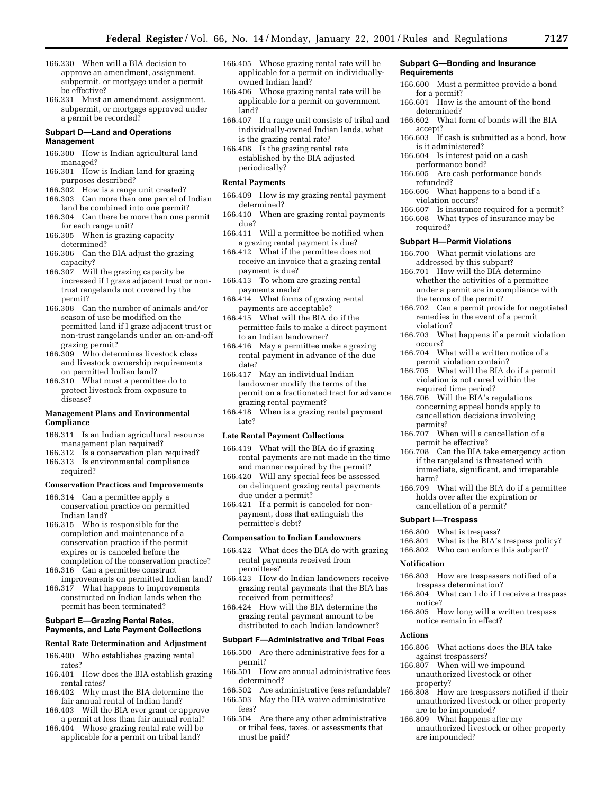- 166.230 When will a BIA decision to approve an amendment, assignment, subpermit, or mortgage under a permit be effective?
- 166.231 Must an amendment, assignment, subpermit, or mortgage approved under a permit be recorded?

#### **Subpart D—Land and Operations Management**

- 166.300 How is Indian agricultural land managed?
- 166.301 How is Indian land for grazing purposes described?
- 166.302 How is a range unit created?
- 166.303 Can more than one parcel of Indian land be combined into one permit?
- 166.304 Can there be more than one permit for each range unit?
- 166.305 When is grazing capacity determined?
- 166.306 Can the BIA adjust the grazing capacity?
- 166.307 Will the grazing capacity be increased if I graze adjacent trust or nontrust rangelands not covered by the permit?
- 166.308 Can the number of animals and/or season of use be modified on the permitted land if I graze adjacent trust or non-trust rangelands under an on-and-off grazing permit?
- 166.309 Who determines livestock class and livestock ownership requirements on permitted Indian land?
- 166.310 What must a permittee do to protect livestock from exposure to disease?

## **Management Plans and Environmental Compliance**

- 166.311 Is an Indian agricultural resource management plan required?
- 166.312 Is a conservation plan required? 166.313 Is environmental compliance
- required?

### **Conservation Practices and Improvements**

- 166.314 Can a permittee apply a conservation practice on permitted Indian land?
- 166.315 Who is responsible for the completion and maintenance of a conservation practice if the permit expires or is canceled before the completion of the conservation practice?
- 166.316 Can a permittee construct improvements on permitted Indian land?
- 166.317 What happens to improvements constructed on Indian lands when the permit has been terminated?

#### **Subpart E—Grazing Rental Rates, Payments, and Late Payment Collections**

### **Rental Rate Determination and Adjustment**

- 166.400 Who establishes grazing rental rates?
- 166.401 How does the BIA establish grazing rental rates?
- 166.402 Why must the BIA determine the fair annual rental of Indian land?
- 166.403 Will the BIA ever grant or approve a permit at less than fair annual rental?
- 166.404 Whose grazing rental rate will be applicable for a permit on tribal land?
- 166.405 Whose grazing rental rate will be applicable for a permit on individuallyowned Indian land?
- 166.406 Whose grazing rental rate will be applicable for a permit on government land?
- 166.407 If a range unit consists of tribal and individually-owned Indian lands, what is the grazing rental rate?
- 166.408 Is the grazing rental rate established by the BIA adjusted periodically?

### **Rental Payments**

- 166.409 How is my grazing rental payment determined?
- 166.410 When are grazing rental payments due?
- 166.411 Will a permittee be notified when a grazing rental payment is due?
- 166.412 What if the permittee does not receive an invoice that a grazing rental payment is due?
- 166.413 To whom are grazing rental payments made?
- 166.414 What forms of grazing rental payments are acceptable?
- 166.415 What will the BIA do if the permittee fails to make a direct payment to an Indian landowner?
- 166.416 May a permittee make a grazing rental payment in advance of the due date?
- 166.417 May an individual Indian landowner modify the terms of the permit on a fractionated tract for advance grazing rental payment?
- 166.418 When is a grazing rental payment late?

## **Late Rental Payment Collections**

- 166.419 What will the BIA do if grazing rental payments are not made in the time and manner required by the permit?
- 166.420 Will any special fees be assessed on delinquent grazing rental payments due under a permit?
- 166.421 If a permit is canceled for nonpayment, does that extinguish the permittee's debt?

#### **Compensation to Indian Landowners**

- 166.422 What does the BIA do with grazing rental payments received from permittees?
- 166.423 How do Indian landowners receive grazing rental payments that the BIA has received from permittees?
- 166.424 How will the BIA determine the grazing rental payment amount to be distributed to each Indian landowner?

#### **Subpart F—Administrative and Tribal Fees**

- 166.500 Are there administrative fees for a permit?
- 166.501 How are annual administrative fees determined?
- 166.502 Are administrative fees refundable? 166.503 May the BIA waive administrative fees?
- 166.504 Are there any other administrative or tribal fees, taxes, or assessments that must be paid?

#### **Subpart G—Bonding and Insurance Requirements**

- 166.600 Must a permittee provide a bond for a permit?
- 166.601 How is the amount of the bond determined?
- 166.602 What form of bonds will the BIA accept?
- 166.603 If cash is submitted as a bond, how is it administered?
- 166.604 Is interest paid on a cash performance bond?
- 166.605 Are cash performance bonds refunded?
- 166.606 What happens to a bond if a violation occurs?
- 166.607 Is insurance required for a permit?
- 166.608 What types of insurance may be required?

## **Subpart H—Permit Violations**

- 166.700 What permit violations are addressed by this subpart?
- 166.701 How will the BIA determine whether the activities of a permittee under a permit are in compliance with the terms of the permit?
- 166.702 Can a permit provide for negotiated remedies in the event of a permit violation?
- 166.703 What happens if a permit violation occurs?
- 166.704 What will a written notice of a permit violation contain?
- 166.705 What will the BIA do if a permit violation is not cured within the required time period?
- 166.706 Will the BIA's regulations concerning appeal bonds apply to cancellation decisions involving permits?
- 166.707 When will a cancellation of a permit be effective?
- 166.708 Can the BIA take emergency action if the rangeland is threatened with immediate, significant, and irreparable harm?
- 166.709 What will the BIA do if a permittee holds over after the expiration or cancellation of a permit?

#### **Subpart I—Trespass**

- 166.800 What is trespass?
- 166.801 What is the BIA's trespass policy?
- 166.802 Who can enforce this subpart?

#### **Notification**

- 166.803 How are trespassers notified of a trespass determination?
- 166.804 What can I do if I receive a trespass notice?
- 166.805 How long will a written trespass notice remain in effect?

### **Actions**

- 166.806 What actions does the BIA take against trespassers?
- 166.807 When will we impound unauthorized livestock or other property?
- 166.808 How are trespassers notified if their unauthorized livestock or other property are to be impounded?
- 166.809 What happens after my unauthorized livestock or other property are impounded?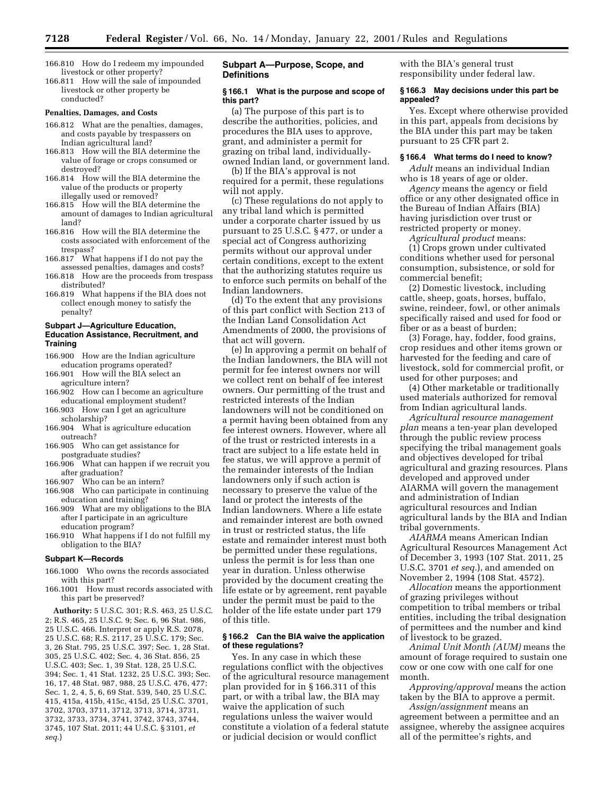- 166.810 How do I redeem my impounded livestock or other property?
- 166.811 How will the sale of impounded livestock or other property be conducted?

#### **Penalties, Damages, and Costs**

- 166.812 What are the penalties, damages, and costs payable by trespassers on Indian agricultural land?
- 166.813 How will the BIA determine the value of forage or crops consumed or destroyed?
- 166.814 How will the BIA determine the value of the products or property illegally used or removed?
- 166.815 How will the BIA determine the amount of damages to Indian agricultural land?
- 166.816 How will the BIA determine the costs associated with enforcement of the trespass?
- 166.817 What happens if I do not pay the assessed penalties, damages and costs?
- 166.818 How are the proceeds from trespass distributed?
- 166.819 What happens if the BIA does not collect enough money to satisfy the penalty?

#### **Subpart J—Agriculture Education, Education Assistance, Recruitment, and Training**

- 166.900 How are the Indian agriculture education programs operated?
- 166.901 How will the BIA select an agriculture intern?
- 166.902 How can I become an agriculture educational employment student?
- 166.903 How can I get an agriculture scholarship?
- 166.904 What is agriculture education outreach?
- 166.905 Who can get assistance for postgraduate studies?
- 166.906 What can happen if we recruit you after graduation?<br>166.907 Who can be
- Who can be an intern?
- 166.908 Who can participate in continuing education and training?
- 166.909 What are my obligations to the BIA after I participate in an agriculture education program?
- 166.910 What happens if I do not fulfill my obligation to the BIA?

#### **Subpart K—Records**

- 166.1000 Who owns the records associated with this part?
- 166.1001 How must records associated with this part be preserved?

**Authority:** 5 U.S.C. 301; R.S. 463, 25 U.S.C. 2; R.S. 465, 25 U.S.C. 9; Sec. 6, 96 Stat. 986, 25 U.S.C. 466. Interpret or apply R.S. 2078, 25 U.S.C. 68; R.S. 2117, 25 U.S.C. 179; Sec. 3, 26 Stat. 795, 25 U.S.C. 397; Sec. 1, 28 Stat. 305, 25 U.S.C. 402; Sec. 4, 36 Stat. 856, 25 U.S.C. 403; Sec. 1, 39 Stat. 128, 25 U.S.C. 394; Sec. 1, 41 Stat. 1232, 25 U.S.C. 393; Sec. 16, 17, 48 Stat. 987, 988, 25 U.S.C. 476, 477; Sec. 1, 2, 4, 5, 6, 69 Stat. 539, 540, 25 U.S.C. 415, 415a, 415b, 415c, 415d, 25 U.S.C. 3701, 3702, 3703, 3711, 3712, 3713, 3714, 3731, 3732, 3733, 3734, 3741, 3742, 3743, 3744, 3745, 107 Stat. 2011; 44 U.S.C. § 3101, *et seq.*)

## **Subpart A—Purpose, Scope, and Definitions**

## **§ 166.1 What is the purpose and scope of this part?**

(a) The purpose of this part is to describe the authorities, policies, and procedures the BIA uses to approve, grant, and administer a permit for grazing on tribal land, individuallyowned Indian land, or government land.

(b) If the BIA's approval is not required for a permit, these regulations will not apply.

(c) These regulations do not apply to any tribal land which is permitted under a corporate charter issued by us pursuant to 25 U.S.C. § 477, or under a special act of Congress authorizing permits without our approval under certain conditions, except to the extent that the authorizing statutes require us to enforce such permits on behalf of the Indian landowners.

(d) To the extent that any provisions of this part conflict with Section 213 of the Indian Land Consolidation Act Amendments of 2000, the provisions of that act will govern.

(e) In approving a permit on behalf of the Indian landowners, the BIA will not permit for fee interest owners nor will we collect rent on behalf of fee interest owners. Our permitting of the trust and restricted interests of the Indian landowners will not be conditioned on a permit having been obtained from any fee interest owners. However, where all of the trust or restricted interests in a tract are subject to a life estate held in fee status, we will approve a permit of the remainder interests of the Indian landowners only if such action is necessary to preserve the value of the land or protect the interests of the Indian landowners. Where a life estate and remainder interest are both owned in trust or restricted status, the life estate and remainder interest must both be permitted under these regulations, unless the permit is for less than one year in duration. Unless otherwise provided by the document creating the life estate or by agreement, rent payable under the permit must be paid to the holder of the life estate under part 179 of this title.

#### **§ 166.2 Can the BIA waive the application of these regulations?**

Yes. In any case in which these regulations conflict with the objectives of the agricultural resource management plan provided for in § 166.311 of this part, or with a tribal law, the BIA may waive the application of such regulations unless the waiver would constitute a violation of a federal statute or judicial decision or would conflict

with the BIA's general trust responsibility under federal law.

#### **§ 166.3 May decisions under this part be appealed?**

Yes. Except where otherwise provided in this part, appeals from decisions by the BIA under this part may be taken pursuant to 25 CFR part 2.

#### **§ 166.4 What terms do I need to know?**

*Adult* means an individual Indian who is 18 years of age or older.

*Agency* means the agency or field office or any other designated office in the Bureau of Indian Affairs (BIA) having jurisdiction over trust or restricted property or money.

*Agricultural product* means:

(1) Crops grown under cultivated conditions whether used for personal consumption, subsistence, or sold for commercial benefit;

(2) Domestic livestock, including cattle, sheep, goats, horses, buffalo, swine, reindeer, fowl, or other animals specifically raised and used for food or fiber or as a beast of burden;

(3) Forage, hay, fodder, food grains, crop residues and other items grown or harvested for the feeding and care of livestock, sold for commercial profit, or used for other purposes; and

(4) Other marketable or traditionally used materials authorized for removal from Indian agricultural lands.

*Agricultural resource management plan* means a ten-year plan developed through the public review process specifying the tribal management goals and objectives developed for tribal agricultural and grazing resources. Plans developed and approved under AIARMA will govern the management and administration of Indian agricultural resources and Indian agricultural lands by the BIA and Indian tribal governments.

*AIARMA* means American Indian Agricultural Resources Management Act of December 3, 1993 (107 Stat. 2011, 25 U.S.C. 3701 *et seq.*), and amended on November 2, 1994 (108 Stat. 4572).

*Allocation* means the apportionment of grazing privileges without competition to tribal members or tribal entities, including the tribal designation of permittees and the number and kind of livestock to be grazed.

*Animal Unit Month (AUM)* means the amount of forage required to sustain one cow or one cow with one calf for one month.

*Approving/approval* means the action taken by the BIA to approve a permit.

*Assign/assignment* means an agreement between a permittee and an assignee, whereby the assignee acquires all of the permittee's rights, and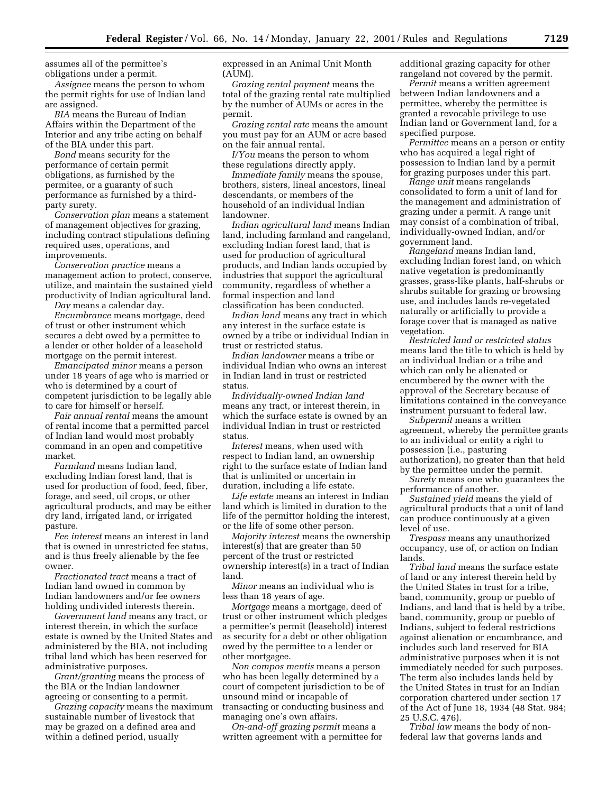assumes all of the permittee's obligations under a permit.

*Assignee* means the person to whom the permit rights for use of Indian land are assigned.

*BIA* means the Bureau of Indian Affairs within the Department of the Interior and any tribe acting on behalf of the BIA under this part.

*Bond* means security for the performance of certain permit obligations, as furnished by the permitee, or a guaranty of such performance as furnished by a thirdparty surety.

*Conservation plan* means a statement of management objectives for grazing, including contract stipulations defining required uses, operations, and improvements.

*Conservation practice* means a management action to protect, conserve, utilize, and maintain the sustained yield productivity of Indian agricultural land.

*Day* means a calendar day.

*Encumbrance* means mortgage, deed of trust or other instrument which secures a debt owed by a permittee to a lender or other holder of a leasehold mortgage on the permit interest.

*Emancipated minor* means a person under 18 years of age who is married or who is determined by a court of competent jurisdiction to be legally able to care for himself or herself.

*Fair annual rental* means the amount of rental income that a permitted parcel of Indian land would most probably command in an open and competitive market.

*Farmland* means Indian land, excluding Indian forest land, that is used for production of food, feed, fiber, forage, and seed, oil crops, or other agricultural products, and may be either dry land, irrigated land, or irrigated pasture.

*Fee interest* means an interest in land that is owned in unrestricted fee status, and is thus freely alienable by the fee owner.

*Fractionated tract* means a tract of Indian land owned in common by Indian landowners and/or fee owners holding undivided interests therein.

*Government land* means any tract, or interest therein, in which the surface estate is owned by the United States and administered by the BIA, not including tribal land which has been reserved for administrative purposes.

*Grant/granting* means the process of the BIA or the Indian landowner agreeing or consenting to a permit.

*Grazing capacity* means the maximum sustainable number of livestock that may be grazed on a defined area and within a defined period, usually

expressed in an Animal Unit Month (AUM).

*Grazing rental payment* means the total of the grazing rental rate multiplied by the number of AUMs or acres in the permit.

*Grazing rental rate* means the amount you must pay for an AUM or acre based on the fair annual rental.

*I/You* means the person to whom these regulations directly apply.

*Immediate family* means the spouse, brothers, sisters, lineal ancestors, lineal descendants, or members of the household of an individual Indian landowner.

*Indian agricultural land* means Indian land, including farmland and rangeland, excluding Indian forest land, that is used for production of agricultural products, and Indian lands occupied by industries that support the agricultural community, regardless of whether a formal inspection and land classification has been conducted.

*Indian land* means any tract in which any interest in the surface estate is owned by a tribe or individual Indian in trust or restricted status.

*Indian landowner* means a tribe or individual Indian who owns an interest in Indian land in trust or restricted status.

*Individually-owned Indian land* means any tract, or interest therein, in which the surface estate is owned by an individual Indian in trust or restricted status.

*Interest* means, when used with respect to Indian land, an ownership right to the surface estate of Indian land that is unlimited or uncertain in duration, including a life estate.

*Life estate* means an interest in Indian land which is limited in duration to the life of the permittor holding the interest, or the life of some other person.

*Majority interest* means the ownership interest(s) that are greater than 50 percent of the trust or restricted ownership interest(s) in a tract of Indian land.

*Minor* means an individual who is less than 18 years of age.

*Mortgage* means a mortgage, deed of trust or other instrument which pledges a permittee's permit (leasehold) interest as security for a debt or other obligation owed by the permittee to a lender or other mortgagee.

*Non compos mentis* means a person who has been legally determined by a court of competent jurisdiction to be of unsound mind or incapable of transacting or conducting business and managing one's own affairs.

*On-and-off grazing permit* means a written agreement with a permittee for additional grazing capacity for other rangeland not covered by the permit.

*Permit* means a written agreement between Indian landowners and a permittee, whereby the permittee is granted a revocable privilege to use Indian land or Government land, for a specified purpose.

*Permittee* means an a person or entity who has acquired a legal right of possession to Indian land by a permit for grazing purposes under this part.

*Range unit* means rangelands consolidated to form a unit of land for the management and administration of grazing under a permit. A range unit may consist of a combination of tribal, individually-owned Indian, and/or government land.

*Rangeland* means Indian land, excluding Indian forest land, on which native vegetation is predominantly grasses, grass-like plants, half-shrubs or shrubs suitable for grazing or browsing use, and includes lands re-vegetated naturally or artificially to provide a forage cover that is managed as native vegetation.

*Restricted land or restricted status* means land the title to which is held by an individual Indian or a tribe and which can only be alienated or encumbered by the owner with the approval of the Secretary because of limitations contained in the conveyance instrument pursuant to federal law.

*Subpermit* means a written agreement, whereby the permittee grants to an individual or entity a right to possession (i.e., pasturing authorization), no greater than that held by the permittee under the permit.

*Surety* means one who guarantees the performance of another.

*Sustained yield* means the yield of agricultural products that a unit of land can produce continuously at a given level of use.

*Trespass* means any unauthorized occupancy, use of, or action on Indian lands.

*Tribal land* means the surface estate of land or any interest therein held by the United States in trust for a tribe, band, community, group or pueblo of Indians, and land that is held by a tribe, band, community, group or pueblo of Indians, subject to federal restrictions against alienation or encumbrance, and includes such land reserved for BIA administrative purposes when it is not immediately needed for such purposes. The term also includes lands held by the United States in trust for an Indian corporation chartered under section 17 of the Act of June 18, 1934 (48 Stat. 984; 25 U.S.C. 476).

*Tribal law* means the body of nonfederal law that governs lands and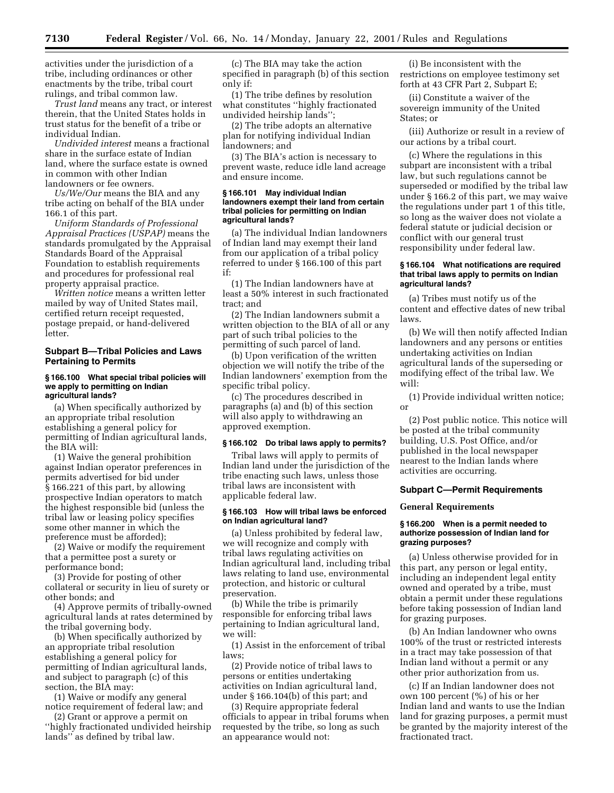activities under the jurisdiction of a tribe, including ordinances or other enactments by the tribe, tribal court rulings, and tribal common law.

*Trust land* means any tract, or interest therein, that the United States holds in trust status for the benefit of a tribe or individual Indian.

*Undivided interest* means a fractional share in the surface estate of Indian land, where the surface estate is owned in common with other Indian landowners or fee owners.

*Us/We/Our* means the BIA and any tribe acting on behalf of the BIA under 166.1 of this part.

*Uniform Standards of Professional Appraisal Practices (USPAP)* means the standards promulgated by the Appraisal Standards Board of the Appraisal Foundation to establish requirements and procedures for professional real property appraisal practice.

*Written notice* means a written letter mailed by way of United States mail, certified return receipt requested, postage prepaid, or hand-delivered letter.

## **Subpart B—Tribal Policies and Laws Pertaining to Permits**

#### **§ 166.100 What special tribal policies will we apply to permitting on Indian agricultural lands?**

(a) When specifically authorized by an appropriate tribal resolution establishing a general policy for permitting of Indian agricultural lands, the BIA will:

(1) Waive the general prohibition against Indian operator preferences in permits advertised for bid under § 166.221 of this part, by allowing prospective Indian operators to match the highest responsible bid (unless the tribal law or leasing policy specifies some other manner in which the preference must be afforded);

(2) Waive or modify the requirement that a permittee post a surety or performance bond;

(3) Provide for posting of other collateral or security in lieu of surety or other bonds; and

(4) Approve permits of tribally-owned agricultural lands at rates determined by the tribal governing body.

(b) When specifically authorized by an appropriate tribal resolution establishing a general policy for permitting of Indian agricultural lands, and subject to paragraph (c) of this section, the BIA may:

(1) Waive or modify any general notice requirement of federal law; and

(2) Grant or approve a permit on ''highly fractionated undivided heirship lands'' as defined by tribal law.

(c) The BIA may take the action specified in paragraph (b) of this section only if:

(1) The tribe defines by resolution what constitutes ''highly fractionated undivided heirship lands'';

(2) The tribe adopts an alternative plan for notifying individual Indian landowners; and

(3) The BIA's action is necessary to prevent waste, reduce idle land acreage and ensure income.

#### **§ 166.101 May individual Indian landowners exempt their land from certain tribal policies for permitting on Indian agricultural lands?**

(a) The individual Indian landowners of Indian land may exempt their land from our application of a tribal policy referred to under § 166.100 of this part if:

(1) The Indian landowners have at least a 50% interest in such fractionated tract; and

(2) The Indian landowners submit a written objection to the BIA of all or any part of such tribal policies to the permitting of such parcel of land.

(b) Upon verification of the written objection we will notify the tribe of the Indian landowners' exemption from the specific tribal policy.

(c) The procedures described in paragraphs (a) and (b) of this section will also apply to withdrawing an approved exemption.

#### **§ 166.102 Do tribal laws apply to permits?**

Tribal laws will apply to permits of Indian land under the jurisdiction of the tribe enacting such laws, unless those tribal laws are inconsistent with applicable federal law.

### **§ 166.103 How will tribal laws be enforced on Indian agricultural land?**

(a) Unless prohibited by federal law, we will recognize and comply with tribal laws regulating activities on Indian agricultural land, including tribal laws relating to land use, environmental protection, and historic or cultural preservation.

(b) While the tribe is primarily responsible for enforcing tribal laws pertaining to Indian agricultural land, we will:

(1) Assist in the enforcement of tribal laws;

(2) Provide notice of tribal laws to persons or entities undertaking activities on Indian agricultural land, under § 166.104(b) of this part; and

(3) Require appropriate federal officials to appear in tribal forums when requested by the tribe, so long as such an appearance would not:

(i) Be inconsistent with the restrictions on employee testimony set forth at 43 CFR Part 2, Subpart E;

(ii) Constitute a waiver of the sovereign immunity of the United States; or

(iii) Authorize or result in a review of our actions by a tribal court.

(c) Where the regulations in this subpart are inconsistent with a tribal law, but such regulations cannot be superseded or modified by the tribal law under § 166.2 of this part, we may waive the regulations under part 1 of this title, so long as the waiver does not violate a federal statute or judicial decision or conflict with our general trust responsibility under federal law.

### **§ 166.104 What notifications are required that tribal laws apply to permits on Indian agricultural lands?**

(a) Tribes must notify us of the content and effective dates of new tribal laws.

(b) We will then notify affected Indian landowners and any persons or entities undertaking activities on Indian agricultural lands of the superseding or modifying effect of the tribal law. We will:

(1) Provide individual written notice; or

(2) Post public notice. This notice will be posted at the tribal community building, U.S. Post Office, and/or published in the local newspaper nearest to the Indian lands where activities are occurring.

### **Subpart C—Permit Requirements**

## **General Requirements**

## **§ 166.200 When is a permit needed to authorize possession of Indian land for grazing purposes?**

(a) Unless otherwise provided for in this part, any person or legal entity, including an independent legal entity owned and operated by a tribe, must obtain a permit under these regulations before taking possession of Indian land for grazing purposes.

(b) An Indian landowner who owns 100% of the trust or restricted interests in a tract may take possession of that Indian land without a permit or any other prior authorization from us.

(c) If an Indian landowner does not own 100 percent (%) of his or her Indian land and wants to use the Indian land for grazing purposes, a permit must be granted by the majority interest of the fractionated tract.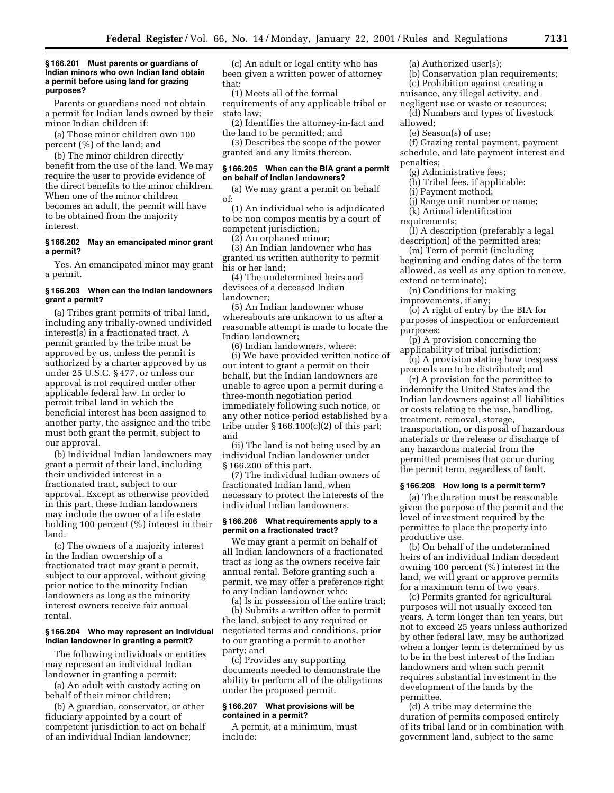#### **§ 166.201 Must parents or guardians of Indian minors who own Indian land obtain a permit before using land for grazing purposes?**

Parents or guardians need not obtain a permit for Indian lands owned by their minor Indian children if:

(a) Those minor children own 100 percent (%) of the land; and

(b) The minor children directly benefit from the use of the land. We may require the user to provide evidence of the direct benefits to the minor children. When one of the minor children becomes an adult, the permit will have to be obtained from the majority interest.

## **§ 166.202 May an emancipated minor grant a permit?**

Yes. An emancipated minor may grant a permit.

## **§ 166.203 When can the Indian landowners grant a permit?**

(a) Tribes grant permits of tribal land, including any tribally-owned undivided interest(s) in a fractionated tract. A permit granted by the tribe must be approved by us, unless the permit is authorized by a charter approved by us under 25 U.S.C. § 477, or unless our approval is not required under other applicable federal law. In order to permit tribal land in which the beneficial interest has been assigned to another party, the assignee and the tribe must both grant the permit, subject to our approval.

(b) Individual Indian landowners may grant a permit of their land, including their undivided interest in a fractionated tract, subject to our approval. Except as otherwise provided in this part, these Indian landowners may include the owner of a life estate holding 100 percent (%) interest in their land.

(c) The owners of a majority interest in the Indian ownership of a fractionated tract may grant a permit, subject to our approval, without giving prior notice to the minority Indian landowners as long as the minority interest owners receive fair annual rental.

### **§ 166.204 Who may represent an individual Indian landowner in granting a permit?**

The following individuals or entities may represent an individual Indian landowner in granting a permit:

(a) An adult with custody acting on behalf of their minor children;

(b) A guardian, conservator, or other fiduciary appointed by a court of competent jurisdiction to act on behalf of an individual Indian landowner;

(c) An adult or legal entity who has been given a written power of attorney that:

(1) Meets all of the formal requirements of any applicable tribal or state law;

(2) Identifies the attorney-in-fact and the land to be permitted; and

(3) Describes the scope of the power granted and any limits thereon.

### **§ 166.205 When can the BIA grant a permit on behalf of Indian landowners?**

(a) We may grant a permit on behalf of:

(1) An individual who is adjudicated to be non compos mentis by a court of competent jurisdiction;

 $(2)$  An orphaned minor;

(3) An Indian landowner who has granted us written authority to permit his or her land;

(4) The undetermined heirs and devisees of a deceased Indian landowner;

(5) An Indian landowner whose whereabouts are unknown to us after a reasonable attempt is made to locate the Indian landowner;

(6) Indian landowners, where: (i) We have provided written notice of our intent to grant a permit on their behalf, but the Indian landowners are unable to agree upon a permit during a three-month negotiation period immediately following such notice, or any other notice period established by a tribe under  $\S 166.100(c)(2)$  of this part; and

(ii) The land is not being used by an individual Indian landowner under § 166.200 of this part.

(7) The individual Indian owners of fractionated Indian land, when necessary to protect the interests of the individual Indian landowners.

### **§ 166.206 What requirements apply to a permit on a fractionated tract?**

We may grant a permit on behalf of all Indian landowners of a fractionated tract as long as the owners receive fair annual rental. Before granting such a permit, we may offer a preference right to any Indian landowner who:

(a) Is in possession of the entire tract; (b) Submits a written offer to permit the land, subject to any required or negotiated terms and conditions, prior to our granting a permit to another party; and

(c) Provides any supporting documents needed to demonstrate the ability to perform all of the obligations under the proposed permit.

### **§ 166.207 What provisions will be contained in a permit?**

A permit, at a minimum, must include:

(a) Authorized user $(s)$ ;

(b) Conservation plan requirements; (c) Prohibition against creating a

nuisance, any illegal activity, and negligent use or waste or resources;

(d) Numbers and types of livestock allowed;

(e) Season(s) of use;

(f) Grazing rental payment, payment schedule, and late payment interest and penalties;

(g) Administrative fees;

(h) Tribal fees, if applicable;

(i) Payment method;

(j) Range unit number or name;

(k) Animal identification

requirements;

(l) A description (preferably a legal description) of the permitted area;

(m) Term of permit (including beginning and ending dates of the term allowed, as well as any option to renew, extend or terminate);

(n) Conditions for making improvements, if any;

(o) A right of entry by the BIA for purposes of inspection or enforcement purposes;

(p) A provision concerning the applicability of tribal jurisdiction;

(q) A provision stating how trespass proceeds are to be distributed; and

(r) A provision for the permittee to indemnify the United States and the Indian landowners against all liabilities or costs relating to the use, handling, treatment, removal, storage, transportation, or disposal of hazardous materials or the release or discharge of any hazardous material from the permitted premises that occur during the permit term, regardless of fault.

#### **§ 166.208 How long is a permit term?**

(a) The duration must be reasonable given the purpose of the permit and the level of investment required by the permittee to place the property into productive use.

(b) On behalf of the undetermined heirs of an individual Indian decedent owning 100 percent (%) interest in the land, we will grant or approve permits for a maximum term of two years.

(c) Permits granted for agricultural purposes will not usually exceed ten years. A term longer than ten years, but not to exceed 25 years unless authorized by other federal law, may be authorized when a longer term is determined by us to be in the best interest of the Indian landowners and when such permit requires substantial investment in the development of the lands by the permittee.

(d) A tribe may determine the duration of permits composed entirely of its tribal land or in combination with government land, subject to the same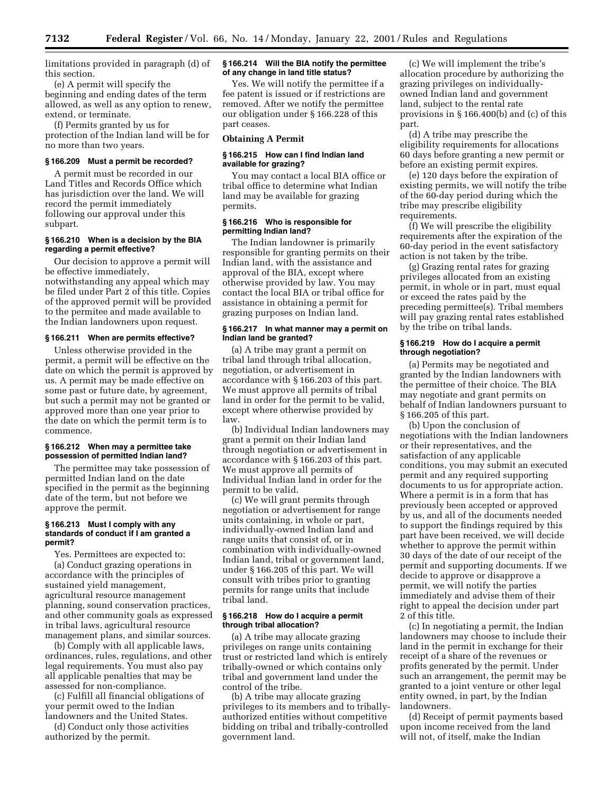limitations provided in paragraph (d) of this section.

(e) A permit will specify the beginning and ending dates of the term allowed, as well as any option to renew, extend, or terminate.

(f) Permits granted by us for protection of the Indian land will be for no more than two years.

### **§ 166.209 Must a permit be recorded?**

A permit must be recorded in our Land Titles and Records Office which has jurisdiction over the land. We will record the permit immediately following our approval under this subpart.

## **§ 166.210 When is a decision by the BIA regarding a permit effective?**

Our decision to approve a permit will be effective immediately, notwithstanding any appeal which may be filed under Part 2 of this title. Copies of the approved permit will be provided to the permitee and made available to the Indian landowners upon request.

#### **§ 166.211 When are permits effective?**

Unless otherwise provided in the permit, a permit will be effective on the date on which the permit is approved by us. A permit may be made effective on some past or future date, by agreement, but such a permit may not be granted or approved more than one year prior to the date on which the permit term is to commence.

### **§ 166.212 When may a permittee take possession of permitted Indian land?**

The permittee may take possession of permitted Indian land on the date specified in the permit as the beginning date of the term, but not before we approve the permit.

### **§ 166.213 Must I comply with any standards of conduct if I am granted a permit?**

Yes. Permittees are expected to: (a) Conduct grazing operations in accordance with the principles of sustained yield management, agricultural resource management planning, sound conservation practices, and other community goals as expressed in tribal laws, agricultural resource management plans, and similar sources.

(b) Comply with all applicable laws, ordinances, rules, regulations, and other legal requirements. You must also pay all applicable penalties that may be assessed for non-compliance.

(c) Fulfill all financial obligations of your permit owed to the Indian landowners and the United States.

(d) Conduct only those activities authorized by the permit.

### **§ 166.214 Will the BIA notify the permittee of any change in land title status?**

Yes. We will notify the permittee if a fee patent is issued or if restrictions are removed. After we notify the permittee our obligation under § 166.228 of this part ceases.

#### **Obtaining A Permit**

## **§ 166.215 How can I find Indian land available for grazing?**

You may contact a local BIA office or tribal office to determine what Indian land may be available for grazing permits.

## **§ 166.216 Who is responsible for permitting Indian land?**

The Indian landowner is primarily responsible for granting permits on their Indian land, with the assistance and approval of the BIA, except where otherwise provided by law. You may contact the local BIA or tribal office for assistance in obtaining a permit for grazing purposes on Indian land.

#### **§ 166.217 In what manner may a permit on Indian land be granted?**

(a) A tribe may grant a permit on tribal land through tribal allocation, negotiation, or advertisement in accordance with § 166.203 of this part. We must approve all permits of tribal land in order for the permit to be valid, except where otherwise provided by law.

(b) Individual Indian landowners may grant a permit on their Indian land through negotiation or advertisement in accordance with § 166.203 of this part. We must approve all permits of Individual Indian land in order for the permit to be valid.

(c) We will grant permits through negotiation or advertisement for range units containing, in whole or part, individually-owned Indian land and range units that consist of, or in combination with individually-owned Indian land, tribal or government land, under § 166.205 of this part. We will consult with tribes prior to granting permits for range units that include tribal land.

### **§ 166.218 How do I acquire a permit through tribal allocation?**

(a) A tribe may allocate grazing privileges on range units containing trust or restricted land which is entirely tribally-owned or which contains only tribal and government land under the control of the tribe.

(b) A tribe may allocate grazing privileges to its members and to triballyauthorized entities without competitive bidding on tribal and tribally-controlled government land.

(c) We will implement the tribe's allocation procedure by authorizing the grazing privileges on individuallyowned Indian land and government land, subject to the rental rate provisions in § 166.400(b) and (c) of this part.

(d) A tribe may prescribe the eligibility requirements for allocations 60 days before granting a new permit or before an existing permit expires.

(e) 120 days before the expiration of existing permits, we will notify the tribe of the 60-day period during which the tribe may prescribe eligibility requirements.

(f) We will prescribe the eligibility requirements after the expiration of the 60-day period in the event satisfactory action is not taken by the tribe.

(g) Grazing rental rates for grazing privileges allocated from an existing permit, in whole or in part, must equal or exceed the rates paid by the preceding permittee(s). Tribal members will pay grazing rental rates established by the tribe on tribal lands.

### **§ 166.219 How do I acquire a permit through negotiation?**

(a) Permits may be negotiated and granted by the Indian landowners with the permittee of their choice. The BIA may negotiate and grant permits on behalf of Indian landowners pursuant to § 166.205 of this part.

(b) Upon the conclusion of negotiations with the Indian landowners or their representatives, and the satisfaction of any applicable conditions, you may submit an executed permit and any required supporting documents to us for appropriate action. Where a permit is in a form that has previously been accepted or approved by us, and all of the documents needed to support the findings required by this part have been received, we will decide whether to approve the permit within 30 days of the date of our receipt of the permit and supporting documents. If we decide to approve or disapprove a permit, we will notify the parties immediately and advise them of their right to appeal the decision under part 2 of this title.

(c) In negotiating a permit, the Indian landowners may choose to include their land in the permit in exchange for their receipt of a share of the revenues or profits generated by the permit. Under such an arrangement, the permit may be granted to a joint venture or other legal entity owned, in part, by the Indian landowners.

(d) Receipt of permit payments based upon income received from the land will not, of itself, make the Indian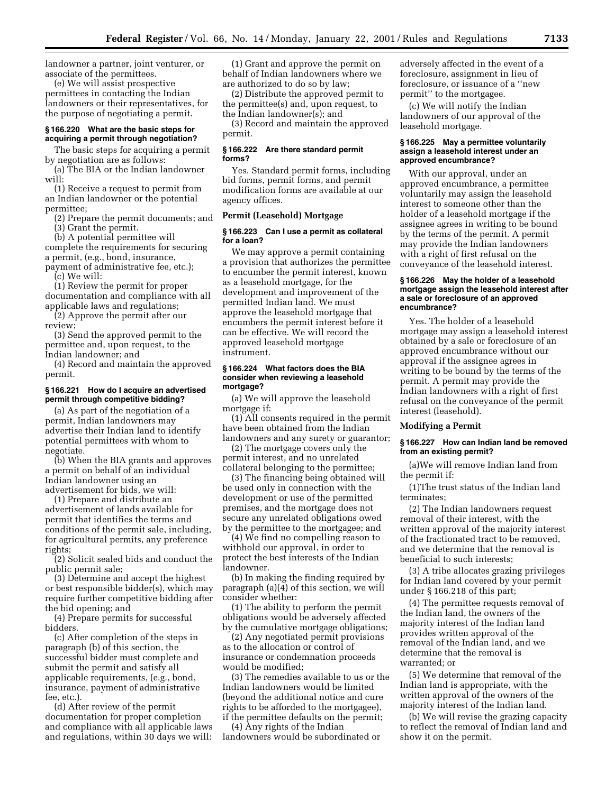landowner a partner, joint venturer, or associate of the permittees.

(e) We will assist prospective permittees in contacting the Indian landowners or their representatives, for the purpose of negotiating a permit.

## **§ 166.220 What are the basic steps for acquiring a permit through negotiation?**

The basic steps for acquiring a permit by negotiation are as follows:

(a) The BIA or the Indian landowner will:

(1) Receive a request to permit from an Indian landowner or the potential permittee;

(2) Prepare the permit documents; and (3) Grant the permit.

(b) A potential permittee will

complete the requirements for securing a permit, (e.g., bond, insurance,

payment of administrative fee, etc.); (c) We will:

(1) Review the permit for proper documentation and compliance with all applicable laws and regulations;

(2) Approve the permit after our review;

(3) Send the approved permit to the permittee and, upon request, to the Indian landowner; and

(4) Record and maintain the approved permit.

### **§ 166.221 How do I acquire an advertised permit through competitive bidding?**

(a) As part of the negotiation of a permit, Indian landowners may advertise their Indian land to identify potential permittees with whom to negotiate.

(b) When the BIA grants and approves a permit on behalf of an individual Indian landowner using an advertisement for bids, we will:

(1) Prepare and distribute an advertisement of lands available for permit that identifies the terms and conditions of the permit sale, including, for agricultural permits, any preference rights;

(2) Solicit sealed bids and conduct the public permit sale;

(3) Determine and accept the highest or best responsible bidder(s), which may require further competitive bidding after the bid opening; and

(4) Prepare permits for successful bidders.

(c) After completion of the steps in paragraph (b) of this section, the successful bidder must complete and submit the permit and satisfy all applicable requirements, (e.g., bond, insurance, payment of administrative fee, etc.).

(d) After review of the permit documentation for proper completion and compliance with all applicable laws and regulations, within 30 days we will:

(1) Grant and approve the permit on behalf of Indian landowners where we are authorized to do so by law;

(2) Distribute the approved permit to the permittee(s) and, upon request, to the Indian landowner(s); and

(3) Record and maintain the approved permit.

### **§ 166.222 Are there standard permit forms?**

Yes. Standard permit forms, including bid forms, permit forms, and permit modification forms are available at our agency offices.

## **Permit (Leasehold) Mortgage**

### **§ 166.223 Can I use a permit as collateral for a loan?**

We may approve a permit containing a provision that authorizes the permittee to encumber the permit interest, known as a leasehold mortgage, for the development and improvement of the permitted Indian land. We must approve the leasehold mortgage that encumbers the permit interest before it can be effective. We will record the approved leasehold mortgage instrument.

### **§ 166.224 What factors does the BIA consider when reviewing a leasehold mortgage?**

(a) We will approve the leasehold mortgage if:

(1) All consents required in the permit have been obtained from the Indian landowners and any surety or guarantor;

(2) The mortgage covers only the permit interest, and no unrelated collateral belonging to the permittee;

(3) The financing being obtained will be used only in connection with the development or use of the permitted premises, and the mortgage does not secure any unrelated obligations owed by the permittee to the mortgagee; and

(4) We find no compelling reason to withhold our approval, in order to protect the best interests of the Indian landowner.

(b) In making the finding required by paragraph (a)(4) of this section, we will consider whether:

(1) The ability to perform the permit obligations would be adversely affected by the cumulative mortgage obligations;

(2) Any negotiated permit provisions as to the allocation or control of insurance or condemnation proceeds would be modified;

(3) The remedies available to us or the Indian landowners would be limited (beyond the additional notice and cure rights to be afforded to the mortgagee), if the permittee defaults on the permit;

(4) Any rights of the Indian landowners would be subordinated or adversely affected in the event of a foreclosure, assignment in lieu of foreclosure, or issuance of a ''new permit'' to the mortgagee.

(c) We will notify the Indian landowners of our approval of the leasehold mortgage.

### **§ 166.225 May a permittee voluntarily assign a leasehold interest under an approved encumbrance?**

With our approval, under an approved encumbrance, a permittee voluntarily may assign the leasehold interest to someone other than the holder of a leasehold mortgage if the assignee agrees in writing to be bound by the terms of the permit. A permit may provide the Indian landowners with a right of first refusal on the conveyance of the leasehold interest.

### **§ 166.226 May the holder of a leasehold mortgage assign the leasehold interest after a sale or foreclosure of an approved encumbrance?**

Yes. The holder of a leasehold mortgage may assign a leasehold interest obtained by a sale or foreclosure of an approved encumbrance without our approval if the assignee agrees in writing to be bound by the terms of the permit. A permit may provide the Indian landowners with a right of first refusal on the conveyance of the permit interest (leasehold).

#### **Modifying a Permit**

### **§ 166.227 How can Indian land be removed from an existing permit?**

(a)We will remove Indian land from the permit if:

(1)The trust status of the Indian land terminates;

(2) The Indian landowners request removal of their interest, with the written approval of the majority interest of the fractionated tract to be removed, and we determine that the removal is beneficial to such interests;

(3) A tribe allocates grazing privileges for Indian land covered by your permit under § 166.218 of this part;

(4) The permittee requests removal of the Indian land, the owners of the majority interest of the Indian land provides written approval of the removal of the Indian land, and we determine that the removal is warranted; or

(5) We determine that removal of the Indian land is appropriate, with the written approval of the owners of the majority interest of the Indian land.

(b) We will revise the grazing capacity to reflect the removal of Indian land and show it on the permit.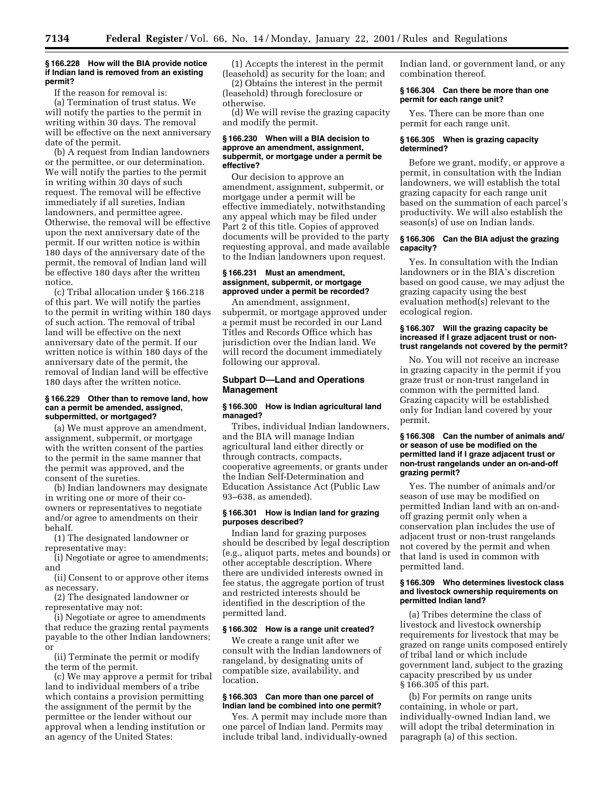### **§ 166.228 How will the BIA provide notice if Indian land is removed from an existing permit?**

If the reason for removal is:

(a) Termination of trust status. We will notify the parties to the permit in writing within 30 days. The removal will be effective on the next anniversary date of the permit.

(b) A request from Indian landowners or the permittee, or our determination. We will notify the parties to the permit in writing within 30 days of such request. The removal will be effective immediately if all sureties, Indian landowners, and permittee agree. Otherwise, the removal will be effective upon the next anniversary date of the permit. If our written notice is within 180 days of the anniversary date of the permit, the removal of Indian land will be effective 180 days after the written notice.

(c) Tribal allocation under § 166.218 of this part. We will notify the parties to the permit in writing within 180 days of such action. The removal of tribal land will be effective on the next anniversary date of the permit. If our written notice is within 180 days of the anniversary date of the permit, the removal of Indian land will be effective 180 days after the written notice.

#### **§ 166.229 Other than to remove land, how can a permit be amended, assigned, subpermitted, or mortgaged?**

(a) We must approve an amendment, assignment, subpermit, or mortgage with the written consent of the parties to the permit in the same manner that the permit was approved, and the consent of the sureties.

(b) Indian landowners may designate in writing one or more of their coowners or representatives to negotiate and/or agree to amendments on their behalf.

(1) The designated landowner or representative may:

(i) Negotiate or agree to amendments; and

(ii) Consent to or approve other items as necessary.

(2) The designated landowner or representative may not:

(i) Negotiate or agree to amendments that reduce the grazing rental payments payable to the other Indian landowners; or

(ii) Terminate the permit or modify the term of the permit.

(c) We may approve a permit for tribal land to individual members of a tribe which contains a provision permitting the assignment of the permit by the permittee or the lender without our approval when a lending institution or an agency of the United States:

(1) Accepts the interest in the permit (leasehold) as security for the loan; and

(2) Obtains the interest in the permit (leasehold) through foreclosure or otherwise.

(d) We will revise the grazing capacity and modify the permit.

### **§ 166.230 When will a BIA decision to approve an amendment, assignment, subpermit, or mortgage under a permit be effective?**

Our decision to approve an amendment, assignment, subpermit, or mortgage under a permit will be effective immediately, notwithstanding any appeal which may be filed under Part 2 of this title. Copies of approved documents will be provided to the party requesting approval, and made available to the Indian landowners upon request.

### **§ 166.231 Must an amendment, assignment, subpermit, or mortgage approved under a permit be recorded?**

An amendment, assignment, subpermit, or mortgage approved under a permit must be recorded in our Land Titles and Records Office which has jurisdiction over the Indian land. We will record the document immediately following our approval.

## **Subpart D—Land and Operations Management**

### **§ 166.300 How is Indian agricultural land managed?**

Tribes, individual Indian landowners, and the BIA will manage Indian agricultural land either directly or through contracts, compacts, cooperative agreements, or grants under the Indian Self-Determination and Education Assistance Act (Public Law 93–638, as amended).

## **§ 166.301 How is Indian land for grazing purposes described?**

Indian land for grazing purposes should be described by legal description (e.g., aliquot parts, metes and bounds) or other acceptable description. Where there are undivided interests owned in fee status, the aggregate portion of trust and restricted interests should be identified in the description of the permitted land.

### **§ 166.302 How is a range unit created?**

We create a range unit after we consult with the Indian landowners of rangeland, by designating units of compatible size, availability, and location.

## **§ 166.303 Can more than one parcel of Indian land be combined into one permit?**

Yes. A permit may include more than one parcel of Indian land. Permits may include tribal land, individually-owned Indian land, or government land, or any combination thereof.

### **§ 166.304 Can there be more than one permit for each range unit?**

Yes. There can be more than one permit for each range unit.

## **§ 166.305 When is grazing capacity determined?**

Before we grant, modify, or approve a permit, in consultation with the Indian landowners, we will establish the total grazing capacity for each range unit based on the summation of each parcel's productivity. We will also establish the season(s) of use on Indian lands.

### **§ 166.306 Can the BIA adjust the grazing capacity?**

Yes. In consultation with the Indian landowners or in the BIA's discretion based on good cause, we may adjust the grazing capacity using the best evaluation method(s) relevant to the ecological region.

#### **§ 166.307 Will the grazing capacity be increased if I graze adjacent trust or nontrust rangelands not covered by the permit?**

No. You will not receive an increase in grazing capacity in the permit if you graze trust or non-trust rangeland in common with the permitted land. Grazing capacity will be established only for Indian land covered by your permit.

#### **§ 166.308 Can the number of animals and/ or season of use be modified on the permitted land if I graze adjacent trust or non-trust rangelands under an on-and-off grazing permit?**

Yes. The number of animals and/or season of use may be modified on permitted Indian land with an on-andoff grazing permit only when a conservation plan includes the use of adjacent trust or non-trust rangelands not covered by the permit and when that land is used in common with permitted land.

#### **§ 166.309 Who determines livestock class and livestock ownership requirements on permitted Indian land?**

(a) Tribes determine the class of livestock and livestock ownership requirements for livestock that may be grazed on range units composed entirely of tribal land or which include government land, subject to the grazing capacity prescribed by us under § 166.305 of this part.

(b) For permits on range units containing, in whole or part, individually-owned Indian land, we will adopt the tribal determination in paragraph (a) of this section.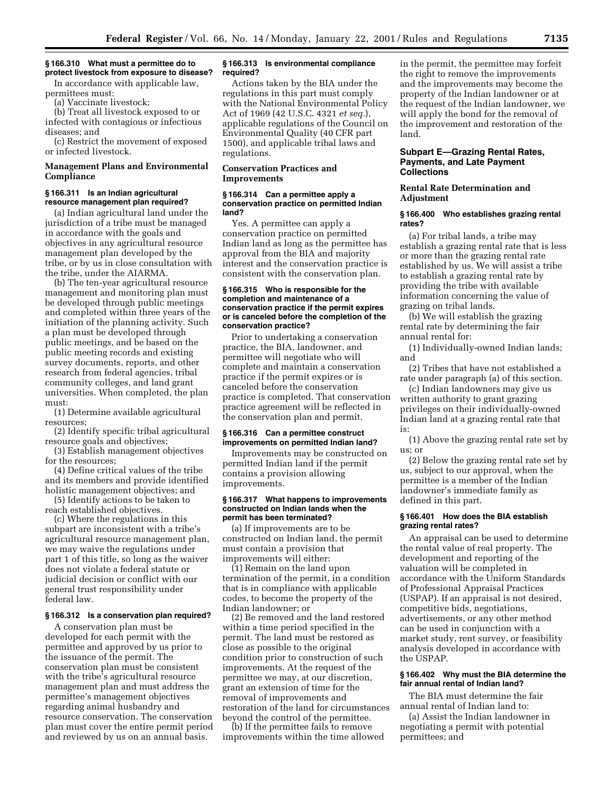## **§ 166.310 What must a permittee do to protect livestock from exposure to disease?**

In accordance with applicable law, permittees must:

(a) Vaccinate livestock;

(b) Treat all livestock exposed to or infected with contagious or infectious diseases; and

(c) Restrict the movement of exposed or infected livestock.

## **Management Plans and Environmental Compliance**

### **§ 166.311 Is an Indian agricultural resource management plan required?**

(a) Indian agricultural land under the jurisdiction of a tribe must be managed in accordance with the goals and objectives in any agricultural resource management plan developed by the tribe, or by us in close consultation with the tribe, under the AIARMA.

(b) The ten-year agricultural resource management and monitoring plan must be developed through public meetings and completed within three years of the initiation of the planning activity. Such a plan must be developed through public meetings, and be based on the public meeting records and existing survey documents, reports, and other research from federal agencies, tribal community colleges, and land grant universities. When completed, the plan must:

(1) Determine available agricultural resources;

(2) Identify specific tribal agricultural resource goals and objectives;

(3) Establish management objectives for the resources;

(4) Define critical values of the tribe and its members and provide identified holistic management objectives; and

(5) Identify actions to be taken to reach established objectives.

(c) Where the regulations in this subpart are inconsistent with a tribe's agricultural resource management plan, we may waive the regulations under part 1 of this title, so long as the waiver does not violate a federal statute or judicial decision or conflict with our general trust responsibility under federal law.

## **§ 166.312 Is a conservation plan required?**

A conservation plan must be developed for each permit with the permittee and approved by us prior to the issuance of the permit. The conservation plan must be consistent with the tribe's agricultural resource management plan and must address the permittee's management objectives regarding animal husbandry and resource conservation. The conservation plan must cover the entire permit period and reviewed by us on an annual basis.

#### **§ 166.313 Is environmental compliance required?**

Actions taken by the BIA under the regulations in this part must comply with the National Environmental Policy Act of 1969 (42 U.S.C. 4321 *et seq.*), applicable regulations of the Council on Environmental Quality (40 CFR part 1500), and applicable tribal laws and regulations.

### **Conservation Practices and Improvements**

#### **§ 166.314 Can a permittee apply a conservation practice on permitted Indian land?**

Yes. A permittee can apply a conservation practice on permitted Indian land as long as the permittee has approval from the BIA and majority interest and the conservation practice is consistent with the conservation plan.

### **§ 166.315 Who is responsible for the completion and maintenance of a conservation practice if the permit expires or is canceled before the completion of the conservation practice?**

Prior to undertaking a conservation practice, the BIA, landowner, and permittee will negotiate who will complete and maintain a conservation practice if the permit expires or is canceled before the conservation practice is completed. That conservation practice agreement will be reflected in the conservation plan and permit.

### **§ 166.316 Can a permittee construct improvements on permitted Indian land?**

Improvements may be constructed on permitted Indian land if the permit contains a provision allowing improvements.

#### **§ 166.317 What happens to improvements constructed on Indian lands when the permit has been terminated?**

(a) If improvements are to be constructed on Indian land, the permit must contain a provision that improvements will either:

(1) Remain on the land upon termination of the permit, in a condition that is in compliance with applicable codes, to become the property of the Indian landowner; or

(2) Be removed and the land restored within a time period specified in the permit. The land must be restored as close as possible to the original condition prior to construction of such improvements. At the request of the permittee we may, at our discretion, grant an extension of time for the removal of improvements and restoration of the land for circumstances beyond the control of the permittee.

(b) If the permittee fails to remove improvements within the time allowed in the permit, the permittee may forfeit the right to remove the improvements and the improvements may become the property of the Indian landowner or at the request of the Indian landowner, we will apply the bond for the removal of the improvement and restoration of the land.

## **Subpart E—Grazing Rental Rates, Payments, and Late Payment Collections**

### **Rental Rate Determination and Adjustment**

#### **§ 166.400 Who establishes grazing rental rates?**

(a) For tribal lands, a tribe may establish a grazing rental rate that is less or more than the grazing rental rate established by us. We will assist a tribe to establish a grazing rental rate by providing the tribe with available information concerning the value of grazing on tribal lands.

(b) We will establish the grazing rental rate by determining the fair annual rental for:

(1) Individually-owned Indian lands; and

(2) Tribes that have not established a rate under paragraph (a) of this section.

(c) Indian landowners may give us written authority to grant grazing privileges on their individually-owned Indian land at a grazing rental rate that is:

(1) Above the grazing rental rate set by us; or

(2) Below the grazing rental rate set by us, subject to our approval, when the permittee is a member of the Indian landowner's immediate family as defined in this part.

### **§ 166.401 How does the BIA establish grazing rental rates?**

An appraisal can be used to determine the rental value of real property. The development and reporting of the valuation will be completed in accordance with the Uniform Standards of Professional Appraisal Practices (USPAP). If an appraisal is not desired, competitive bids, negotiations, advertisements, or any other method can be used in conjunction with a market study, rent survey, or feasibility analysis developed in accordance with the USPAP.

### **§ 166.402 Why must the BIA determine the fair annual rental of Indian land?**

The BIA must determine the fair annual rental of Indian land to:

(a) Assist the Indian landowner in negotiating a permit with potential permittees; and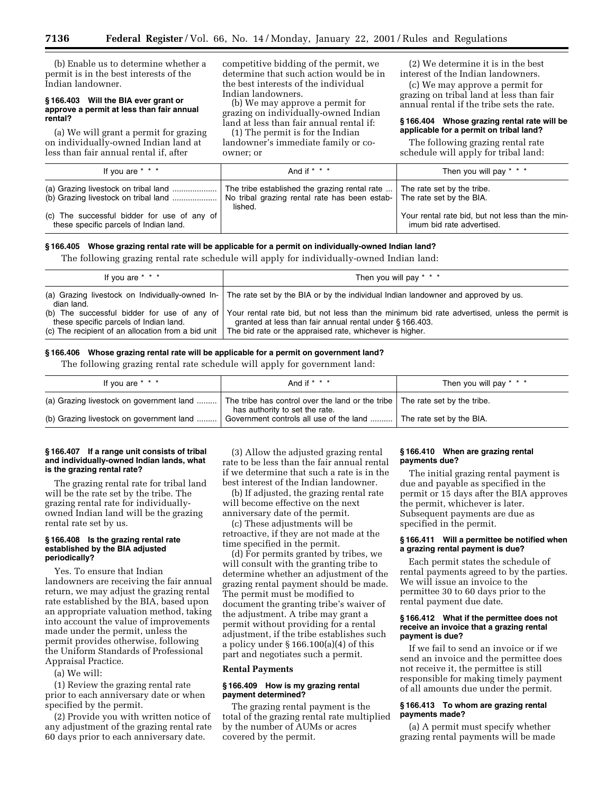(b) Enable us to determine whether a permit is in the best interests of the Indian landowner.

#### **§ 166.403 Will the BIA ever grant or approve a permit at less than fair annual rental?**

(a) We will grant a permit for grazing on individually-owned Indian land at less than fair annual rental if, after

competitive bidding of the permit, we determine that such action would be in the best interests of the individual Indian landowners.

(b) We may approve a permit for grazing on individually-owned Indian land at less than fair annual rental if:

(1) The permit is for the Indian landowner's immediate family or coowner; or

(2) We determine it is in the best interest of the Indian landowners.

(c) We may approve a permit for grazing on tribal land at less than fair annual rental if the tribe sets the rate.

#### **§ 166.404 Whose grazing rental rate will be applicable for a permit on tribal land?**

The following grazing rental rate schedule will apply for tribal land:

| If you are * * *                                                                      | And if $* * * *$                                            | Then you will pay * * *                                                       |
|---------------------------------------------------------------------------------------|-------------------------------------------------------------|-------------------------------------------------------------------------------|
|                                                                                       | The tribe established the grazing rental rate   <br>lished. | The rate set by the tribe.                                                    |
| (c) The successful bidder for use of any of<br>these specific parcels of Indian land. |                                                             | Your rental rate bid, but not less than the min-<br>imum bid rate advertised. |

## **§ 166.405 Whose grazing rental rate will be applicable for a permit on individually-owned Indian land?**

The following grazing rental rate schedule will apply for individually-owned Indian land:

| If you are * * *                                                                                         | Then you will pay $* * *$                                                                                                                                                                                                                                         |
|----------------------------------------------------------------------------------------------------------|-------------------------------------------------------------------------------------------------------------------------------------------------------------------------------------------------------------------------------------------------------------------|
| dian land.                                                                                               | (a) Grazing livestock on Individually-owned In- The rate set by the BIA or by the individual Indian landowner and approved by us.                                                                                                                                 |
| these specific parcels of Indian land.<br>(c) The recipient of an allocation from a bid unit $\parallel$ | (b) The successful bidder for use of any of Your rental rate bid, but not less than the minimum bid rate advertised, unless the permit is<br>granted at less than fair annual rental under § 166.403.<br>The bid rate or the appraised rate, whichever is higher. |

#### **§ 166.406 Whose grazing rental rate will be applicable for a permit on government land?**

The following grazing rental rate schedule will apply for government land:

| If you are $* * *$                       | And if $* * * *$                                                                                              | Then you will pay * * *  |
|------------------------------------------|---------------------------------------------------------------------------------------------------------------|--------------------------|
| (a) Grazing livestock on government land | The tribe has control over the land or the tribe The rate set by the tribe.<br>has authority to set the rate. |                          |
| (b) Grazing livestock on government land | Government controls all use of the land  '                                                                    | The rate set by the BIA. |

#### **§ 166.407 If a range unit consists of tribal and individually-owned Indian lands, what is the grazing rental rate?**

The grazing rental rate for tribal land will be the rate set by the tribe. The grazing rental rate for individuallyowned Indian land will be the grazing rental rate set by us.

#### **§ 166.408 Is the grazing rental rate established by the BIA adjusted periodically?**

Yes. To ensure that Indian landowners are receiving the fair annual return, we may adjust the grazing rental rate established by the BIA, based upon an appropriate valuation method, taking into account the value of improvements made under the permit, unless the permit provides otherwise, following the Uniform Standards of Professional Appraisal Practice.

(a) We will:

(1) Review the grazing rental rate prior to each anniversary date or when specified by the permit.

(2) Provide you with written notice of any adjustment of the grazing rental rate 60 days prior to each anniversary date.

(3) Allow the adjusted grazing rental rate to be less than the fair annual rental if we determine that such a rate is in the best interest of the Indian landowner.

(b) If adjusted, the grazing rental rate will become effective on the next anniversary date of the permit.

(c) These adjustments will be retroactive, if they are not made at the time specified in the permit.

(d) For permits granted by tribes, we will consult with the granting tribe to determine whether an adjustment of the grazing rental payment should be made. The permit must be modified to document the granting tribe's waiver of the adjustment. A tribe may grant a permit without providing for a rental adjustment, if the tribe establishes such a policy under § 166.100(a)(4) of this part and negotiates such a permit.

### **Rental Payments**

## **§ 166.409 How is my grazing rental payment determined?**

The grazing rental payment is the total of the grazing rental rate multiplied by the number of AUMs or acres covered by the permit.

## **§ 166.410 When are grazing rental payments due?**

The initial grazing rental payment is due and payable as specified in the permit or 15 days after the BIA approves the permit, whichever is later. Subsequent payments are due as specified in the permit.

### **§ 166.411 Will a permittee be notified when a grazing rental payment is due?**

Each permit states the schedule of rental payments agreed to by the parties. We will issue an invoice to the permittee 30 to 60 days prior to the rental payment due date.

### **§ 166.412 What if the permittee does not receive an invoice that a grazing rental payment is due?**

If we fail to send an invoice or if we send an invoice and the permittee does not receive it, the permittee is still responsible for making timely payment of all amounts due under the permit.

## **§ 166.413 To whom are grazing rental payments made?**

(a) A permit must specify whether grazing rental payments will be made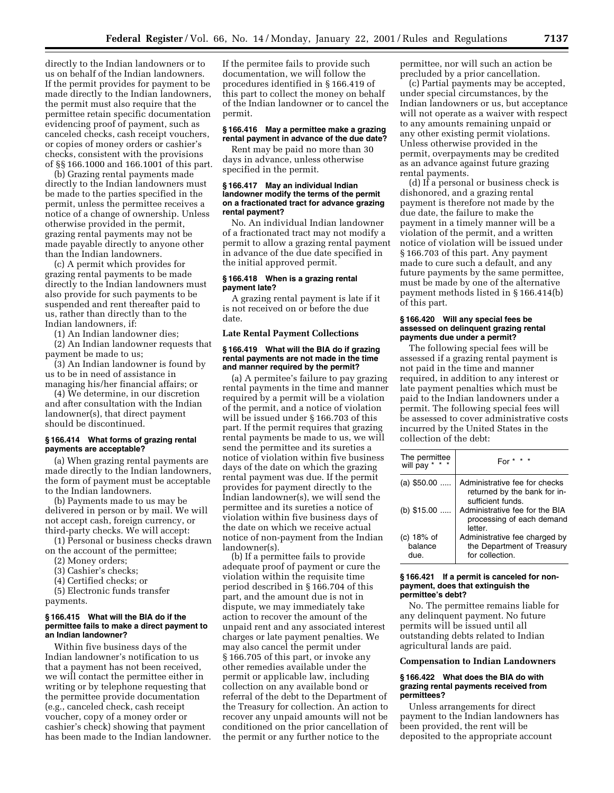directly to the Indian landowners or to us on behalf of the Indian landowners. If the permit provides for payment to be made directly to the Indian landowners, the permit must also require that the permittee retain specific documentation evidencing proof of payment, such as canceled checks, cash receipt vouchers, or copies of money orders or cashier's checks, consistent with the provisions of §§ 166.1000 and 166.1001 of this part.

(b) Grazing rental payments made directly to the Indian landowners must be made to the parties specified in the permit, unless the permittee receives a notice of a change of ownership. Unless otherwise provided in the permit, grazing rental payments may not be made payable directly to anyone other than the Indian landowners.

(c) A permit which provides for grazing rental payments to be made directly to the Indian landowners must also provide for such payments to be suspended and rent thereafter paid to us, rather than directly than to the Indian landowners, if:

(1) An Indian landowner dies;

(2) An Indian landowner requests that payment be made to us;

(3) An Indian landowner is found by us to be in need of assistance in managing his/her financial affairs; or

(4) We determine, in our discretion and after consultation with the Indian landowner(s), that direct payment should be discontinued.

### **§ 166.414 What forms of grazing rental payments are acceptable?**

(a) When grazing rental payments are made directly to the Indian landowners, the form of payment must be acceptable to the Indian landowners.

(b) Payments made to us may be delivered in person or by mail. We will not accept cash, foreign currency, or third-party checks. We will accept:

(1) Personal or business checks drawn on the account of the permittee;

- (2) Money orders;
- (3) Cashier's checks;
- (4) Certified checks; or

(5) Electronic funds transfer

# payments. **§ 166.415 What will the BIA do if the**

## **permittee fails to make a direct payment to an Indian landowner?** Within five business days of the

Indian landowner's notification to us that a payment has not been received, we will contact the permittee either in writing or by telephone requesting that the permittee provide documentation (e.g., canceled check, cash receipt voucher, copy of a money order or cashier's check) showing that payment has been made to the Indian landowner.

If the permitee fails to provide such documentation, we will follow the procedures identified in § 166.419 of this part to collect the money on behalf of the Indian landowner or to cancel the permit.

## **§ 166.416 May a permittee make a grazing rental payment in advance of the due date?**

Rent may be paid no more than 30 days in advance, unless otherwise specified in the permit.

### **§ 166.417 May an individual Indian landowner modify the terms of the permit on a fractionated tract for advance grazing rental payment?**

No. An individual Indian landowner of a fractionated tract may not modify a permit to allow a grazing rental payment in advance of the due date specified in the initial approved permit.

## **§ 166.418 When is a grazing rental payment late?**

A grazing rental payment is late if it is not received on or before the due date.

#### **Late Rental Payment Collections**

#### **§ 166.419 What will the BIA do if grazing rental payments are not made in the time and manner required by the permit?**

(a) A permitee's failure to pay grazing rental payments in the time and manner required by a permit will be a violation of the permit, and a notice of violation will be issued under § 166.703 of this part. If the permit requires that grazing rental payments be made to us, we will send the permittee and its sureties a notice of violation within five business days of the date on which the grazing rental payment was due. If the permit provides for payment directly to the Indian landowner(s), we will send the permittee and its sureties a notice of violation within five business days of the date on which we receive actual notice of non-payment from the Indian landowner(s).

(b) If a permittee fails to provide adequate proof of payment or cure the violation within the requisite time period described in § 166.704 of this part, and the amount due is not in dispute, we may immediately take action to recover the amount of the unpaid rent and any associated interest charges or late payment penalties. We may also cancel the permit under § 166.705 of this part, or invoke any other remedies available under the permit or applicable law, including collection on any available bond or referral of the debt to the Department of the Treasury for collection. An action to recover any unpaid amounts will not be conditioned on the prior cancellation of the permit or any further notice to the

permittee, nor will such an action be precluded by a prior cancellation.

(c) Partial payments may be accepted, under special circumstances, by the Indian landowners or us, but acceptance will not operate as a waiver with respect to any amounts remaining unpaid or any other existing permit violations. Unless otherwise provided in the permit, overpayments may be credited as an advance against future grazing rental payments.

(d) If a personal or business check is dishonored, and a grazing rental payment is therefore not made by the due date, the failure to make the payment in a timely manner will be a violation of the permit, and a written notice of violation will be issued under § 166.703 of this part. Any payment made to cure such a default, and any future payments by the same permittee, must be made by one of the alternative payment methods listed in § 166.414(b) of this part.

#### **§ 166.420 Will any special fees be assessed on delinquent grazing rental payments due under a permit?**

The following special fees will be assessed if a grazing rental payment is not paid in the time and manner required, in addition to any interest or late payment penalties which must be paid to the Indian landowners under a permit. The following special fees will be assessed to cover administrative costs incurred by the United States in the collection of the debt:

| The permittee will pay $* * * *$ | For $*$ $*$ $*$                                                                    |
|----------------------------------|------------------------------------------------------------------------------------|
| (a) $$50.00$                     | Administrative fee for checks<br>returned by the bank for in-<br>sufficient funds. |
| (b) $$15.00$                     | Administrative fee for the BIA<br>processing of each demand<br>letter.             |
| $(c)$ 18% of<br>balance<br>due.  | Administrative fee charged by<br>the Department of Treasury<br>for collection.     |

#### **§ 166.421 If a permit is canceled for nonpayment, does that extinguish the permittee's debt?**

No. The permittee remains liable for any delinquent payment. No future permits will be issued until all outstanding debts related to Indian agricultural lands are paid.

## **Compensation to Indian Landowners**

### **§ 166.422 What does the BIA do with grazing rental payments received from permittees?**

Unless arrangements for direct payment to the Indian landowners has been provided, the rent will be deposited to the appropriate account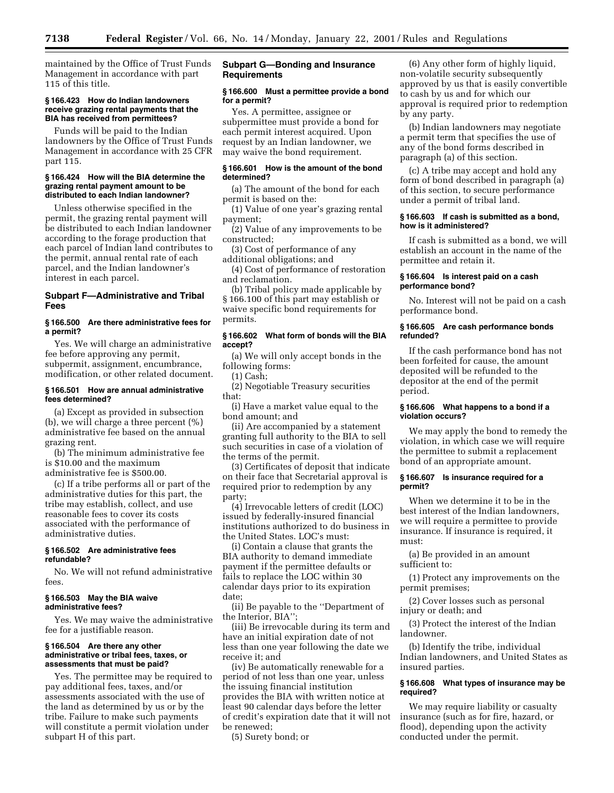maintained by the Office of Trust Funds Management in accordance with part 115 of this title.

### **§ 166.423 How do Indian landowners receive grazing rental payments that the BIA has received from permittees?**

Funds will be paid to the Indian landowners by the Office of Trust Funds Management in accordance with 25 CFR part 115.

#### **§ 166.424 How will the BIA determine the grazing rental payment amount to be distributed to each Indian landowner?**

Unless otherwise specified in the permit, the grazing rental payment will be distributed to each Indian landowner according to the forage production that each parcel of Indian land contributes to the permit, annual rental rate of each parcel, and the Indian landowner's interest in each parcel.

## **Subpart F—Administrative and Tribal Fees**

## **§ 166.500 Are there administrative fees for a permit?**

Yes. We will charge an administrative fee before approving any permit, subpermit, assignment, encumbrance, modification, or other related document.

### **§ 166.501 How are annual administrative fees determined?**

(a) Except as provided in subsection (b), we will charge a three percent (%) administrative fee based on the annual grazing rent.

(b) The minimum administrative fee is \$10.00 and the maximum administrative fee is \$500.00.

(c) If a tribe performs all or part of the administrative duties for this part, the tribe may establish, collect, and use reasonable fees to cover its costs associated with the performance of administrative duties.

### **§ 166.502 Are administrative fees refundable?**

No. We will not refund administrative fees.

## **§ 166.503 May the BIA waive administrative fees?**

Yes. We may waive the administrative fee for a justifiable reason.

#### **§ 166.504 Are there any other administrative or tribal fees, taxes, or assessments that must be paid?**

Yes. The permittee may be required to pay additional fees, taxes, and/or assessments associated with the use of the land as determined by us or by the tribe. Failure to make such payments will constitute a permit violation under subpart H of this part.

## **Subpart G—Bonding and Insurance Requirements**

### **§ 166.600 Must a permittee provide a bond for a permit?**

Yes. A permittee, assignee or subpermittee must provide a bond for each permit interest acquired. Upon request by an Indian landowner, we may waive the bond requirement.

#### **§ 166.601 How is the amount of the bond determined?**

(a) The amount of the bond for each permit is based on the:

(1) Value of one year's grazing rental payment;

(2) Value of any improvements to be constructed;

(3) Cost of performance of any additional obligations; and

(4) Cost of performance of restoration and reclamation.

(b) Tribal policy made applicable by § 166.100 of this part may establish or waive specific bond requirements for permits.

### **§ 166.602 What form of bonds will the BIA accept?**

(a) We will only accept bonds in the following forms:

(1) Cash;

(2) Negotiable Treasury securities that:

(i) Have a market value equal to the bond amount; and

(ii) Are accompanied by a statement granting full authority to the BIA to sell such securities in case of a violation of the terms of the permit.

(3) Certificates of deposit that indicate on their face that Secretarial approval is required prior to redemption by any party;

(4) Irrevocable letters of credit (LOC) issued by federally-insured financial institutions authorized to do business in the United States. LOC's must:

(i) Contain a clause that grants the BIA authority to demand immediate payment if the permittee defaults or fails to replace the LOC within 30 calendar days prior to its expiration date;

(ii) Be payable to the ''Department of the Interior, BIA'';

(iii) Be irrevocable during its term and have an initial expiration date of not less than one year following the date we receive it; and

(iv) Be automatically renewable for a period of not less than one year, unless the issuing financial institution provides the BIA with written notice at least 90 calendar days before the letter of credit's expiration date that it will not be renewed;

(5) Surety bond; or

(6) Any other form of highly liquid, non-volatile security subsequently approved by us that is easily convertible to cash by us and for which our approval is required prior to redemption by any party.

(b) Indian landowners may negotiate a permit term that specifies the use of any of the bond forms described in paragraph (a) of this section.

(c) A tribe may accept and hold any form of bond described in paragraph (a) of this section, to secure performance under a permit of tribal land.

#### **§ 166.603 If cash is submitted as a bond, how is it administered?**

If cash is submitted as a bond, we will establish an account in the name of the permittee and retain it.

#### **§ 166.604 Is interest paid on a cash performance bond?**

No. Interest will not be paid on a cash performance bond.

#### **§ 166.605 Are cash performance bonds refunded?**

If the cash performance bond has not been forfeited for cause, the amount deposited will be refunded to the depositor at the end of the permit period.

## **§ 166.606 What happens to a bond if a violation occurs?**

We may apply the bond to remedy the violation, in which case we will require the permittee to submit a replacement bond of an appropriate amount.

#### **§ 166.607 Is insurance required for a permit?**

When we determine it to be in the best interest of the Indian landowners, we will require a permittee to provide insurance. If insurance is required, it must:

(a) Be provided in an amount sufficient to:

(1) Protect any improvements on the permit premises;

(2) Cover losses such as personal injury or death; and

(3) Protect the interest of the Indian landowner.

(b) Identify the tribe, individual Indian landowners, and United States as insured parties.

## **§ 166.608 What types of insurance may be required?**

We may require liability or casualty insurance (such as for fire, hazard, or flood), depending upon the activity conducted under the permit.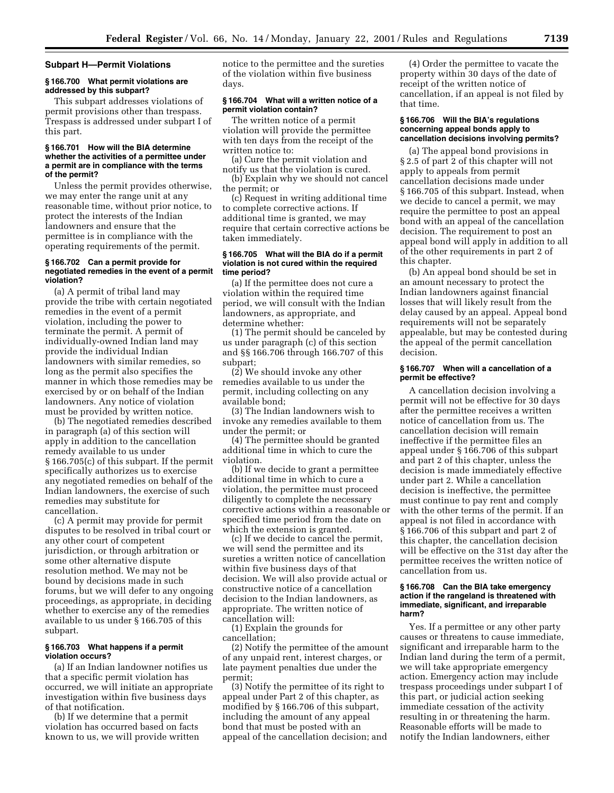#### **Subpart H—Permit Violations**

### **§ 166.700 What permit violations are addressed by this subpart?**

This subpart addresses violations of permit provisions other than trespass. Trespass is addressed under subpart I of this part.

### **§ 166.701 How will the BIA determine whether the activities of a permittee under a permit are in compliance with the terms of the permit?**

Unless the permit provides otherwise, we may enter the range unit at any reasonable time, without prior notice, to protect the interests of the Indian landowners and ensure that the permittee is in compliance with the operating requirements of the permit.

### **§ 166.702 Can a permit provide for negotiated remedies in the event of a permit violation?**

(a) A permit of tribal land may provide the tribe with certain negotiated remedies in the event of a permit violation, including the power to terminate the permit. A permit of individually-owned Indian land may provide the individual Indian landowners with similar remedies, so long as the permit also specifies the manner in which those remedies may be exercised by or on behalf of the Indian landowners. Any notice of violation must be provided by written notice.

(b) The negotiated remedies described in paragraph (a) of this section will apply in addition to the cancellation remedy available to us under § 166.705(c) of this subpart. If the permit specifically authorizes us to exercise any negotiated remedies on behalf of the Indian landowners, the exercise of such remedies may substitute for cancellation.

(c) A permit may provide for permit disputes to be resolved in tribal court or any other court of competent jurisdiction, or through arbitration or some other alternative dispute resolution method. We may not be bound by decisions made in such forums, but we will defer to any ongoing proceedings, as appropriate, in deciding whether to exercise any of the remedies available to us under § 166.705 of this subpart.

#### **§ 166.703 What happens if a permit violation occurs?**

(a) If an Indian landowner notifies us that a specific permit violation has occurred, we will initiate an appropriate investigation within five business days of that notification.

(b) If we determine that a permit violation has occurred based on facts known to us, we will provide written notice to the permittee and the sureties of the violation within five business days.

### **§ 166.704 What will a written notice of a permit violation contain?**

The written notice of a permit violation will provide the permittee with ten days from the receipt of the written notice to:

(a) Cure the permit violation and notify us that the violation is cured.

(b) Explain why we should not cancel the permit; or

(c) Request in writing additional time to complete corrective actions. If additional time is granted, we may require that certain corrective actions be taken immediately.

#### **§ 166.705 What will the BIA do if a permit violation is not cured within the required time period?**

(a) If the permittee does not cure a violation within the required time period, we will consult with the Indian landowners, as appropriate, and determine whether:

(1) The permit should be canceled by us under paragraph (c) of this section and §§ 166.706 through 166.707 of this subpart;

(2) We should invoke any other remedies available to us under the permit, including collecting on any available bond;

(3) The Indian landowners wish to invoke any remedies available to them under the permit; or

(4) The permittee should be granted additional time in which to cure the violation.

(b) If we decide to grant a permittee additional time in which to cure a violation, the permittee must proceed diligently to complete the necessary corrective actions within a reasonable or specified time period from the date on which the extension is granted.

(c) If we decide to cancel the permit, we will send the permittee and its sureties a written notice of cancellation within five business days of that decision. We will also provide actual or constructive notice of a cancellation decision to the Indian landowners, as appropriate. The written notice of cancellation will:

(1) Explain the grounds for cancellation;

(2) Notify the permittee of the amount of any unpaid rent, interest charges, or late payment penalties due under the permit;

(3) Notify the permittee of its right to appeal under Part 2 of this chapter, as modified by § 166.706 of this subpart, including the amount of any appeal bond that must be posted with an appeal of the cancellation decision; and

(4) Order the permittee to vacate the property within 30 days of the date of receipt of the written notice of cancellation, if an appeal is not filed by that time.

## **§ 166.706 Will the BIA's regulations concerning appeal bonds apply to cancellation decisions involving permits?**

(a) The appeal bond provisions in § 2.5 of part 2 of this chapter will not apply to appeals from permit cancellation decisions made under § 166.705 of this subpart. Instead, when we decide to cancel a permit, we may require the permittee to post an appeal bond with an appeal of the cancellation decision. The requirement to post an appeal bond will apply in addition to all of the other requirements in part 2 of this chapter.

(b) An appeal bond should be set in an amount necessary to protect the Indian landowners against financial losses that will likely result from the delay caused by an appeal. Appeal bond requirements will not be separately appealable, but may be contested during the appeal of the permit cancellation decision.

## **§ 166.707 When will a cancellation of a permit be effective?**

A cancellation decision involving a permit will not be effective for 30 days after the permittee receives a written notice of cancellation from us. The cancellation decision will remain ineffective if the permittee files an appeal under § 166.706 of this subpart and part 2 of this chapter, unless the decision is made immediately effective under part 2. While a cancellation decision is ineffective, the permittee must continue to pay rent and comply with the other terms of the permit. If an appeal is not filed in accordance with § 166.706 of this subpart and part 2 of this chapter, the cancellation decision will be effective on the 31st day after the permittee receives the written notice of cancellation from us.

#### **§ 166.708 Can the BIA take emergency action if the rangeland is threatened with immediate, significant, and irreparable harm?**

Yes. If a permittee or any other party causes or threatens to cause immediate, significant and irreparable harm to the Indian land during the term of a permit, we will take appropriate emergency action. Emergency action may include trespass proceedings under subpart I of this part, or judicial action seeking immediate cessation of the activity resulting in or threatening the harm. Reasonable efforts will be made to notify the Indian landowners, either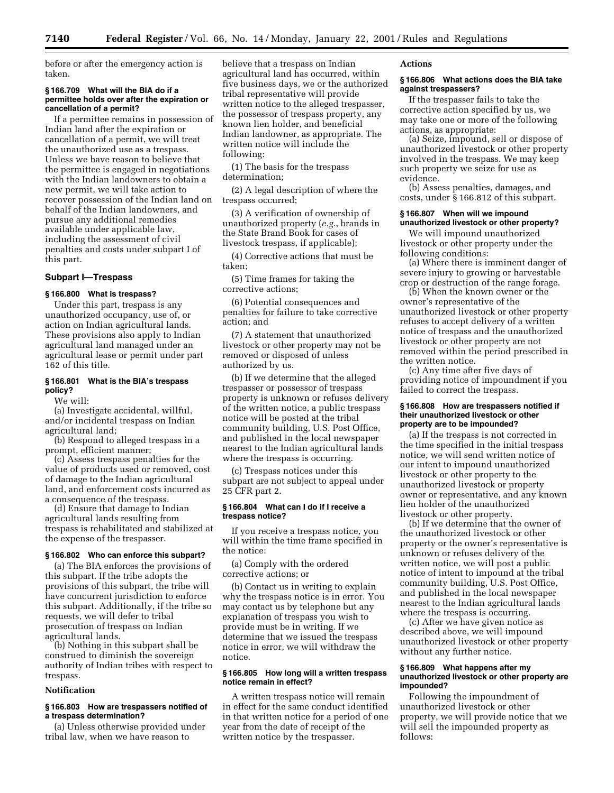before or after the emergency action is taken.

#### **§ 166.709 What will the BIA do if a permittee holds over after the expiration or cancellation of a permit?**

If a permittee remains in possession of Indian land after the expiration or cancellation of a permit, we will treat the unauthorized use as a trespass. Unless we have reason to believe that the permittee is engaged in negotiations with the Indian landowners to obtain a new permit, we will take action to recover possession of the Indian land on behalf of the Indian landowners, and pursue any additional remedies available under applicable law, including the assessment of civil penalties and costs under subpart I of this part.

# **Subpart I—Trespass**

# **§ 166.800 What is trespass?**

Under this part, trespass is any unauthorized occupancy, use of, or action on Indian agricultural lands. These provisions also apply to Indian agricultural land managed under an agricultural lease or permit under part 162 of this title.

#### **§ 166.801 What is the BIA's trespass policy?**

We will:

(a) Investigate accidental, willful, and/or incidental trespass on Indian agricultural land;

(b) Respond to alleged trespass in a prompt, efficient manner;

(c) Assess trespass penalties for the value of products used or removed, cost of damage to the Indian agricultural land, and enforcement costs incurred as a consequence of the trespass.

(d) Ensure that damage to Indian agricultural lands resulting from trespass is rehabilitated and stabilized at the expense of the trespasser.

## **§ 166.802 Who can enforce this subpart?**

(a) The BIA enforces the provisions of this subpart. If the tribe adopts the provisions of this subpart, the tribe will have concurrent jurisdiction to enforce this subpart. Additionally, if the tribe so requests, we will defer to tribal prosecution of trespass on Indian agricultural lands.

(b) Nothing in this subpart shall be construed to diminish the sovereign authority of Indian tribes with respect to trespass.

# **Notification**

## **§ 166.803 How are trespassers notified of a trespass determination?**

(a) Unless otherwise provided under tribal law, when we have reason to

believe that a trespass on Indian agricultural land has occurred, within five business days, we or the authorized tribal representative will provide written notice to the alleged trespasser, the possessor of trespass property, any known lien holder, and beneficial Indian landowner, as appropriate. The written notice will include the following:

(1) The basis for the trespass determination;

(2) A legal description of where the trespass occurred;

(3) A verification of ownership of unauthorized property (*e.g.*, brands in the State Brand Book for cases of livestock trespass, if applicable);

(4) Corrective actions that must be taken;

(5) Time frames for taking the corrective actions;

(6) Potential consequences and penalties for failure to take corrective action; and

(7) A statement that unauthorized livestock or other property may not be removed or disposed of unless authorized by us.

(b) If we determine that the alleged trespasser or possessor of trespass property is unknown or refuses delivery of the written notice, a public trespass notice will be posted at the tribal community building, U.S. Post Office, and published in the local newspaper nearest to the Indian agricultural lands where the trespass is occurring.

(c) Trespass notices under this subpart are not subject to appeal under 25 CFR part 2.

## **§ 166.804 What can I do if I receive a trespass notice?**

If you receive a trespass notice, you will within the time frame specified in the notice:

(a) Comply with the ordered corrective actions; or

(b) Contact us in writing to explain why the trespass notice is in error. You may contact us by telephone but any explanation of trespass you wish to provide must be in writing. If we determine that we issued the trespass notice in error, we will withdraw the notice.

#### **§ 166.805 How long will a written trespass notice remain in effect?**

A written trespass notice will remain in effect for the same conduct identified in that written notice for a period of one year from the date of receipt of the written notice by the trespasser.

# **Actions**

## **§ 166.806 What actions does the BIA take against trespassers?**

If the trespasser fails to take the corrective action specified by us, we may take one or more of the following actions, as appropriate:

(a) Seize, impound, sell or dispose of unauthorized livestock or other property involved in the trespass. We may keep such property we seize for use as evidence.

(b) Assess penalties, damages, and costs, under § 166.812 of this subpart.

#### **§ 166.807 When will we impound unauthorized livestock or other property?**

We will impound unauthorized livestock or other property under the following conditions:

(a) Where there is imminent danger of severe injury to growing or harvestable crop or destruction of the range forage.

(b) When the known owner or the owner's representative of the unauthorized livestock or other property refuses to accept delivery of a written notice of trespass and the unauthorized livestock or other property are not removed within the period prescribed in the written notice.

(c) Any time after five days of providing notice of impoundment if you failed to correct the trespass.

#### **§ 166.808 How are trespassers notified if their unauthorized livestock or other property are to be impounded?**

(a) If the trespass is not corrected in the time specified in the initial trespass notice, we will send written notice of our intent to impound unauthorized livestock or other property to the unauthorized livestock or property owner or representative, and any known lien holder of the unauthorized livestock or other property.

(b) If we determine that the owner of the unauthorized livestock or other property or the owner's representative is unknown or refuses delivery of the written notice, we will post a public notice of intent to impound at the tribal community building, U.S. Post Office, and published in the local newspaper nearest to the Indian agricultural lands where the trespass is occurring.

(c) After we have given notice as described above, we will impound unauthorized livestock or other property without any further notice.

## **§ 166.809 What happens after my unauthorized livestock or other property are impounded?**

Following the impoundment of unauthorized livestock or other property, we will provide notice that we will sell the impounded property as follows: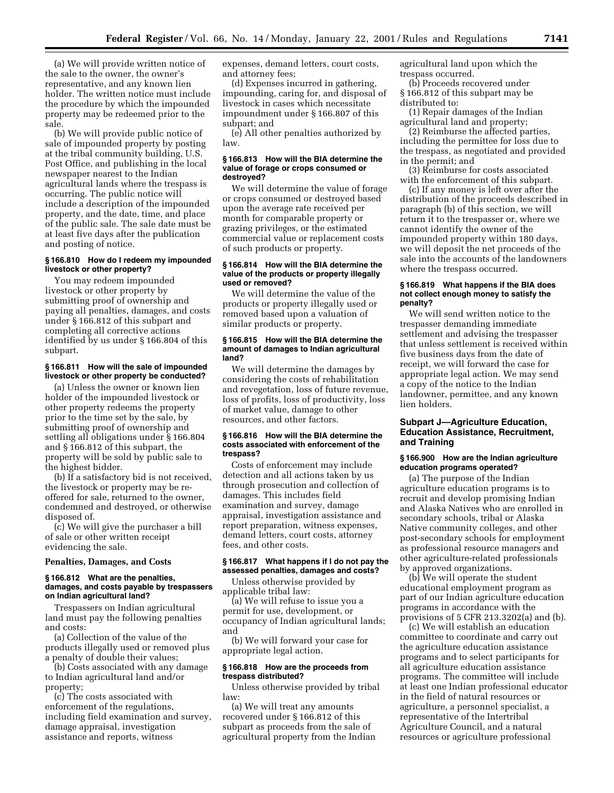(a) We will provide written notice of the sale to the owner, the owner's representative, and any known lien holder. The written notice must include the procedure by which the impounded property may be redeemed prior to the sale.

(b) We will provide public notice of sale of impounded property by posting at the tribal community building, U.S. Post Office, and publishing in the local newspaper nearest to the Indian agricultural lands where the trespass is occurring. The public notice will include a description of the impounded property, and the date, time, and place of the public sale. The sale date must be at least five days after the publication and posting of notice.

## **§ 166.810 How do I redeem my impounded livestock or other property?**

You may redeem impounded livestock or other property by submitting proof of ownership and paying all penalties, damages, and costs under § 166.812 of this subpart and completing all corrective actions identified by us under § 166.804 of this subpart.

#### **§ 166.811 How will the sale of impounded livestock or other property be conducted?**

(a) Unless the owner or known lien holder of the impounded livestock or other property redeems the property prior to the time set by the sale, by submitting proof of ownership and settling all obligations under § 166.804 and § 166.812 of this subpart, the property will be sold by public sale to the highest bidder.

(b) If a satisfactory bid is not received, the livestock or property may be reoffered for sale, returned to the owner, condemned and destroyed, or otherwise disposed of.

(c) We will give the purchaser a bill of sale or other written receipt evidencing the sale.

#### **Penalties, Damages, and Costs**

#### **§ 166.812 What are the penalties, damages, and costs payable by trespassers on Indian agricultural land?**

Trespassers on Indian agricultural land must pay the following penalties and costs:

(a) Collection of the value of the products illegally used or removed plus a penalty of double their values;

(b) Costs associated with any damage to Indian agricultural land and/or property;

(c) The costs associated with enforcement of the regulations, including field examination and survey, damage appraisal, investigation assistance and reports, witness

expenses, demand letters, court costs, and attorney fees;

(d) Expenses incurred in gathering, impounding, caring for, and disposal of livestock in cases which necessitate impoundment under § 166.807 of this subpart; and

(e) All other penalties authorized by law.

# **§ 166.813 How will the BIA determine the value of forage or crops consumed or destroyed?**

We will determine the value of forage or crops consumed or destroyed based upon the average rate received per month for comparable property or grazing privileges, or the estimated commercial value or replacement costs of such products or property.

#### **§ 166.814 How will the BIA determine the value of the products or property illegally used or removed?**

We will determine the value of the products or property illegally used or removed based upon a valuation of similar products or property.

### **§ 166.815 How will the BIA determine the amount of damages to Indian agricultural land?**

We will determine the damages by considering the costs of rehabilitation and revegetation, loss of future revenue, loss of profits, loss of productivity, loss of market value, damage to other resources, and other factors.

### **§ 166.816 How will the BIA determine the costs associated with enforcement of the trespass?**

Costs of enforcement may include detection and all actions taken by us through prosecution and collection of damages. This includes field examination and survey, damage appraisal, investigation assistance and report preparation, witness expenses, demand letters, court costs, attorney fees, and other costs.

# **§ 166.817 What happens if I do not pay the assessed penalties, damages and costs?** Unless otherwise provided by

applicable tribal law:

(a) We will refuse to issue you a permit for use, development, or occupancy of Indian agricultural lands; and

(b) We will forward your case for appropriate legal action.

## **§ 166.818 How are the proceeds from trespass distributed?**

Unless otherwise provided by tribal law:

(a) We will treat any amounts recovered under § 166.812 of this subpart as proceeds from the sale of agricultural property from the Indian agricultural land upon which the trespass occurred.

(b) Proceeds recovered under § 166.812 of this subpart may be distributed to:

(1) Repair damages of the Indian agricultural land and property;

(2) Reimburse the affected parties, including the permittee for loss due to the trespass, as negotiated and provided in the permit; and

(3) Reimburse for costs associated with the enforcement of this subpart.

(c) If any money is left over after the distribution of the proceeds described in paragraph (b) of this section, we will return it to the trespasser or, where we cannot identify the owner of the impounded property within 180 days, we will deposit the net proceeds of the sale into the accounts of the landowners where the trespass occurred.

#### **§ 166.819 What happens if the BIA does not collect enough money to satisfy the penalty?**

We will send written notice to the trespasser demanding immediate settlement and advising the trespasser that unless settlement is received within five business days from the date of receipt, we will forward the case for appropriate legal action. We may send a copy of the notice to the Indian landowner, permittee, and any known lien holders.

# **Subpart J—Agriculture Education, Education Assistance, Recruitment, and Training**

## **§ 166.900 How are the Indian agriculture education programs operated?**

(a) The purpose of the Indian agriculture education programs is to recruit and develop promising Indian and Alaska Natives who are enrolled in secondary schools, tribal or Alaska Native community colleges, and other post-secondary schools for employment as professional resource managers and other agriculture-related professionals by approved organizations.

(b) We will operate the student educational employment program as part of our Indian agriculture education programs in accordance with the provisions of 5 CFR 213.3202(a) and (b).

(c) We will establish an education committee to coordinate and carry out the agriculture education assistance programs and to select participants for all agriculture education assistance programs. The committee will include at least one Indian professional educator in the field of natural resources or agriculture, a personnel specialist, a representative of the Intertribal Agriculture Council, and a natural resources or agriculture professional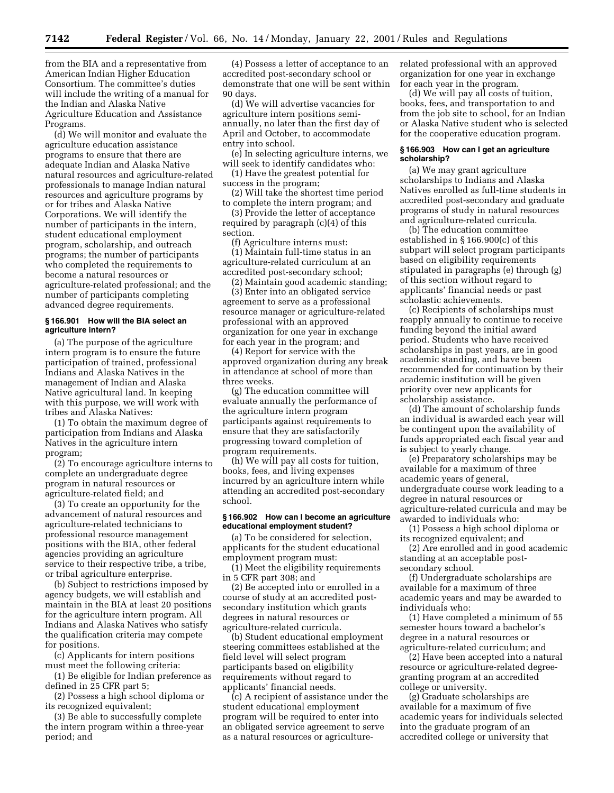from the BIA and a representative from American Indian Higher Education Consortium. The committee's duties will include the writing of a manual for the Indian and Alaska Native Agriculture Education and Assistance Programs.

(d) We will monitor and evaluate the agriculture education assistance programs to ensure that there are adequate Indian and Alaska Native natural resources and agriculture-related professionals to manage Indian natural resources and agriculture programs by or for tribes and Alaska Native Corporations. We will identify the number of participants in the intern, student educational employment program, scholarship, and outreach programs; the number of participants who completed the requirements to become a natural resources or agriculture-related professional; and the number of participants completing advanced degree requirements.

## **§ 166.901 How will the BIA select an agriculture intern?**

(a) The purpose of the agriculture intern program is to ensure the future participation of trained, professional Indians and Alaska Natives in the management of Indian and Alaska Native agricultural land. In keeping with this purpose, we will work with tribes and Alaska Natives:

(1) To obtain the maximum degree of participation from Indians and Alaska Natives in the agriculture intern program;

(2) To encourage agriculture interns to complete an undergraduate degree program in natural resources or agriculture-related field; and

(3) To create an opportunity for the advancement of natural resources and agriculture-related technicians to professional resource management positions with the BIA, other federal agencies providing an agriculture service to their respective tribe, a tribe, or tribal agriculture enterprise.

(b) Subject to restrictions imposed by agency budgets, we will establish and maintain in the BIA at least 20 positions for the agriculture intern program. All Indians and Alaska Natives who satisfy the qualification criteria may compete for positions.

(c) Applicants for intern positions must meet the following criteria:

(1) Be eligible for Indian preference as defined in 25 CFR part 5;

(2) Possess a high school diploma or its recognized equivalent;

(3) Be able to successfully complete the intern program within a three-year period; and

(4) Possess a letter of acceptance to an accredited post-secondary school or demonstrate that one will be sent within 90 days.

(d) We will advertise vacancies for agriculture intern positions semiannually, no later than the first day of April and October, to accommodate entry into school.

(e) In selecting agriculture interns, we will seek to identify candidates who:

(1) Have the greatest potential for success in the program;

(2) Will take the shortest time period to complete the intern program; and

(3) Provide the letter of acceptance required by paragraph (c)(4) of this section.

(f) Agriculture interns must:

(1) Maintain full-time status in an agriculture-related curriculum at an accredited post-secondary school;

(2) Maintain good academic standing; (3) Enter into an obligated service

agreement to serve as a professional resource manager or agriculture-related professional with an approved organization for one year in exchange for each year in the program; and

(4) Report for service with the approved organization during any break in attendance at school of more than three weeks.

(g) The education committee will evaluate annually the performance of the agriculture intern program participants against requirements to ensure that they are satisfactorily progressing toward completion of program requirements.

(h) We will pay all costs for tuition, books, fees, and living expenses incurred by an agriculture intern while attending an accredited post-secondary school.

## **§ 166.902 How can I become an agriculture educational employment student?**

(a) To be considered for selection, applicants for the student educational employment program must:

(1) Meet the eligibility requirements in 5 CFR part 308; and

(2) Be accepted into or enrolled in a course of study at an accredited postsecondary institution which grants degrees in natural resources or agriculture-related curricula.

(b) Student educational employment steering committees established at the field level will select program participants based on eligibility requirements without regard to applicants' financial needs.

(c) A recipient of assistance under the student educational employment program will be required to enter into an obligated service agreement to serve as a natural resources or agriculturerelated professional with an approved organization for one year in exchange for each year in the program.

(d) We will pay all costs of tuition, books, fees, and transportation to and from the job site to school, for an Indian or Alaska Native student who is selected for the cooperative education program.

#### **§ 166.903 How can I get an agriculture scholarship?**

(a) We may grant agriculture scholarships to Indians and Alaska Natives enrolled as full-time students in accredited post-secondary and graduate programs of study in natural resources and agriculture-related curricula.

(b) The education committee established in § 166.900(c) of this subpart will select program participants based on eligibility requirements stipulated in paragraphs (e) through (g) of this section without regard to applicants' financial needs or past scholastic achievements.

(c) Recipients of scholarships must reapply annually to continue to receive funding beyond the initial award period. Students who have received scholarships in past years, are in good academic standing, and have been recommended for continuation by their academic institution will be given priority over new applicants for scholarship assistance.

(d) The amount of scholarship funds an individual is awarded each year will be contingent upon the availability of funds appropriated each fiscal year and is subject to yearly change.

(e) Preparatory scholarships may be available for a maximum of three academic years of general, undergraduate course work leading to a degree in natural resources or agriculture-related curricula and may be awarded to individuals who:

(1) Possess a high school diploma or its recognized equivalent; and

(2) Are enrolled and in good academic standing at an acceptable postsecondary school.

(f) Undergraduate scholarships are available for a maximum of three academic years and may be awarded to individuals who:

(1) Have completed a minimum of 55 semester hours toward a bachelor's degree in a natural resources or agriculture-related curriculum; and

(2) Have been accepted into a natural resource or agriculture-related degreegranting program at an accredited college or university.

(g) Graduate scholarships are available for a maximum of five academic years for individuals selected into the graduate program of an accredited college or university that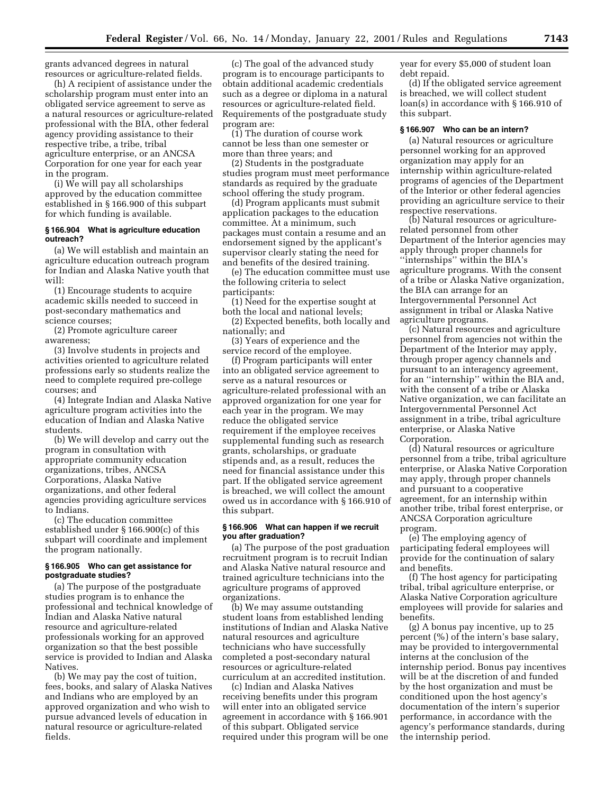grants advanced degrees in natural resources or agriculture-related fields.

(h) A recipient of assistance under the scholarship program must enter into an obligated service agreement to serve as a natural resources or agriculture-related professional with the BIA, other federal agency providing assistance to their respective tribe, a tribe, tribal agriculture enterprise, or an ANCSA Corporation for one year for each year in the program.

(i) We will pay all scholarships approved by the education committee established in § 166.900 of this subpart for which funding is available.

### **§ 166.904 What is agriculture education outreach?**

(a) We will establish and maintain an agriculture education outreach program for Indian and Alaska Native youth that will:

(1) Encourage students to acquire academic skills needed to succeed in post-secondary mathematics and science courses;

(2) Promote agriculture career awareness;

(3) Involve students in projects and activities oriented to agriculture related professions early so students realize the need to complete required pre-college courses; and

(4) Integrate Indian and Alaska Native agriculture program activities into the education of Indian and Alaska Native students.

(b) We will develop and carry out the program in consultation with appropriate community education organizations, tribes, ANCSA Corporations, Alaska Native organizations, and other federal agencies providing agriculture services to Indians.

(c) The education committee established under § 166.900(c) of this subpart will coordinate and implement the program nationally.

## **§ 166.905 Who can get assistance for postgraduate studies?**

(a) The purpose of the postgraduate studies program is to enhance the professional and technical knowledge of Indian and Alaska Native natural resource and agriculture-related professionals working for an approved organization so that the best possible service is provided to Indian and Alaska Natives.

(b) We may pay the cost of tuition, fees, books, and salary of Alaska Natives and Indians who are employed by an approved organization and who wish to pursue advanced levels of education in natural resource or agriculture-related fields.

(c) The goal of the advanced study program is to encourage participants to obtain additional academic credentials such as a degree or diploma in a natural resources or agriculture-related field. Requirements of the postgraduate study program are:

(1) The duration of course work cannot be less than one semester or more than three years; and

(2) Students in the postgraduate studies program must meet performance standards as required by the graduate school offering the study program.

(d) Program applicants must submit application packages to the education committee. At a minimum, such packages must contain a resume and an endorsement signed by the applicant's supervisor clearly stating the need for and benefits of the desired training.

(e) The education committee must use the following criteria to select participants:

(1) Need for the expertise sought at both the local and national levels;

(2) Expected benefits, both locally and nationally; and

(3) Years of experience and the service record of the employee.

(f) Program participants will enter into an obligated service agreement to serve as a natural resources or agriculture-related professional with an approved organization for one year for each year in the program. We may reduce the obligated service requirement if the employee receives supplemental funding such as research grants, scholarships, or graduate stipends and, as a result, reduces the need for financial assistance under this part. If the obligated service agreement is breached, we will collect the amount owed us in accordance with § 166.910 of this subpart.

# **§ 166.906 What can happen if we recruit you after graduation?**

(a) The purpose of the post graduation recruitment program is to recruit Indian and Alaska Native natural resource and trained agriculture technicians into the agriculture programs of approved organizations.

(b) We may assume outstanding student loans from established lending institutions of Indian and Alaska Native natural resources and agriculture technicians who have successfully completed a post-secondary natural resources or agriculture-related curriculum at an accredited institution.

(c) Indian and Alaska Natives receiving benefits under this program will enter into an obligated service agreement in accordance with § 166.901 of this subpart. Obligated service required under this program will be one year for every \$5,000 of student loan debt repaid.

(d) If the obligated service agreement is breached, we will collect student loan(s) in accordance with § 166.910 of this subpart.

#### **§ 166.907 Who can be an intern?**

(a) Natural resources or agriculture personnel working for an approved organization may apply for an internship within agriculture-related programs of agencies of the Department of the Interior or other federal agencies providing an agriculture service to their respective reservations.

(b) Natural resources or agriculturerelated personnel from other Department of the Interior agencies may apply through proper channels for ''internships'' within the BIA's agriculture programs. With the consent of a tribe or Alaska Native organization, the BIA can arrange for an Intergovernmental Personnel Act assignment in tribal or Alaska Native agriculture programs.

(c) Natural resources and agriculture personnel from agencies not within the Department of the Interior may apply, through proper agency channels and pursuant to an interagency agreement, for an ''internship'' within the BIA and, with the consent of a tribe or Alaska Native organization, we can facilitate an Intergovernmental Personnel Act assignment in a tribe, tribal agriculture enterprise, or Alaska Native Corporation.

(d) Natural resources or agriculture personnel from a tribe, tribal agriculture enterprise, or Alaska Native Corporation may apply, through proper channels and pursuant to a cooperative agreement, for an internship within another tribe, tribal forest enterprise, or ANCSA Corporation agriculture program.

(e) The employing agency of participating federal employees will provide for the continuation of salary and benefits.

(f) The host agency for participating tribal, tribal agriculture enterprise, or Alaska Native Corporation agriculture employees will provide for salaries and benefits.

(g) A bonus pay incentive, up to 25 percent (%) of the intern's base salary, may be provided to intergovernmental interns at the conclusion of the internship period. Bonus pay incentives will be at the discretion of and funded by the host organization and must be conditioned upon the host agency's documentation of the intern's superior performance, in accordance with the agency's performance standards, during the internship period.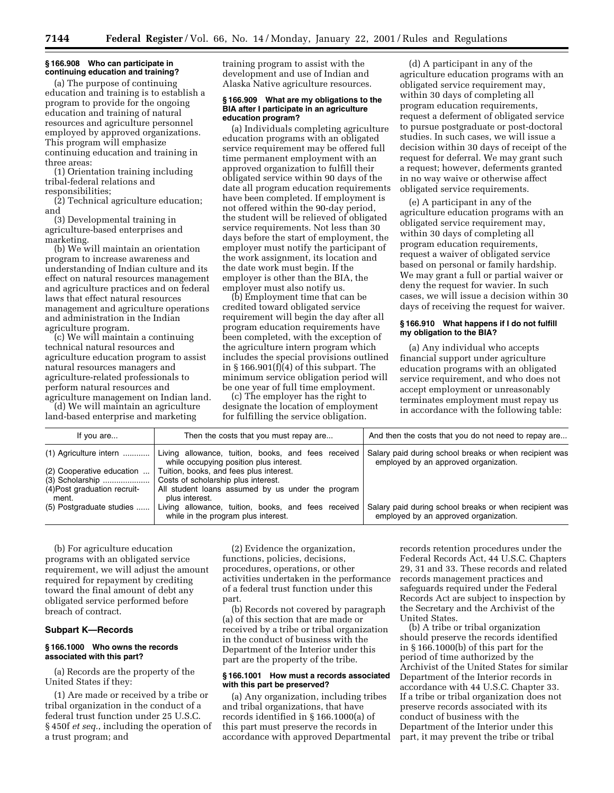# **§ 166.908 Who can participate in continuing education and training?**

(a) The purpose of continuing education and training is to establish a program to provide for the ongoing education and training of natural resources and agriculture personnel employed by approved organizations. This program will emphasize continuing education and training in three areas:

(1) Orientation training including tribal-federal relations and responsibilities;

(2) Technical agriculture education; and

(3) Developmental training in agriculture-based enterprises and marketing.

(b) We will maintain an orientation program to increase awareness and understanding of Indian culture and its effect on natural resources management and agriculture practices and on federal laws that effect natural resources management and agriculture operations and administration in the Indian agriculture program.

(c) We will maintain a continuing technical natural resources and agriculture education program to assist natural resources managers and agriculture-related professionals to perform natural resources and agriculture management on Indian land.

(d) We will maintain an agriculture land-based enterprise and marketing

training program to assist with the development and use of Indian and Alaska Native agriculture resources.

#### **§ 166.909 What are my obligations to the BIA after I participate in an agriculture education program?**

(a) Individuals completing agriculture education programs with an obligated service requirement may be offered full time permanent employment with an approved organization to fulfill their obligated service within 90 days of the date all program education requirements have been completed. If employment is not offered within the 90-day period, the student will be relieved of obligated service requirements. Not less than 30 days before the start of employment, the employer must notify the participant of the work assignment, its location and the date work must begin. If the employer is other than the BIA, the employer must also notify us.

(b) Employment time that can be credited toward obligated service requirement will begin the day after all program education requirements have been completed, with the exception of the agriculture intern program which includes the special provisions outlined in  $\S 166.901(f)(4)$  of this subpart. The minimum service obligation period will be one year of full time employment.

(c) The employer has the right to designate the location of employment for fulfilling the service obligation.

(d) A participant in any of the agriculture education programs with an obligated service requirement may, within 30 days of completing all program education requirements, request a deferment of obligated service to pursue postgraduate or post-doctoral studies. In such cases, we will issue a decision within 30 days of receipt of the request for deferral. We may grant such a request; however, deferments granted in no way waive or otherwise affect obligated service requirements.

(e) A participant in any of the agriculture education programs with an obligated service requirement may, within 30 days of completing all program education requirements, request a waiver of obligated service based on personal or family hardship. We may grant a full or partial waiver or deny the request for wavier. In such cases, we will issue a decision within 30 days of receiving the request for waiver.

## **§ 166.910 What happens if I do not fulfill my obligation to the BIA?**

(a) Any individual who accepts financial support under agriculture education programs with an obligated service requirement, and who does not accept employment or unreasonably terminates employment must repay us in accordance with the following table:

| If you are                   | Then the costs that you must repay are                                                         | And then the costs that you do not need to repay are                                            |
|------------------------------|------------------------------------------------------------------------------------------------|-------------------------------------------------------------------------------------------------|
| (1) Agriculture intern       | Living allowance, tuition, books, and fees received<br>while occupying position plus interest. | Salary paid during school breaks or when recipient was<br>employed by an approved organization. |
| (2) Cooperative education    | Tuition, books, and fees plus interest.                                                        |                                                                                                 |
| (3) Scholarship              | Costs of scholarship plus interest.                                                            |                                                                                                 |
| (4) Post graduation recruit- | All student loans assumed by us under the program                                              |                                                                                                 |
| ment.                        | plus interest.                                                                                 |                                                                                                 |
| (5) Postgraduate studies     | Living allowance, tuition, books, and fees received<br>while in the program plus interest.     | Salary paid during school breaks or when recipient was<br>employed by an approved organization. |

(b) For agriculture education programs with an obligated service requirement, we will adjust the amount required for repayment by crediting toward the final amount of debt any obligated service performed before breach of contract.

## **Subpart K—Records**

## **§ 166.1000 Who owns the records associated with this part?**

(a) Records are the property of the United States if they:

(1) Are made or received by a tribe or tribal organization in the conduct of a federal trust function under 25 U.S.C. § 450f *et seq.*, including the operation of a trust program; and

(2) Evidence the organization, functions, policies, decisions, procedures, operations, or other activities undertaken in the performance of a federal trust function under this part.

(b) Records not covered by paragraph (a) of this section that are made or received by a tribe or tribal organization in the conduct of business with the Department of the Interior under this part are the property of the tribe.

#### **§ 166.1001 How must a records associated with this part be preserved?**

(a) Any organization, including tribes and tribal organizations, that have records identified in § 166.1000(a) of this part must preserve the records in accordance with approved Departmental

records retention procedures under the Federal Records Act, 44 U.S.C. Chapters 29, 31 and 33. These records and related records management practices and safeguards required under the Federal Records Act are subject to inspection by the Secretary and the Archivist of the United States.

(b) A tribe or tribal organization should preserve the records identified in § 166.1000(b) of this part for the period of time authorized by the Archivist of the United States for similar Department of the Interior records in accordance with 44 U.S.C. Chapter 33. If a tribe or tribal organization does not preserve records associated with its conduct of business with the Department of the Interior under this part, it may prevent the tribe or tribal